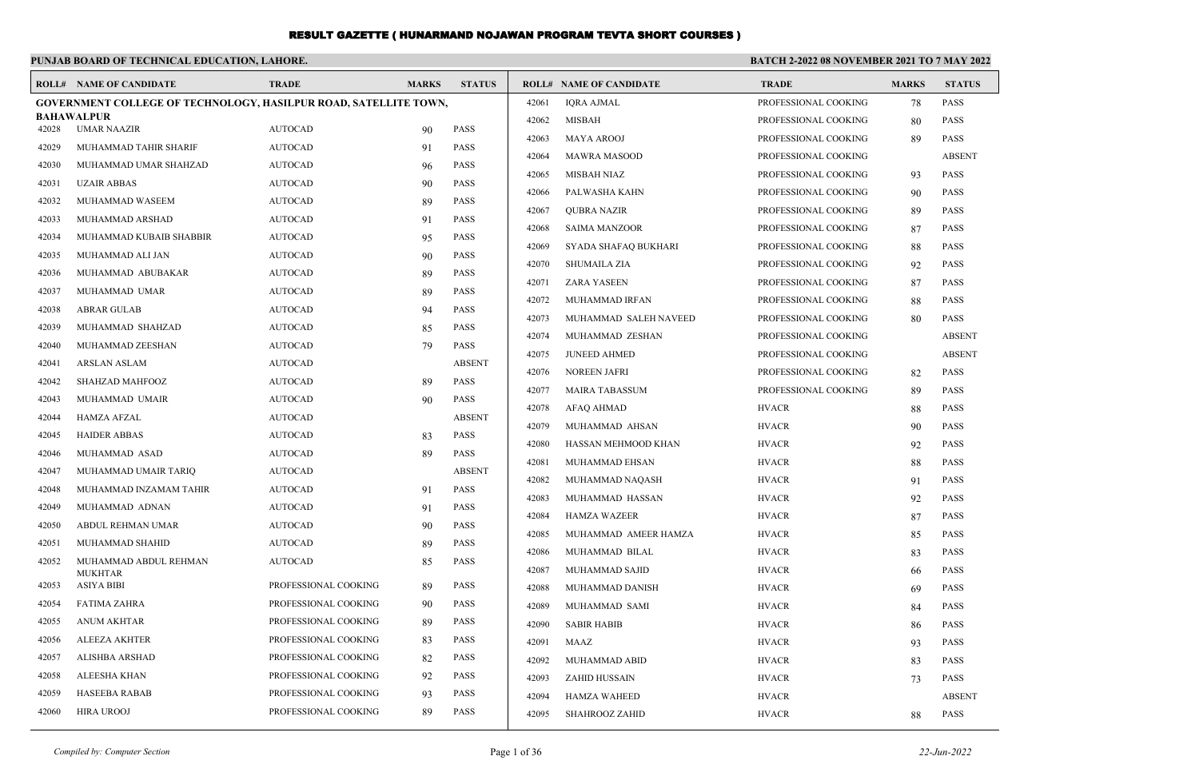| PUNJAB BOARD OF TECHNICAL EDUCATION. LAHORE. |  |  |
|----------------------------------------------|--|--|
|----------------------------------------------|--|--|

#### **BATCH 2-2022 08 NOVEMBER 2021 TO 7 MAY 2022**

|       | <b>ROLL# NAME OF CANDIDATE</b>                                          | <b>TRADE</b>         | <b>MARKS</b> | <b>STATUS</b> |       | <b>ROLL# NAME OF CANDIDATE</b> | <b>TRADE</b>         | <b>MARKS</b> | <b>STATUS</b> |
|-------|-------------------------------------------------------------------------|----------------------|--------------|---------------|-------|--------------------------------|----------------------|--------------|---------------|
|       | <b>GOVERNMENT COLLEGE OF TECHNOLOGY, HASILPUR ROAD, SATELLITE TOWN,</b> |                      |              |               | 42061 | <b>IORA AJMAL</b>              | PROFESSIONAL COOKING | 78           | <b>PASS</b>   |
|       | <b>BAHAWALPUR</b>                                                       |                      |              | <b>PASS</b>   | 42062 | <b>MISBAH</b>                  | PROFESSIONAL COOKING | 80           | <b>PASS</b>   |
| 42028 | <b>UMAR NAAZIR</b>                                                      | <b>AUTOCAD</b>       | 90           |               | 42063 | <b>MAYA AROOJ</b>              | PROFESSIONAL COOKING | 89           | PASS          |
| 42029 | MUHAMMAD TAHIR SHARIF                                                   | <b>AUTOCAD</b>       | 91           | <b>PASS</b>   | 42064 | <b>MAWRA MASOOD</b>            | PROFESSIONAL COOKING |              | <b>ABSENT</b> |
| 42030 | MUHAMMAD UMAR SHAHZAD                                                   | <b>AUTOCAD</b>       | 96           | <b>PASS</b>   | 42065 | MISBAH NIAZ                    | PROFESSIONAL COOKING | 93           | <b>PASS</b>   |
| 42031 | <b>UZAIR ABBAS</b>                                                      | <b>AUTOCAD</b>       | 90           | <b>PASS</b>   | 42066 | PALWASHA KAHN                  | PROFESSIONAL COOKING | 90           | <b>PASS</b>   |
| 42032 | MUHAMMAD WASEEM                                                         | <b>AUTOCAD</b>       | 89           | <b>PASS</b>   | 42067 | <b>OUBRA NAZIR</b>             | PROFESSIONAL COOKING | 89           | <b>PASS</b>   |
| 42033 | MUHAMMAD ARSHAD                                                         | <b>AUTOCAD</b>       | 91           | <b>PASS</b>   | 42068 | <b>SAIMA MANZOOR</b>           | PROFESSIONAL COOKING | 87           | PASS          |
| 42034 | MUHAMMAD KUBAIB SHABBIR                                                 | <b>AUTOCAD</b>       | 95           | <b>PASS</b>   | 42069 | SYADA SHAFAQ BUKHARI           | PROFESSIONAL COOKING | 88           | <b>PASS</b>   |
| 42035 | MUHAMMAD ALI JAN                                                        | <b>AUTOCAD</b>       | 90           | <b>PASS</b>   | 42070 | <b>SHUMAILA ZIA</b>            | PROFESSIONAL COOKING | 92           | <b>PASS</b>   |
| 42036 | MUHAMMAD ABUBAKAR                                                       | <b>AUTOCAD</b>       | 89           | <b>PASS</b>   | 42071 | <b>ZARA YASEEN</b>             | PROFESSIONAL COOKING | 87           | <b>PASS</b>   |
| 42037 | MUHAMMAD UMAR                                                           | <b>AUTOCAD</b>       | 89           | <b>PASS</b>   | 42072 | MUHAMMAD IRFAN                 | PROFESSIONAL COOKING | 88           | <b>PASS</b>   |
| 42038 | <b>ABRAR GULAB</b>                                                      | <b>AUTOCAD</b>       | 94           | <b>PASS</b>   | 42073 | MUHAMMAD SALEH NAVEED          | PROFESSIONAL COOKING | 80           | <b>PASS</b>   |
| 42039 | MUHAMMAD SHAHZAD                                                        | <b>AUTOCAD</b>       | 85           | <b>PASS</b>   | 42074 | MUHAMMAD ZESHAN                | PROFESSIONAL COOKING |              | <b>ABSENT</b> |
| 42040 | MUHAMMAD ZEESHAN                                                        | <b>AUTOCAD</b>       | 79           | <b>PASS</b>   | 42075 | <b>JUNEED AHMED</b>            | PROFESSIONAL COOKING |              | <b>ABSENT</b> |
| 42041 | <b>ARSLAN ASLAM</b>                                                     | <b>AUTOCAD</b>       |              | <b>ABSENT</b> | 42076 | <b>NOREEN JAFRI</b>            | PROFESSIONAL COOKING | 82           | <b>PASS</b>   |
| 42042 | SHAHZAD MAHFOOZ                                                         | <b>AUTOCAD</b>       | 89           | <b>PASS</b>   | 42077 | <b>MAIRA TABASSUM</b>          | PROFESSIONAL COOKING | 89           | <b>PASS</b>   |
| 42043 | MUHAMMAD UMAIR                                                          | <b>AUTOCAD</b>       | 90           | PASS          | 42078 | <b>AFAQ AHMAD</b>              | <b>HVACR</b>         | 88           | PASS          |
| 42044 | <b>HAMZA AFZAL</b>                                                      | <b>AUTOCAD</b>       |              | <b>ABSENT</b> | 42079 | MUHAMMAD AHSAN                 | <b>HVACR</b>         | 90           | PASS          |
| 42045 | <b>HAIDER ABBAS</b>                                                     | <b>AUTOCAD</b>       | 83           | <b>PASS</b>   | 42080 | HASSAN MEHMOOD KHAN            | <b>HVACR</b>         | 92           | <b>PASS</b>   |
| 42046 | MUHAMMAD ASAD                                                           | <b>AUTOCAD</b>       | 89           | PASS          | 42081 | MUHAMMAD EHSAN                 | <b>HVACR</b>         |              | <b>PASS</b>   |
| 42047 | MUHAMMAD UMAIR TARIQ                                                    | <b>AUTOCAD</b>       |              | <b>ABSENT</b> |       |                                |                      | 88           |               |
| 42048 | MUHAMMAD INZAMAM TAHIR                                                  | <b>AUTOCAD</b>       | 91           | <b>PASS</b>   | 42082 | MUHAMMAD NAQASH                | <b>HVACR</b>         | 91           | <b>PASS</b>   |
| 42049 | MUHAMMAD ADNAN                                                          | <b>AUTOCAD</b>       | 91           | PASS          | 42083 | MUHAMMAD HASSAN                | <b>HVACR</b>         | 92           | <b>PASS</b>   |
| 42050 | ABDUL REHMAN UMAR                                                       | <b>AUTOCAD</b>       | 90           | <b>PASS</b>   | 42084 | <b>HAMZA WAZEER</b>            | <b>HVACR</b>         | 87           | <b>PASS</b>   |
| 42051 | MUHAMMAD SHAHID                                                         | <b>AUTOCAD</b>       | 89           | <b>PASS</b>   | 42085 | MUHAMMAD AMEER HAMZA           | <b>HVACR</b>         | 85           | <b>PASS</b>   |
| 42052 | MUHAMMAD ABDUL REHMAN                                                   | <b>AUTOCAD</b>       | 85           | <b>PASS</b>   | 42086 | MUHAMMAD BILAL                 | <b>HVACR</b>         | 83           | <b>PASS</b>   |
| 42053 | <b>MUKHTAR</b><br><b>ASIYA BIBI</b>                                     | PROFESSIONAL COOKING |              | <b>PASS</b>   | 42087 | MUHAMMAD SAJID                 | <b>HVACR</b>         | 66           | <b>PASS</b>   |
|       |                                                                         |                      | 89           |               | 42088 | MUHAMMAD DANISH                | <b>HVACR</b>         | 69           | <b>PASS</b>   |
| 42054 | <b>FATIMA ZAHRA</b>                                                     | PROFESSIONAL COOKING | 90           | <b>PASS</b>   | 42089 | MUHAMMAD SAMI                  | <b>HVACR</b>         | 84           | PASS          |
| 42055 | <b>ANUM AKHTAR</b>                                                      | PROFESSIONAL COOKING | 89           | <b>PASS</b>   | 42090 | <b>SABIR HABIB</b>             | <b>HVACR</b>         | 86           | <b>PASS</b>   |
| 42056 | <b>ALEEZA AKHTER</b>                                                    | PROFESSIONAL COOKING | 83           | <b>PASS</b>   | 42091 | MAAZ                           | <b>HVACR</b>         | 93           | <b>PASS</b>   |
| 42057 | ALISHBA ARSHAD                                                          | PROFESSIONAL COOKING | 82           | <b>PASS</b>   | 42092 | MUHAMMAD ABID                  | <b>HVACR</b>         | 83           | <b>PASS</b>   |
| 42058 | ALEESHA KHAN                                                            | PROFESSIONAL COOKING | 92           | <b>PASS</b>   | 42093 | <b>ZAHID HUSSAIN</b>           | <b>HVACR</b>         | 73           | <b>PASS</b>   |
| 42059 | <b>HASEEBA RABAB</b>                                                    | PROFESSIONAL COOKING | 93           | <b>PASS</b>   | 42094 | <b>HAMZA WAHEED</b>            | <b>HVACR</b>         |              | <b>ABSENT</b> |
| 42060 | <b>HIRA UROOJ</b>                                                       | PROFESSIONAL COOKING | 89           | <b>PASS</b>   | 42095 | SHAHROOZ ZAHID                 | <b>HVACR</b>         | 88           | <b>PASS</b>   |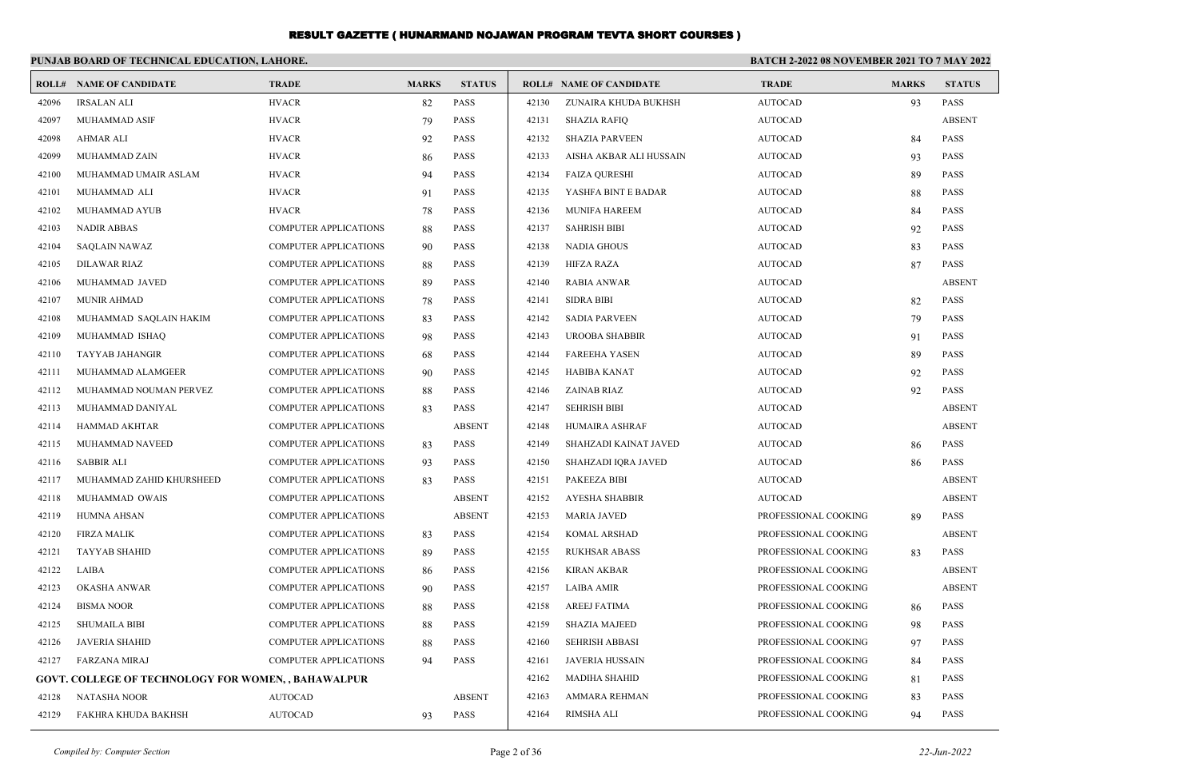|       | PUNJAB BOARD OF TECHNICAL EDUCATION, LAHORE.               |                              |              |               |       |                                | <b>BATCH 2-2022 08 NOVEMBER 2021 TO 7 MAY 2022</b> |              |               |
|-------|------------------------------------------------------------|------------------------------|--------------|---------------|-------|--------------------------------|----------------------------------------------------|--------------|---------------|
|       | <b>ROLL# NAME OF CANDIDATE</b>                             | <b>TRADE</b>                 | <b>MARKS</b> | <b>STATUS</b> |       | <b>ROLL# NAME OF CANDIDATE</b> | <b>TRADE</b>                                       | <b>MARKS</b> | <b>STATUS</b> |
| 42096 | <b>IRSALAN ALI</b>                                         | <b>HVACR</b>                 | 82           | <b>PASS</b>   | 42130 | ZUNAIRA KHUDA BUKHSH           | <b>AUTOCAD</b>                                     | 93           | <b>PASS</b>   |
| 42097 | <b>MUHAMMAD ASIF</b>                                       | <b>HVACR</b>                 | 79           | <b>PASS</b>   | 42131 | <b>SHAZIA RAFIQ</b>            | <b>AUTOCAD</b>                                     |              | <b>ABSENT</b> |
| 42098 | AHMAR ALI                                                  | <b>HVACR</b>                 | 92           | <b>PASS</b>   | 42132 | <b>SHAZIA PARVEEN</b>          | <b>AUTOCAD</b>                                     | 84           | <b>PASS</b>   |
| 42099 | MUHAMMAD ZAIN                                              | <b>HVACR</b>                 | 86           | <b>PASS</b>   | 42133 | AISHA AKBAR ALI HUSSAIN        | <b>AUTOCAD</b>                                     | 93           | <b>PASS</b>   |
| 42100 | MUHAMMAD UMAIR ASLAM                                       | <b>HVACR</b>                 | 94           | <b>PASS</b>   | 42134 | <b>FAIZA QURESHI</b>           | <b>AUTOCAD</b>                                     | 89           | <b>PASS</b>   |
| 42101 | MUHAMMAD ALI                                               | <b>HVACR</b>                 | 91           | <b>PASS</b>   | 42135 | YASHFA BINT E BADAR            | <b>AUTOCAD</b>                                     | 88           | <b>PASS</b>   |
| 42102 | MUHAMMAD AYUB                                              | <b>HVACR</b>                 | 78           | <b>PASS</b>   | 42136 | <b>MUNIFA HAREEM</b>           | <b>AUTOCAD</b>                                     | 84           | <b>PASS</b>   |
| 42103 | <b>NADIR ABBAS</b>                                         | <b>COMPUTER APPLICATIONS</b> | 88           | <b>PASS</b>   | 42137 | <b>SAHRISH BIBI</b>            | <b>AUTOCAD</b>                                     | 92           | <b>PASS</b>   |
| 42104 | <b>SAQLAIN NAWAZ</b>                                       | <b>COMPUTER APPLICATIONS</b> | 90           | <b>PASS</b>   | 42138 | <b>NADIA GHOUS</b>             | <b>AUTOCAD</b>                                     | 83           | <b>PASS</b>   |
| 42105 | <b>DILAWAR RIAZ</b>                                        | <b>COMPUTER APPLICATIONS</b> | 88           | <b>PASS</b>   | 42139 | <b>HIFZA RAZA</b>              | <b>AUTOCAD</b>                                     | 87           | <b>PASS</b>   |
| 42106 | MUHAMMAD JAVED                                             | <b>COMPUTER APPLICATIONS</b> | 89           | <b>PASS</b>   | 42140 | <b>RABIA ANWAR</b>             | <b>AUTOCAD</b>                                     |              | <b>ABSENT</b> |
| 42107 | <b>MUNIR AHMAD</b>                                         | <b>COMPUTER APPLICATIONS</b> | 78           | <b>PASS</b>   | 42141 | <b>SIDRA BIBI</b>              | <b>AUTOCAD</b>                                     | 82           | <b>PASS</b>   |
| 42108 | MUHAMMAD SAQLAIN HAKIM                                     | <b>COMPUTER APPLICATIONS</b> | 83           | <b>PASS</b>   | 42142 | <b>SADIA PARVEEN</b>           | <b>AUTOCAD</b>                                     | 79           | <b>PASS</b>   |
| 42109 | MUHAMMAD ISHAQ                                             | <b>COMPUTER APPLICATIONS</b> | 98           | <b>PASS</b>   | 42143 | UROOBA SHABBIR                 | <b>AUTOCAD</b>                                     | 91           | <b>PASS</b>   |
| 42110 | TAYYAB JAHANGIR                                            | <b>COMPUTER APPLICATIONS</b> | 68           | <b>PASS</b>   | 42144 | <b>FAREEHA YASEN</b>           | <b>AUTOCAD</b>                                     | 89           | <b>PASS</b>   |
| 42111 | MUHAMMAD ALAMGEER                                          | <b>COMPUTER APPLICATIONS</b> | 90           | <b>PASS</b>   | 42145 | <b>HABIBA KANAT</b>            | <b>AUTOCAD</b>                                     | 92           | <b>PASS</b>   |
| 42112 | MUHAMMAD NOUMAN PERVEZ                                     | <b>COMPUTER APPLICATIONS</b> | 88           | <b>PASS</b>   | 42146 | ZAINAB RIAZ                    | <b>AUTOCAD</b>                                     | 92           | <b>PASS</b>   |
| 42113 | MUHAMMAD DANIYAL                                           | <b>COMPUTER APPLICATIONS</b> | 83           | <b>PASS</b>   | 42147 | <b>SEHRISH BIBI</b>            | <b>AUTOCAD</b>                                     |              | <b>ABSENT</b> |
| 42114 | HAMMAD AKHTAR                                              | <b>COMPUTER APPLICATIONS</b> |              | <b>ABSENT</b> | 42148 | HUMAIRA ASHRAF                 | <b>AUTOCAD</b>                                     |              | <b>ABSENT</b> |
| 42115 | MUHAMMAD NAVEED                                            | <b>COMPUTER APPLICATIONS</b> | 83           | <b>PASS</b>   | 42149 | SHAHZADI KAINAT JAVED          | <b>AUTOCAD</b>                                     | 86           | <b>PASS</b>   |
| 42116 | <b>SABBIR ALI</b>                                          | <b>COMPUTER APPLICATIONS</b> | 93           | <b>PASS</b>   | 42150 | SHAHZADI IQRA JAVED            | <b>AUTOCAD</b>                                     | 86           | <b>PASS</b>   |
| 42117 | MUHAMMAD ZAHID KHURSHEED                                   | <b>COMPUTER APPLICATIONS</b> | 83           | <b>PASS</b>   | 42151 | <b>PAKEEZA BIBI</b>            | <b>AUTOCAD</b>                                     |              | <b>ABSENT</b> |
| 42118 | MUHAMMAD OWAIS                                             | <b>COMPUTER APPLICATIONS</b> |              | <b>ABSENT</b> | 42152 | <b>AYESHA SHABBIR</b>          | <b>AUTOCAD</b>                                     |              | <b>ABSENT</b> |
| 42119 | HUMNA AHSAN                                                | <b>COMPUTER APPLICATIONS</b> |              | <b>ABSENT</b> | 42153 | <b>MARIA JAVED</b>             | PROFESSIONAL COOKING                               | 89           | <b>PASS</b>   |
| 42120 | FIRZA MALIK                                                | <b>COMPUTER APPLICATIONS</b> | 83           | <b>PASS</b>   | 42154 | <b>KOMAL ARSHAD</b>            | PROFESSIONAL COOKING                               |              | <b>ABSENT</b> |
| 42121 | <b>TAYYAB SHAHID</b>                                       | <b>COMPUTER APPLICATIONS</b> | 89           | <b>PASS</b>   | 42155 | <b>RUKHSAR ABASS</b>           | PROFESSIONAL COOKING                               | 83           | <b>PASS</b>   |
| 42122 | LAIBA                                                      | COMPUTER APPLICATIONS        | 86           | <b>PASS</b>   | 42156 | <b>KIRAN AKBAR</b>             | PROFESSIONAL COOKING                               |              | <b>ABSENT</b> |
| 42123 | <b>OKASHA ANWAR</b>                                        | <b>COMPUTER APPLICATIONS</b> | 90           | <b>PASS</b>   | 42157 | <b>LAIBA AMIR</b>              | PROFESSIONAL COOKING                               |              | <b>ABSENT</b> |
| 42124 | <b>BISMA NOOR</b>                                          | <b>COMPUTER APPLICATIONS</b> | 88           | <b>PASS</b>   | 42158 | <b>AREEJ FATIMA</b>            | PROFESSIONAL COOKING                               | 86           | <b>PASS</b>   |
| 42125 | SHUMAILA BIBI                                              | <b>COMPUTER APPLICATIONS</b> | 88           | PASS          | 42159 | <b>SHAZIA MAJEED</b>           | PROFESSIONAL COOKING                               | 98           | <b>PASS</b>   |
| 42126 | <b>JAVERIA SHAHID</b>                                      | <b>COMPUTER APPLICATIONS</b> | 88           | <b>PASS</b>   | 42160 | <b>SEHRISH ABBASI</b>          | PROFESSIONAL COOKING                               | 97           | <b>PASS</b>   |
| 42127 | <b>FARZANA MIRAJ</b>                                       | <b>COMPUTER APPLICATIONS</b> | 94           | <b>PASS</b>   | 42161 | <b>JAVERIA HUSSAIN</b>         | PROFESSIONAL COOKING                               | 84           | <b>PASS</b>   |
|       | <b>GOVT. COLLEGE OF TECHNOLOGY FOR WOMEN, , BAHAWALPUR</b> |                              |              |               | 42162 | <b>MADIHA SHAHID</b>           | PROFESSIONAL COOKING                               | 81           | <b>PASS</b>   |
| 42128 | <b>NATASHA NOOR</b>                                        | <b>AUTOCAD</b>               |              | <b>ABSENT</b> | 42163 | AMMARA REHMAN                  | PROFESSIONAL COOKING                               | 83           | <b>PASS</b>   |
| 42129 | FAKHRA KHUDA BAKHSH                                        | <b>AUTOCAD</b>               | 93           | <b>PASS</b>   | 42164 | <b>RIMSHA ALI</b>              | PROFESSIONAL COOKING                               | 94           | <b>PASS</b>   |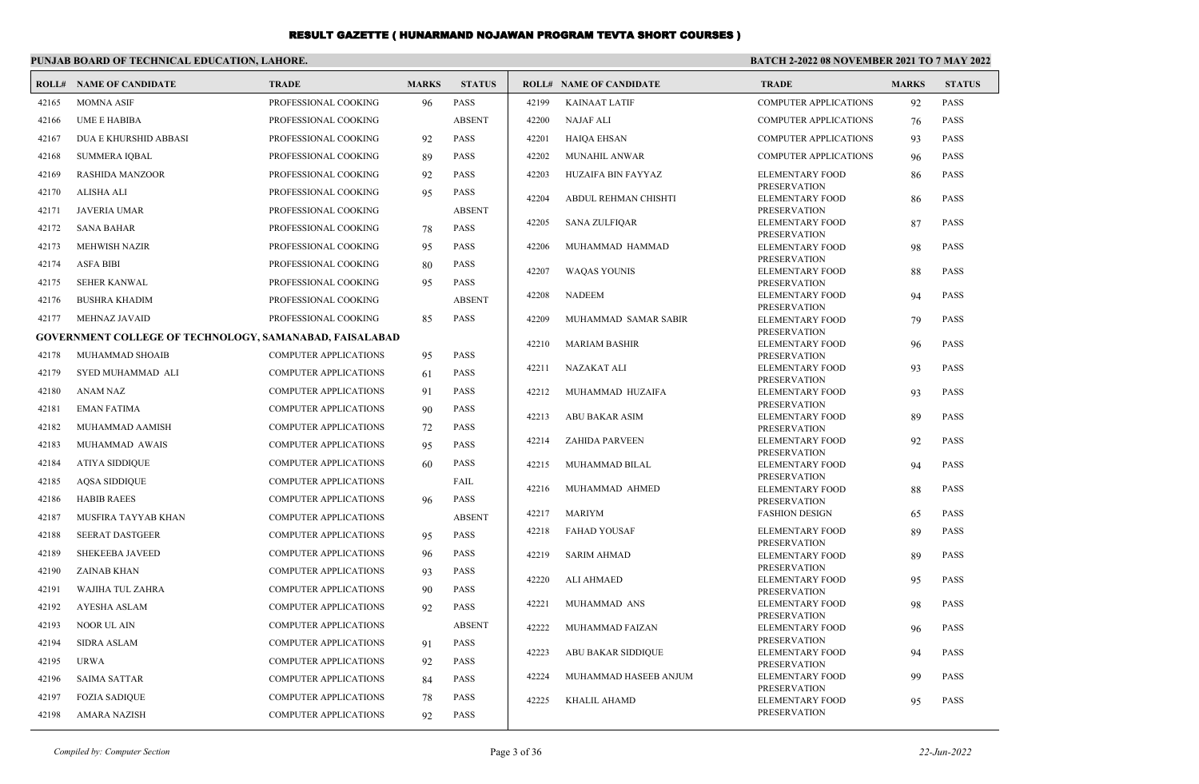|       | PUNJAB BOARD OF TECHNICAL EDUCATION, LAHORE.                   |                              |              |               | <b>BATCH 2-2022 08 NOVEMBER 2021 TO 7 MAY 2022</b> |                                |                                               |              |               |
|-------|----------------------------------------------------------------|------------------------------|--------------|---------------|----------------------------------------------------|--------------------------------|-----------------------------------------------|--------------|---------------|
|       | <b>ROLL# NAME OF CANDIDATE</b>                                 | <b>TRADE</b>                 | <b>MARKS</b> | <b>STATUS</b> |                                                    | <b>ROLL# NAME OF CANDIDATE</b> | <b>TRADE</b>                                  | <b>MARKS</b> | <b>STATUS</b> |
| 42165 | <b>MOMNA ASIF</b>                                              | PROFESSIONAL COOKING         | 96           | PASS          | 42199                                              | <b>KAINAAT LATIF</b>           | <b>COMPUTER APPLICATIONS</b>                  | 92           | <b>PASS</b>   |
| 42166 | <b>UME E HABIBA</b>                                            | PROFESSIONAL COOKING         |              | <b>ABSENT</b> | 42200                                              | <b>NAJAF ALI</b>               | <b>COMPUTER APPLICATIONS</b>                  | 76           | <b>PASS</b>   |
| 42167 | <b>DUA E KHURSHID ABBASI</b>                                   | PROFESSIONAL COOKING         | 92           | <b>PASS</b>   | 42201                                              | <b>HAIQA EHSAN</b>             | <b>COMPUTER APPLICATIONS</b>                  | 93           | <b>PASS</b>   |
| 42168 | <b>SUMMERA IQBAL</b>                                           | PROFESSIONAL COOKING         | 89           | PASS          | 42202                                              | <b>MUNAHIL ANWAR</b>           | <b>COMPUTER APPLICATIONS</b>                  | 96           | <b>PASS</b>   |
| 42169 | <b>RASHIDA MANZOOR</b>                                         | PROFESSIONAL COOKING         | 92           | <b>PASS</b>   | 42203                                              | HUZAIFA BIN FAYYAZ             | <b>ELEMENTARY FOOD</b>                        | 86           | <b>PASS</b>   |
| 42170 | ALISHA ALI                                                     | PROFESSIONAL COOKING         | 95           | <b>PASS</b>   | 42204                                              | ABDUL REHMAN CHISHTI           | <b>PRESERVATION</b><br><b>ELEMENTARY FOOD</b> |              | <b>PASS</b>   |
| 42171 | JAVERIA UMAR                                                   | PROFESSIONAL COOKING         |              | <b>ABSENT</b> |                                                    |                                | <b>PRESERVATION</b>                           | 86           |               |
| 42172 | <b>SANA BAHAR</b>                                              | PROFESSIONAL COOKING         | 78           | <b>PASS</b>   | 42205                                              | <b>SANA ZULFIQAR</b>           | <b>ELEMENTARY FOOD</b>                        | 87           | <b>PASS</b>   |
| 42173 | <b>MEHWISH NAZIR</b>                                           | PROFESSIONAL COOKING         | 95           | <b>PASS</b>   | 42206                                              | MUHAMMAD HAMMAD                | <b>PRESERVATION</b><br><b>ELEMENTARY FOOD</b> | 98           | <b>PASS</b>   |
| 42174 | <b>ASFA BIBI</b>                                               | PROFESSIONAL COOKING         | 80           | <b>PASS</b>   |                                                    |                                | <b>PRESERVATION</b>                           |              |               |
| 42175 | <b>SEHER KANWAL</b>                                            | PROFESSIONAL COOKING         | 95           | <b>PASS</b>   | 42207                                              | <b>WAQAS YOUNIS</b>            | <b>ELEMENTARY FOOD</b><br><b>PRESERVATION</b> | 88           | <b>PASS</b>   |
| 42176 | <b>BUSHRA KHADIM</b>                                           | PROFESSIONAL COOKING         |              | <b>ABSENT</b> | 42208                                              | <b>NADEEM</b>                  | <b>ELEMENTARY FOOD</b>                        | 94           | <b>PASS</b>   |
| 42177 | MEHNAZ JAVAID                                                  | PROFESSIONAL COOKING         | 85           | <b>PASS</b>   | 42209                                              | MUHAMMAD SAMAR SABIR           | PRESERVATION<br><b>ELEMENTARY FOOD</b>        | 79           | <b>PASS</b>   |
|       | <b>GOVERNMENT COLLEGE OF TECHNOLOGY, SAMANABAD, FAISALABAD</b> |                              |              |               |                                                    |                                | <b>PRESERVATION</b>                           |              |               |
| 42178 | MUHAMMAD SHOAIB                                                | <b>COMPUTER APPLICATIONS</b> | 95           | PASS          | 42210                                              | <b>MARIAM BASHIR</b>           | <b>ELEMENTARY FOOD</b><br><b>PRESERVATION</b> | 96           | <b>PASS</b>   |
| 42179 | SYED MUHAMMAD ALI                                              | <b>COMPUTER APPLICATIONS</b> | 61           | <b>PASS</b>   | 42211                                              | <b>NAZAKAT ALI</b>             | <b>ELEMENTARY FOOD</b>                        | 93           | <b>PASS</b>   |
| 42180 | <b>ANAM NAZ</b>                                                | <b>COMPUTER APPLICATIONS</b> |              | <b>PASS</b>   | 42212                                              | MUHAMMAD HUZAIFA               | <b>PRESERVATION</b>                           |              | <b>PASS</b>   |
| 42181 |                                                                |                              | 91           | PASS          |                                                    |                                | <b>ELEMENTARY FOOD</b><br><b>PRESERVATION</b> | 93           |               |
|       | EMAN FATIMA                                                    | <b>COMPUTER APPLICATIONS</b> | 90           |               | 42213                                              | <b>ABU BAKAR ASIM</b>          | <b>ELEMENTARY FOOD</b>                        | 89           | <b>PASS</b>   |
| 42182 | MUHAMMAD AAMISH                                                | <b>COMPUTER APPLICATIONS</b> | 72           | <b>PASS</b>   | 42214                                              | <b>ZAHIDA PARVEEN</b>          | <b>PRESERVATION</b><br><b>ELEMENTARY FOOD</b> | 92           | <b>PASS</b>   |
| 42183 | MUHAMMAD AWAIS                                                 | <b>COMPUTER APPLICATIONS</b> | 95           | <b>PASS</b>   |                                                    |                                | <b>PRESERVATION</b>                           |              |               |
| 42184 | ATIYA SIDDIQUE                                                 | <b>COMPUTER APPLICATIONS</b> | 60           | <b>PASS</b>   | 42215                                              | MUHAMMAD BILAL                 | <b>ELEMENTARY FOOD</b><br><b>PRESERVATION</b> | 94           | <b>PASS</b>   |
| 42185 | <b>AQSA SIDDIQUE</b>                                           | <b>COMPUTER APPLICATIONS</b> |              | FAIL          | 42216                                              | MUHAMMAD AHMED                 | <b>ELEMENTARY FOOD</b>                        | 88           | <b>PASS</b>   |
| 42186 | <b>HABIB RAEES</b>                                             | <b>COMPUTER APPLICATIONS</b> | 96           | <b>PASS</b>   | 42217                                              | <b>MARIYM</b>                  | <b>PRESERVATION</b><br><b>FASHION DESIGN</b>  |              | <b>PASS</b>   |
| 42187 | MUSFIRA TAYYAB KHAN                                            | <b>COMPUTER APPLICATIONS</b> |              | <b>ABSENT</b> |                                                    |                                |                                               | 65           |               |
| 42188 | <b>SEERAT DASTGEER</b>                                         | <b>COMPUTER APPLICATIONS</b> | 95           | <b>PASS</b>   | 42218                                              | <b>FAHAD YOUSAF</b>            | <b>ELEMENTARY FOOD</b><br><b>PRESERVATION</b> | 89           | <b>PASS</b>   |
| 42189 | <b>SHEKEEBA JAVEED</b>                                         | <b>COMPUTER APPLICATIONS</b> | 96           | <b>PASS</b>   | 42219                                              | <b>SARIM AHMAD</b>             | <b>ELEMENTARY FOOD</b>                        | 89           | <b>PASS</b>   |
| 42190 | ZAINAB KHAN                                                    | COMPUTER APPLICATIONS        | 93           | <b>PASS</b>   | 42220                                              | <b>ALI AHMAED</b>              | <b>PRESERVATION</b><br><b>ELEMENTARY FOOD</b> | 95           | <b>PASS</b>   |
| 42191 | WAJIHA TUL ZAHRA                                               | <b>COMPUTER APPLICATIONS</b> | 90           | <b>PASS</b>   |                                                    |                                | <b>PRESERVATION</b>                           |              |               |
| 42192 | <b>AYESHA ASLAM</b>                                            | <b>COMPUTER APPLICATIONS</b> | 92           | <b>PASS</b>   | 42221                                              | MUHAMMAD ANS                   | <b>ELEMENTARY FOOD</b><br><b>PRESERVATION</b> | 98           | <b>PASS</b>   |
| 42193 | NOOR UL AIN                                                    | COMPUTER APPLICATIONS        |              | <b>ABSENT</b> | 42222                                              | MUHAMMAD FAIZAN                | <b>ELEMENTARY FOOD</b>                        | 96           | <b>PASS</b>   |
| 42194 | <b>SIDRA ASLAM</b>                                             | COMPUTER APPLICATIONS        | 91           | <b>PASS</b>   | 42223                                              | <b>ABU BAKAR SIDDIQUE</b>      | <b>PRESERVATION</b><br><b>ELEMENTARY FOOD</b> | 94           | <b>PASS</b>   |
| 42195 | <b>URWA</b>                                                    | <b>COMPUTER APPLICATIONS</b> | 92           | <b>PASS</b>   |                                                    |                                | <b>PRESERVATION</b>                           |              |               |
| 42196 | <b>SAIMA SATTAR</b>                                            | <b>COMPUTER APPLICATIONS</b> | 84           | PASS          | 42224                                              | MUHAMMAD HASEEB ANJUM          | <b>ELEMENTARY FOOD</b>                        | 99           | <b>PASS</b>   |
| 42197 | <b>FOZIA SADIQUE</b>                                           | COMPUTER APPLICATIONS        | 78           | <b>PASS</b>   | 42225                                              | KHALIL AHAMD                   | <b>PRESERVATION</b><br><b>ELEMENTARY FOOD</b> | 95           | <b>PASS</b>   |
| 42198 | AMARA NAZISH                                                   | <b>COMPUTER APPLICATIONS</b> | 92           | <b>PASS</b>   |                                                    |                                | <b>PRESERVATION</b>                           |              |               |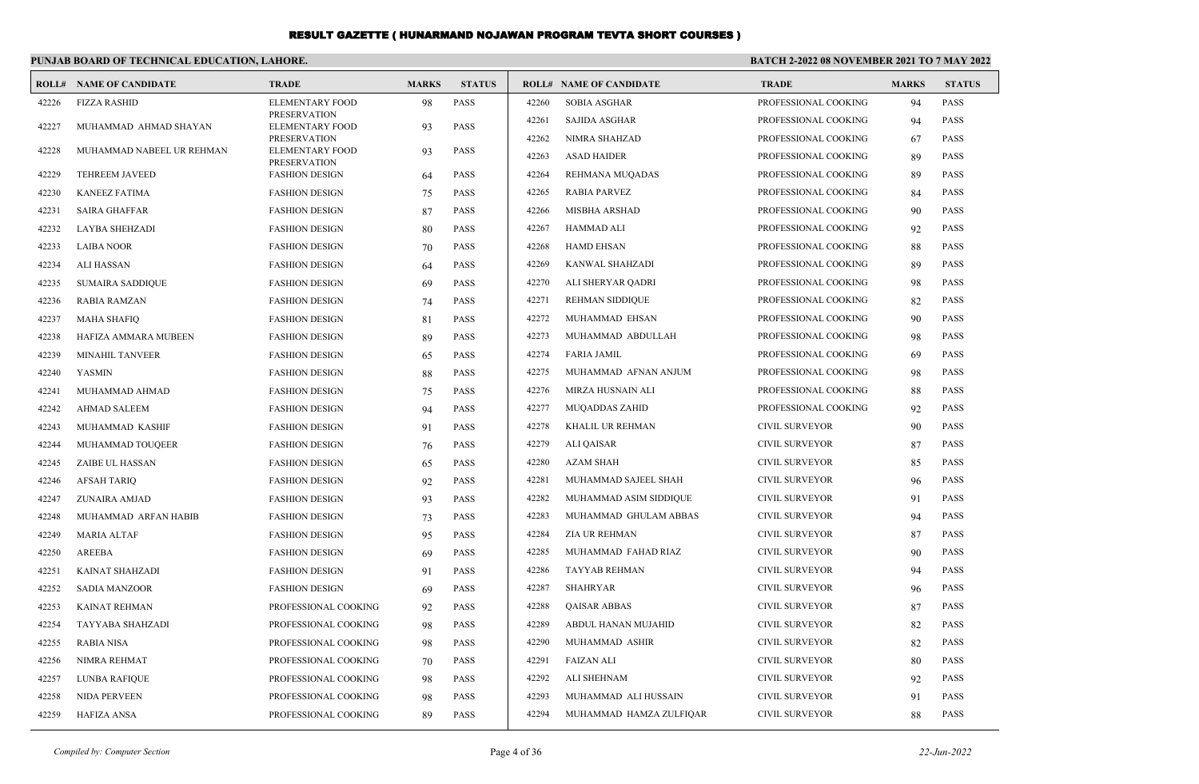#### **PUNJAB BOARD OF TECHNICAL EDUCATION, LAHORE.**

#### **BATCH 2-2022 08 NOVEMBER 2021 TO 7 MAY 2022**

|       | <b>ROLL# NAME OF CANDIDATE</b> | <b>TRADE</b>                                  | <b>MARKS</b> | <b>STATUS</b> |       | <b>ROLL# NAME OF CANDIDATE</b> | <b>TRADE</b>          | <b>MARKS</b> | <b>STATUS</b> |
|-------|--------------------------------|-----------------------------------------------|--------------|---------------|-------|--------------------------------|-----------------------|--------------|---------------|
| 42226 | <b>FIZZA RASHID</b>            | <b>ELEMENTARY FOOD</b>                        | 98           | <b>PASS</b>   | 42260 | <b>SOBIA ASGHAR</b>            | PROFESSIONAL COOKING  | 94           | <b>PASS</b>   |
| 42227 | MUHAMMAD AHMAD SHAYAN          | <b>PRESERVATION</b><br>ELEMENTARY FOOD        | 93           | <b>PASS</b>   | 42261 | SAJIDA ASGHAR                  | PROFESSIONAL COOKING  | 94           | <b>PASS</b>   |
|       |                                | <b>PRESERVATION</b>                           |              |               | 42262 | NIMRA SHAHZAD                  | PROFESSIONAL COOKING  | 67           | <b>PASS</b>   |
| 42228 | MUHAMMAD NABEEL UR REHMAN      | <b>ELEMENTARY FOOD</b><br><b>PRESERVATION</b> | 93           | <b>PASS</b>   | 42263 | <b>ASAD HAIDER</b>             | PROFESSIONAL COOKING  | 89           | <b>PASS</b>   |
| 42229 | <b>TEHREEM JAVEED</b>          | <b>FASHION DESIGN</b>                         | 64           | <b>PASS</b>   | 42264 | REHMANA MUQADAS                | PROFESSIONAL COOKING  | 89           | <b>PASS</b>   |
| 42230 | <b>KANEEZ FATIMA</b>           | <b>FASHION DESIGN</b>                         | 75           | <b>PASS</b>   | 42265 | <b>RABIA PARVEZ</b>            | PROFESSIONAL COOKING  | 84           | <b>PASS</b>   |
| 42231 | <b>SAIRA GHAFFAR</b>           | <b>FASHION DESIGN</b>                         | 87           | <b>PASS</b>   | 42266 | <b>MISBHA ARSHAD</b>           | PROFESSIONAL COOKING  | 90           | <b>PASS</b>   |
| 42232 | <b>LAYBA SHEHZADI</b>          | <b>FASHION DESIGN</b>                         | 80           | <b>PASS</b>   | 42267 | <b>HAMMAD ALI</b>              | PROFESSIONAL COOKING  | 92           | <b>PASS</b>   |
| 42233 | <b>LAIBA NOOR</b>              | <b>FASHION DESIGN</b>                         | 70           | <b>PASS</b>   | 42268 | <b>HAMD EHSAN</b>              | PROFESSIONAL COOKING  | 88           | <b>PASS</b>   |
| 42234 | ALI HASSAN                     | <b>FASHION DESIGN</b>                         | 64           | <b>PASS</b>   | 42269 | KANWAL SHAHZADI                | PROFESSIONAL COOKING  | 89           | <b>PASS</b>   |
| 42235 | <b>SUMAIRA SADDIQUE</b>        | <b>FASHION DESIGN</b>                         | 69           | <b>PASS</b>   | 42270 | ALI SHERYAR QADRI              | PROFESSIONAL COOKING  | 98           | <b>PASS</b>   |
| 42236 | <b>RABIA RAMZAN</b>            | <b>FASHION DESIGN</b>                         | 74           | <b>PASS</b>   | 42271 | REHMAN SIDDIQUE                | PROFESSIONAL COOKING  | 82           | <b>PASS</b>   |
| 42237 | <b>MAHA SHAFIQ</b>             | <b>FASHION DESIGN</b>                         | 81           | <b>PASS</b>   | 42272 | MUHAMMAD EHSAN                 | PROFESSIONAL COOKING  | 90           | <b>PASS</b>   |
| 42238 | HAFIZA AMMARA MUBEEN           | <b>FASHION DESIGN</b>                         | 89           | <b>PASS</b>   | 42273 | MUHAMMAD ABDULLAH              | PROFESSIONAL COOKING  | 98           | <b>PASS</b>   |
| 42239 | <b>MINAHIL TANVEER</b>         | <b>FASHION DESIGN</b>                         | 65           | <b>PASS</b>   | 42274 | <b>FARIA JAMIL</b>             | PROFESSIONAL COOKING  | 69           | <b>PASS</b>   |
| 42240 | <b>YASMIN</b>                  | <b>FASHION DESIGN</b>                         | 88           | <b>PASS</b>   | 42275 | MUHAMMAD AFNAN ANJUM           | PROFESSIONAL COOKING  | 98           | <b>PASS</b>   |
| 42241 | MUHAMMAD AHMAD                 | <b>FASHION DESIGN</b>                         | 75           | <b>PASS</b>   | 42276 | MIRZA HUSNAIN ALI              | PROFESSIONAL COOKING  | 88           | <b>PASS</b>   |
| 42242 | <b>AHMAD SALEEM</b>            | <b>FASHION DESIGN</b>                         | 94           | <b>PASS</b>   | 42277 | <b>MUQADDAS ZAHID</b>          | PROFESSIONAL COOKING  | 92           | <b>PASS</b>   |
| 42243 | MUHAMMAD KASHIF                | <b>FASHION DESIGN</b>                         | 91           | <b>PASS</b>   | 42278 | KHALIL UR REHMAN               | <b>CIVIL SURVEYOR</b> | 90           | <b>PASS</b>   |
| 42244 | MUHAMMAD TOUQEER               | <b>FASHION DESIGN</b>                         | 76           | <b>PASS</b>   | 42279 | <b>ALI QAISAR</b>              | <b>CIVIL SURVEYOR</b> | 87           | <b>PASS</b>   |
| 42245 | ZAIBE UL HASSAN                | <b>FASHION DESIGN</b>                         | 65           | <b>PASS</b>   | 42280 | <b>AZAM SHAH</b>               | <b>CIVIL SURVEYOR</b> | 85           | <b>PASS</b>   |
| 42246 | <b>AFSAH TARIO</b>             | <b>FASHION DESIGN</b>                         | 92           | <b>PASS</b>   | 42281 | MUHAMMAD SAJEEL SHAH           | <b>CIVIL SURVEYOR</b> | 96           | <b>PASS</b>   |
| 42247 | ZUNAIRA AMJAD                  | <b>FASHION DESIGN</b>                         | 93           | <b>PASS</b>   | 42282 | MUHAMMAD ASIM SIDDIQUE         | CIVIL SURVEYOR        | 91           | <b>PASS</b>   |
| 42248 | MUHAMMAD ARFAN HABIB           | <b>FASHION DESIGN</b>                         | 73           | <b>PASS</b>   | 42283 | MUHAMMAD GHULAM ABBAS          | CIVIL SURVEYOR        | 94           | <b>PASS</b>   |
| 42249 | <b>MARIA ALTAF</b>             | <b>FASHION DESIGN</b>                         | 95           | <b>PASS</b>   | 42284 | <b>ZIA UR REHMAN</b>           | CIVIL SURVEYOR        | 87           | <b>PASS</b>   |
| 42250 | AREEBA                         | <b>FASHION DESIGN</b>                         | 69           | <b>PASS</b>   | 42285 | MUHAMMAD FAHAD RIAZ            | <b>CIVIL SURVEYOR</b> | 90           | <b>PASS</b>   |
| 42251 | KAINAT SHAHZADI                | <b>FASHION DESIGN</b>                         | 91           | <b>PASS</b>   | 42286 | TAYYAB REHMAN                  | <b>CIVIL SURVEYOR</b> | 94           | <b>PASS</b>   |
| 42252 | <b>SADIA MANZOOR</b>           | <b>FASHION DESIGN</b>                         | 69           | <b>PASS</b>   | 42287 | <b>SHAHRYAR</b>                | <b>CIVIL SURVEYOR</b> | 96           | <b>PASS</b>   |
| 42253 | <b>KAINAT REHMAN</b>           | PROFESSIONAL COOKING                          | 92           | <b>PASS</b>   | 42288 | <b>QAISAR ABBAS</b>            | <b>CIVIL SURVEYOR</b> | 87           | PASS          |
| 42254 | TAYYABA SHAHZADI               | PROFESSIONAL COOKING                          | 98           | <b>PASS</b>   | 42289 | ABDUL HANAN MUJAHID            | <b>CIVIL SURVEYOR</b> | 82           | <b>PASS</b>   |
| 42255 | <b>RABIA NISA</b>              | PROFESSIONAL COOKING                          | 98           | <b>PASS</b>   | 42290 | MUHAMMAD ASHIR                 | <b>CIVIL SURVEYOR</b> | 82           | <b>PASS</b>   |
| 42256 | NIMRA REHMAT                   | PROFESSIONAL COOKING                          | 70           | <b>PASS</b>   | 42291 | <b>FAIZAN ALI</b>              | <b>CIVIL SURVEYOR</b> | 80           | <b>PASS</b>   |
| 42257 | <b>LUNBA RAFIQUE</b>           | PROFESSIONAL COOKING                          | 98           | <b>PASS</b>   | 42292 | <b>ALI SHEHNAM</b>             | <b>CIVIL SURVEYOR</b> | 92           | <b>PASS</b>   |
| 42258 | NIDA PERVEEN                   | PROFESSIONAL COOKING                          | 98           | <b>PASS</b>   | 42293 | MUHAMMAD ALI HUSSAIN           | <b>CIVIL SURVEYOR</b> | 91           | <b>PASS</b>   |
| 42259 | <b>HAFIZA ANSA</b>             | PROFESSIONAL COOKING                          | 89           | <b>PASS</b>   | 42294 | MUHAMMAD HAMZA ZULFIQAR        | <b>CIVIL SURVEYOR</b> | 88           | <b>PASS</b>   |
|       |                                |                                               |              |               |       |                                |                       |              |               |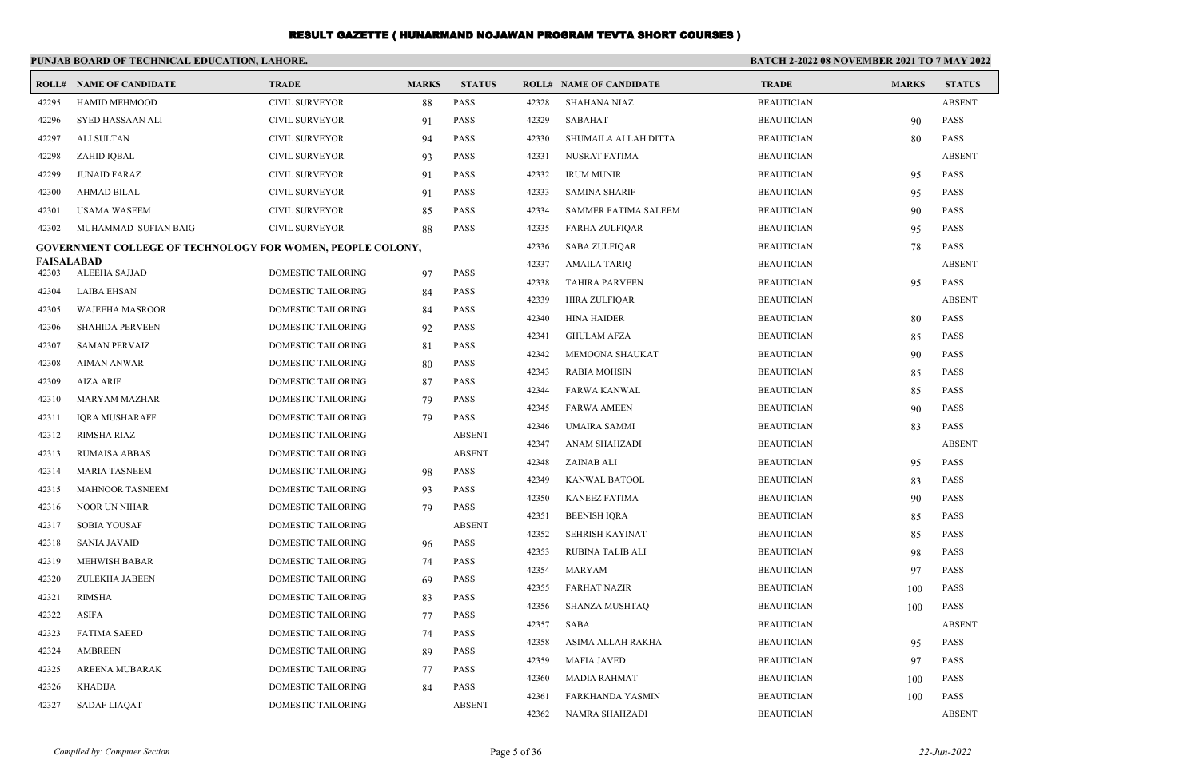|                | PUNJAB BOARD OF TECHNICAL EDUCATION, LAHORE.                      |                                          |              |                            | <b>BATCH 2-2022 08 NOVEMBER 2021 TO 7 MAY 2022</b> |                                |                   |              |               |
|----------------|-------------------------------------------------------------------|------------------------------------------|--------------|----------------------------|----------------------------------------------------|--------------------------------|-------------------|--------------|---------------|
|                | <b>ROLL# NAME OF CANDIDATE</b>                                    | <b>TRADE</b>                             | <b>MARKS</b> | <b>STATUS</b>              |                                                    | <b>ROLL# NAME OF CANDIDATE</b> | <b>TRADE</b>      | <b>MARKS</b> | <b>STATUS</b> |
| 42295          | <b>HAMID MEHMOOD</b>                                              | <b>CIVIL SURVEYOR</b>                    | 88           | <b>PASS</b>                | 42328                                              | <b>SHAHANA NIAZ</b>            | <b>BEAUTICIAN</b> |              | <b>ABSENT</b> |
| 42296          | SYED HASSAAN ALI                                                  | <b>CIVIL SURVEYOR</b>                    | 91           | <b>PASS</b>                | 42329                                              | SABAHAT                        | <b>BEAUTICIAN</b> | 90           | <b>PASS</b>   |
| 42297          | ALI SULTAN                                                        | CIVIL SURVEYOR                           | 94           | PASS                       | 42330                                              | SHUMAILA ALLAH DITTA           | <b>BEAUTICIAN</b> | 80           | <b>PASS</b>   |
| 42298          | ZAHID IQBAL                                                       | CIVIL SURVEYOR                           | 93           | <b>PASS</b>                | 42331                                              | NUSRAT FATIMA                  | <b>BEAUTICIAN</b> |              | <b>ABSENT</b> |
| 42299          | <b>JUNAID FARAZ</b>                                               | CIVIL SURVEYOR                           | 91           | PASS                       | 42332                                              | <b>IRUM MUNIR</b>              | <b>BEAUTICIAN</b> | 95           | <b>PASS</b>   |
| 42300          | AHMAD BILAL                                                       | CIVIL SURVEYOR                           | 91           | <b>PASS</b>                | 42333                                              | <b>SAMINA SHARIF</b>           | <b>BEAUTICIAN</b> | 95           | <b>PASS</b>   |
| 42301          | <b>USAMA WASEEM</b>                                               | <b>CIVIL SURVEYOR</b>                    | 85           | <b>PASS</b>                | 42334                                              | <b>SAMMER FATIMA SALEEM</b>    | <b>BEAUTICIAN</b> | 90           | <b>PASS</b>   |
| 42302          | MUHAMMAD SUFIAN BAIG                                              | CIVIL SURVEYOR                           | 88           | <b>PASS</b>                | 42335                                              | FARHA ZULFIQAR                 | <b>BEAUTICIAN</b> | 95           | <b>PASS</b>   |
|                | <b>GOVERNMENT COLLEGE OF TECHNOLOGY FOR WOMEN, PEOPLE COLONY,</b> |                                          |              |                            | 42336                                              | SABA ZULFIQAR                  | <b>BEAUTICIAN</b> | 78           | <b>PASS</b>   |
| FAISALABAD     |                                                                   | DOMESTIC TAILORING                       |              | <b>PASS</b>                | 42337                                              | AMAILA TARIQ                   | <b>BEAUTICIAN</b> |              | <b>ABSENT</b> |
| 42303<br>42304 | ALEEHA SAJJAD<br><b>LAIBA EHSAN</b>                               | <b>DOMESTIC TAILORING</b>                | 97           | <b>PASS</b>                | 42338                                              | <b>TAHIRA PARVEEN</b>          | <b>BEAUTICIAN</b> | 95           | <b>PASS</b>   |
|                |                                                                   |                                          | 84           |                            | 42339                                              | <b>HIRA ZULFIQAR</b>           | <b>BEAUTICIAN</b> |              | <b>ABSENT</b> |
| 42305          | WAJEEHA MASROOR<br><b>SHAHIDA PERVEEN</b>                         | DOMESTIC TAILORING                       | 84           | PASS                       | 42340                                              | <b>HINA HAIDER</b>             | <b>BEAUTICIAN</b> | 80           | <b>PASS</b>   |
| 42306          | <b>SAMAN PERVAIZ</b>                                              | DOMESTIC TAILORING<br>DOMESTIC TAILORING | 92           | PASS                       | 42341                                              | <b>GHULAM AFZA</b>             | <b>BEAUTICIAN</b> | 85           | <b>PASS</b>   |
| 42307          |                                                                   |                                          | 81           | <b>PASS</b>                | 42342                                              | MEMOONA SHAUKAT                | <b>BEAUTICIAN</b> | 90           | <b>PASS</b>   |
| 42308          | AIMAN ANWAR                                                       | DOMESTIC TAILORING                       | 80           | PASS                       | 42343                                              | RABIA MOHSIN                   | <b>BEAUTICIAN</b> | 85           | <b>PASS</b>   |
| 42309<br>42310 | <b>AIZA ARIF</b>                                                  | DOMESTIC TAILORING                       | 87           | <b>PASS</b><br><b>PASS</b> | 42344                                              | FARWA KANWAL                   | <b>BEAUTICIAN</b> | 85           | <b>PASS</b>   |
|                | MARYAM MAZHAR<br><b>IORA MUSHARAFF</b>                            | DOMESTIC TAILORING<br>DOMESTIC TAILORING | 79           |                            | 42345                                              | <b>FARWA AMEEN</b>             | <b>BEAUTICIAN</b> | 90           | <b>PASS</b>   |
| 42311          |                                                                   |                                          | 79           | PASS                       | 42346                                              | UMAIRA SAMMI                   | <b>BEAUTICIAN</b> | 83           | <b>PASS</b>   |
| 42312          | RIMSHA RIAZ                                                       | DOMESTIC TAILORING                       |              | <b>ABSENT</b>              | 42347                                              | ANAM SHAHZADI                  | <b>BEAUTICIAN</b> |              | <b>ABSENT</b> |
| 42313          | <b>RUMAISA ABBAS</b>                                              | DOMESTIC TAILORING                       |              | <b>ABSENT</b>              | 42348                                              | ZAINAB ALI                     | <b>BEAUTICIAN</b> | 95           | <b>PASS</b>   |
| 42314          | <b>MARIA TASNEEM</b>                                              | DOMESTIC TAILORING                       | 98           | <b>PASS</b>                | 42349                                              | KANWAL BATOOL                  | <b>BEAUTICIAN</b> | 83           | <b>PASS</b>   |
| 42315          | <b>MAHNOOR TASNEEM</b>                                            | DOMESTIC TAILORING                       | 93           | PASS                       | 42350                                              | <b>KANEEZ FATIMA</b>           | <b>BEAUTICIAN</b> | 90           | <b>PASS</b>   |
| 42316          | NOOR UN NIHAR                                                     | DOMESTIC TAILORING                       | 79           | <b>PASS</b>                | 42351                                              | <b>BEENISH IQRA</b>            | <b>BEAUTICIAN</b> | 85           | <b>PASS</b>   |
| 42317          | <b>SOBIA YOUSAF</b>                                               | DOMESTIC TAILORING                       |              | <b>ABSENT</b>              | 42352                                              | SEHRISH KAYINAT                | <b>BEAUTICIAN</b> | 85           | PASS          |
| 42318          | <b>SANIA JAVAID</b>                                               | DOMESTIC TAILORING                       | 96           | PASS                       | 42353                                              | RUBINA TALIB ALI               | <b>BEAUTICIAN</b> | 98           | PASS          |
| 42319          | MEHWISH BABAR                                                     | DOMESTIC TAILORING                       | 74           | PASS                       | 42354                                              | MARYAM                         | <b>BEAUTICIAN</b> | 97           | <b>PASS</b>   |
| 42320          | <b>ZULEKHA JABEEN</b>                                             | DOMESTIC TAILORING                       | 69           | <b>PASS</b>                | 42355                                              | <b>FARHAT NAZIR</b>            | <b>BEAUTICIAN</b> | 100          | PASS          |
| 42321          | RIMSHA                                                            | DOMESTIC TAILORING                       | 83           | <b>PASS</b>                | 42356                                              | <b>SHANZA MUSHTAQ</b>          | <b>BEAUTICIAN</b> | 100          | <b>PASS</b>   |
| 42322          | <b>ASIFA</b>                                                      | DOMESTIC TAILORING                       | 77           | <b>PASS</b>                | 42357                                              | SABA                           | <b>BEAUTICIAN</b> |              | ABSENT        |
| 42323          | <b>FATIMA SAEED</b>                                               | DOMESTIC TAILORING                       | 74           | PASS                       | 42358                                              | ASIMA ALLAH RAKHA              | <b>BEAUTICIAN</b> | 95           | PASS          |
| 42324          | AMBREEN                                                           | <b>DOMESTIC TAILORING</b>                | 89           | PASS                       | 42359                                              | <b>MAFIA JAVED</b>             | <b>BEAUTICIAN</b> | 97           | <b>PASS</b>   |
| 42325          | AREENA MUBARAK                                                    | DOMESTIC TAILORING                       | 77           | PASS                       | 42360                                              | MADIA RAHMAT                   | <b>BEAUTICIAN</b> | 100          | PASS          |
| 42326          | KHADIJA                                                           | DOMESTIC TAILORING                       | 84           | <b>PASS</b>                | 42361                                              | FARKHANDA YASMIN               | <b>BEAUTICIAN</b> | 100          | <b>PASS</b>   |
| 42327          | SADAF LIAQAT                                                      | <b>DOMESTIC TAILORING</b>                |              | <b>ABSENT</b>              | 42362                                              | NAMRA SHAHZADI                 | <b>BEAUTICIAN</b> |              | <b>ABSENT</b> |
|                |                                                                   |                                          |              |                            |                                                    |                                |                   |              |               |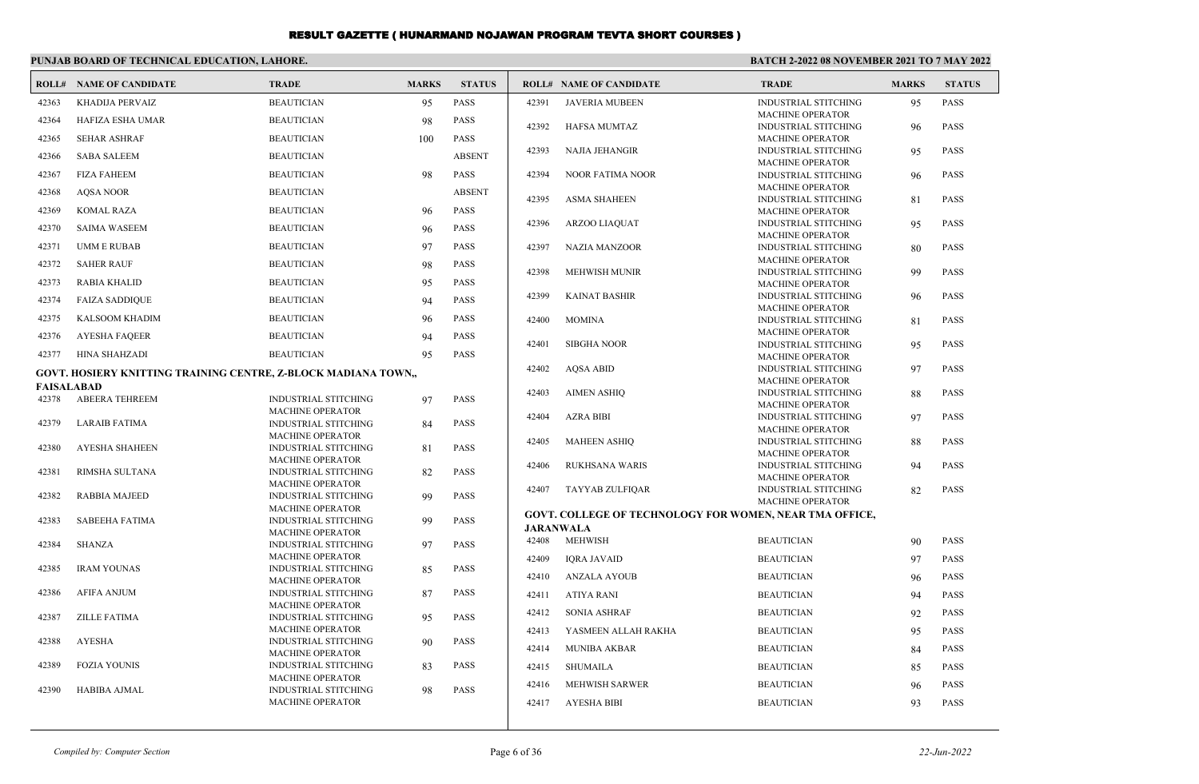|                   | PUNJAB BOARD OF TECHNICAL EDUCATION, LAHORE.                   |                                                        |              |               |                  | BATCH 2-2022 08 NOVEMBER 2021 TO 7 MAY 2022             |                                                        |              |               |
|-------------------|----------------------------------------------------------------|--------------------------------------------------------|--------------|---------------|------------------|---------------------------------------------------------|--------------------------------------------------------|--------------|---------------|
|                   | <b>ROLL# NAME OF CANDIDATE</b>                                 | <b>TRADE</b>                                           | <b>MARKS</b> | <b>STATUS</b> |                  | <b>ROLL# NAME OF CANDIDATE</b>                          | <b>TRADE</b>                                           | <b>MARKS</b> | <b>STATUS</b> |
| 42363             | KHADIJA PERVAIZ                                                | <b>BEAUTICIAN</b>                                      | 95           | <b>PASS</b>   | 42391            | <b>JAVERIA MUBEEN</b>                                   | <b>INDUSTRIAL STITCHING</b><br><b>MACHINE OPERATOR</b> | 95           | PASS          |
| 42364             | <b>HAFIZA ESHA UMAR</b>                                        | <b>BEAUTICIAN</b>                                      | 98           | <b>PASS</b>   | 42392            | <b>HAFSA MUMTAZ</b>                                     | <b>INDUSTRIAL STITCHING</b>                            | 96           | <b>PASS</b>   |
| 42365             | <b>SEHAR ASHRAF</b>                                            | <b>BEAUTICIAN</b>                                      | 100          | <b>PASS</b>   |                  |                                                         | <b>MACHINE OPERATOR</b>                                |              |               |
| 42366             | <b>SABA SALEEM</b>                                             | <b>BEAUTICIAN</b>                                      |              | <b>ABSENT</b> | 42393            | <b>NAJIA JEHANGIR</b>                                   | <b>INDUSTRIAL STITCHING</b><br><b>MACHINE OPERATOR</b> | 95           | <b>PASS</b>   |
| 42367             | <b>FIZA FAHEEM</b>                                             | <b>BEAUTICIAN</b>                                      | 98           | PASS          | 42394            | <b>NOOR FATIMA NOOR</b>                                 | <b>INDUSTRIAL STITCHING</b>                            | 96           | <b>PASS</b>   |
| 42368             | <b>AOSA NOOR</b>                                               | <b>BEAUTICIAN</b>                                      |              | <b>ABSENT</b> | 42395            | <b>ASMA SHAHEEN</b>                                     | <b>MACHINE OPERATOR</b><br><b>INDUSTRIAL STITCHING</b> | 81           | PASS          |
| 42369             | <b>KOMAL RAZA</b>                                              | <b>BEAUTICIAN</b>                                      | 96           | <b>PASS</b>   |                  |                                                         | <b>MACHINE OPERATOR</b>                                |              |               |
| 42370             | <b>SAIMA WASEEM</b>                                            | <b>BEAUTICIAN</b>                                      | 96           | <b>PASS</b>   | 42396            | <b>ARZOO LIAQUAT</b>                                    | <b>INDUSTRIAL STITCHING</b>                            | 95           | <b>PASS</b>   |
| 42371             | <b>UMM E RUBAB</b>                                             | <b>BEAUTICIAN</b>                                      | 97           | <b>PASS</b>   | 42397            | <b>NAZIA MANZOOR</b>                                    | <b>MACHINE OPERATOR</b><br><b>INDUSTRIAL STITCHING</b> | 80           | PASS          |
| 42372             | <b>SAHER RAUF</b>                                              | <b>BEAUTICIAN</b>                                      | 98           | <b>PASS</b>   |                  |                                                         | <b>MACHINE OPERATOR</b>                                |              |               |
|                   |                                                                |                                                        |              |               | 42398            | <b>MEHWISH MUNIR</b>                                    | <b>INDUSTRIAL STITCHING</b>                            | 99           | <b>PASS</b>   |
| 42373             | <b>RABIA KHALID</b>                                            | <b>BEAUTICIAN</b>                                      | 95           | <b>PASS</b>   | 42399            | <b>KAINAT BASHIR</b>                                    | <b>MACHINE OPERATOR</b><br><b>INDUSTRIAL STITCHING</b> | 96           | <b>PASS</b>   |
| 42374             | <b>FAIZA SADDIQUE</b>                                          | <b>BEAUTICIAN</b>                                      | 94           | <b>PASS</b>   |                  |                                                         | <b>MACHINE OPERATOR</b>                                |              |               |
| 42375             | <b>KALSOOM KHADIM</b>                                          | <b>BEAUTICIAN</b>                                      | 96           | <b>PASS</b>   | 42400            | <b>MOMINA</b>                                           | <b>INDUSTRIAL STITCHING</b>                            | 81           | PASS          |
| 42376             | <b>AYESHA FAQEER</b>                                           | <b>BEAUTICIAN</b>                                      | 94           | <b>PASS</b>   | 42401            | <b>SIBGHA NOOR</b>                                      | <b>MACHINE OPERATOR</b><br><b>INDUSTRIAL STITCHING</b> | 95           | <b>PASS</b>   |
| 42377             | HINA SHAHZADI                                                  | <b>BEAUTICIAN</b>                                      | 95           | <b>PASS</b>   |                  |                                                         | <b>MACHINE OPERATOR</b>                                |              |               |
|                   | GOVT. HOSIERY KNITTING TRAINING CENTRE, Z-BLOCK MADIANA TOWN,, |                                                        |              |               | 42402            | <b>AOSA ABID</b>                                        | INDUSTRIAL STITCHING                                   | 97           | <b>PASS</b>   |
| <b>FAISALABAD</b> |                                                                |                                                        |              |               |                  |                                                         | <b>MACHINE OPERATOR</b>                                |              |               |
| 42378             | <b>ABEERA TEHREEM</b>                                          | <b>INDUSTRIAL STITCHING</b>                            | 97           | <b>PASS</b>   | 42403            | <b>AIMEN ASHIO</b>                                      | <b>INDUSTRIAL STITCHING</b><br><b>MACHINE OPERATOR</b> | 88           | <b>PASS</b>   |
| 42379             | <b>LARAIB FATIMA</b>                                           | <b>MACHINE OPERATOR</b><br><b>INDUSTRIAL STITCHING</b> | 84           | <b>PASS</b>   | 42404            | <b>AZRA BIBI</b>                                        | <b>INDUSTRIAL STITCHING</b>                            | 97           | <b>PASS</b>   |
|                   |                                                                | <b>MACHINE OPERATOR</b>                                |              |               | 42405            |                                                         | <b>MACHINE OPERATOR</b>                                |              | <b>PASS</b>   |
| 42380             | <b>AYESHA SHAHEEN</b>                                          | <b>INDUSTRIAL STITCHING</b>                            | 81           | <b>PASS</b>   |                  | <b>MAHEEN ASHIQ</b>                                     | <b>INDUSTRIAL STITCHING</b><br><b>MACHINE OPERATOR</b> | 88           |               |
| 42381             | RIMSHA SULTANA                                                 | <b>MACHINE OPERATOR</b><br><b>INDUSTRIAL STITCHING</b> | 82           | <b>PASS</b>   | 42406            | <b>RUKHSANA WARIS</b>                                   | <b>INDUSTRIAL STITCHING</b>                            | 94           | <b>PASS</b>   |
|                   |                                                                | <b>MACHINE OPERATOR</b>                                |              |               |                  |                                                         | <b>MACHINE OPERATOR</b>                                |              |               |
| 42382             | <b>RABBIA MAJEED</b>                                           | <b>INDUSTRIAL STITCHING</b>                            | 99           | <b>PASS</b>   | 42407            | TAYYAB ZULFIQAR                                         | <b>INDUSTRIAL STITCHING</b><br><b>MACHINE OPERATOR</b> | 82           | PASS          |
|                   |                                                                | <b>MACHINE OPERATOR</b>                                |              |               |                  | GOVT. COLLEGE OF TECHNOLOGY FOR WOMEN, NEAR TMA OFFICE, |                                                        |              |               |
| 42383             | <b>SABEEHA FATIMA</b>                                          | <b>INDUSTRIAL STITCHING</b><br><b>MACHINE OPERATOR</b> | 99           | <b>PASS</b>   | <b>JARANWALA</b> |                                                         |                                                        |              |               |
| 42384             | <b>SHANZA</b>                                                  | <b>INDUSTRIAL STITCHING</b>                            | 97           | <b>PASS</b>   | 42408            | <b>MEHWISH</b>                                          | <b>BEAUTICIAN</b>                                      | 90           | <b>PASS</b>   |
|                   |                                                                | <b>MACHINE OPERATOR</b>                                |              |               | 42409            | <b>IQRA JAVAID</b>                                      | <b>BEAUTICIAN</b>                                      | 97           | <b>PASS</b>   |
| 42385             | <b>IRAM YOUNAS</b>                                             | <b>INDUSTRIAL STITCHING</b><br><b>MACHINE OPERATOR</b> | 85           | <b>PASS</b>   | 42410            | <b>ANZALA AYOUB</b>                                     | <b>BEAUTICIAN</b>                                      | 96           | <b>PASS</b>   |
| 42386             | <b>AFIFA ANJUM</b>                                             | <b>INDUSTRIAL STITCHING</b>                            | 87           | <b>PASS</b>   | 42411            | ATIYA RANI                                              | <b>BEAUTICIAN</b>                                      | 94           | <b>PASS</b>   |
|                   |                                                                | <b>MACHINE OPERATOR</b>                                |              |               | 42412            | <b>SONIA ASHRAF</b>                                     | <b>BEAUTICIAN</b>                                      | 92           | PASS          |
| 42387             | ZILLE FATIMA                                                   | <b>INDUSTRIAL STITCHING</b><br><b>MACHINE OPERATOR</b> | 95           | <b>PASS</b>   | 42413            | YASMEEN ALLAH RAKHA                                     | <b>BEAUTICIAN</b>                                      | 95           | <b>PASS</b>   |
| 42388             | <b>AYESHA</b>                                                  | <b>INDUSTRIAL STITCHING</b>                            | 90           | <b>PASS</b>   |                  |                                                         |                                                        |              |               |
|                   |                                                                | <b>MACHINE OPERATOR</b>                                |              |               | 42414            | <b>MUNIBA AKBAR</b>                                     | <b>BEAUTICIAN</b>                                      | 84           | <b>PASS</b>   |
| 42389             | <b>FOZIA YOUNIS</b>                                            | <b>INDUSTRIAL STITCHING</b><br><b>MACHINE OPERATOR</b> | 83           | <b>PASS</b>   | 42415            | <b>SHUMAILA</b>                                         | <b>BEAUTICIAN</b>                                      | 85           | <b>PASS</b>   |
| 42390             | <b>HABIBA AJMAL</b>                                            | <b>INDUSTRIAL STITCHING</b>                            | 98           | <b>PASS</b>   | 42416            | MEHWISH SARWER                                          | <b>BEAUTICIAN</b>                                      | 96           | <b>PASS</b>   |
|                   |                                                                | <b>MACHINE OPERATOR</b>                                |              |               | 42417            | <b>AYESHA BIBI</b>                                      | <b>BEAUTICIAN</b>                                      | 93           | <b>PASS</b>   |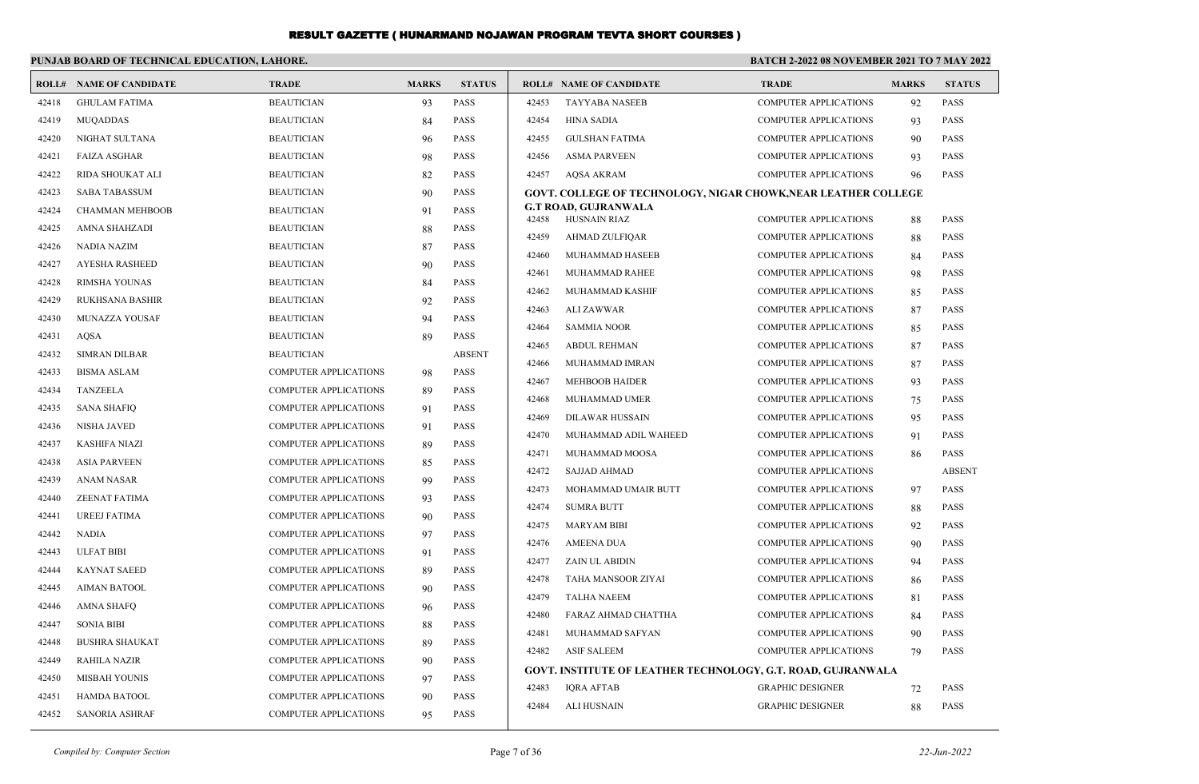|       | PUNJAB BOARD OF TECHNICAL EDUCATION, LAHORE. |                              |              |               | BATCH 2-2022 08 NOVEMBER 2021 TO 7 MAY 2022 |                                                                       |                              |              |               |
|-------|----------------------------------------------|------------------------------|--------------|---------------|---------------------------------------------|-----------------------------------------------------------------------|------------------------------|--------------|---------------|
|       | <b>ROLL# NAME OF CANDIDATE</b>               | <b>TRADE</b>                 | <b>MARKS</b> | <b>STATUS</b> |                                             | <b>ROLL# NAME OF CANDIDATE</b>                                        | <b>TRADE</b>                 | <b>MARKS</b> | <b>STATUS</b> |
| 42418 | <b>GHULAM FATIMA</b>                         | <b>BEAUTICIAN</b>            | 93           | <b>PASS</b>   | 42453                                       | <b>TAYYABA NASEEB</b>                                                 | <b>COMPUTER APPLICATIONS</b> | 92           | PASS          |
| 42419 | <b>MUQADDAS</b>                              | <b>BEAUTICIAN</b>            | 84           | <b>PASS</b>   | 42454                                       | <b>HINA SADIA</b>                                                     | <b>COMPUTER APPLICATIONS</b> | 93           | PASS          |
| 42420 | NIGHAT SULTANA                               | <b>BEAUTICIAN</b>            | 96           | <b>PASS</b>   | 42455                                       | <b>GULSHAN FATIMA</b>                                                 | <b>COMPUTER APPLICATIONS</b> | 90           | PASS          |
| 42421 | <b>FAIZA ASGHAR</b>                          | <b>BEAUTICIAN</b>            | 98           | <b>PASS</b>   | 42456                                       | <b>ASMA PARVEEN</b>                                                   | <b>COMPUTER APPLICATIONS</b> | 93           | <b>PASS</b>   |
| 42422 | RIDA SHOUKAT ALI                             | <b>BEAUTICIAN</b>            | 82           | <b>PASS</b>   | 42457                                       | <b>AOSA AKRAM</b>                                                     | <b>COMPUTER APPLICATIONS</b> | 96           | <b>PASS</b>   |
| 42423 | <b>SABA TABASSUM</b>                         | <b>BEAUTICIAN</b>            | 90           | <b>PASS</b>   |                                             | <b>GOVT. COLLEGE OF TECHNOLOGY, NIGAR CHOWK, NEAR LEATHER COLLEGE</b> |                              |              |               |
| 42424 | <b>CHAMMAN MEHBOOB</b>                       | <b>BEAUTICIAN</b>            | 91           | <b>PASS</b>   | 42458                                       | G.T ROAD, GUJRANWALA<br><b>HUSNAIN RIAZ</b>                           | <b>COMPUTER APPLICATIONS</b> | 88           | <b>PASS</b>   |
| 42425 | AMNA SHAHZADI                                | <b>BEAUTICIAN</b>            | 88           | <b>PASS</b>   | 42459                                       | AHMAD ZULFIQAR                                                        | <b>COMPUTER APPLICATIONS</b> | 88           | <b>PASS</b>   |
| 42426 | <b>NADIA NAZIM</b>                           | <b>BEAUTICIAN</b>            | 87           | <b>PASS</b>   | 42460                                       | MUHAMMAD HASEEB                                                       | COMPUTER APPLICATIONS        | 84           | <b>PASS</b>   |
| 42427 | <b>AYESHA RASHEED</b>                        | <b>BEAUTICIAN</b>            | 90           | <b>PASS</b>   | 42461                                       | MUHAMMAD RAHEE                                                        | <b>COMPUTER APPLICATIONS</b> | 98           | <b>PASS</b>   |
| 42428 | RIMSHA YOUNAS                                | <b>BEAUTICIAN</b>            | 84           | <b>PASS</b>   | 42462                                       | MUHAMMAD KASHIF                                                       | <b>COMPUTER APPLICATIONS</b> | 85           | <b>PASS</b>   |
| 42429 | RUKHSANA BASHIR                              | <b>BEAUTICIAN</b>            | 92           | <b>PASS</b>   | 42463                                       | <b>ALI ZAWWAR</b>                                                     | <b>COMPUTER APPLICATIONS</b> | 87           | <b>PASS</b>   |
| 42430 | MUNAZZA YOUSAF                               | <b>BEAUTICIAN</b>            | 94           | <b>PASS</b>   | 42464                                       | <b>SAMMIA NOOR</b>                                                    | <b>COMPUTER APPLICATIONS</b> | 85           | <b>PASS</b>   |
| 42431 | <b>AOSA</b>                                  | <b>BEAUTICIAN</b>            | 89           | <b>PASS</b>   | 42465                                       | <b>ABDUL REHMAN</b>                                                   | <b>COMPUTER APPLICATIONS</b> | 87           | <b>PASS</b>   |
| 42432 | <b>SIMRAN DILBAR</b>                         | <b>BEAUTICIAN</b>            |              | <b>ABSENT</b> | 42466                                       | MUHAMMAD IMRAN                                                        | <b>COMPUTER APPLICATIONS</b> | 87           | PASS          |
| 42433 | <b>BISMA ASLAM</b>                           | <b>COMPUTER APPLICATIONS</b> | 98           | <b>PASS</b>   | 42467                                       | <b>MEHBOOB HAIDER</b>                                                 | <b>COMPUTER APPLICATIONS</b> | 93           | <b>PASS</b>   |
| 42434 | TANZEELA                                     | <b>COMPUTER APPLICATIONS</b> | 89           | <b>PASS</b>   | 42468                                       | MUHAMMAD UMER                                                         | <b>COMPUTER APPLICATIONS</b> | 75           | PASS          |
| 42435 | <b>SANA SHAFIQ</b>                           | <b>COMPUTER APPLICATIONS</b> | 91           | <b>PASS</b>   | 42469                                       | <b>DILAWAR HUSSAIN</b>                                                | <b>COMPUTER APPLICATIONS</b> | 95           | PASS          |
| 42436 | <b>NISHA JAVED</b>                           | <b>COMPUTER APPLICATIONS</b> | 91           | <b>PASS</b>   | 42470                                       | MUHAMMAD ADIL WAHEED                                                  | <b>COMPUTER APPLICATIONS</b> | 91           | PASS          |
| 42437 | <b>KASHIFA NIAZI</b>                         | <b>COMPUTER APPLICATIONS</b> | -89          | <b>PASS</b>   | 42471                                       | MUHAMMAD MOOSA                                                        | <b>COMPUTER APPLICATIONS</b> | 86           | PASS          |
| 42438 | <b>ASIA PARVEEN</b>                          | <b>COMPUTER APPLICATIONS</b> | 85           | <b>PASS</b>   | 42472                                       | <b>SAJJAD AHMAD</b>                                                   | <b>COMPUTER APPLICATIONS</b> |              | <b>ABSENT</b> |
| 42439 | <b>ANAM NASAR</b>                            | <b>COMPUTER APPLICATIONS</b> | -99          | <b>PASS</b>   | 42473                                       | MOHAMMAD UMAIR BUTT                                                   | <b>COMPUTER APPLICATIONS</b> | 97           | PASS          |
| 42440 | <b>ZEENAT FATIMA</b>                         | <b>COMPUTER APPLICATIONS</b> | 93           | <b>PASS</b>   | 42474                                       | <b>SUMRA BUTT</b>                                                     | <b>COMPUTER APPLICATIONS</b> | 88           | PASS          |
| 42441 | <b>UREEJ FATIMA</b>                          | <b>COMPUTER APPLICATIONS</b> | 90           | <b>PASS</b>   | 42475                                       | <b>MARYAM BIBI</b>                                                    | <b>COMPUTER APPLICATIONS</b> | 92           | <b>PASS</b>   |
| 42442 | <b>NADIA</b>                                 | COMPUTER APPLICATIONS        | 97           | <b>PASS</b>   | 42476                                       | <b>AMEENA DUA</b>                                                     | <b>COMPUTER APPLICATIONS</b> | 90           | <b>PASS</b>   |
| 42443 | <b>ULFAT BIBI</b>                            | COMPUTER APPLICATIONS        | 91           | <b>PASS</b>   | 42477                                       | <b>ZAIN UL ABIDIN</b>                                                 | <b>COMPUTER APPLICATIONS</b> | 94           | <b>PASS</b>   |
| 42444 | <b>KAYNAT SAEED</b>                          | <b>COMPUTER APPLICATIONS</b> | 89           | <b>PASS</b>   | 42478                                       | TAHA MANSOOR ZIYAI                                                    | <b>COMPUTER APPLICATIONS</b> | 86           | PASS          |
| 42445 | <b>AIMAN BATOOL</b>                          | <b>COMPUTER APPLICATIONS</b> | 90           | <b>PASS</b>   | 42479                                       | <b>TALHA NAEEM</b>                                                    | <b>COMPUTER APPLICATIONS</b> | 81           | <b>PASS</b>   |
| 42446 | AMNA SHAFQ                                   | <b>COMPUTER APPLICATIONS</b> | 96           | <b>PASS</b>   | 42480                                       | FARAZ AHMAD CHATTHA                                                   | <b>COMPUTER APPLICATIONS</b> | 84           | PASS          |
| 42447 | <b>SONIA BIBI</b>                            | <b>COMPUTER APPLICATIONS</b> | 88           | <b>PASS</b>   | 42481                                       | MUHAMMAD SAFYAN                                                       | <b>COMPUTER APPLICATIONS</b> | 90           | <b>PASS</b>   |
| 42448 | <b>BUSHRA SHAUKAT</b>                        | <b>COMPUTER APPLICATIONS</b> | 89           | <b>PASS</b>   | 42482                                       | <b>ASIF SALEEM</b>                                                    | <b>COMPUTER APPLICATIONS</b> | 79           | PASS          |
| 42449 | <b>RAHILA NAZIR</b>                          | <b>COMPUTER APPLICATIONS</b> | 90           | <b>PASS</b>   |                                             | GOVT. INSTITUTE OF LEATHER TECHNOLOGY, G.T. ROAD, GUJRANWALA          |                              |              |               |
| 42450 | <b>MISBAH YOUNIS</b>                         | COMPUTER APPLICATIONS        | 97           | <b>PASS</b>   | 42483                                       | <b>IORA AFTAB</b>                                                     | <b>GRAPHIC DESIGNER</b>      | 72           | <b>PASS</b>   |
| 42451 | <b>HAMDA BATOOL</b>                          | <b>COMPUTER APPLICATIONS</b> | 90           | <b>PASS</b>   | 42484                                       | <b>ALI HUSNAIN</b>                                                    | <b>GRAPHIC DESIGNER</b>      | 88           | <b>PASS</b>   |
| 42452 | <b>SANORIA ASHRAF</b>                        | <b>COMPUTER APPLICATIONS</b> | 95           | <b>PASS</b>   |                                             |                                                                       |                              |              |               |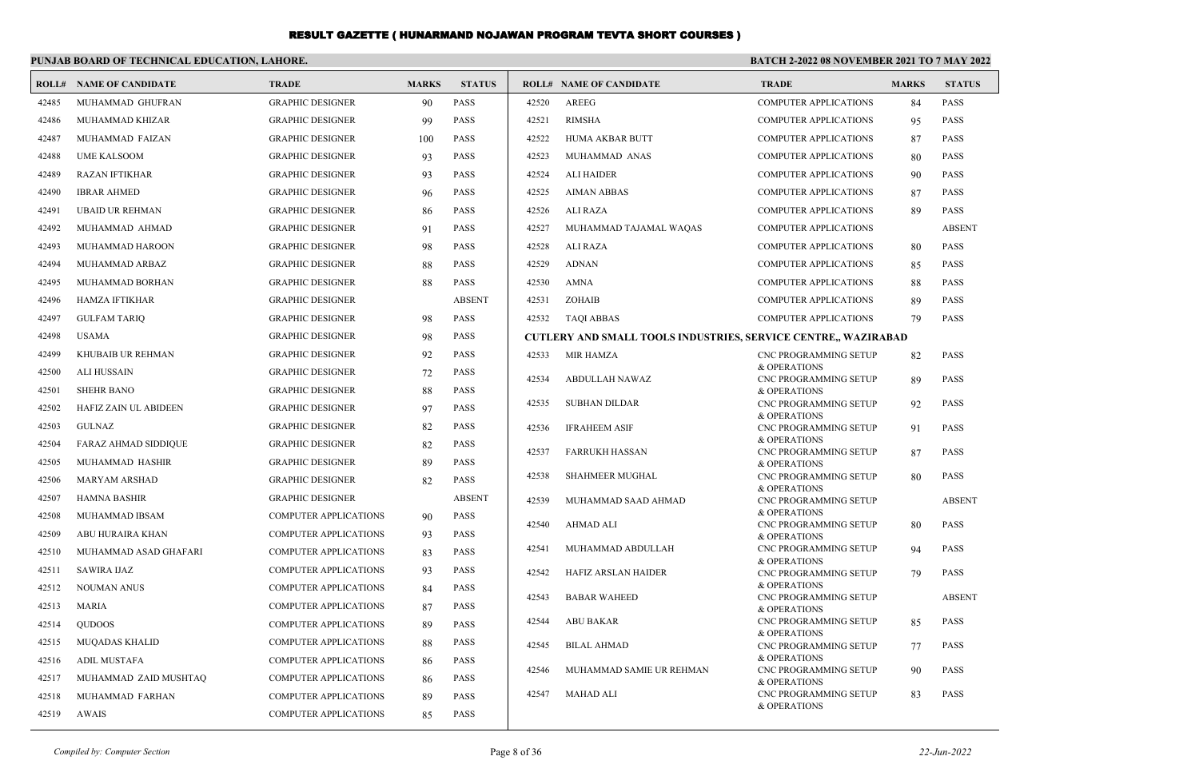|       | PUNJAB BOARD OF TECHNICAL EDUCATION, LAHORE. |                              |              |               | BATCH 2-2022 08 NOVEMBER 2021 TO 7 MAY 2022 |                                                                       |                                              |              |                 |  |  |
|-------|----------------------------------------------|------------------------------|--------------|---------------|---------------------------------------------|-----------------------------------------------------------------------|----------------------------------------------|--------------|-----------------|--|--|
|       | <b>ROLL# NAME OF CANDIDATE</b>               | <b>TRADE</b>                 | <b>MARKS</b> | <b>STATUS</b> |                                             | <b>ROLL# NAME OF CANDIDATE</b>                                        | <b>TRADE</b>                                 | <b>MARKS</b> | <b>STATUS</b>   |  |  |
| 42485 | MUHAMMAD GHUFRAN                             | <b>GRAPHIC DESIGNER</b>      | 90           | <b>PASS</b>   | 42520                                       | AREEG                                                                 | <b>COMPUTER APPLICATIONS</b>                 | 84           | <b>PASS</b>     |  |  |
| 42486 | MUHAMMAD KHIZAR                              | <b>GRAPHIC DESIGNER</b>      | 99           | <b>PASS</b>   | 42521                                       | <b>RIMSHA</b>                                                         | <b>COMPUTER APPLICATIONS</b>                 | 95           | <b>PASS</b>     |  |  |
| 42487 | MUHAMMAD FAIZAN                              | <b>GRAPHIC DESIGNER</b>      | 100          | <b>PASS</b>   | 42522                                       | <b>HUMA AKBAR BUTT</b>                                                | <b>COMPUTER APPLICATIONS</b>                 | 87           | <b>PASS</b>     |  |  |
| 42488 | <b>UME KALSOOM</b>                           | <b>GRAPHIC DESIGNER</b>      | 93           | <b>PASS</b>   | 42523                                       | MUHAMMAD ANAS                                                         | <b>COMPUTER APPLICATIONS</b>                 | 80           | <b>PASS</b>     |  |  |
| 42489 | <b>RAZAN IFTIKHAR</b>                        | <b>GRAPHIC DESIGNER</b>      | 93           | <b>PASS</b>   | 42524                                       | <b>ALI HAIDER</b>                                                     | <b>COMPUTER APPLICATIONS</b>                 | 90           | <b>PASS</b>     |  |  |
| 42490 | <b>IBRAR AHMED</b>                           | <b>GRAPHIC DESIGNER</b>      | 96           | <b>PASS</b>   | 42525                                       | <b>AIMAN ABBAS</b>                                                    | <b>COMPUTER APPLICATIONS</b>                 | 87           | <b>PASS</b>     |  |  |
| 42491 | <b>UBAID UR REHMAN</b>                       | <b>GRAPHIC DESIGNER</b>      | 86           | <b>PASS</b>   | 42526                                       | ALI RAZA                                                              | <b>COMPUTER APPLICATIONS</b>                 | 89           | <b>PASS</b>     |  |  |
| 42492 | MUHAMMAD AHMAD                               | <b>GRAPHIC DESIGNER</b>      | 91           | <b>PASS</b>   | 42527                                       | MUHAMMAD TAJAMAL WAQAS                                                | <b>COMPUTER APPLICATIONS</b>                 |              | <b>ABSENT</b>   |  |  |
| 42493 | <b>MUHAMMAD HAROON</b>                       | <b>GRAPHIC DESIGNER</b>      | 98           | <b>PASS</b>   | 42528                                       | ALI RAZA                                                              | <b>COMPUTER APPLICATIONS</b>                 | 80           | <b>PASS</b>     |  |  |
| 42494 | MUHAMMAD ARBAZ                               | <b>GRAPHIC DESIGNER</b>      | 88           | <b>PASS</b>   | 42529                                       | <b>ADNAN</b>                                                          | <b>COMPUTER APPLICATIONS</b>                 | 85           | <b>PASS</b>     |  |  |
| 42495 | MUHAMMAD BORHAN                              | <b>GRAPHIC DESIGNER</b>      | 88           | <b>PASS</b>   | 42530                                       | AMNA                                                                  | <b>COMPUTER APPLICATIONS</b>                 | 88           | <b>PASS</b>     |  |  |
| 42496 | <b>HAMZA IFTIKHAR</b>                        | <b>GRAPHIC DESIGNER</b>      |              | <b>ABSENT</b> | 42531                                       | ZOHAIB                                                                | <b>COMPUTER APPLICATIONS</b>                 | 89           | <b>PASS</b>     |  |  |
| 42497 | <b>GULFAM TARIQ</b>                          | <b>GRAPHIC DESIGNER</b>      | 98           | <b>PASS</b>   | 42532                                       | <b>TAOI ABBAS</b>                                                     | <b>COMPUTER APPLICATIONS</b>                 | 79           | <b>PASS</b>     |  |  |
| 42498 | <b>USAMA</b>                                 | <b>GRAPHIC DESIGNER</b>      | 98           | <b>PASS</b>   |                                             | <b>CUTLERY AND SMALL TOOLS INDUSTRIES, SERVICE CENTRE,, WAZIRABAD</b> |                                              |              |                 |  |  |
| 42499 | KHUBAIB UR REHMAN                            | <b>GRAPHIC DESIGNER</b>      | 92           | <b>PASS</b>   | 42533                                       | <b>MIR HAMZA</b>                                                      | <b>CNC PROGRAMMING SETUP</b>                 | 82           | <b>PASS</b>     |  |  |
| 42500 | <b>ALI HUSSAIN</b>                           | <b>GRAPHIC DESIGNER</b>      | 72           | <b>PASS</b>   | 42534                                       | <b>ABDULLAH NAWAZ</b>                                                 | & OPERATIONS<br><b>CNC PROGRAMMING SETUP</b> | 89           | <b>PASS</b>     |  |  |
| 42501 | <b>SHEHR BANO</b>                            | <b>GRAPHIC DESIGNER</b>      | 88           | <b>PASS</b>   |                                             |                                                                       | & OPERATIONS                                 |              |                 |  |  |
| 42502 | HAFIZ ZAIN UL ABIDEEN                        | <b>GRAPHIC DESIGNER</b>      | 97           | <b>PASS</b>   | 42535                                       | <b>SUBHAN DILDAR</b>                                                  | CNC PROGRAMMING SETUP<br>& OPERATIONS        | 92           | <b>PASS</b>     |  |  |
| 42503 | <b>GULNAZ</b>                                | <b>GRAPHIC DESIGNER</b>      | 82           | <b>PASS</b>   | 42536                                       | <b>IFRAHEEM ASIF</b>                                                  | CNC PROGRAMMING SETUP                        | 91           | <b>PASS</b>     |  |  |
| 42504 | <b>FARAZ AHMAD SIDDIQUE</b>                  | <b>GRAPHIC DESIGNER</b>      | 82           | <b>PASS</b>   | 42537                                       | <b>FARRUKH HASSAN</b>                                                 | & OPERATIONS<br>CNC PROGRAMMING SETUP        | 87           | <b>PASS</b>     |  |  |
| 42505 | MUHAMMAD HASHIR                              | <b>GRAPHIC DESIGNER</b>      | 89           | <b>PASS</b>   |                                             |                                                                       | & OPERATIONS                                 |              |                 |  |  |
| 42506 | MARYAM ARSHAD                                | <b>GRAPHIC DESIGNER</b>      | 82           | <b>PASS</b>   | 42538                                       | SHAHMEER MUGHAL                                                       | CNC PROGRAMMING SETUP<br>& OPERATIONS        | 80           | $\mathbf{PASS}$ |  |  |
| 42507 | <b>HAMNA BASHIR</b>                          | <b>GRAPHIC DESIGNER</b>      |              | <b>ABSENT</b> | 42539                                       | MUHAMMAD SAAD AHMAD                                                   | CNC PROGRAMMING SETUP                        |              | <b>ABSENT</b>   |  |  |
| 42508 | MUHAMMAD IBSAM                               | COMPUTER APPLICATIONS        | 90           | <b>PASS</b>   | 42540                                       | AHMAD ALI                                                             | & OPERATIONS<br>CNC PROGRAMMING SETUP        | 80           | PASS            |  |  |
| 42509 | ABU HURAIRA KHAN                             | COMPUTER APPLICATIONS        | 93           | <b>PASS</b>   |                                             |                                                                       | & OPERATIONS                                 |              |                 |  |  |
| 42510 | MUHAMMAD ASAD GHAFARI                        | COMPUTER APPLICATIONS        | 83           | <b>PASS</b>   | 42541                                       | MUHAMMAD ABDULLAH                                                     | <b>CNC PROGRAMMING SETUP</b><br>& OPERATIONS | 94           | <b>PASS</b>     |  |  |
| 42511 | <b>SAWIRA IJAZ</b>                           | <b>COMPUTER APPLICATIONS</b> | 93           | <b>PASS</b>   | 42542                                       | <b>HAFIZ ARSLAN HAIDER</b>                                            | CNC PROGRAMMING SETUP                        | 79           | <b>PASS</b>     |  |  |
| 42512 | <b>NOUMAN ANUS</b>                           | COMPUTER APPLICATIONS        | 84           | <b>PASS</b>   | 42543                                       | <b>BABAR WAHEED</b>                                                   | & OPERATIONS<br>CNC PROGRAMMING SETUP        |              | <b>ABSENT</b>   |  |  |
| 42513 | <b>MARIA</b>                                 | <b>COMPUTER APPLICATIONS</b> | 87           | <b>PASS</b>   |                                             |                                                                       | & OPERATIONS                                 |              |                 |  |  |
| 42514 | <b>QUDOOS</b>                                | COMPUTER APPLICATIONS        | 89           | <b>PASS</b>   | 42544                                       | <b>ABU BAKAR</b>                                                      | CNC PROGRAMMING SETUP<br>& OPERATIONS        | 85           | PASS            |  |  |
| 42515 | <b>MUQADAS KHALID</b>                        | <b>COMPUTER APPLICATIONS</b> | 88           | <b>PASS</b>   | 42545                                       | <b>BILAL AHMAD</b>                                                    | CNC PROGRAMMING SETUP                        | 77           | <b>PASS</b>     |  |  |
| 42516 | <b>ADIL MUSTAFA</b>                          | <b>COMPUTER APPLICATIONS</b> | 86           | <b>PASS</b>   | 42546                                       | MUHAMMAD SAMIE UR REHMAN                                              | & OPERATIONS<br><b>CNC PROGRAMMING SETUP</b> |              | <b>PASS</b>     |  |  |
| 42517 | MUHAMMAD ZAID MUSHTAQ                        | <b>COMPUTER APPLICATIONS</b> | 86           | <b>PASS</b>   |                                             |                                                                       | & OPERATIONS                                 | 90           |                 |  |  |
| 42518 | MUHAMMAD FARHAN                              | <b>COMPUTER APPLICATIONS</b> | 89           | <b>PASS</b>   | 42547                                       | <b>MAHAD ALI</b>                                                      | <b>CNC PROGRAMMING SETUP</b>                 | 83           | <b>PASS</b>     |  |  |
| 42519 | <b>AWAIS</b>                                 | <b>COMPUTER APPLICATIONS</b> | 85           | <b>PASS</b>   |                                             |                                                                       | & OPERATIONS                                 |              |                 |  |  |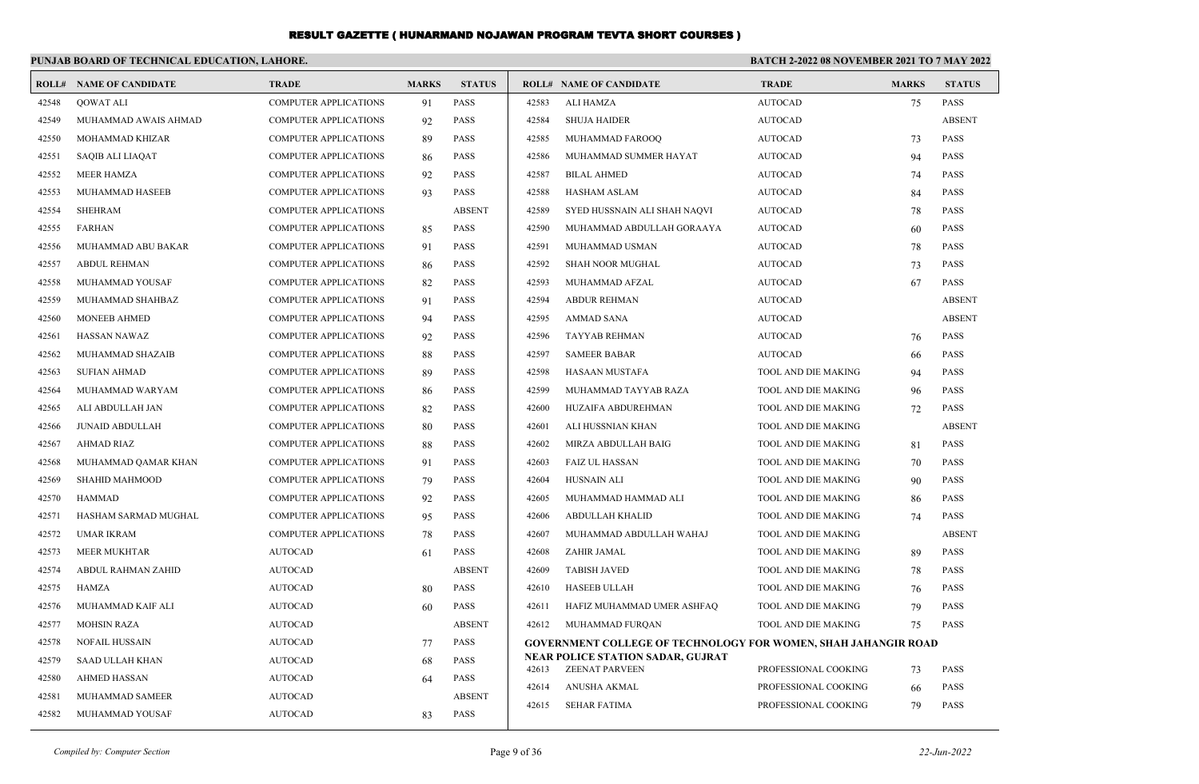|                        | <b>TRADE</b>                   | <b>MARKS</b>                                 | <b>STATUS</b> |       |                              | <b>TRADE</b>                                                                                                                               | <b>MARKS</b>                                                         | <b>STATUS</b>                                                                                                                                 |  |
|------------------------|--------------------------------|----------------------------------------------|---------------|-------|------------------------------|--------------------------------------------------------------------------------------------------------------------------------------------|----------------------------------------------------------------------|-----------------------------------------------------------------------------------------------------------------------------------------------|--|
| QOWAT ALI              | <b>COMPUTER APPLICATIONS</b>   | 91                                           | <b>PASS</b>   | 42583 | ALI HAMZA                    | <b>AUTOCAD</b>                                                                                                                             | 75                                                                   | <b>PASS</b>                                                                                                                                   |  |
| MUHAMMAD AWAIS AHMAD   | <b>COMPUTER APPLICATIONS</b>   | 92                                           | <b>PASS</b>   | 42584 | <b>SHUJA HAIDER</b>          | <b>AUTOCAD</b>                                                                                                                             |                                                                      | <b>ABSENT</b>                                                                                                                                 |  |
| MOHAMMAD KHIZAR        | <b>COMPUTER APPLICATIONS</b>   | 89                                           | <b>PASS</b>   | 42585 | MUHAMMAD FAROOQ              | <b>AUTOCAD</b>                                                                                                                             | 73                                                                   | <b>PASS</b>                                                                                                                                   |  |
| SAQIB ALI LIAQAT       | <b>COMPUTER APPLICATIONS</b>   | 86                                           | <b>PASS</b>   | 42586 | MUHAMMAD SUMMER HAYAT        | AUTOCAD                                                                                                                                    | 94                                                                   | <b>PASS</b>                                                                                                                                   |  |
| MEER HAMZA             | <b>COMPUTER APPLICATIONS</b>   | 92                                           | <b>PASS</b>   | 42587 | <b>BILAL AHMED</b>           | <b>AUTOCAD</b>                                                                                                                             | 74                                                                   | <b>PASS</b>                                                                                                                                   |  |
| MUHAMMAD HASEEB        | <b>COMPUTER APPLICATIONS</b>   | 93                                           | <b>PASS</b>   | 42588 | <b>HASHAM ASLAM</b>          | <b>AUTOCAD</b>                                                                                                                             | 84                                                                   | <b>PASS</b>                                                                                                                                   |  |
| <b>SHEHRAM</b>         | <b>COMPUTER APPLICATIONS</b>   |                                              | <b>ABSENT</b> | 42589 | SYED HUSSNAIN ALI SHAH NAQVI | <b>AUTOCAD</b>                                                                                                                             | 78                                                                   | <b>PASS</b>                                                                                                                                   |  |
| <b>FARHAN</b>          | <b>COMPUTER APPLICATIONS</b>   | 85                                           | <b>PASS</b>   | 42590 | MUHAMMAD ABDULLAH GORAAYA    | <b>AUTOCAD</b>                                                                                                                             | 60                                                                   | <b>PASS</b>                                                                                                                                   |  |
| MUHAMMAD ABU BAKAR     | <b>COMPUTER APPLICATIONS</b>   | 91                                           | <b>PASS</b>   | 42591 | MUHAMMAD USMAN               | <b>AUTOCAD</b>                                                                                                                             | 78                                                                   | <b>PASS</b>                                                                                                                                   |  |
| ABDUL REHMAN           | <b>COMPUTER APPLICATIONS</b>   | -86                                          | <b>PASS</b>   | 42592 | <b>SHAH NOOR MUGHAL</b>      | AUTOCAD                                                                                                                                    | 73                                                                   | <b>PASS</b>                                                                                                                                   |  |
| MUHAMMAD YOUSAF        | <b>COMPUTER APPLICATIONS</b>   | 82                                           | <b>PASS</b>   | 42593 | MUHAMMAD AFZAL               | <b>AUTOCAD</b>                                                                                                                             | 67                                                                   | <b>PASS</b>                                                                                                                                   |  |
| MUHAMMAD SHAHBAZ       | <b>COMPUTER APPLICATIONS</b>   | 91                                           | <b>PASS</b>   | 42594 | <b>ABDUR REHMAN</b>          | <b>AUTOCAD</b>                                                                                                                             |                                                                      | <b>ABSENT</b>                                                                                                                                 |  |
| <b>MONEEB AHMED</b>    | <b>COMPUTER APPLICATIONS</b>   | 94                                           | <b>PASS</b>   | 42595 | AMMAD SANA                   | <b>AUTOCAD</b>                                                                                                                             |                                                                      | <b>ABSENT</b>                                                                                                                                 |  |
| <b>HASSAN NAWAZ</b>    | <b>COMPUTER APPLICATIONS</b>   | 92                                           | <b>PASS</b>   | 42596 | TAYYAB REHMAN                | <b>AUTOCAD</b>                                                                                                                             | 76                                                                   | <b>PASS</b>                                                                                                                                   |  |
| MUHAMMAD SHAZAIB       | <b>COMPUTER APPLICATIONS</b>   | 88                                           | <b>PASS</b>   | 42597 | <b>SAMEER BABAR</b>          | <b>AUTOCAD</b>                                                                                                                             | 66                                                                   | <b>PASS</b>                                                                                                                                   |  |
| <b>SUFIAN AHMAD</b>    | <b>COMPUTER APPLICATIONS</b>   | -89                                          | <b>PASS</b>   | 42598 | HASAAN MUSTAFA               | TOOL AND DIE MAKING                                                                                                                        | 94                                                                   | <b>PASS</b>                                                                                                                                   |  |
| MUHAMMAD WARYAM        | <b>COMPUTER APPLICATIONS</b>   | 86                                           | <b>PASS</b>   | 42599 | MUHAMMAD TAYYAB RAZA         | TOOL AND DIE MAKING                                                                                                                        | 96                                                                   | <b>PASS</b>                                                                                                                                   |  |
| ALI ABDULLAH JAN       | <b>COMPUTER APPLICATIONS</b>   | 82                                           | <b>PASS</b>   | 42600 | HUZAIFA ABDUREHMAN           | TOOL AND DIE MAKING                                                                                                                        | 72                                                                   | <b>PASS</b>                                                                                                                                   |  |
| <b>JUNAID ABDULLAH</b> | <b>COMPUTER APPLICATIONS</b>   | 80                                           | <b>PASS</b>   | 42601 | ALI HUSSNIAN KHAN            | TOOL AND DIE MAKING                                                                                                                        |                                                                      | <b>ABSENT</b>                                                                                                                                 |  |
| <b>AHMAD RIAZ</b>      | <b>COMPUTER APPLICATIONS</b>   | 88                                           | <b>PASS</b>   | 42602 | MIRZA ABDULLAH BAIG          | TOOL AND DIE MAKING                                                                                                                        | 81                                                                   | <b>PASS</b>                                                                                                                                   |  |
| MUHAMMAD QAMAR KHAN    | <b>COMPUTER APPLICATIONS</b>   | 91                                           | <b>PASS</b>   | 42603 | <b>FAIZ UL HASSAN</b>        | TOOL AND DIE MAKING                                                                                                                        | 70                                                                   | <b>PASS</b>                                                                                                                                   |  |
| SHAHID MAHMOOD         | <b>COMPUTER APPLICATIONS</b>   | 79                                           | <b>PASS</b>   | 42604 | HUSNAIN ALI                  | TOOL AND DIE MAKING                                                                                                                        | 90                                                                   | <b>PASS</b>                                                                                                                                   |  |
| <b>HAMMAD</b>          | <b>COMPUTER APPLICATIONS</b>   | 92                                           | <b>PASS</b>   | 42605 | MUHAMMAD HAMMAD ALI          | TOOL AND DIE MAKING                                                                                                                        | 86                                                                   | <b>PASS</b>                                                                                                                                   |  |
| HASHAM SARMAD MUGHAL   | <b>COMPUTER APPLICATIONS</b>   | 95                                           | <b>PASS</b>   | 42606 | ABDULLAH KHALID              | TOOL AND DIE MAKING                                                                                                                        | 74                                                                   | <b>PASS</b>                                                                                                                                   |  |
| UMAR IKRAM             | <b>COMPUTER APPLICATIONS</b>   | 78                                           | <b>PASS</b>   | 42607 | MUHAMMAD ABDULLAH WAHAJ      | TOOL AND DIE MAKING                                                                                                                        |                                                                      | <b>ABSENT</b>                                                                                                                                 |  |
| <b>MEER MUKHTAR</b>    | <b>AUTOCAD</b>                 | 61                                           | <b>PASS</b>   | 42608 | ZAHIR JAMAL                  | TOOL AND DIE MAKING                                                                                                                        | 89                                                                   | <b>PASS</b>                                                                                                                                   |  |
| ABDUL RAHMAN ZAHID     | <b>AUTOCAD</b>                 |                                              | <b>ABSENT</b> | 42609 | <b>TABISH JAVED</b>          | TOOL AND DIE MAKING                                                                                                                        | 78                                                                   | <b>PASS</b>                                                                                                                                   |  |
| HAMZA                  | <b>AUTOCAD</b>                 | 80                                           | <b>PASS</b>   | 42610 | HASEEB ULLAH                 | TOOL AND DIE MAKING                                                                                                                        | 76                                                                   | <b>PASS</b>                                                                                                                                   |  |
| MUHAMMAD KAIF ALI      | <b>AUTOCAD</b>                 | 60                                           | <b>PASS</b>   | 42611 | HAFIZ MUHAMMAD UMER ASHFAQ   | TOOL AND DIE MAKING                                                                                                                        | 79                                                                   | <b>PASS</b>                                                                                                                                   |  |
| <b>MOHSIN RAZA</b>     | <b>AUTOCAD</b>                 |                                              | <b>ABSENT</b> | 42612 | MUHAMMAD FURQAN              | TOOL AND DIE MAKING                                                                                                                        | 75                                                                   | <b>PASS</b>                                                                                                                                   |  |
| NOFAIL HUSSAIN         | <b>AUTOCAD</b>                 | 77                                           | <b>PASS</b>   |       |                              |                                                                                                                                            |                                                                      |                                                                                                                                               |  |
| SAAD ULLAH KHAN        | <b>AUTOCAD</b>                 | 68                                           | <b>PASS</b>   |       |                              |                                                                                                                                            |                                                                      | <b>PASS</b>                                                                                                                                   |  |
| <b>AHMED HASSAN</b>    | <b>AUTOCAD</b>                 | 64                                           | PASS          |       |                              |                                                                                                                                            |                                                                      | PASS                                                                                                                                          |  |
| MUHAMMAD SAMEER        | <b>AUTOCAD</b>                 |                                              | <b>ABSENT</b> |       |                              |                                                                                                                                            |                                                                      | <b>PASS</b>                                                                                                                                   |  |
| MUHAMMAD YOUSAF        | <b>AUTOCAD</b>                 | 83                                           | <b>PASS</b>   |       |                              |                                                                                                                                            |                                                                      |                                                                                                                                               |  |
|                        | <b>ROLL# NAME OF CANDIDATE</b> | PUNJAB BOARD OF TECHNICAL EDUCATION, LAHORE. |               |       | 42613<br>42614<br>42615      | <b>ROLL# NAME OF CANDIDATE</b><br><b>NEAR POLICE STATION SADAR, GUJRAT</b><br><b>ZEENAT PARVEEN</b><br>ANUSHA AKMAL<br><b>SEHAR FATIMA</b> | PROFESSIONAL COOKING<br>PROFESSIONAL COOKING<br>PROFESSIONAL COOKING | <b>BATCH 2-2022 08 NOVEMBER 2021 TO 7 MAY 2022</b><br><b>GOVERNMENT COLLEGE OF TECHNOLOGY FOR WOMEN, SHAH JAHANGIR ROAD</b><br>73<br>66<br>79 |  |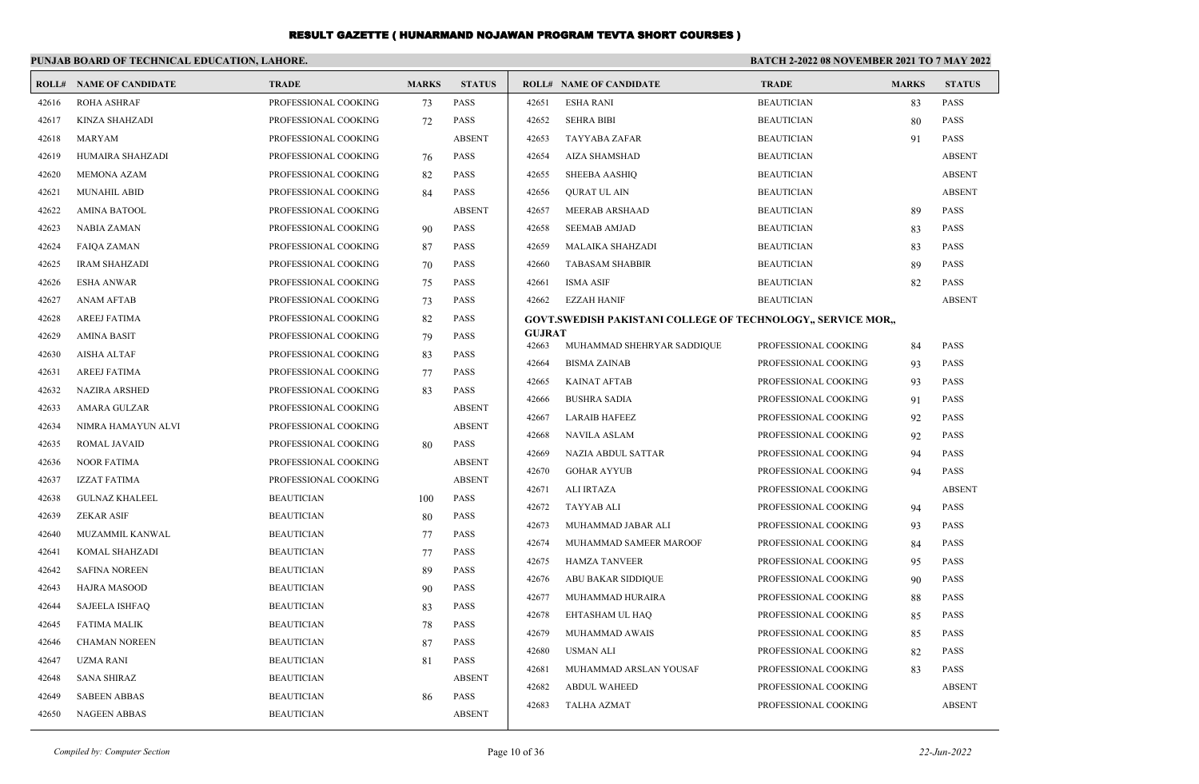|       | PUNJAB BOARD OF TECHNICAL EDUCATION, LAHORE. |                      |              |               | <b>BATCH 2-2022 08 NOVEMBER 2021 TO 7 MAY 2022</b> |                                                              |                      |              |               |
|-------|----------------------------------------------|----------------------|--------------|---------------|----------------------------------------------------|--------------------------------------------------------------|----------------------|--------------|---------------|
|       | <b>ROLL# NAME OF CANDIDATE</b>               | <b>TRADE</b>         | <b>MARKS</b> | <b>STATUS</b> |                                                    | <b>ROLL# NAME OF CANDIDATE</b>                               | <b>TRADE</b>         | <b>MARKS</b> | <b>STATUS</b> |
| 42616 | <b>ROHA ASHRAF</b>                           | PROFESSIONAL COOKING | 73           | <b>PASS</b>   | 42651                                              | <b>ESHA RANI</b>                                             | <b>BEAUTICIAN</b>    | 83           | PASS          |
| 42617 | KINZA SHAHZADI                               | PROFESSIONAL COOKING | 72           | <b>PASS</b>   | 42652                                              | <b>SEHRA BIBI</b>                                            | <b>BEAUTICIAN</b>    | 80           | PASS          |
| 42618 | <b>MARYAM</b>                                | PROFESSIONAL COOKING |              | <b>ABSENT</b> | 42653                                              | TAYYABA ZAFAR                                                | <b>BEAUTICIAN</b>    | 91           | PASS          |
| 42619 | HUMAIRA SHAHZADI                             | PROFESSIONAL COOKING | 76           | <b>PASS</b>   | 42654                                              | AIZA SHAMSHAD                                                | <b>BEAUTICIAN</b>    |              | <b>ABSENT</b> |
| 42620 | <b>MEMONA AZAM</b>                           | PROFESSIONAL COOKING | 82           | <b>PASS</b>   | 42655                                              | SHEEBA AASHIQ                                                | <b>BEAUTICIAN</b>    |              | <b>ABSENT</b> |
| 42621 | <b>MUNAHIL ABID</b>                          | PROFESSIONAL COOKING | 84           | <b>PASS</b>   | 42656                                              | QURAT UL AIN                                                 | <b>BEAUTICIAN</b>    |              | <b>ABSENT</b> |
| 42622 | <b>AMINA BATOOL</b>                          | PROFESSIONAL COOKING |              | <b>ABSENT</b> | 42657                                              | MEERAB ARSHAAD                                               | <b>BEAUTICIAN</b>    | 89           | <b>PASS</b>   |
| 42623 | NABIA ZAMAN                                  | PROFESSIONAL COOKING | 90           | <b>PASS</b>   | 42658                                              | <b>SEEMAB AMJAD</b>                                          | <b>BEAUTICIAN</b>    | 83           | <b>PASS</b>   |
| 42624 | <b>FAIQA ZAMAN</b>                           | PROFESSIONAL COOKING | 87           | <b>PASS</b>   | 42659                                              | <b>MALAIKA SHAHZADI</b>                                      | <b>BEAUTICIAN</b>    | 83           | <b>PASS</b>   |
| 42625 | <b>IRAM SHAHZADI</b>                         | PROFESSIONAL COOKING | 70           | <b>PASS</b>   | 42660                                              | <b>TABASAM SHABBIR</b>                                       | <b>BEAUTICIAN</b>    | 89           | <b>PASS</b>   |
| 42626 | <b>ESHA ANWAR</b>                            | PROFESSIONAL COOKING | 75           | <b>PASS</b>   | 42661                                              | <b>ISMA ASIF</b>                                             | <b>BEAUTICIAN</b>    | 82           | <b>PASS</b>   |
| 42627 | <b>ANAM AFTAB</b>                            | PROFESSIONAL COOKING | 73           | <b>PASS</b>   | 42662                                              | EZZAH HANIF                                                  | <b>BEAUTICIAN</b>    |              | <b>ABSENT</b> |
| 42628 | <b>AREEJ FATIMA</b>                          | PROFESSIONAL COOKING | 82           | <b>PASS</b>   |                                                    | GOVT.SWEDISH PAKISTANI COLLEGE OF TECHNOLOGY., SERVICE MOR., |                      |              |               |
| 42629 | <b>AMINA BASIT</b>                           | PROFESSIONAL COOKING | 79           | <b>PASS</b>   | <b>GUJRAT</b><br>42663                             | MUHAMMAD SHEHRYAR SADDIQUE                                   | PROFESSIONAL COOKING | 84           | <b>PASS</b>   |
| 42630 | <b>AISHA ALTAF</b>                           | PROFESSIONAL COOKING | 83           | <b>PASS</b>   | 42664                                              | <b>BISMA ZAINAB</b>                                          | PROFESSIONAL COOKING | 93           | <b>PASS</b>   |
| 42631 | <b>AREEJ FATIMA</b>                          | PROFESSIONAL COOKING | 77           | <b>PASS</b>   | 42665                                              | <b>KAINAT AFTAB</b>                                          | PROFESSIONAL COOKING | 93           | <b>PASS</b>   |
| 42632 | <b>NAZIRA ARSHED</b>                         | PROFESSIONAL COOKING | 83           | <b>PASS</b>   | 42666                                              | <b>BUSHRA SADIA</b>                                          | PROFESSIONAL COOKING | 91           | <b>PASS</b>   |
| 42633 | AMARA GULZAR                                 | PROFESSIONAL COOKING |              | <b>ABSENT</b> | 42667                                              | <b>LARAIB HAFEEZ</b>                                         | PROFESSIONAL COOKING | 92           | <b>PASS</b>   |
| 42634 | NIMRA HAMAYUN ALVI                           | PROFESSIONAL COOKING |              | <b>ABSENT</b> | 42668                                              | NAVILA ASLAM                                                 | PROFESSIONAL COOKING | 92           | <b>PASS</b>   |
| 42635 | ROMAL JAVAID                                 | PROFESSIONAL COOKING | 80           | <b>PASS</b>   | 42669                                              | NAZIA ABDUL SATTAR                                           | PROFESSIONAL COOKING | 94           | <b>PASS</b>   |
| 42636 | <b>NOOR FATIMA</b>                           | PROFESSIONAL COOKING |              | <b>ABSENT</b> | 42670                                              | <b>GOHAR AYYUB</b>                                           | PROFESSIONAL COOKING | 94           | <b>PASS</b>   |
| 42637 | <b>IZZAT FATIMA</b>                          | PROFESSIONAL COOKING |              | <b>ABSENT</b> | 42671                                              | <b>ALI IRTAZA</b>                                            | PROFESSIONAL COOKING |              | <b>ABSENT</b> |
| 42638 | <b>GULNAZ KHALEEL</b>                        | <b>BEAUTICIAN</b>    | 100          | <b>PASS</b>   | 42672                                              | TAYYAB ALI                                                   | PROFESSIONAL COOKING | 94           | <b>PASS</b>   |
| 42639 | <b>ZEKAR ASIF</b>                            | <b>BEAUTICIAN</b>    | 80           | <b>PASS</b>   | 42673                                              | MUHAMMAD JABAR ALI                                           | PROFESSIONAL COOKING | 93           | <b>PASS</b>   |
| 42640 | MUZAMMIL KANWAL                              | <b>BEAUTICIAN</b>    | 77           | <b>PASS</b>   | 42674                                              | MUHAMMAD SAMEER MAROOF                                       | PROFESSIONAL COOKING | 84           | <b>PASS</b>   |
| 42641 | KOMAL SHAHZADI                               | <b>BEAUTICIAN</b>    | 77           | <b>PASS</b>   | 42675                                              | <b>HAMZA TANVEER</b>                                         | PROFESSIONAL COOKING | 95           | <b>PASS</b>   |
| 42642 | <b>SAFINA NOREEN</b>                         | <b>BEAUTICIAN</b>    | 89           | <b>PASS</b>   | 42676                                              | <b>ABU BAKAR SIDDIQUE</b>                                    | PROFESSIONAL COOKING | 90           | <b>PASS</b>   |
| 42643 | <b>HAJRA MASOOD</b>                          | <b>BEAUTICIAN</b>    | 90           | <b>PASS</b>   | 42677                                              | MUHAMMAD HURAIRA                                             | PROFESSIONAL COOKING | 88           | <b>PASS</b>   |
| 42644 | <b>SAJEELA ISHFAQ</b>                        | <b>BEAUTICIAN</b>    | 83           | <b>PASS</b>   | 42678                                              | EHTASHAM UL HAQ                                              | PROFESSIONAL COOKING | 85           | <b>PASS</b>   |
| 42645 | <b>FATIMA MALIK</b>                          | <b>BEAUTICIAN</b>    | 78           | <b>PASS</b>   | 42679                                              | MUHAMMAD AWAIS                                               | PROFESSIONAL COOKING | 85           | PASS          |
| 42646 | <b>CHAMAN NOREEN</b>                         | <b>BEAUTICIAN</b>    | 87           | PASS          | 42680                                              | <b>USMAN ALI</b>                                             | PROFESSIONAL COOKING | 82           | <b>PASS</b>   |
| 42647 | UZMA RANI                                    | <b>BEAUTICIAN</b>    | 81           | <b>PASS</b>   | 42681                                              | MUHAMMAD ARSLAN YOUSAF                                       | PROFESSIONAL COOKING | 83           | <b>PASS</b>   |
| 42648 | <b>SANA SHIRAZ</b>                           | <b>BEAUTICIAN</b>    |              | <b>ABSENT</b> | 42682                                              | <b>ABDUL WAHEED</b>                                          | PROFESSIONAL COOKING |              | <b>ABSENT</b> |
| 42649 | <b>SABEEN ABBAS</b>                          | <b>BEAUTICIAN</b>    | 86           | <b>PASS</b>   | 42683                                              | <b>TALHA AZMAT</b>                                           | PROFESSIONAL COOKING |              | <b>ABSENT</b> |
| 42650 | <b>NAGEEN ABBAS</b>                          | <b>BEAUTICIAN</b>    |              | <b>ABSENT</b> |                                                    |                                                              |                      |              |               |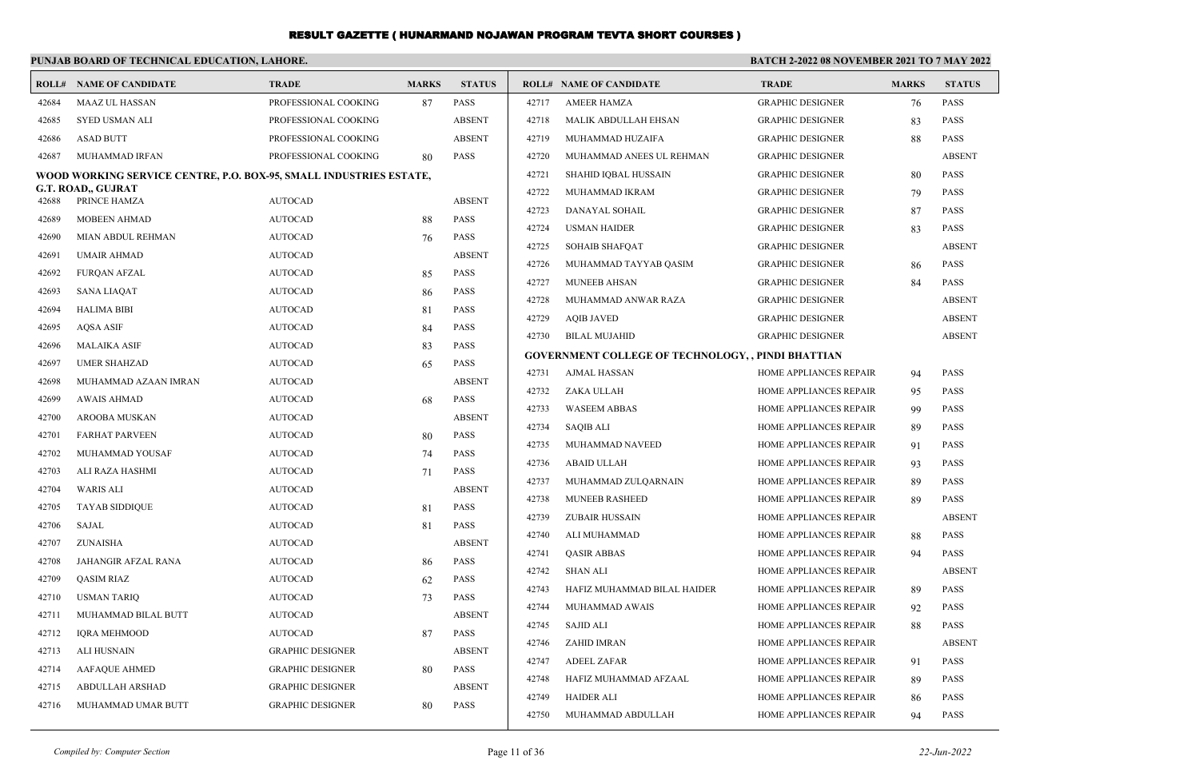|       | PUNJAB BOARD OF TECHNICAL EDUCATION, LAHORE.                       |                         |              |               |       |                                                    | <b>BATCH 2-2022 08 NOVEMBER 2021 TO 7 MAY 2022</b> |              |               |
|-------|--------------------------------------------------------------------|-------------------------|--------------|---------------|-------|----------------------------------------------------|----------------------------------------------------|--------------|---------------|
|       | <b>ROLL# NAME OF CANDIDATE</b>                                     | <b>TRADE</b>            | <b>MARKS</b> | <b>STATUS</b> |       | <b>ROLL# NAME OF CANDIDATE</b>                     | <b>TRADE</b>                                       | <b>MARKS</b> | <b>STATUS</b> |
| 42684 | <b>MAAZ UL HASSAN</b>                                              | PROFESSIONAL COOKING    | 87           | <b>PASS</b>   | 42717 | <b>AMEER HAMZA</b>                                 | <b>GRAPHIC DESIGNER</b>                            | 76           | <b>PASS</b>   |
| 42685 | <b>SYED USMAN ALI</b>                                              | PROFESSIONAL COOKING    |              | <b>ABSENT</b> | 42718 | MALIK ABDULLAH EHSAN                               | <b>GRAPHIC DESIGNER</b>                            | 83           | <b>PASS</b>   |
| 42686 | <b>ASAD BUTT</b>                                                   | PROFESSIONAL COOKING    |              | <b>ABSENT</b> | 42719 | MUHAMMAD HUZAIFA                                   | <b>GRAPHIC DESIGNER</b>                            | 88           | <b>PASS</b>   |
| 42687 | MUHAMMAD IRFAN                                                     | PROFESSIONAL COOKING    | 80           | <b>PASS</b>   | 42720 | MUHAMMAD ANEES UL REHMAN                           | <b>GRAPHIC DESIGNER</b>                            |              | <b>ABSENT</b> |
|       | WOOD WORKING SERVICE CENTRE, P.O. BOX-95, SMALL INDUSTRIES ESTATE, |                         |              |               | 42721 | SHAHID IQBAL HUSSAIN                               | <b>GRAPHIC DESIGNER</b>                            | 80           | <b>PASS</b>   |
| 42688 | G.T. ROAD,, GUJRAT<br>PRINCE HAMZA                                 | <b>AUTOCAD</b>          |              | <b>ABSENT</b> | 42722 | MUHAMMAD IKRAM                                     | <b>GRAPHIC DESIGNER</b>                            | 79           | <b>PASS</b>   |
| 42689 | <b>MOBEEN AHMAD</b>                                                | <b>AUTOCAD</b>          | 88           | <b>PASS</b>   | 42723 | DANAYAL SOHAIL                                     | <b>GRAPHIC DESIGNER</b>                            | 87           | <b>PASS</b>   |
| 42690 | <b>MIAN ABDUL REHMAN</b>                                           | <b>AUTOCAD</b>          | 76           | <b>PASS</b>   | 42724 | <b>USMAN HAIDER</b>                                | <b>GRAPHIC DESIGNER</b>                            | 83           | PASS          |
| 42691 | <b>UMAIR AHMAD</b>                                                 | <b>AUTOCAD</b>          |              | <b>ABSENT</b> | 42725 | <b>SOHAIB SHAFQAT</b>                              | <b>GRAPHIC DESIGNER</b>                            |              | <b>ABSENT</b> |
| 42692 | <b>FURQAN AFZAL</b>                                                | <b>AUTOCAD</b>          | 85           | <b>PASS</b>   | 42726 | MUHAMMAD TAYYAB QASIM                              | <b>GRAPHIC DESIGNER</b>                            | 86           | <b>PASS</b>   |
| 42693 | <b>SANA LIAQAT</b>                                                 | <b>AUTOCAD</b>          | 86           | <b>PASS</b>   | 42727 | MUNEEB AHSAN                                       | <b>GRAPHIC DESIGNER</b>                            | 84           | <b>PASS</b>   |
| 42694 | <b>HALIMA BIBI</b>                                                 | <b>AUTOCAD</b>          | 81           | <b>PASS</b>   | 42728 | MUHAMMAD ANWAR RAZA                                | <b>GRAPHIC DESIGNER</b>                            |              | <b>ABSENT</b> |
| 42695 | <b>AQSA ASIF</b>                                                   | <b>AUTOCAD</b>          | 84           | <b>PASS</b>   | 42729 | <b>AOIB JAVED</b>                                  | <b>GRAPHIC DESIGNER</b>                            |              | <b>ABSENT</b> |
| 42696 | <b>MALAIKA ASIF</b>                                                | <b>AUTOCAD</b>          | 83           | PASS          | 42730 | <b>BILAL MUJAHID</b>                               | <b>GRAPHIC DESIGNER</b>                            |              | <b>ABSENT</b> |
| 42697 | <b>UMER SHAHZAD</b>                                                | <b>AUTOCAD</b>          | 65           | <b>PASS</b>   |       | GOVERNMENT COLLEGE OF TECHNOLOGY, , PINDI BHATTIAN |                                                    |              |               |
| 42698 | MUHAMMAD AZAAN IMRAN                                               | <b>AUTOCAD</b>          |              | <b>ABSENT</b> | 42731 | AJMAL HASSAN                                       | HOME APPLIANCES REPAIR                             | 94           | <b>PASS</b>   |
| 42699 | <b>AWAIS AHMAD</b>                                                 | <b>AUTOCAD</b>          | 68           | <b>PASS</b>   | 42732 | ZAKA ULLAH                                         | HOME APPLIANCES REPAIR                             | 95           | <b>PASS</b>   |
| 42700 | AROOBA MUSKAN                                                      | <b>AUTOCAD</b>          |              | <b>ABSENT</b> | 42733 | <b>WASEEM ABBAS</b>                                | HOME APPLIANCES REPAIR                             | 99           | <b>PASS</b>   |
| 42701 | <b>FARHAT PARVEEN</b>                                              | <b>AUTOCAD</b>          | 80           | <b>PASS</b>   | 42734 | <b>SAQIB ALI</b>                                   | HOME APPLIANCES REPAIR                             | 89           | <b>PASS</b>   |
| 42702 | MUHAMMAD YOUSAF                                                    | <b>AUTOCAD</b>          | 74           | PASS          | 42735 | MUHAMMAD NAVEED                                    | HOME APPLIANCES REPAIR                             | 91           | PASS          |
| 42703 | ALI RAZA HASHMI                                                    | <b>AUTOCAD</b>          | 71           | <b>PASS</b>   | 42736 | <b>ABAID ULLAH</b>                                 | HOME APPLIANCES REPAIR                             | 93           | <b>PASS</b>   |
| 42704 | <b>WARIS ALI</b>                                                   | <b>AUTOCAD</b>          |              | <b>ABSENT</b> | 42737 | MUHAMMAD ZULQARNAIN                                | HOME APPLIANCES REPAIR                             | 89           | <b>PASS</b>   |
| 42705 | <b>TAYAB SIDDIQUE</b>                                              | <b>AUTOCAD</b>          | 81           | <b>PASS</b>   | 42738 | <b>MUNEEB RASHEED</b>                              | HOME APPLIANCES REPAIR                             | 89           | <b>PASS</b>   |
| 42706 | SAJAL                                                              | <b>AUTOCAD</b>          | 81           | <b>PASS</b>   | 42739 | ZUBAIR HUSSAIN                                     | HOME APPLIANCES REPAIR                             |              | <b>ABSENT</b> |
| 42707 | ZUNAISHA                                                           | <b>AUTOCAD</b>          |              | <b>ABSENT</b> | 42740 | ALI MUHAMMAD                                       | HOME APPLIANCES REPAIR                             | 88           | <b>PASS</b>   |
| 42708 | JAHANGIR AFZAL RANA                                                | <b>AUTOCAD</b>          | 86           | <b>PASS</b>   | 42741 | <b>QASIR ABBAS</b>                                 | HOME APPLIANCES REPAIR                             | 94           | <b>PASS</b>   |
| 42709 | QASIM RIAZ                                                         | <b>AUTOCAD</b>          | 62           | <b>PASS</b>   | 42742 | <b>SHAN ALI</b>                                    | HOME APPLIANCES REPAIR                             |              | <b>ABSENT</b> |
| 42710 | <b>USMAN TARIQ</b>                                                 | <b>AUTOCAD</b>          | 73           | PASS          | 42743 | HAFIZ MUHAMMAD BILAL HAIDER                        | HOME APPLIANCES REPAIR                             | 89           | <b>PASS</b>   |
| 42711 | MUHAMMAD BILAL BUTT                                                | <b>AUTOCAD</b>          |              | <b>ABSENT</b> | 42744 | MUHAMMAD AWAIS                                     | HOME APPLIANCES REPAIR                             | 92           | <b>PASS</b>   |
| 42712 | <b>IQRA MEHMOOD</b>                                                | <b>AUTOCAD</b>          | 87           | <b>PASS</b>   | 42745 | SAJID ALI                                          | HOME APPLIANCES REPAIR                             |              | PASS          |
| 42713 | <b>ALI HUSNAIN</b>                                                 | <b>GRAPHIC DESIGNER</b> |              | <b>ABSENT</b> | 42746 | ZAHID IMRAN                                        | HOME APPLIANCES REPAIR                             |              | <b>ABSENT</b> |
| 42714 | <b>AAFAQUE AHMED</b>                                               | <b>GRAPHIC DESIGNER</b> | 80           | PASS          | 42747 | <b>ADEEL ZAFAR</b>                                 | HOME APPLIANCES REPAIR                             | 91           | <b>PASS</b>   |
| 42715 | ABDULLAH ARSHAD                                                    | <b>GRAPHIC DESIGNER</b> |              | <b>ABSENT</b> | 42748 | HAFIZ MUHAMMAD AFZAAL                              | HOME APPLIANCES REPAIR                             | 89           | <b>PASS</b>   |
| 42716 | MUHAMMAD UMAR BUTT                                                 | <b>GRAPHIC DESIGNER</b> | 80           | <b>PASS</b>   | 42749 | <b>HAIDER ALI</b>                                  | HOME APPLIANCES REPAIR                             | 86           | PASS          |
|       |                                                                    |                         |              |               | 42750 | MUHAMMAD ABDULLAH                                  | HOME APPLIANCES REPAIR                             | 94           | PASS          |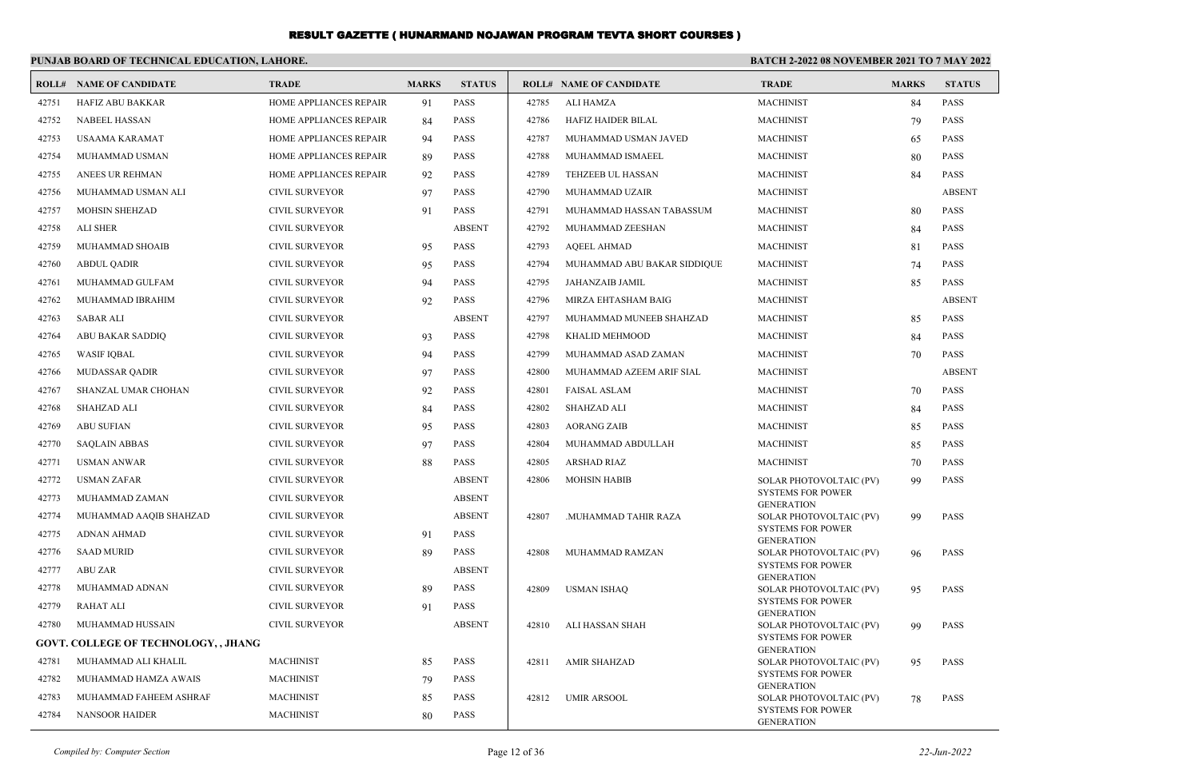|       | PUNJAB BOARD OF TECHNICAL EDUCATION, LAHORE. |                        |              |               |       |                                | <b>BATCH 2-2022 08 NOVEMBER 2021 TO 7 MAY 2022</b> |              |               |
|-------|----------------------------------------------|------------------------|--------------|---------------|-------|--------------------------------|----------------------------------------------------|--------------|---------------|
|       | <b>ROLL# NAME OF CANDIDATE</b>               | <b>TRADE</b>           | <b>MARKS</b> | <b>STATUS</b> |       | <b>ROLL# NAME OF CANDIDATE</b> | <b>TRADE</b>                                       | <b>MARKS</b> | <b>STATUS</b> |
| 42751 | <b>HAFIZ ABU BAKKAR</b>                      | HOME APPLIANCES REPAIR | 91           | <b>PASS</b>   | 42785 | <b>ALI HAMZA</b>               | <b>MACHINIST</b>                                   | 84           | <b>PASS</b>   |
| 42752 | <b>NABEEL HASSAN</b>                         | HOME APPLIANCES REPAIR | 84           | <b>PASS</b>   | 42786 | HAFIZ HAIDER BILAL             | <b>MACHINIST</b>                                   | 79           | <b>PASS</b>   |
| 42753 | USAAMA KARAMAT                               | HOME APPLIANCES REPAIR | 94           | <b>PASS</b>   | 42787 | MUHAMMAD USMAN JAVED           | <b>MACHINIST</b>                                   | 65           | <b>PASS</b>   |
| 42754 | MUHAMMAD USMAN                               | HOME APPLIANCES REPAIR | 89           | PASS          | 42788 | MUHAMMAD ISMAEEL               | <b>MACHINIST</b>                                   | 80           | <b>PASS</b>   |
| 42755 | ANEES UR REHMAN                              | HOME APPLIANCES REPAIR | 92           | <b>PASS</b>   | 42789 | <b>TEHZEEB UL HASSAN</b>       | <b>MACHINIST</b>                                   | 84           | <b>PASS</b>   |
| 42756 | MUHAMMAD USMAN ALI                           | CIVIL SURVEYOR         | 97           | <b>PASS</b>   | 42790 | MUHAMMAD UZAIR                 | <b>MACHINIST</b>                                   |              | <b>ABSENT</b> |
| 42757 | MOHSIN SHEHZAD                               | <b>CIVIL SURVEYOR</b>  | 91           | <b>PASS</b>   | 42791 | MUHAMMAD HASSAN TABASSUM       | <b>MACHINIST</b>                                   | 80           | <b>PASS</b>   |
| 42758 | <b>ALI SHER</b>                              | <b>CIVIL SURVEYOR</b>  |              | <b>ABSENT</b> | 42792 | MUHAMMAD ZEESHAN               | <b>MACHINIST</b>                                   | 84           | <b>PASS</b>   |
| 42759 | MUHAMMAD SHOAIB                              | CIVIL SURVEYOR         | 95           | <b>PASS</b>   | 42793 | <b>AQEEL AHMAD</b>             | <b>MACHINIST</b>                                   | 81           | <b>PASS</b>   |
| 42760 | <b>ABDUL QADIR</b>                           | <b>CIVIL SURVEYOR</b>  | 95           | <b>PASS</b>   | 42794 | MUHAMMAD ABU BAKAR SIDDIQUE    | <b>MACHINIST</b>                                   | 74           | <b>PASS</b>   |
| 42761 | MUHAMMAD GULFAM                              | CIVIL SURVEYOR         | 94           | <b>PASS</b>   | 42795 | JAHANZAIB JAMIL                | <b>MACHINIST</b>                                   | 85           | <b>PASS</b>   |
| 42762 | MUHAMMAD IBRAHIM                             | CIVIL SURVEYOR         | 92           | <b>PASS</b>   | 42796 | MIRZA EHTASHAM BAIG            | <b>MACHINIST</b>                                   |              | <b>ABSENT</b> |
| 42763 | SABAR ALI                                    | CIVIL SURVEYOR         |              | <b>ABSENT</b> | 42797 | MUHAMMAD MUNEEB SHAHZAD        | <b>MACHINIST</b>                                   | 85           | <b>PASS</b>   |
| 42764 | ABU BAKAR SADDIQ                             | <b>CIVIL SURVEYOR</b>  | 93           | <b>PASS</b>   | 42798 | KHALID MEHMOOD                 | <b>MACHINIST</b>                                   | 84           | <b>PASS</b>   |
| 42765 | <b>WASIF IQBAL</b>                           | CIVIL SURVEYOR         | 94           | <b>PASS</b>   | 42799 | MUHAMMAD ASAD ZAMAN            | <b>MACHINIST</b>                                   | 70           | <b>PASS</b>   |
| 42766 | <b>MUDASSAR QADIR</b>                        | CIVIL SURVEYOR         | 97           | <b>PASS</b>   | 42800 | MUHAMMAD AZEEM ARIF SIAL       | <b>MACHINIST</b>                                   |              | <b>ABSENT</b> |
| 42767 | SHANZAL UMAR CHOHAN                          | CIVIL SURVEYOR         | 92           | <b>PASS</b>   | 42801 | <b>FAISAL ASLAM</b>            | <b>MACHINIST</b>                                   | 70           | <b>PASS</b>   |
| 42768 | <b>SHAHZAD ALI</b>                           | <b>CIVIL SURVEYOR</b>  | 84           | <b>PASS</b>   | 42802 | SHAHZAD ALI                    | <b>MACHINIST</b>                                   | 84           | <b>PASS</b>   |
| 42769 | <b>ABU SUFIAN</b>                            | <b>CIVIL SURVEYOR</b>  | 95           | <b>PASS</b>   | 42803 | <b>AORANG ZAIB</b>             | <b>MACHINIST</b>                                   | 85           | <b>PASS</b>   |
| 42770 | <b>SAQLAIN ABBAS</b>                         | CIVIL SURVEYOR         | 97           | <b>PASS</b>   | 42804 | MUHAMMAD ABDULLAH              | <b>MACHINIST</b>                                   | 85           | <b>PASS</b>   |
| 42771 | USMAN ANWAR                                  | <b>CIVIL SURVEYOR</b>  | 88           | <b>PASS</b>   | 42805 | ARSHAD RIAZ                    | <b>MACHINIST</b>                                   | 70           | <b>PASS</b>   |
| 42772 | USMAN ZAFAR                                  | <b>CIVIL SURVEYOR</b>  |              | <b>ABSENT</b> | 42806 | <b>MOHSIN HABIB</b>            | SOLAR PHOTOVOLTAIC (PV)                            | 99           | <b>PASS</b>   |
| 42773 | MUHAMMAD ZAMAN                               | <b>CIVIL SURVEYOR</b>  |              | <b>ABSENT</b> |       |                                | <b>SYSTEMS FOR POWER</b><br><b>GENERATION</b>      |              |               |
| 42774 | MUHAMMAD AAQIB SHAHZAD                       | <b>CIVIL SURVEYOR</b>  |              | <b>ABSENT</b> | 42807 | .MUHAMMAD TAHIR RAZA           | SOLAR PHOTOVOLTAIC (PV)                            | 99           | <b>PASS</b>   |
| 42775 | <b>ADNAN AHMAD</b>                           | <b>CIVIL SURVEYOR</b>  | 91           | <b>PASS</b>   |       |                                | <b>SYSTEMS FOR POWER</b><br><b>GENERATION</b>      |              |               |
| 42776 | <b>SAAD MURID</b>                            | CIVIL SURVEYOR         | 89           | <b>PASS</b>   | 42808 | MUHAMMAD RAMZAN                | SOLAR PHOTOVOLTAIC (PV)                            | 96           | <b>PASS</b>   |
| 42777 | <b>ABU ZAR</b>                               | <b>CIVIL SURVEYOR</b>  |              | <b>ABSENT</b> |       |                                | <b>SYSTEMS FOR POWER</b><br><b>GENERATION</b>      |              |               |
| 42778 | MUHAMMAD ADNAN                               | <b>CIVIL SURVEYOR</b>  | 89           | <b>PASS</b>   | 42809 | USMAN ISHAQ                    | SOLAR PHOTOVOLTAIC (PV)                            | 95           | <b>PASS</b>   |
| 42779 | <b>RAHAT ALI</b>                             | <b>CIVIL SURVEYOR</b>  | 91           | <b>PASS</b>   |       |                                | <b>SYSTEMS FOR POWER</b><br><b>GENERATION</b>      |              |               |
| 42780 | MUHAMMAD HUSSAIN                             | CIVIL SURVEYOR         |              | ABSENT        |       | 42810 ALI HASSAN SHAH          | SOLAR PHOTOVOLTAIC (PV)                            | 99           | PASS          |
|       | <b>GOVT. COLLEGE OF TECHNOLOGY, , JHANG</b>  |                        |              |               |       |                                | <b>SYSTEMS FOR POWER</b><br><b>GENERATION</b>      |              |               |
| 42781 | MUHAMMAD ALI KHALIL                          | <b>MACHINIST</b>       | 85           | PASS          | 42811 | <b>AMIR SHAHZAD</b>            | SOLAR PHOTOVOLTAIC (PV)                            | 95           | <b>PASS</b>   |
| 42782 | MUHAMMAD HAMZA AWAIS                         | <b>MACHINIST</b>       | 79           | <b>PASS</b>   |       |                                | <b>SYSTEMS FOR POWER</b><br><b>GENERATION</b>      |              |               |
| 42783 | MUHAMMAD FAHEEM ASHRAF                       | <b>MACHINIST</b>       | 85           | PASS          | 42812 | <b>UMIR ARSOOL</b>             | SOLAR PHOTOVOLTAIC (PV)                            | 78           | PASS          |
| 42784 | <b>NANSOOR HAIDER</b>                        | <b>MACHINIST</b>       | 80           | PASS          |       |                                | <b>SYSTEMS FOR POWER</b><br><b>GENERATION</b>      |              |               |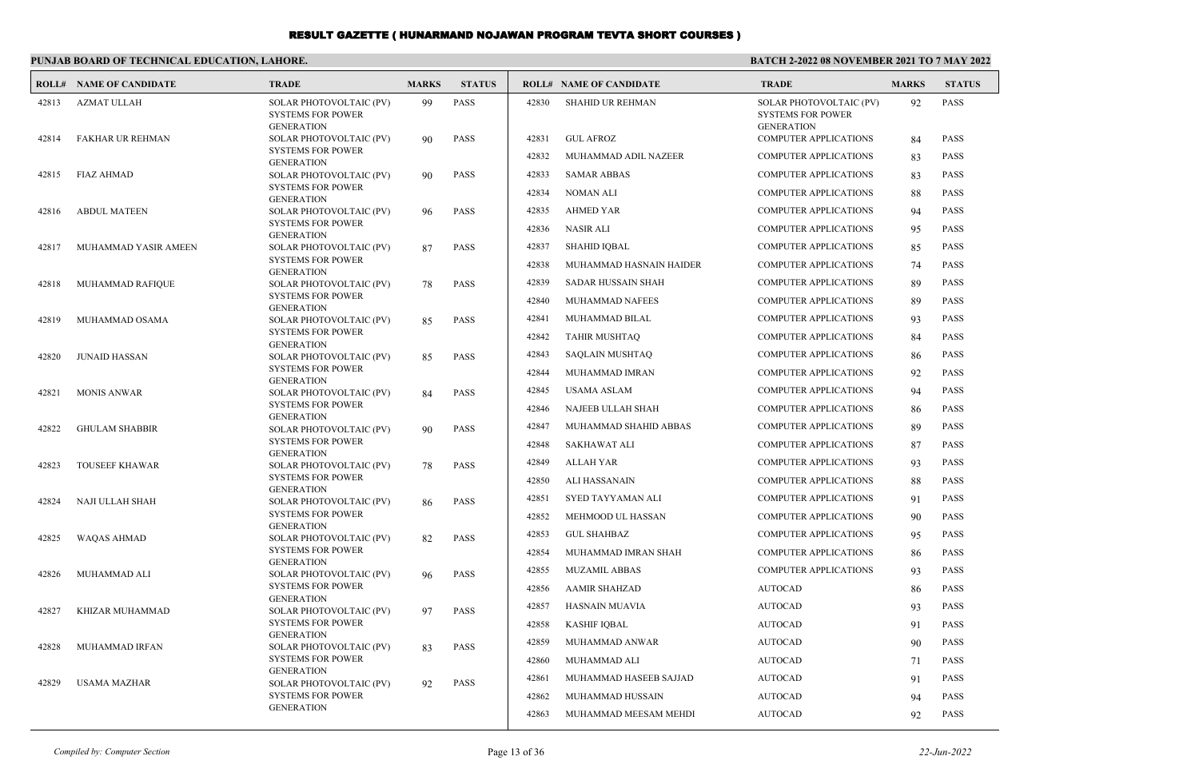#### **PUNJAB BOARD OF TECHNICAL EDUCATION, LAHORE. BATCH 2-2022 08 NOVEMBER 2021 TO 7 MAY 2022 ROLL# NAME OF CANDIDATE TRADE MARKS STATUS ROLL# NAME OF CANDIDATE TRADE MARKS STATUS** SOLAR PHOTOVOLTAIC (PV) 99 PASS SYSTEMS FOR POWER GENERATION 42813 AZMAT ULLAH SOLAR PHOTOVOLTAIC (PV) 90 PASS SYSTEMS FOR POWER GENERATION 42814 FAKHAR UR REHMAN SOLAR PHOTOVOLTAIC (PV) 90 PASS SYSTEMS FOR POWER GENERATION 42815 FIAZ AHMAD SOLAR PHOTOVOLTAIC (PV) 96 PASS SYSTEMS FOR POWER GENERATION 42816 ABDUL MATEEN SOLAR PHOTOVOLTAIC (PV) 87 PASS SYSTEMS FOR POWER GENERATION 42817 MUHAMMAD YASIR AMEEN SOLAR PHOTOVOLTAIC (PV) 78 PASS SYSTEMS FOR POWER GENERATION 42818 MUHAMMAD RAFIQUE SOLAR PHOTOVOLTAIC (PV) 85 PASS SYSTEMS FOR POWER GENERATION 42819 MUHAMMAD OSAMA SOLAR PHOTOVOLTAIC (PV) 85 PASS SYSTEMS FOR POWER GENERATION 42820 JUNAID HASSAN SOLAR PHOTOVOLTAIC (PV) 84 PASS SYSTEMS FOR POWER GENERATION 42821 MONIS ANWAR SOLAR PHOTOVOLTAIC (PV) 90 PASS SYSTEMS FOR POWER **GENERATION**  42822 GHULAM SHABBIR SOLAR PHOTOVOLTAIC (PV) 78 PASS SYSTEMS FOR POWER GENERATION 42823 TOUSEEF KHAWAR SOLAR PHOTOVOLTAIC (PV) 86 PASS SYSTEMS FOR POWER GENERATION 42824 NAJI ULLAH SHAH SOLAR PHOTOVOLTAIC (PV) 82 PASS SYSTEMS FOR POWER GENERATION 42825 WAQAS AHMAD SOLAR PHOTOVOLTAIC (PV) 96 PASS SYSTEMS FOR POWER GENERATION 42826 MUHAMMAD ALI SOLAR PHOTOVOLTAIC (PV) 97 PASS SYSTEMS FOR POWER **GENERATION**  42827 KHIZAR MUHAMMAD SOLAR PHOTOVOLTAIC (PV) 83 PASS SYSTEMS FOR POWER GENERATION 42828 MUHAMMAD IRFAN SOLAR PHOTOVOLTAIC (PV) 92 PASS 42829 USAMA MAZHAR SOLAR PHOTOVOLTAIC (PV) 92 PASS SYSTEMS FOR POWER GENERATION 42830 SHAHID UR REHMAN 42831 GUL AFROZ COMPUTER APPLICATIONS 84 PASS 42832 MUHAMMAD ADIL NAZEER COMPUTER APPLICATIONS 83 PASS 42833 SAMAR ABBAS COMPUTER APPLICATIONS 83 PASS 42834 NOMAN ALI COMPUTER APPLICATIONS 88 PASS 42835 AHMED YAR COMPUTER APPLICATIONS 94 PASS 42836 NASIR ALI COMPUTER APPLICATIONS 95 PASS 42837 SHAHID IQBAL COMPUTER APPLICATIONS 85 PASS 42838 MUHAMMAD HASNAIN HAIDER COMPUTER APPLICATIONS 74 PASS 42839 SADAR HUSSAIN SHAH COMPUTER APPLICATIONS 89 PASS 42840 MUHAMMAD NAFEES COMPUTER APPLICATIONS 89 PASS 42841 MUHAMMAD BILAL COMPUTER APPLICATIONS 93 PASS 42842 TAHIR MUSHTAQ COMPUTER APPLICATIONS 84 PASS 42843 SAQLAIN MUSHTAQ COMPUTER APPLICATIONS 86 PASS 42844 MUHAMMAD IMRAN COMPUTER APPLICATIONS 92 PASS 42845 USAMA ASLAM COMPUTER APPLICATIONS 94 PASS 42846 NAJEEB ULLAH SHAH COMPUTER APPLICATIONS 86 PASS 42847 MUHAMMAD SHAHID ABBAS COMPUTER APPLICATIONS 89 PASS 42848 SAKHAWAT ALI COMPUTER APPLICATIONS 87 PASS 42849 ALLAH YAR COMPUTER APPLICATIONS 93 PASS 42850 ALI HASSANAIN COMPUTER APPLICATIONS 88 PASS 42851 SYED TAYYAMAN ALI COMPUTER APPLICATIONS 91 PASS 42852 MEHMOOD UL HASSAN COMPUTER APPLICATIONS 90 PASS 42853 GUL SHAHBAZ COMPUTER APPLICATIONS 95 PASS 42854 MUHAMMAD IMRAN SHAH COMPUTER APPLICATIONS 86 PASS 42855 MUZAMIL ABBAS COMPUTER APPLICATIONS 93 PASS 42856 AAMIR SHAHZAD AUTOCAD AUTOCAD 86 PASS 42857 HASNAIN MUAVIA AUTOCAD 93 PASS 42858 KASHIF IQBAL AUTOCAD 91 PASS 42859 MUHAMMAD ANWAR AUTOCAD 90 PASS 42860 MUHAMMAD ALI AUTOCAD 71 PASS 42861 MUHAMMAD HASEEB SAJJAD AUTOCAD 91 PASS

SYSTEMS FOR POWER GENERATION

 42862 MUHAMMAD HUSSAIN AUTOCAD 94 PASS 42863 MUHAMMAD MEESAM MEHDI AUTOCAD 92 PASS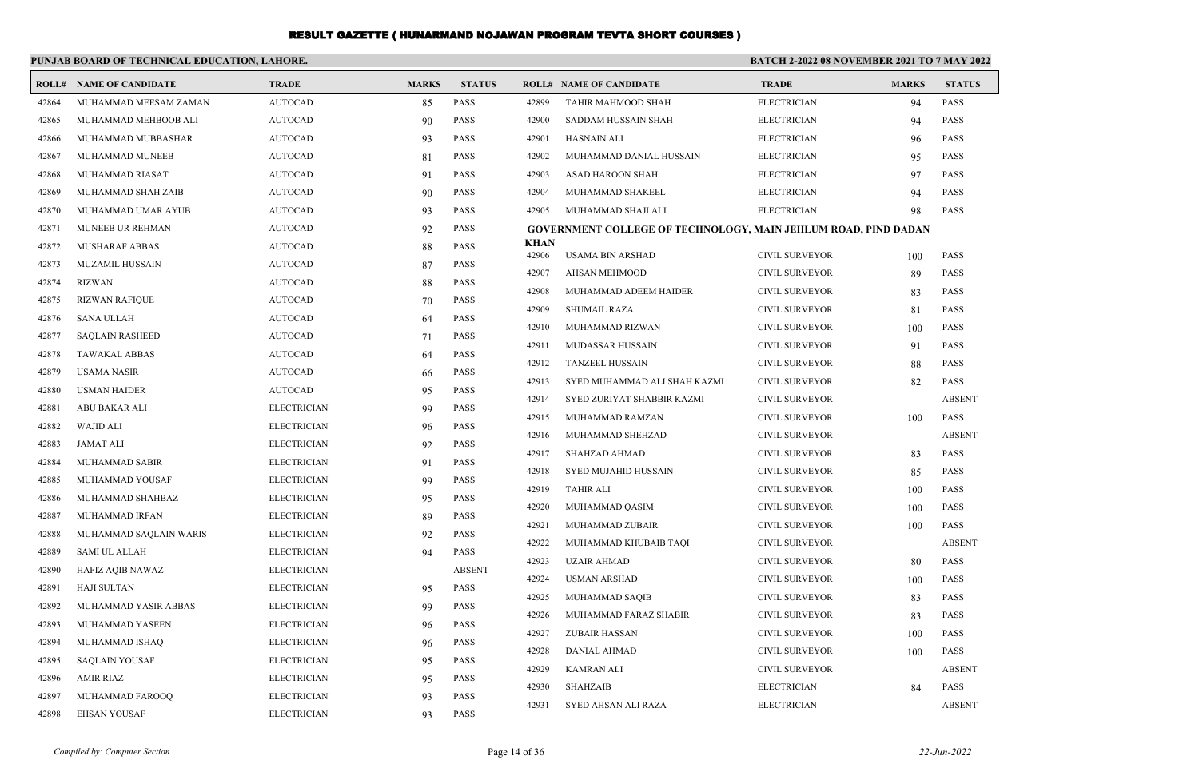|       | PUNJAB BOARD OF TECHNICAL EDUCATION, LAHORE. |                    |              |               |                |                                                                       | <b>BATCH 2-2022 08 NOVEMBER 2021 TO 7 MAY 2022</b> |              |                            |  |
|-------|----------------------------------------------|--------------------|--------------|---------------|----------------|-----------------------------------------------------------------------|----------------------------------------------------|--------------|----------------------------|--|
|       | <b>ROLL# NAME OF CANDIDATE</b>               | <b>TRADE</b>       | <b>MARKS</b> | <b>STATUS</b> |                | <b>ROLL# NAME OF CANDIDATE</b>                                        | <b>TRADE</b>                                       | <b>MARKS</b> | <b>STATUS</b>              |  |
| 42864 | MUHAMMAD MEESAM ZAMAN                        | <b>AUTOCAD</b>     | 85           | PASS          | 42899          | TAHIR MAHMOOD SHAH                                                    | <b>ELECTRICIAN</b>                                 | 94           | <b>PASS</b>                |  |
| 42865 | MUHAMMAD MEHBOOB ALI                         | <b>AUTOCAD</b>     | 90           | PASS          | 42900          | SADDAM HUSSAIN SHAH                                                   | <b>ELECTRICIAN</b>                                 | 94           | <b>PASS</b>                |  |
| 42866 | MUHAMMAD MUBBASHAR                           | <b>AUTOCAD</b>     | 93           | PASS          | 42901          | <b>HASNAIN ALI</b>                                                    | <b>ELECTRICIAN</b>                                 | 96           | <b>PASS</b>                |  |
| 42867 | MUHAMMAD MUNEEB                              | <b>AUTOCAD</b>     | 81           | PASS          | 42902          | MUHAMMAD DANIAL HUSSAIN                                               | <b>ELECTRICIAN</b>                                 | 95           | <b>PASS</b>                |  |
| 42868 | MUHAMMAD RIASAT                              | <b>AUTOCAD</b>     | 91           | PASS          | 42903          | ASAD HAROON SHAH                                                      | <b>ELECTRICIAN</b>                                 | 97           | <b>PASS</b>                |  |
| 42869 | MUHAMMAD SHAH ZAIB                           | <b>AUTOCAD</b>     | 90           | PASS          | 42904          | MUHAMMAD SHAKEEL                                                      | <b>ELECTRICIAN</b>                                 | 94           | <b>PASS</b>                |  |
| 42870 | MUHAMMAD UMAR AYUB                           | <b>AUTOCAD</b>     | 93           | <b>PASS</b>   | 42905          | MUHAMMAD SHAJI ALI                                                    | <b>ELECTRICIAN</b>                                 | 98           | <b>PASS</b>                |  |
| 42871 | MUNEEB UR REHMAN                             | <b>AUTOCAD</b>     | 92           | <b>PASS</b>   |                | <b>GOVERNMENT COLLEGE OF TECHNOLOGY, MAIN JEHLUM ROAD, PIND DADAN</b> |                                                    |              |                            |  |
| 42872 | <b>MUSHARAF ABBAS</b>                        | <b>AUTOCAD</b>     | 88           | <b>PASS</b>   | KHAN<br>42906  | <b>USAMA BIN ARSHAD</b>                                               | <b>CIVIL SURVEYOR</b>                              |              | PASS                       |  |
| 42873 | <b>MUZAMIL HUSSAIN</b>                       | <b>AUTOCAD</b>     | 87           | PASS          | 42907          |                                                                       |                                                    | 100          | <b>PASS</b>                |  |
| 42874 | <b>RIZWAN</b>                                | <b>AUTOCAD</b>     | 88           | PASS          | 42908          | <b>AHSAN MEHMOOD</b><br>MUHAMMAD ADEEM HAIDER                         | <b>CIVIL SURVEYOR</b><br><b>CIVIL SURVEYOR</b>     | 89           | <b>PASS</b>                |  |
| 42875 | <b>RIZWAN RAFIQUE</b>                        | <b>AUTOCAD</b>     | 70           | PASS          |                |                                                                       |                                                    | 83           |                            |  |
| 42876 | <b>SANA ULLAH</b>                            | <b>AUTOCAD</b>     | 64           | PASS          | 42909<br>42910 | <b>SHUMAIL RAZA</b><br>MUHAMMAD RIZWAN                                | <b>CIVIL SURVEYOR</b><br><b>CIVIL SURVEYOR</b>     | 81           | <b>PASS</b><br><b>PASS</b> |  |
| 42877 | <b>SAQLAIN RASHEED</b>                       | <b>AUTOCAD</b>     | 71           | PASS          |                |                                                                       |                                                    | 100          |                            |  |
| 42878 | <b>TAWAKAL ABBAS</b>                         | <b>AUTOCAD</b>     | 64           | PASS          | 42911<br>42912 | <b>MUDASSAR HUSSAIN</b><br><b>TANZEEL HUSSAIN</b>                     | <b>CIVIL SURVEYOR</b><br><b>CIVIL SURVEYOR</b>     | 91           | <b>PASS</b>                |  |
| 42879 | <b>USAMA NASIR</b>                           | <b>AUTOCAD</b>     | 66           | <b>PASS</b>   |                |                                                                       |                                                    | 88           | PASS                       |  |
| 42880 | <b>USMAN HAIDER</b>                          | <b>AUTOCAD</b>     | 95           | PASS          | 42913          | SYED MUHAMMAD ALI SHAH KAZMI                                          | <b>CIVIL SURVEYOR</b>                              | 82           | PASS                       |  |
| 42881 | ABU BAKAR ALI                                | <b>ELECTRICIAN</b> | 99           | PASS          | 42914          | SYED ZURIYAT SHABBIR KAZMI                                            | <b>CIVIL SURVEYOR</b>                              |              | <b>ABSENT</b>              |  |
| 42882 | <b>WAJID ALI</b>                             | <b>ELECTRICIAN</b> | 96           | PASS          | 42915          | MUHAMMAD RAMZAN                                                       | <b>CIVIL SURVEYOR</b>                              | 100          | PASS                       |  |
| 42883 | JAMAT ALI                                    | <b>ELECTRICIAN</b> | 92           | <b>PASS</b>   | 42916          | MUHAMMAD SHEHZAD                                                      | <b>CIVIL SURVEYOR</b>                              |              | <b>ABSENT</b>              |  |
| 42884 | MUHAMMAD SABIR                               | <b>ELECTRICIAN</b> | 91           | PASS          | 42917          | SHAHZAD AHMAD                                                         | <b>CIVIL SURVEYOR</b>                              | 83           | PASS                       |  |
| 42885 | MUHAMMAD YOUSAF                              | <b>ELECTRICIAN</b> | 99           | <b>PASS</b>   | 42918          | <b>SYED MUJAHID HUSSAIN</b>                                           | <b>CIVIL SURVEYOR</b>                              | 85           | <b>PASS</b>                |  |
| 42886 | MUHAMMAD SHAHBAZ                             | <b>ELECTRICIAN</b> | 95           | PASS          | 42919          | <b>TAHIR ALI</b>                                                      | <b>CIVIL SURVEYOR</b>                              | 100          | <b>PASS</b>                |  |
| 42887 | MUHAMMAD IRFAN                               | <b>ELECTRICIAN</b> | 89           | PASS          | 42920          | MUHAMMAD QASIM                                                        | <b>CIVIL SURVEYOR</b>                              | 100          | <b>PASS</b>                |  |
| 42888 | MUHAMMAD SAQLAIN WARIS                       | <b>ELECTRICIAN</b> | 92           | PASS          | 42921          | MUHAMMAD ZUBAIR                                                       | <b>CIVIL SURVEYOR</b>                              | 100          | <b>PASS</b>                |  |
| 42889 | SAMI UL ALLAH                                | <b>ELECTRICIAN</b> | 94           | PASS          | 42922          | MUHAMMAD KHUBAIB TAQI                                                 | <b>CIVIL SURVEYOR</b>                              |              | <b>ABSENT</b>              |  |
| 42890 | HAFIZ AQIB NAWAZ                             | <b>ELECTRICIAN</b> |              | <b>ABSENT</b> | 42923          | <b>UZAIR AHMAD</b>                                                    | <b>CIVIL SURVEYOR</b>                              | 80           | <b>PASS</b>                |  |
| 42891 | HAJI SULTAN                                  | <b>ELECTRICIAN</b> | 95           | PASS          | 42924          | <b>USMAN ARSHAD</b>                                                   | <b>CIVIL SURVEYOR</b>                              | 100          | PASS                       |  |
| 42892 | MUHAMMAD YASIR ABBAS                         | <b>ELECTRICIAN</b> | 99           | PASS          | 42925          | MUHAMMAD SAQIB                                                        | <b>CIVIL SURVEYOR</b>                              | 83           | <b>PASS</b>                |  |
| 42893 | MUHAMMAD YASEEN                              | <b>ELECTRICIAN</b> | 96           | PASS          | 42926          | MUHAMMAD FARAZ SHABIR                                                 | <b>CIVIL SURVEYOR</b>                              | 83           | <b>PASS</b>                |  |
| 42894 | MUHAMMAD ISHAO                               | <b>ELECTRICIAN</b> | 96           | PASS          | 42927          | <b>ZUBAIR HASSAN</b>                                                  | <b>CIVIL SURVEYOR</b>                              | 100          | <b>PASS</b>                |  |
| 42895 | <b>SAQLAIN YOUSAF</b>                        | <b>ELECTRICIAN</b> | 95           | PASS          | 42928          | <b>DANIAL AHMAD</b>                                                   | <b>CIVIL SURVEYOR</b>                              | 100          | <b>PASS</b>                |  |
| 42896 | <b>AMIR RIAZ</b>                             | <b>ELECTRICIAN</b> | 95           | PASS          | 42929          | <b>KAMRAN ALI</b>                                                     | <b>CIVIL SURVEYOR</b>                              |              | <b>ABSENT</b>              |  |
| 42897 | MUHAMMAD FAROOO                              | <b>ELECTRICIAN</b> | 93           | PASS          | 42930          | <b>SHAHZAIB</b>                                                       | <b>ELECTRICIAN</b>                                 | 84           | <b>PASS</b>                |  |
| 42898 | <b>EHSAN YOUSAF</b>                          | <b>ELECTRICIAN</b> | 93           | <b>PASS</b>   | 42931          | SYED AHSAN ALI RAZA                                                   | <b>ELECTRICIAN</b>                                 |              | <b>ABSENT</b>              |  |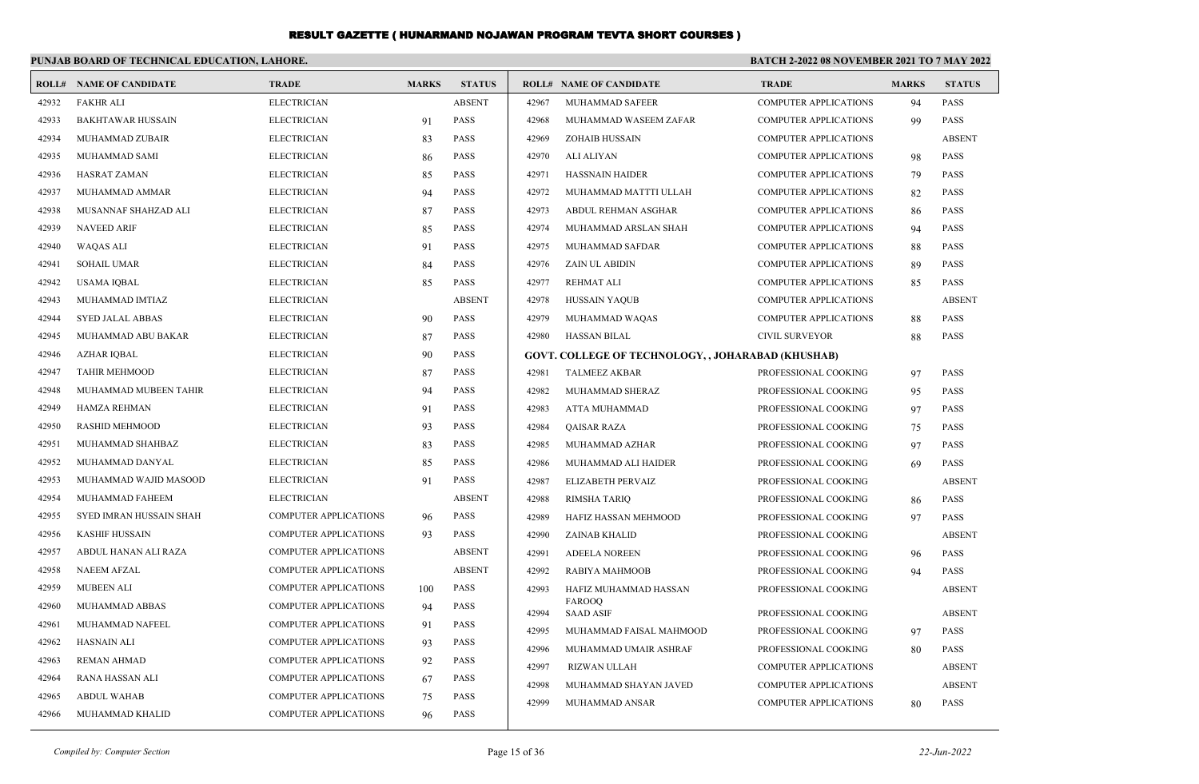|       | PUNJAB BOARD OF TECHNICAL EDUCATION, LAHORE. |                              |              |               | BATCH 2-2022 08 NOVEMBER 2021 TO 7 MAY 2022 |                                                           |                              |              |               |  |
|-------|----------------------------------------------|------------------------------|--------------|---------------|---------------------------------------------|-----------------------------------------------------------|------------------------------|--------------|---------------|--|
|       | <b>ROLL# NAME OF CANDIDATE</b>               | <b>TRADE</b>                 | <b>MARKS</b> | <b>STATUS</b> |                                             | <b>ROLL# NAME OF CANDIDATE</b>                            | <b>TRADE</b>                 | <b>MARKS</b> | <b>STATUS</b> |  |
| 42932 | <b>FAKHR ALI</b>                             | <b>ELECTRICIAN</b>           |              | <b>ABSENT</b> | 42967                                       | MUHAMMAD SAFEER                                           | <b>COMPUTER APPLICATIONS</b> | 94           | <b>PASS</b>   |  |
| 42933 | <b>BAKHTAWAR HUSSAIN</b>                     | <b>ELECTRICIAN</b>           | 91           | <b>PASS</b>   | 42968                                       | MUHAMMAD WASEEM ZAFAR                                     | <b>COMPUTER APPLICATIONS</b> | 99           | <b>PASS</b>   |  |
| 42934 | MUHAMMAD ZUBAIR                              | <b>ELECTRICIAN</b>           | 83           | <b>PASS</b>   | 42969                                       | <b>ZOHAIB HUSSAIN</b>                                     | <b>COMPUTER APPLICATIONS</b> |              | <b>ABSENT</b> |  |
| 42935 | MUHAMMAD SAMI                                | <b>ELECTRICIAN</b>           | 86           | <b>PASS</b>   | 42970                                       | ALI ALIYAN                                                | <b>COMPUTER APPLICATIONS</b> | 98           | <b>PASS</b>   |  |
| 42936 | <b>HASRAT ZAMAN</b>                          | <b>ELECTRICIAN</b>           | 85           | <b>PASS</b>   | 42971                                       | <b>HASSNAIN HAIDER</b>                                    | <b>COMPUTER APPLICATIONS</b> | 79           | <b>PASS</b>   |  |
| 42937 | MUHAMMAD AMMAR                               | <b>ELECTRICIAN</b>           | 94           | <b>PASS</b>   | 42972                                       | MUHAMMAD MATTTI ULLAH                                     | <b>COMPUTER APPLICATIONS</b> | 82           | <b>PASS</b>   |  |
| 42938 | MUSANNAF SHAHZAD ALI                         | <b>ELECTRICIAN</b>           | 87           | <b>PASS</b>   | 42973                                       | ABDUL REHMAN ASGHAR                                       | <b>COMPUTER APPLICATIONS</b> | 86           | <b>PASS</b>   |  |
| 42939 | <b>NAVEED ARIF</b>                           | <b>ELECTRICIAN</b>           | 85           | <b>PASS</b>   | 42974                                       | MUHAMMAD ARSLAN SHAH                                      | <b>COMPUTER APPLICATIONS</b> | 94           | <b>PASS</b>   |  |
| 42940 | <b>WAQAS ALI</b>                             | <b>ELECTRICIAN</b>           | 91           | <b>PASS</b>   | 42975                                       | MUHAMMAD SAFDAR                                           | COMPUTER APPLICATIONS        | 88           | <b>PASS</b>   |  |
| 42941 | <b>SOHAIL UMAR</b>                           | <b>ELECTRICIAN</b>           | 84           | <b>PASS</b>   | 42976                                       | <b>ZAIN UL ABIDIN</b>                                     | COMPUTER APPLICATIONS        | 89           | PASS          |  |
| 42942 | <b>USAMA IQBAL</b>                           | <b>ELECTRICIAN</b>           | 85           | <b>PASS</b>   | 42977                                       | <b>REHMAT ALI</b>                                         | COMPUTER APPLICATIONS        | 85           | <b>PASS</b>   |  |
| 42943 | MUHAMMAD IMTIAZ                              | <b>ELECTRICIAN</b>           |              | <b>ABSENT</b> | 42978                                       | <b>HUSSAIN YAQUB</b>                                      | <b>COMPUTER APPLICATIONS</b> |              | <b>ABSENT</b> |  |
| 42944 | <b>SYED JALAL ABBAS</b>                      | <b>ELECTRICIAN</b>           | 90           | <b>PASS</b>   | 42979                                       | MUHAMMAD WAQAS                                            | <b>COMPUTER APPLICATIONS</b> | 88           | <b>PASS</b>   |  |
| 42945 | MUHAMMAD ABU BAKAR                           | <b>ELECTRICIAN</b>           | 87           | <b>PASS</b>   | 42980                                       | <b>HASSAN BILAL</b>                                       | <b>CIVIL SURVEYOR</b>        | 88           | <b>PASS</b>   |  |
| 42946 | <b>AZHAR IOBAL</b>                           | <b>ELECTRICIAN</b>           | 90           | <b>PASS</b>   |                                             | <b>GOVT. COLLEGE OF TECHNOLOGY, , JOHARABAD (KHUSHAB)</b> |                              |              |               |  |
| 42947 | <b>TAHIR MEHMOOD</b>                         | <b>ELECTRICIAN</b>           | 87           | <b>PASS</b>   | 42981                                       | <b>TALMEEZ AKBAR</b>                                      | PROFESSIONAL COOKING         | 97           | <b>PASS</b>   |  |
| 42948 | MUHAMMAD MUBEEN TAHIR                        | <b>ELECTRICIAN</b>           | 94           | <b>PASS</b>   | 42982                                       | MUHAMMAD SHERAZ                                           | PROFESSIONAL COOKING         | 95           | <b>PASS</b>   |  |
| 42949 | HAMZA REHMAN                                 | <b>ELECTRICIAN</b>           | 91           | <b>PASS</b>   | 42983                                       | ATTA MUHAMMAD                                             | PROFESSIONAL COOKING         | 97           | <b>PASS</b>   |  |
| 42950 | <b>RASHID MEHMOOD</b>                        | <b>ELECTRICIAN</b>           | 93           | <b>PASS</b>   | 42984                                       | <b>QAISAR RAZA</b>                                        | PROFESSIONAL COOKING         | 75           | <b>PASS</b>   |  |
| 42951 | MUHAMMAD SHAHBAZ                             | <b>ELECTRICIAN</b>           | 83           | <b>PASS</b>   | 42985                                       | MUHAMMAD AZHAR                                            | PROFESSIONAL COOKING         | 97           | <b>PASS</b>   |  |
| 42952 | MUHAMMAD DANYAL                              | <b>ELECTRICIAN</b>           | 85           | <b>PASS</b>   | 42986                                       | MUHAMMAD ALI HAIDER                                       | PROFESSIONAL COOKING         | 69           | <b>PASS</b>   |  |
| 42953 | MUHAMMAD WAJID MASOOD                        | <b>ELECTRICIAN</b>           | 91           | <b>PASS</b>   | 42987                                       | ELIZABETH PERVAIZ                                         | PROFESSIONAL COOKING         |              | <b>ABSENT</b> |  |
| 42954 | MUHAMMAD FAHEEM                              | <b>ELECTRICIAN</b>           |              | <b>ABSENT</b> | 42988                                       | RIMSHA TARIQ                                              | PROFESSIONAL COOKING         | 86           | <b>PASS</b>   |  |
| 42955 | SYED IMRAN HUSSAIN SHAH                      | <b>COMPUTER APPLICATIONS</b> | 96           | <b>PASS</b>   | 42989                                       | HAFIZ HASSAN MEHMOOD                                      | PROFESSIONAL COOKING         | 97           | <b>PASS</b>   |  |
| 42956 | <b>KASHIF HUSSAIN</b>                        | <b>COMPUTER APPLICATIONS</b> | 93           | <b>PASS</b>   | 42990                                       | <b>ZAINAB KHALID</b>                                      | PROFESSIONAL COOKING         |              | <b>ABSENT</b> |  |
| 42957 | ABDUL HANAN ALI RAZA                         | <b>COMPUTER APPLICATIONS</b> |              | <b>ABSENT</b> | 42991                                       | <b>ADEELA NOREEN</b>                                      | PROFESSIONAL COOKING         | 96           | <b>PASS</b>   |  |
| 42958 | <b>NAEEM AFZAL</b>                           | <b>COMPUTER APPLICATIONS</b> |              | <b>ABSENT</b> | 42992                                       | RABIYA MAHMOOB                                            | PROFESSIONAL COOKING         | 94           | <b>PASS</b>   |  |
| 42959 | <b>MUBEEN ALI</b>                            | <b>COMPUTER APPLICATIONS</b> | 100          | <b>PASS</b>   | 42993                                       | HAFIZ MUHAMMAD HASSAN                                     | PROFESSIONAL COOKING         |              | <b>ABSENT</b> |  |
| 42960 | MUHAMMAD ABBAS                               | <b>COMPUTER APPLICATIONS</b> | 94           | <b>PASS</b>   | 42994                                       | FAROOQ<br><b>SAAD ASIF</b>                                | PROFESSIONAL COOKING         |              | <b>ABSENT</b> |  |
| 42961 | MUHAMMAD NAFEEL                              | COMPUTER APPLICATIONS        | 91           | <b>PASS</b>   | 42995                                       | MUHAMMAD FAISAL MAHMOOD                                   | PROFESSIONAL COOKING         | 97           | <b>PASS</b>   |  |
| 42962 | <b>HASNAIN ALI</b>                           | <b>COMPUTER APPLICATIONS</b> | 93           | <b>PASS</b>   | 42996                                       | MUHAMMAD UMAIR ASHRAF                                     | PROFESSIONAL COOKING         | 80           | <b>PASS</b>   |  |
| 42963 | <b>REMAN AHMAD</b>                           | <b>COMPUTER APPLICATIONS</b> | 92           | <b>PASS</b>   | 42997                                       | <b>RIZWAN ULLAH</b>                                       | <b>COMPUTER APPLICATIONS</b> |              | <b>ABSENT</b> |  |
| 42964 | RANA HASSAN ALI                              | <b>COMPUTER APPLICATIONS</b> | 67           | <b>PASS</b>   | 42998                                       | MUHAMMAD SHAYAN JAVED                                     | <b>COMPUTER APPLICATIONS</b> |              | <b>ABSENT</b> |  |
| 42965 | <b>ABDUL WAHAB</b>                           | <b>COMPUTER APPLICATIONS</b> | 75           | <b>PASS</b>   | 42999                                       | MUHAMMAD ANSAR                                            | <b>COMPUTER APPLICATIONS</b> | 80           | <b>PASS</b>   |  |
| 42966 | MUHAMMAD KHALID                              | <b>COMPUTER APPLICATIONS</b> | 96           | <b>PASS</b>   |                                             |                                                           |                              |              |               |  |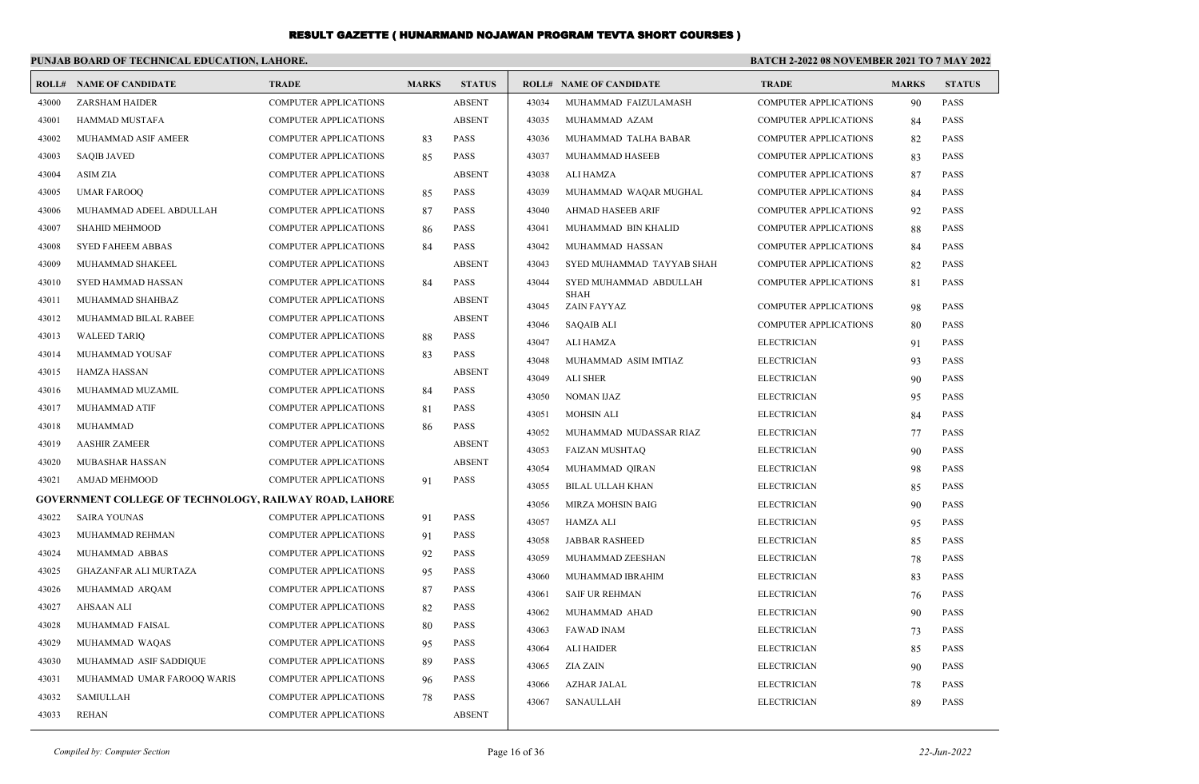#### **PUNJAB BOARD OF TECHNICAL EDUCATION, LAHORE. BATCH 2-2022 08 NOVEMBER 2021 TO 7 MAY 2022 ROLL# NAME OF CANDIDATE TRADE MARKS STATUS ROLL# NAME OF CANDIDATE TRADE MARKS STATUS** 43000 ZARSHAM HAIDER COMPUTER APPLICATIONS ABSENT 43001 HAMMAD MUSTAFA COMPUTER APPLICATIONS ABSENT 43002 MUHAMMAD ASIF AMEER COMPUTER APPLICATIONS 83 PASS 43003 SAQIB JAVED COMPUTER APPLICATIONS 85 PASS 43004 ASIM ZIA COMPUTER APPLICATIONS ABSENT 43005 UMAR FAROOQ COMPUTER APPLICATIONS 85 PASS 43006 MUHAMMAD ADEEL ABDULLAH COMPUTER APPLICATIONS 87 PASS 43007 SHAHID MEHMOOD COMPUTER APPLICATIONS 86 PASS 43008 SYED FAHEEM ABBAS COMPUTER APPLICATIONS 84 PASS 43009 MUHAMMAD SHAKEEL COMPUTER APPLICATIONS ABSENT 43010 SYED HAMMAD HASSAN COMPUTER APPLICATIONS 84 PASS 43011 MUHAMMAD SHAHBAZ COMPUTER APPLICATIONS ABSENT 43012 MUHAMMAD BILAL RABEE COMPUTER APPLICATIONS ABSENT 43013 WALEED TARIQ COMPUTER APPLICATIONS 88 PASS 43014 MUHAMMAD YOUSAF COMPUTER APPLICATIONS 83 PASS 43015 HAMZA HASSAN COMPUTER APPLICATIONS ABSENT 43016 MUHAMMAD MUZAMIL COMPUTER APPLICATIONS 84 PASS 43017 MUHAMMAD ATIF COMPUTER APPLICATIONS 81 PASS 43018 MUHAMMAD COMPUTER APPLICATIONS 86 PASS 43019 AASHIR ZAMEER COMPUTER APPLICATIONS ABSENT 43020 MUBASHAR HASSAN COMPUTER APPLICATIONS ABSENT 43021 AMJAD MEHMOOD COMPUTER APPLICATIONS 91 PASS **GOVERNMENT COLLEGE OF TECHNOLOGY, RAILWAY ROAD, LAHORE** 43022 SAIRA YOUNAS COMPUTER APPLICATIONS 91 PASS 43023 MUHAMMAD REHMAN COMPUTER APPLICATIONS 91 PASS 43024 MUHAMMAD ABBAS COMPUTER APPLICATIONS 92 PASS 43025 GHAZANFAR ALI MURTAZA COMPUTER APPLICATIONS 95 PASS 43026 MUHAMMAD ARQAM COMPUTER APPLICATIONS 87 PASS 43027 AHSAAN ALI COMPUTER APPLICATIONS 82 PASS 43028 MUHAMMAD FAISAL COMPUTER APPLICATIONS 80 PASS 43029 MUHAMMAD WAQAS COMPUTER APPLICATIONS 95 PASS 43030 MUHAMMAD ASIF SADDIQUE COMPUTER APPLICATIONS 89 PASS 43031 MUHAMMAD UMAR FAROOQ WARIS COMPUTER APPLICATIONS 96 PASS 43032 SAMIULLAH COMPUTER APPLICATIONS 78 PASS 43034 MUHAMMAD FAIZULAMASH COMPUTER APPLICATIONS 90 PASS 43035 MUHAMMAD AZAM COMPUTER APPLICATIONS 84 PASS 43036 MUHAMMAD TALHA BABAR COMPUTER APPLICATIONS 82 PASS 43037 MUHAMMAD HASEEB COMPUTER APPLICATIONS 83 PASS 43038 ALI HAMZA COMPUTER APPLICATIONS 87 PASS 43039 MUHAMMAD WAQAR MUGHAL COMPUTER APPLICATIONS 84 PASS 43040 AHMAD HASEEB ARIF COMPUTER APPLICATIONS 92 PASS 43041 MUHAMMAD BIN KHALID COMPUTER APPLICATIONS 88 PASS 43042 MUHAMMAD HASSAN COMPUTER APPLICATIONS 84 PASS 43043 SYED MUHAMMAD TAYYAB SHAH COMPUTER APPLICATIONS 82 PASS SYED MUHAMMAD ABDULLAH COMPUTER APPLICATIONS 81 PASS SHAH 43044 43045 ZAIN FAYYAZ COMPUTER APPLICATIONS 98 PASS 43046 SAQAIB ALI COMPUTER APPLICATIONS 80 PASS 43047 ALI HAMZA ELECTRICIAN 91 PASS 43048 MUHAMMAD ASIM IMTIAZ ELECTRICIAN 93 PASS 43049 ALI SHER ELECTRICIAN 90 PASS 43050 NOMAN IJAZ ELECTRICIAN 95 PASS 43051 MOHSIN ALI ELECTRICIAN 84 PASS 43052 MUHAMMAD MUDASSAR RIAZ ELECTRICIAN 77 PASS 43053 FAIZAN MUSHTAQ ELECTRICIAN 90 PASS 43054 MUHAMMAD QIRAN ELECTRICIAN 98 PASS 43055 BILAL ULLAH KHAN ELECTRICIAN 85 PASS 43056 MIRZA MOHSIN BAIG ELECTRICIAN 90 PASS 43057 HAMZA ALI ELECTRICIAN 95 PASS 43058 JABBAR RASHEED ELECTRICIAN 85 PASS 43059 MUHAMMAD ZEESHAN ELECTRICIAN 78 PASS 43060 MUHAMMAD IBRAHIM ELECTRICIAN 83 PASS 43061 SAIF UR REHMAN ELECTRICIAN 76 PASS 43062 MUHAMMAD AHAD ELECTRICIAN 90 PASS 43063 FAWAD INAM ELECTRICIAN 73 PASS 43064 ALI HAIDER ELECTRICIAN 85 PASS 43065 ZIA ZAIN ELECTRICIAN 90 PASS 43066 AZHAR JALAL ELECTRICIAN 78 PASS 43067 SANAULLAH ELECTRICIAN 89 PASS

43033 REHAN COMPUTER APPLICATIONS ABSENT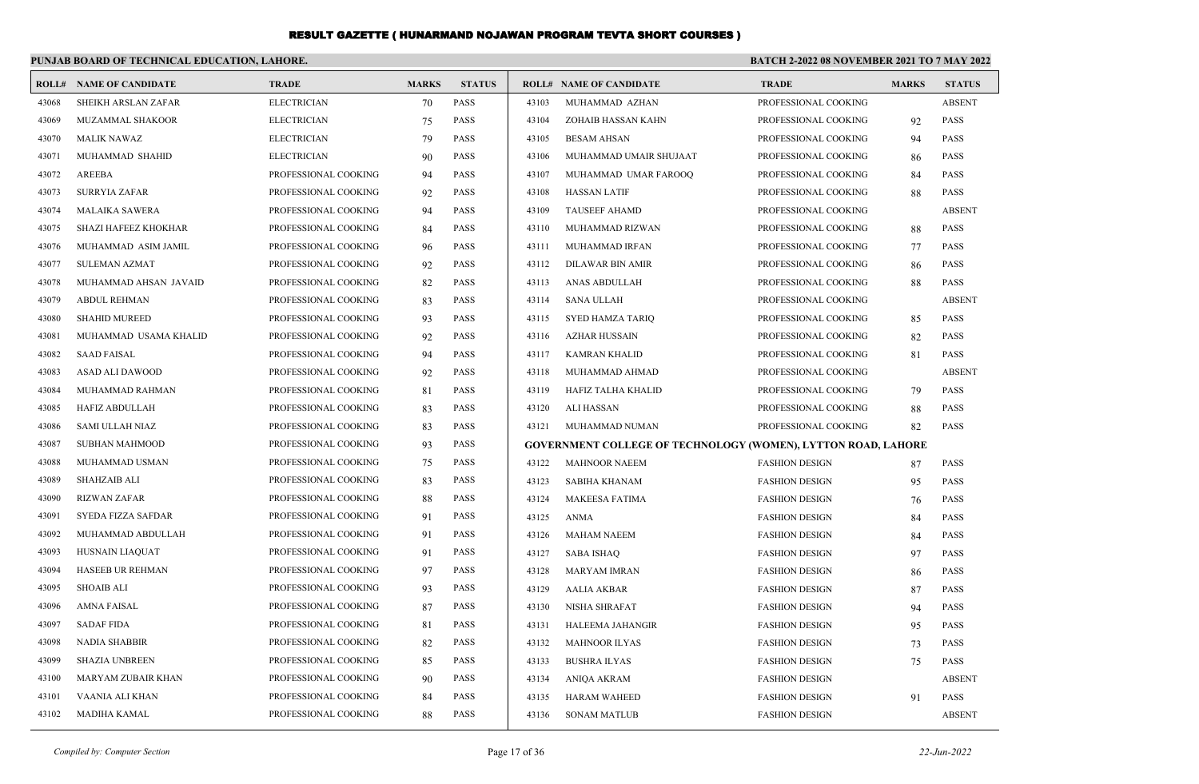|       | PUNJAB BOARD OF TECHNICAL EDUCATION, LAHORE. |                      |              |               | <b>BATCH 2-2022 08 NOVEMBER 2021 TO 7 MAY 2022</b> |                                                                      |                       |              |               |
|-------|----------------------------------------------|----------------------|--------------|---------------|----------------------------------------------------|----------------------------------------------------------------------|-----------------------|--------------|---------------|
| ROLL# | <b>NAME OF CANDIDATE</b>                     | <b>TRADE</b>         | <b>MARKS</b> | <b>STATUS</b> |                                                    | <b>ROLL# NAME OF CANDIDATE</b>                                       | <b>TRADE</b>          | <b>MARKS</b> | <b>STATUS</b> |
| 43068 | SHEIKH ARSLAN ZAFAR                          | <b>ELECTRICIAN</b>   | 70           | <b>PASS</b>   | 43103                                              | MUHAMMAD AZHAN                                                       | PROFESSIONAL COOKING  |              | <b>ABSENT</b> |
| 43069 | MUZAMMAL SHAKOOR                             | <b>ELECTRICIAN</b>   | 75           | <b>PASS</b>   | 43104                                              | ZOHAIB HASSAN KAHN                                                   | PROFESSIONAL COOKING  | 92           | <b>PASS</b>   |
| 43070 | <b>MALIK NAWAZ</b>                           | <b>ELECTRICIAN</b>   | 79           | <b>PASS</b>   | 43105                                              | <b>BESAM AHSAN</b>                                                   | PROFESSIONAL COOKING  | 94           | <b>PASS</b>   |
| 43071 | MUHAMMAD SHAHID                              | <b>ELECTRICIAN</b>   | 90           | <b>PASS</b>   | 43106                                              | MUHAMMAD UMAIR SHUJAAT                                               | PROFESSIONAL COOKING  | 86           | <b>PASS</b>   |
| 43072 | <b>AREEBA</b>                                | PROFESSIONAL COOKING | 94           | <b>PASS</b>   | 43107                                              | MUHAMMAD UMAR FAROOQ                                                 | PROFESSIONAL COOKING  | 84           | <b>PASS</b>   |
| 43073 | SURRYIA ZAFAR                                | PROFESSIONAL COOKING | 92           | <b>PASS</b>   | 43108                                              | <b>HASSAN LATIF</b>                                                  | PROFESSIONAL COOKING  | 88           | <b>PASS</b>   |
| 43074 | <b>MALAIKA SAWERA</b>                        | PROFESSIONAL COOKING | 94           | <b>PASS</b>   | 43109                                              | <b>TAUSEEF AHAMD</b>                                                 | PROFESSIONAL COOKING  |              | <b>ABSENT</b> |
| 43075 | SHAZI HAFEEZ KHOKHAR                         | PROFESSIONAL COOKING | 84           | <b>PASS</b>   | 43110                                              | MUHAMMAD RIZWAN                                                      | PROFESSIONAL COOKING  | 88           | <b>PASS</b>   |
| 43076 | MUHAMMAD ASIM JAMIL                          | PROFESSIONAL COOKING | 96           | <b>PASS</b>   | 43111                                              | MUHAMMAD IRFAN                                                       | PROFESSIONAL COOKING  | 77           | PASS          |
| 43077 | <b>SULEMAN AZMAT</b>                         | PROFESSIONAL COOKING | 92           | <b>PASS</b>   | 43112                                              | <b>DILAWAR BIN AMIR</b>                                              | PROFESSIONAL COOKING  | 86           | <b>PASS</b>   |
| 43078 | MUHAMMAD AHSAN JAVAID                        | PROFESSIONAL COOKING | 82           | <b>PASS</b>   | 43113                                              | <b>ANAS ABDULLAH</b>                                                 | PROFESSIONAL COOKING  | 88           | <b>PASS</b>   |
| 43079 | <b>ABDUL REHMAN</b>                          | PROFESSIONAL COOKING | 83           | <b>PASS</b>   | 43114                                              | <b>SANA ULLAH</b>                                                    | PROFESSIONAL COOKING  |              | <b>ABSENT</b> |
| 43080 | <b>SHAHID MUREED</b>                         | PROFESSIONAL COOKING | 93           | <b>PASS</b>   | 43115                                              | SYED HAMZA TARIQ                                                     | PROFESSIONAL COOKING  | 85           | <b>PASS</b>   |
| 43081 | MUHAMMAD USAMA KHALID                        | PROFESSIONAL COOKING | 92           | <b>PASS</b>   | 43116                                              | <b>AZHAR HUSSAIN</b>                                                 | PROFESSIONAL COOKING  | 82           | <b>PASS</b>   |
| 43082 | <b>SAAD FAISAL</b>                           | PROFESSIONAL COOKING | 94           | <b>PASS</b>   | 43117                                              | <b>KAMRAN KHALID</b>                                                 | PROFESSIONAL COOKING  | 81           | <b>PASS</b>   |
| 43083 | ASAD ALI DAWOOD                              | PROFESSIONAL COOKING | 92           | <b>PASS</b>   | 43118                                              | MUHAMMAD AHMAD                                                       | PROFESSIONAL COOKING  |              | <b>ABSENT</b> |
| 43084 | MUHAMMAD RAHMAN                              | PROFESSIONAL COOKING | 81           | <b>PASS</b>   | 43119                                              | HAFIZ TALHA KHALID                                                   | PROFESSIONAL COOKING  | 79           | <b>PASS</b>   |
| 43085 | HAFIZ ABDULLAH                               | PROFESSIONAL COOKING | 83           | <b>PASS</b>   | 43120                                              | ALI HASSAN                                                           | PROFESSIONAL COOKING  | 88           | PASS          |
| 43086 | SAMI ULLAH NIAZ                              | PROFESSIONAL COOKING | 83           | <b>PASS</b>   | 43121                                              | MUHAMMAD NUMAN                                                       | PROFESSIONAL COOKING  | 82           | <b>PASS</b>   |
| 43087 | <b>SUBHAN MAHMOOD</b>                        | PROFESSIONAL COOKING | 93           | <b>PASS</b>   |                                                    | <b>GOVERNMENT COLLEGE OF TECHNOLOGY (WOMEN), LYTTON ROAD, LAHORE</b> |                       |              |               |
| 43088 | MUHAMMAD USMAN                               | PROFESSIONAL COOKING | 75           | <b>PASS</b>   | 43122                                              | <b>MAHNOOR NAEEM</b>                                                 | <b>FASHION DESIGN</b> | 87           | <b>PASS</b>   |
| 43089 | <b>SHAHZAIB ALI</b>                          | PROFESSIONAL COOKING | 83           | <b>PASS</b>   | 43123                                              | SABIHA KHANAM                                                        | <b>FASHION DESIGN</b> | 95           | PASS          |
| 43090 | <b>RIZWAN ZAFAR</b>                          | PROFESSIONAL COOKING | 88           | <b>PASS</b>   | 43124                                              | <b>MAKEESA FATIMA</b>                                                | <b>FASHION DESIGN</b> | 76           | <b>PASS</b>   |
| 43091 | SYEDA FIZZA SAFDAR                           | PROFESSIONAL COOKING | 91           | <b>PASS</b>   | 43125                                              | <b>ANMA</b>                                                          | <b>FASHION DESIGN</b> | 84           | <b>PASS</b>   |
| 43092 | MUHAMMAD ABDULLAH                            | PROFESSIONAL COOKING | 91           | <b>PASS</b>   | 43126                                              | <b>MAHAM NAEEM</b>                                                   | <b>FASHION DESIGN</b> | 84           | <b>PASS</b>   |
| 43093 | <b>HUSNAIN LIAQUAT</b>                       | PROFESSIONAL COOKING | 91           | <b>PASS</b>   | 43127                                              | <b>SABA ISHAQ</b>                                                    | <b>FASHION DESIGN</b> | 97           | <b>PASS</b>   |
| 43094 | <b>HASEEB UR REHMAN</b>                      | PROFESSIONAL COOKING | 97           | PASS          | 43128                                              | <b>MARYAM IMRAN</b>                                                  | <b>FASHION DESIGN</b> | 86           | <b>PASS</b>   |
| 43095 | <b>SHOAIB ALI</b>                            | PROFESSIONAL COOKING | 93           | <b>PASS</b>   | 43129                                              | <b>AALIA AKBAR</b>                                                   | <b>FASHION DESIGN</b> | 87           | <b>PASS</b>   |
| 43096 | <b>AMNA FAISAL</b>                           | PROFESSIONAL COOKING | 87           | <b>PASS</b>   | 43130                                              | <b>NISHA SHRAFAT</b>                                                 | <b>FASHION DESIGN</b> | 94           | <b>PASS</b>   |
| 43097 | <b>SADAF FIDA</b>                            | PROFESSIONAL COOKING | 81           | <b>PASS</b>   | 43131                                              | HALEEMA JAHANGIR                                                     | <b>FASHION DESIGN</b> | 95           | PASS          |
| 43098 | <b>NADIA SHABBIR</b>                         | PROFESSIONAL COOKING | 82           | <b>PASS</b>   | 43132                                              | <b>MAHNOOR ILYAS</b>                                                 | <b>FASHION DESIGN</b> | 73           | PASS          |
| 43099 | <b>SHAZIA UNBREEN</b>                        | PROFESSIONAL COOKING | 85           | <b>PASS</b>   | 43133                                              | <b>BUSHRA ILYAS</b>                                                  | <b>FASHION DESIGN</b> | 75           | <b>PASS</b>   |
| 43100 | MARYAM ZUBAIR KHAN                           | PROFESSIONAL COOKING | 90           | <b>PASS</b>   | 43134                                              | ANIQA AKRAM                                                          | <b>FASHION DESIGN</b> |              | <b>ABSENT</b> |
| 43101 | VAANIA ALI KHAN                              | PROFESSIONAL COOKING | 84           | <b>PASS</b>   | 43135                                              | <b>HARAM WAHEED</b>                                                  | <b>FASHION DESIGN</b> | 91           | <b>PASS</b>   |
| 43102 | <b>MADIHA KAMAL</b>                          | PROFESSIONAL COOKING | 88           | <b>PASS</b>   | 43136                                              | <b>SONAM MATLUB</b>                                                  | <b>FASHION DESIGN</b> |              | <b>ABSENT</b> |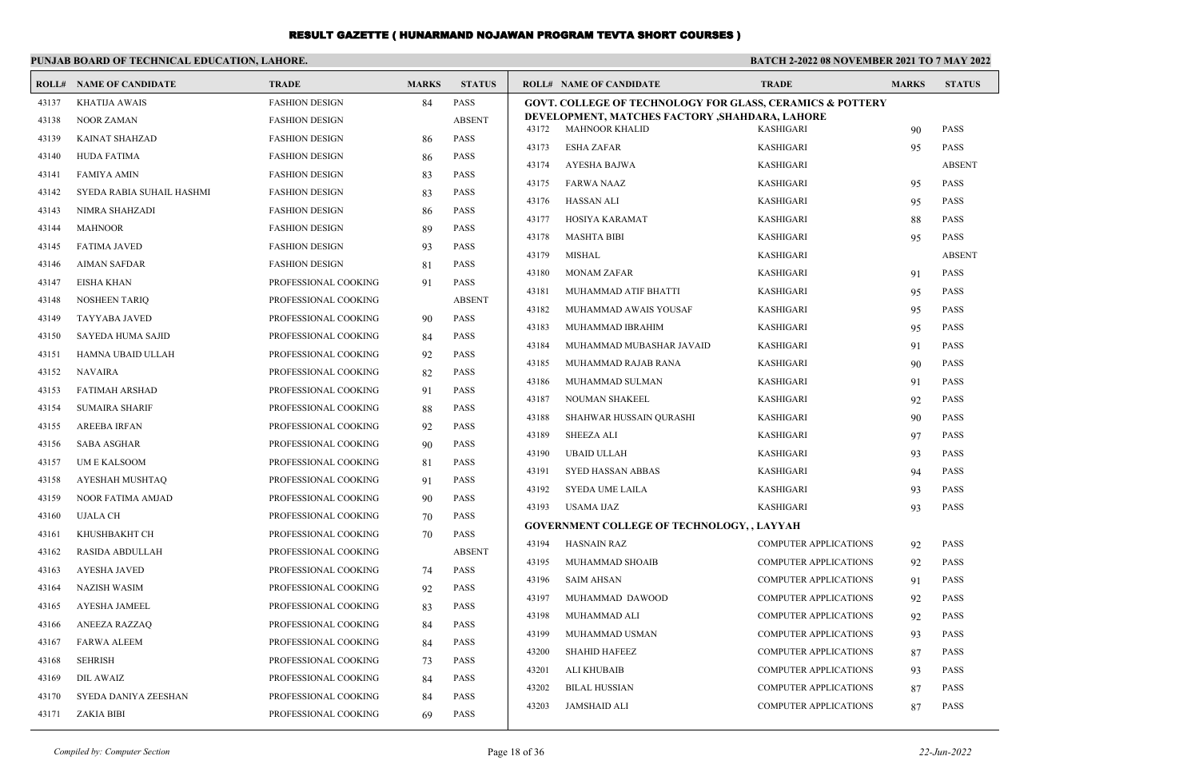|       | PUNJAB BOARD OF TECHNICAL EDUCATION, LAHORE. |                       |              | <b>BATCH 2-2022 08 NOVEMBER 2021 TO 7 MAY 2022</b> |       |                                                                      |                                                              |              |               |
|-------|----------------------------------------------|-----------------------|--------------|----------------------------------------------------|-------|----------------------------------------------------------------------|--------------------------------------------------------------|--------------|---------------|
|       | <b>ROLL# NAME OF CANDIDATE</b>               | <b>TRADE</b>          | <b>MARKS</b> | <b>STATUS</b>                                      |       | <b>ROLL# NAME OF CANDIDATE</b>                                       | <b>TRADE</b>                                                 | <b>MARKS</b> | <b>STATUS</b> |
| 43137 | <b>KHATIJA AWAIS</b>                         | <b>FASHION DESIGN</b> | 84           | <b>PASS</b>                                        |       | <b>GOVT. COLLEGE OF TECHNOLOGY FOR GLASS, CERAMICS &amp; POTTERY</b> |                                                              |              |               |
| 43138 | <b>NOOR ZAMAN</b>                            | <b>FASHION DESIGN</b> |              | <b>ABSENT</b>                                      | 43172 | DEVELOPMENT, MATCHES FACTORY , SHAHDARA, LAHORE<br>MAHNOOR KHALID    | <b>KASHIGARI</b>                                             |              | <b>PASS</b>   |
| 43139 | KAINAT SHAHZAD                               | <b>FASHION DESIGN</b> | 86           | <b>PASS</b>                                        | 43173 | <b>ESHA ZAFAR</b>                                                    | <b>KASHIGARI</b>                                             | 90<br>95     | PASS          |
| 43140 | <b>HUDA FATIMA</b>                           | <b>FASHION DESIGN</b> | 86           | <b>PASS</b>                                        | 43174 | AYESHA BAJWA                                                         | <b>KASHIGARI</b>                                             |              | <b>ABSENT</b> |
| 43141 | <b>FAMIYA AMIN</b>                           | <b>FASHION DESIGN</b> | 83           | <b>PASS</b>                                        | 43175 | <b>FARWA NAAZ</b>                                                    | <b>KASHIGARI</b>                                             | 95           | PASS          |
| 43142 | SYEDA RABIA SUHAIL HASHMI                    | <b>FASHION DESIGN</b> | 83           | <b>PASS</b>                                        | 43176 | <b>HASSAN ALI</b>                                                    | <b>KASHIGARI</b>                                             | 95           | PASS          |
| 43143 | NIMRA SHAHZADI                               | <b>FASHION DESIGN</b> | -86          | <b>PASS</b>                                        | 43177 | HOSIYA KARAMAT                                                       | <b>KASHIGARI</b>                                             | 88           | PASS          |
| 43144 | <b>MAHNOOR</b>                               | <b>FASHION DESIGN</b> | 89           | <b>PASS</b>                                        | 43178 | <b>MASHTA BIBI</b>                                                   | <b>KASHIGARI</b>                                             | 95           | <b>PASS</b>   |
| 43145 | <b>FATIMA JAVED</b>                          | <b>FASHION DESIGN</b> | 93           | <b>PASS</b>                                        | 43179 | <b>MISHAL</b>                                                        | <b>KASHIGARI</b>                                             |              | <b>ABSENT</b> |
| 43146 | <b>AIMAN SAFDAR</b>                          | <b>FASHION DESIGN</b> | 81           | <b>PASS</b>                                        | 43180 | <b>MONAM ZAFAR</b>                                                   | <b>KASHIGARI</b>                                             | 91           | PASS          |
| 43147 | <b>EISHA KHAN</b>                            | PROFESSIONAL COOKING  | 91           | <b>PASS</b>                                        | 43181 | MUHAMMAD ATIF BHATTI                                                 | <b>KASHIGARI</b>                                             | 95           | PASS          |
| 43148 | <b>NOSHEEN TARIQ</b>                         | PROFESSIONAL COOKING  |              | <b>ABSENT</b>                                      | 43182 | MUHAMMAD AWAIS YOUSAF                                                | <b>KASHIGARI</b>                                             | 95           | <b>PASS</b>   |
| 43149 | TAYYABA JAVED                                | PROFESSIONAL COOKING  | 90           | <b>PASS</b>                                        | 43183 | MUHAMMAD IBRAHIM                                                     | <b>KASHIGARI</b>                                             | 95           | <b>PASS</b>   |
| 43150 | <b>SAYEDA HUMA SAJID</b>                     | PROFESSIONAL COOKING  | 84           | <b>PASS</b>                                        | 43184 | MUHAMMAD MUBASHAR JAVAID                                             | <b>KASHIGARI</b>                                             | 91           | <b>PASS</b>   |
| 43151 | HAMNA UBAID ULLAH                            | PROFESSIONAL COOKING  | 92           | <b>PASS</b>                                        | 43185 | MUHAMMAD RAJAB RANA                                                  | <b>KASHIGARI</b>                                             | 90           | PASS          |
| 43152 | <b>NAVAIRA</b>                               | PROFESSIONAL COOKING  | 82           | <b>PASS</b>                                        | 43186 | MUHAMMAD SULMAN                                                      | <b>KASHIGARI</b>                                             | 91           | <b>PASS</b>   |
| 43153 | <b>FATIMAH ARSHAD</b>                        | PROFESSIONAL COOKING  | 91           | <b>PASS</b>                                        | 43187 | <b>NOUMAN SHAKEEL</b>                                                | <b>KASHIGARI</b>                                             | 92           | <b>PASS</b>   |
| 43154 | <b>SUMAIRA SHARIF</b>                        | PROFESSIONAL COOKING  | 88           | <b>PASS</b>                                        | 43188 | SHAHWAR HUSSAIN QURASHI                                              | <b>KASHIGARI</b>                                             | 90           | <b>PASS</b>   |
| 43155 | <b>AREEBA IRFAN</b>                          | PROFESSIONAL COOKING  | 92           | <b>PASS</b>                                        | 43189 | <b>SHEEZA ALI</b>                                                    | <b>KASHIGARI</b>                                             | 97           | <b>PASS</b>   |
| 43156 | <b>SABA ASGHAR</b>                           | PROFESSIONAL COOKING  | 90           | <b>PASS</b>                                        | 43190 | <b>UBAID ULLAH</b>                                                   | <b>KASHIGARI</b>                                             | 93           | <b>PASS</b>   |
| 43157 | <b>UME KALSOOM</b>                           | PROFESSIONAL COOKING  | 81           | <b>PASS</b>                                        | 43191 | SYED HASSAN ABBAS                                                    | <b>KASHIGARI</b>                                             | 94           | PASS          |
| 43158 | AYESHAH MUSHTAQ                              | PROFESSIONAL COOKING  | 91           | <b>PASS</b>                                        | 43192 | SYEDA UME LAILA                                                      | <b>KASHIGARI</b>                                             | 93           | PASS          |
| 43159 | <b>NOOR FATIMA AMJAD</b>                     | PROFESSIONAL COOKING  | 90           | <b>PASS</b>                                        | 43193 | USAMA IJAZ                                                           | <b>KASHIGARI</b>                                             | 93           | <b>PASS</b>   |
| 43160 | <b>UJALA CH</b>                              | PROFESSIONAL COOKING  | 70           | <b>PASS</b>                                        |       | <b>GOVERNMENT COLLEGE OF TECHNOLOGY,, LAYYAH</b>                     |                                                              |              |               |
| 43161 | KHUSHBAKHT CH                                | PROFESSIONAL COOKING  | 70           | <b>PASS</b>                                        | 43194 | <b>HASNAIN RAZ</b>                                                   | COMPUTER APPLICATIONS                                        | 92           | PASS          |
| 43162 | RASIDA ABDULLAH                              | PROFESSIONAL COOKING  |              | <b>ABSENT</b>                                      | 43195 | MUHAMMAD SHOAIB                                                      | COMPUTER APPLICATIONS                                        | 92           | PASS          |
| 43163 | <b>AYESHA JAVED</b>                          | PROFESSIONAL COOKING  | 74           | <b>PASS</b>                                        | 43196 | <b>SAIM AHSAN</b>                                                    | <b>COMPUTER APPLICATIONS</b>                                 | 91           | PASS          |
| 43164 | <b>NAZISH WASIM</b>                          | PROFESSIONAL COOKING  | 92           | <b>PASS</b>                                        | 43197 | MUHAMMAD DAWOOD                                                      | <b>COMPUTER APPLICATIONS</b>                                 | 92           | PASS          |
| 43165 | AYESHA JAMEEL                                | PROFESSIONAL COOKING  | 83           | <b>PASS</b>                                        | 43198 | MUHAMMAD ALI                                                         | <b>COMPUTER APPLICATIONS</b>                                 | 92           | PASS          |
| 43166 | <b>ANEEZA RAZZAO</b>                         | PROFESSIONAL COOKING  | 84           | <b>PASS</b>                                        | 43199 | MUHAMMAD USMAN                                                       | <b>COMPUTER APPLICATIONS</b>                                 |              | <b>PASS</b>   |
| 43167 | <b>FARWA ALEEM</b>                           | PROFESSIONAL COOKING  | 84           | <b>PASS</b>                                        | 43200 | <b>SHAHID HAFEEZ</b>                                                 | <b>COMPUTER APPLICATIONS</b>                                 | 93           | <b>PASS</b>   |
| 43168 | <b>SEHRISH</b>                               | PROFESSIONAL COOKING  | 73           | <b>PASS</b>                                        | 43201 | ALI KHUBAIB                                                          |                                                              | 87           | <b>PASS</b>   |
| 43169 | <b>DIL AWAIZ</b>                             | PROFESSIONAL COOKING  | 84           | <b>PASS</b>                                        | 43202 | <b>BILAL HUSSIAN</b>                                                 | <b>COMPUTER APPLICATIONS</b><br><b>COMPUTER APPLICATIONS</b> | 93           | <b>PASS</b>   |
| 43170 | SYEDA DANIYA ZEESHAN                         | PROFESSIONAL COOKING  | 84           | <b>PASS</b>                                        | 43203 | <b>JAMSHAID ALI</b>                                                  | <b>COMPUTER APPLICATIONS</b>                                 | 87           | <b>PASS</b>   |
| 43171 | <b>ZAKIA BIBI</b>                            | PROFESSIONAL COOKING  | 69           | <b>PASS</b>                                        |       |                                                                      |                                                              | 87           |               |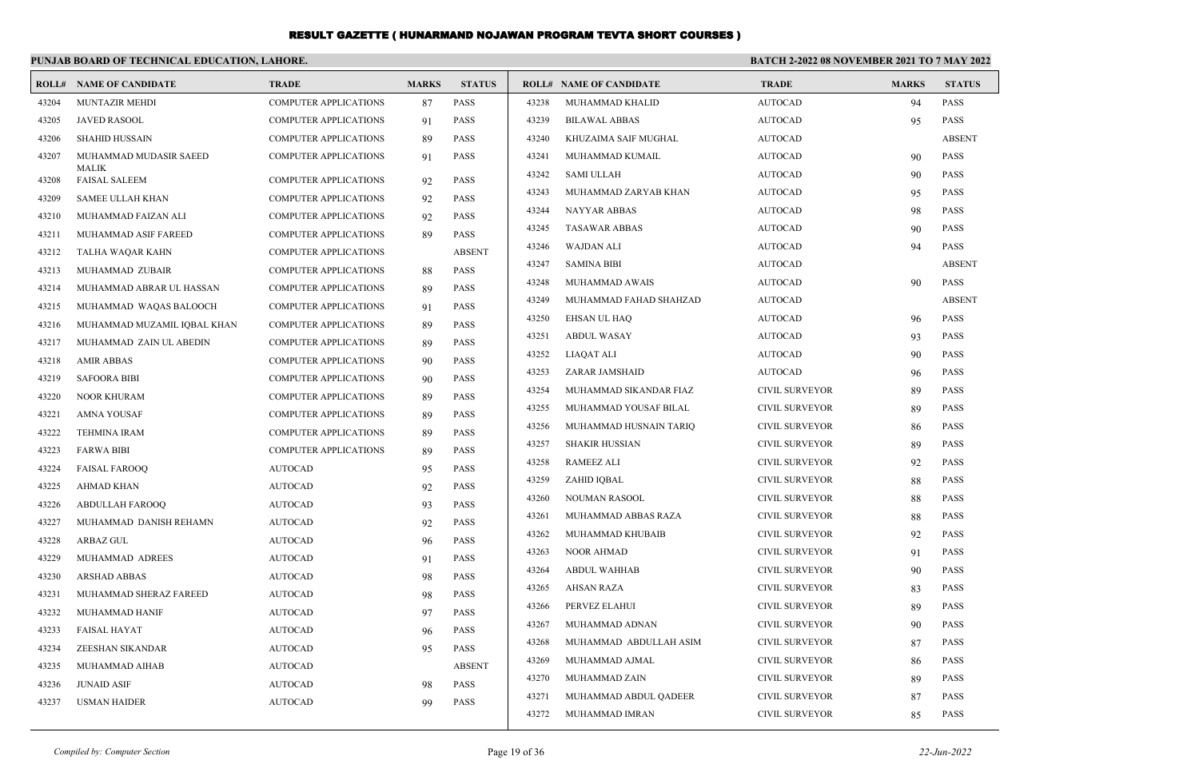|       | PUNJAB BOARD OF TECHNICAL EDUCATION, LAHORE. |                              |              |               | <b>BATCH 2-2022 08 NOVEMBER 2021 TO 7 MAY 2022</b> |                                |                       |              |               |
|-------|----------------------------------------------|------------------------------|--------------|---------------|----------------------------------------------------|--------------------------------|-----------------------|--------------|---------------|
|       | <b>ROLL# NAME OF CANDIDATE</b>               | <b>TRADE</b>                 | <b>MARKS</b> | <b>STATUS</b> |                                                    | <b>ROLL# NAME OF CANDIDATE</b> | <b>TRADE</b>          | <b>MARKS</b> | <b>STATUS</b> |
| 43204 | MUNTAZIR MEHDI                               | <b>COMPUTER APPLICATIONS</b> | 87           | <b>PASS</b>   | 43238                                              | MUHAMMAD KHALID                | <b>AUTOCAD</b>        | 94           | PASS          |
| 43205 | <b>JAVED RASOOL</b>                          | <b>COMPUTER APPLICATIONS</b> | 91           | <b>PASS</b>   | 43239                                              | <b>BILAWAL ABBAS</b>           | <b>AUTOCAD</b>        | 95           | <b>PASS</b>   |
| 43206 | <b>SHAHID HUSSAIN</b>                        | <b>COMPUTER APPLICATIONS</b> | 89           | <b>PASS</b>   | 43240                                              | KHUZAIMA SAIF MUGHAL           | <b>AUTOCAD</b>        |              | <b>ABSENT</b> |
| 43207 | MUHAMMAD MUDASIR SAEED                       | <b>COMPUTER APPLICATIONS</b> | 91           | <b>PASS</b>   | 43241                                              | MUHAMMAD KUMAIL                | <b>AUTOCAD</b>        | 90           | PASS          |
| 43208 | MALIK<br><b>FAISAL SALEEM</b>                | <b>COMPUTER APPLICATIONS</b> | 92           | <b>PASS</b>   | 43242                                              | <b>SAMI ULLAH</b>              | <b>AUTOCAD</b>        | 90           | <b>PASS</b>   |
| 43209 | <b>SAMEE ULLAH KHAN</b>                      | <b>COMPUTER APPLICATIONS</b> | 92           | <b>PASS</b>   | 43243                                              | MUHAMMAD ZARYAB KHAN           | <b>AUTOCAD</b>        | 95           | <b>PASS</b>   |
| 43210 | MUHAMMAD FAIZAN ALI                          | <b>COMPUTER APPLICATIONS</b> | 92           | <b>PASS</b>   | 43244                                              | <b>NAYYAR ABBAS</b>            | <b>AUTOCAD</b>        | 98           | <b>PASS</b>   |
| 43211 | MUHAMMAD ASIF FAREED                         | <b>COMPUTER APPLICATIONS</b> | 89           | <b>PASS</b>   | 43245                                              | <b>TASAWAR ABBAS</b>           | <b>AUTOCAD</b>        | 90           | <b>PASS</b>   |
| 43212 | TALHA WAQAR KAHN                             | <b>COMPUTER APPLICATIONS</b> |              | <b>ABSENT</b> | 43246                                              | WAJDAN ALI                     | <b>AUTOCAD</b>        | 94           | <b>PASS</b>   |
| 43213 | MUHAMMAD ZUBAIR                              | <b>COMPUTER APPLICATIONS</b> | 88           | <b>PASS</b>   | 43247                                              | <b>SAMINA BIBI</b>             | <b>AUTOCAD</b>        |              | <b>ABSENT</b> |
| 43214 | MUHAMMAD ABRAR UL HASSAN                     | <b>COMPUTER APPLICATIONS</b> | 89           | <b>PASS</b>   | 43248                                              | MUHAMMAD AWAIS                 | <b>AUTOCAD</b>        | 90           | <b>PASS</b>   |
| 43215 | MUHAMMAD WAQAS BALOOCH                       | <b>COMPUTER APPLICATIONS</b> | 91           | <b>PASS</b>   | 43249                                              | MUHAMMAD FAHAD SHAHZAD         | <b>AUTOCAD</b>        |              | <b>ABSENT</b> |
| 43216 | MUHAMMAD MUZAMIL IQBAL KHAN                  | <b>COMPUTER APPLICATIONS</b> | 89           | <b>PASS</b>   | 43250                                              | <b>EHSAN UL HAQ</b>            | <b>AUTOCAD</b>        | 96           | <b>PASS</b>   |
| 43217 | MUHAMMAD ZAIN UL ABEDIN                      | <b>COMPUTER APPLICATIONS</b> | 89           | <b>PASS</b>   | 43251                                              | <b>ABDUL WASAY</b>             | <b>AUTOCAD</b>        | 93           | <b>PASS</b>   |
| 43218 | <b>AMIR ABBAS</b>                            | <b>COMPUTER APPLICATIONS</b> | 90           | <b>PASS</b>   | 43252                                              | LIAQAT ALI                     | <b>AUTOCAD</b>        | 90           | <b>PASS</b>   |
| 43219 | <b>SAFOORA BIBI</b>                          | <b>COMPUTER APPLICATIONS</b> | 90           | <b>PASS</b>   | 43253                                              | ZARAR JAMSHAID                 | <b>AUTOCAD</b>        | 96           | PASS          |
| 43220 | NOOR KHURAM                                  | <b>COMPUTER APPLICATIONS</b> | 89           | <b>PASS</b>   | 43254                                              | MUHAMMAD SIKANDAR FIAZ         | CIVIL SURVEYOR        | 89           | <b>PASS</b>   |
| 43221 | <b>AMNA YOUSAF</b>                           | <b>COMPUTER APPLICATIONS</b> | 89           | <b>PASS</b>   | 43255                                              | MUHAMMAD YOUSAF BILAL          | <b>CIVIL SURVEYOR</b> | 89           | <b>PASS</b>   |
| 43222 | <b>TEHMINA IRAM</b>                          | <b>COMPUTER APPLICATIONS</b> | 89           | <b>PASS</b>   | 43256                                              | MUHAMMAD HUSNAIN TARIQ         | <b>CIVIL SURVEYOR</b> | 86           | <b>PASS</b>   |
| 43223 | <b>FARWA BIBI</b>                            | COMPUTER APPLICATIONS        | 89           | <b>PASS</b>   | 43257                                              | <b>SHAKIR HUSSIAN</b>          | <b>CIVIL SURVEYOR</b> | 89           | <b>PASS</b>   |
| 43224 | <b>FAISAL FAROOQ</b>                         | <b>AUTOCAD</b>               | 95           | <b>PASS</b>   | 43258                                              | <b>RAMEEZ ALI</b>              | <b>CIVIL SURVEYOR</b> | 92           | <b>PASS</b>   |
| 43225 | AHMAD KHAN                                   | <b>AUTOCAD</b>               | 92           | <b>PASS</b>   | 43259                                              | ZAHID IQBAL                    | <b>CIVIL SURVEYOR</b> | 88           | <b>PASS</b>   |
| 43226 | ABDULLAH FAROOQ                              | <b>AUTOCAD</b>               | 93           | <b>PASS</b>   | 43260                                              | NOUMAN RASOOL                  | <b>CIVIL SURVEYOR</b> | 88           | <b>PASS</b>   |
| 43227 | MUHAMMAD DANISH REHAMN                       | <b>AUTOCAD</b>               | 92           | <b>PASS</b>   | 43261                                              | MUHAMMAD ABBAS RAZA            | <b>CIVIL SURVEYOR</b> | 88           | <b>PASS</b>   |
| 43228 | <b>ARBAZ GUL</b>                             | <b>AUTOCAD</b>               | 96           | <b>PASS</b>   | 43262                                              | MUHAMMAD KHUBAIB               | <b>CIVIL SURVEYOR</b> | 92           | <b>PASS</b>   |
| 43229 | MUHAMMAD ADREES                              | <b>AUTOCAD</b>               | 91           | <b>PASS</b>   | 43263                                              | NOOR AHMAD                     | <b>CIVIL SURVEYOR</b> | 91           | <b>PASS</b>   |
| 43230 | ARSHAD ABBAS                                 | <b>AUTOCAD</b>               | 98           | <b>PASS</b>   | 43264                                              | <b>ABDUL WAHHAB</b>            | <b>CIVIL SURVEYOR</b> | 90           | <b>PASS</b>   |
| 43231 | MUHAMMAD SHERAZ FAREED                       | <b>AUTOCAD</b>               | 98           | <b>PASS</b>   | 43265                                              | AHSAN RAZA                     | <b>CIVIL SURVEYOR</b> | 83           | <b>PASS</b>   |
| 43232 | MUHAMMAD HANIF                               | <b>AUTOCAD</b>               | 97           | <b>PASS</b>   | 43266                                              | PERVEZ ELAHUI                  | <b>CIVIL SURVEYOR</b> | 89           | <b>PASS</b>   |
| 43233 | FAISAL HAYAT                                 | AUTOCAD                      | 96           | PASS          | 43267                                              | MUHAMMAD ADNAN                 | <b>CIVIL SURVEYOR</b> | 90           | PASS          |
| 43234 | ZEESHAN SIKANDAR                             | <b>AUTOCAD</b>               | 95           | <b>PASS</b>   | 43268                                              | MUHAMMAD ABDULLAH ASIM         | <b>CIVIL SURVEYOR</b> | 87           | PASS          |
| 43235 | MUHAMMAD AIHAB                               | <b>AUTOCAD</b>               |              | <b>ABSENT</b> | 43269                                              | MUHAMMAD AJMAL                 | <b>CIVIL SURVEYOR</b> | 86           | PASS          |
| 43236 | <b>JUNAID ASIF</b>                           | <b>AUTOCAD</b>               | 98           | <b>PASS</b>   | 43270                                              | MUHAMMAD ZAIN                  | CIVIL SURVEYOR        | 89           | PASS          |
| 43237 | <b>USMAN HAIDER</b>                          | <b>AUTOCAD</b>               | 99           | PASS          | 43271                                              | MUHAMMAD ABDUL QADEER          | <b>CIVIL SURVEYOR</b> | 87           | PASS          |
|       |                                              |                              |              |               | 43272                                              | MUHAMMAD IMRAN                 | <b>CIVIL SURVEYOR</b> | 85           | PASS          |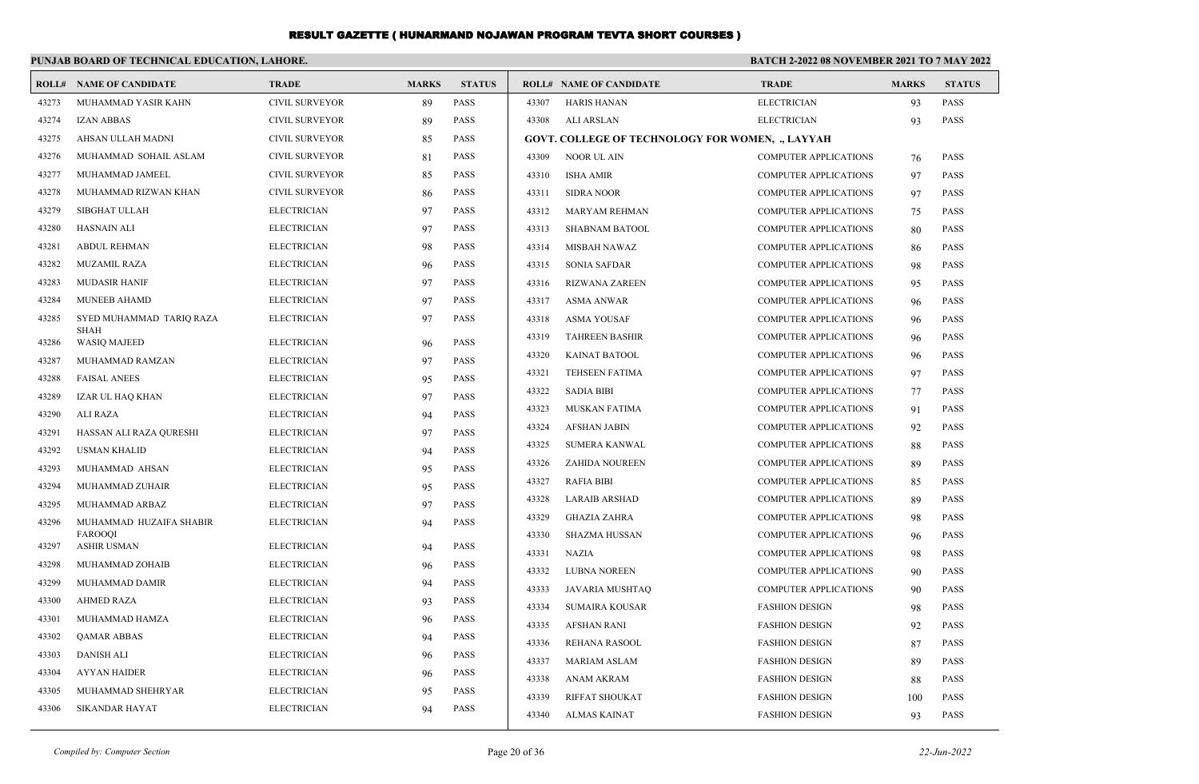|       | PUNJAB BOARD OF TECHNICAL EDUCATION, LAHORE. |                       |              |               | <b>BATCH 2-2022 08 NOVEMBER 2021 TO 7 MAY 2022</b> |                                                         |                              |              |               |
|-------|----------------------------------------------|-----------------------|--------------|---------------|----------------------------------------------------|---------------------------------------------------------|------------------------------|--------------|---------------|
| ROLL# | <b>NAME OF CANDIDATE</b>                     | <b>TRADE</b>          | <b>MARKS</b> | <b>STATUS</b> |                                                    | <b>ROLL# NAME OF CANDIDATE</b>                          | <b>TRADE</b>                 | <b>MARKS</b> | <b>STATUS</b> |
| 43273 | MUHAMMAD YASIR KAHN                          | CIVIL SURVEYOR        | 89           | <b>PASS</b>   | 43307                                              | <b>HARIS HANAN</b>                                      | <b>ELECTRICIAN</b>           | 93           | <b>PASS</b>   |
| 43274 | <b>IZAN ABBAS</b>                            | CIVIL SURVEYOR        | 89           | <b>PASS</b>   | 43308                                              | ALI ARSLAN                                              | <b>ELECTRICIAN</b>           | 93           | <b>PASS</b>   |
| 43275 | AHSAN ULLAH MADNI                            | <b>CIVIL SURVEYOR</b> | 85           | PASS          |                                                    | <b>GOVT. COLLEGE OF TECHNOLOGY FOR WOMEN, ., LAYYAH</b> |                              |              |               |
| 43276 | MUHAMMAD SOHAIL ASLAM                        | <b>CIVIL SURVEYOR</b> | 81           | <b>PASS</b>   | 43309                                              | NOOR UL AIN                                             | <b>COMPUTER APPLICATIONS</b> | 76           | <b>PASS</b>   |
| 43277 | MUHAMMAD JAMEEL                              | <b>CIVIL SURVEYOR</b> | 85           | PASS          | 43310                                              | <b>ISHA AMIR</b>                                        | <b>COMPUTER APPLICATIONS</b> | 97           | <b>PASS</b>   |
| 43278 | MUHAMMAD RIZWAN KHAN                         | <b>CIVIL SURVEYOR</b> | 86           | <b>PASS</b>   | 43311                                              | <b>SIDRA NOOR</b>                                       | <b>COMPUTER APPLICATIONS</b> | 97           | <b>PASS</b>   |
| 43279 | <b>SIBGHAT ULLAH</b>                         | <b>ELECTRICIAN</b>    | 97           | PASS          | 43312                                              | <b>MARYAM REHMAN</b>                                    | <b>COMPUTER APPLICATIONS</b> | 75           | <b>PASS</b>   |
| 43280 | <b>HASNAIN ALI</b>                           | <b>ELECTRICIAN</b>    | 97           | PASS          | 43313                                              | <b>SHABNAM BATOOL</b>                                   | <b>COMPUTER APPLICATIONS</b> | 80           | <b>PASS</b>   |
| 43281 | <b>ABDUL REHMAN</b>                          | <b>ELECTRICIAN</b>    | 98           | PASS          | 43314                                              | MISBAH NAWAZ                                            | <b>COMPUTER APPLICATIONS</b> | 86           | <b>PASS</b>   |
| 43282 | MUZAMIL RAZA                                 | <b>ELECTRICIAN</b>    | 96           | PASS          | 43315                                              | <b>SONIA SAFDAR</b>                                     | <b>COMPUTER APPLICATIONS</b> | 98           | <b>PASS</b>   |
| 43283 | <b>MUDASIR HANIF</b>                         | <b>ELECTRICIAN</b>    | 97           | PASS          | 43316                                              | <b>RIZWANA ZAREEN</b>                                   | <b>COMPUTER APPLICATIONS</b> | 95           | PASS          |
| 43284 | <b>MUNEEB AHAMD</b>                          | <b>ELECTRICIAN</b>    | 97           | PASS          | 43317                                              | <b>ASMA ANWAR</b>                                       | <b>COMPUTER APPLICATIONS</b> | 96           | <b>PASS</b>   |
| 43285 | SYED MUHAMMAD TARIO RAZA                     | <b>ELECTRICIAN</b>    | 97           | <b>PASS</b>   | 43318                                              | <b>ASMA YOUSAF</b>                                      | <b>COMPUTER APPLICATIONS</b> | 96           | <b>PASS</b>   |
| 43286 | <b>SHAH</b><br><b>WASIQ MAJEED</b>           | <b>ELECTRICIAN</b>    | 96           | <b>PASS</b>   | 43319                                              | <b>TAHREEN BASHIR</b>                                   | <b>COMPUTER APPLICATIONS</b> | 96           | <b>PASS</b>   |
| 43287 | MUHAMMAD RAMZAN                              | <b>ELECTRICIAN</b>    | 97           | <b>PASS</b>   | 43320                                              | <b>KAINAT BATOOL</b>                                    | <b>COMPUTER APPLICATIONS</b> | 96           | <b>PASS</b>   |
| 43288 | <b>FAISAL ANEES</b>                          | <b>ELECTRICIAN</b>    | 95           | <b>PASS</b>   | 43321                                              | <b>TEHSEEN FATIMA</b>                                   | <b>COMPUTER APPLICATIONS</b> | 97           | <b>PASS</b>   |
| 43289 | IZAR UL HAQ KHAN                             | <b>ELECTRICIAN</b>    | 97           | <b>PASS</b>   | 43322                                              | <b>SADIA BIBI</b>                                       | <b>COMPUTER APPLICATIONS</b> | 77           | <b>PASS</b>   |
| 43290 | <b>ALI RAZA</b>                              | <b>ELECTRICIAN</b>    | 94           | <b>PASS</b>   | 43323                                              | <b>MUSKAN FATIMA</b>                                    | COMPUTER APPLICATIONS        | 91           | <b>PASS</b>   |
| 43291 | HASSAN ALI RAZA QURESHI                      | <b>ELECTRICIAN</b>    | 97           | <b>PASS</b>   | 43324                                              | <b>AFSHAN JABIN</b>                                     | COMPUTER APPLICATIONS        | 92           | <b>PASS</b>   |
| 43292 | <b>USMAN KHALID</b>                          | <b>ELECTRICIAN</b>    | 94           | <b>PASS</b>   | 43325                                              | <b>SUMERA KANWAL</b>                                    | <b>COMPUTER APPLICATIONS</b> | 88           | <b>PASS</b>   |
| 43293 | MUHAMMAD AHSAN                               | <b>ELECTRICIAN</b>    | 95           | <b>PASS</b>   | 43326                                              | ZAHIDA NOUREEN                                          | <b>COMPUTER APPLICATIONS</b> | 89           | <b>PASS</b>   |
| 43294 | MUHAMMAD ZUHAIR                              | <b>ELECTRICIAN</b>    | 95           | PASS          | 43327                                              | <b>RAFIA BIBI</b>                                       | <b>COMPUTER APPLICATIONS</b> | 85           | <b>PASS</b>   |
| 43295 | MUHAMMAD ARBAZ                               | <b>ELECTRICIAN</b>    | 97           | PASS          | 43328                                              | <b>LARAIB ARSHAD</b>                                    | <b>COMPUTER APPLICATIONS</b> | 89           | <b>PASS</b>   |
| 43296 | MUHAMMAD HUZAIFA SHABIR                      | <b>ELECTRICIAN</b>    | 94           | <b>PASS</b>   | 43329                                              | <b>GHAZIA ZAHRA</b>                                     | <b>COMPUTER APPLICATIONS</b> | 98           | <b>PASS</b>   |
| 43297 | FAROOQI<br><b>ASHIR USMAN</b>                | <b>ELECTRICIAN</b>    | 94           | <b>PASS</b>   | 43330                                              | <b>SHAZMA HUSSAN</b>                                    | <b>COMPUTER APPLICATIONS</b> | 96           | PASS          |
| 43298 | MUHAMMAD ZOHAIB                              | <b>ELECTRICIAN</b>    | 96           | PASS          | 43331                                              | <b>NAZIA</b>                                            | <b>COMPUTER APPLICATIONS</b> | 98           | <b>PASS</b>   |
| 43299 | MUHAMMAD DAMIR                               | <b>ELECTRICIAN</b>    | 94           | PASS          | 43332                                              | <b>LUBNA NOREEN</b>                                     | <b>COMPUTER APPLICATIONS</b> | 90           | <b>PASS</b>   |
| 43300 | <b>AHMED RAZA</b>                            | <b>ELECTRICIAN</b>    | 93           | PASS          | 43333                                              | JAVARIA MUSHTAQ                                         | <b>COMPUTER APPLICATIONS</b> | 90           | <b>PASS</b>   |
| 43301 | MUHAMMAD HAMZA                               | <b>ELECTRICIAN</b>    | 96           | <b>PASS</b>   | 43334                                              | <b>SUMAIRA KOUSAR</b>                                   | <b>FASHION DESIGN</b>        | 98           | <b>PASS</b>   |
| 43302 | <b>QAMAR ABBAS</b>                           | <b>ELECTRICIAN</b>    | 94           | PASS          | 43335                                              | <b>AFSHAN RANI</b>                                      | <b>FASHION DESIGN</b>        | 92           | <b>PASS</b>   |
| 43303 | <b>DANISH ALI</b>                            | <b>ELECTRICIAN</b>    | 96           | <b>PASS</b>   | 43336                                              | REHANA RASOOL                                           | <b>FASHION DESIGN</b>        | 87           | <b>PASS</b>   |
| 43304 | <b>AYYAN HAIDER</b>                          | <b>ELECTRICIAN</b>    | 96           | PASS          | 43337                                              | <b>MARIAM ASLAM</b>                                     | <b>FASHION DESIGN</b>        | 89           | <b>PASS</b>   |
| 43305 | MUHAMMAD SHEHRYAR                            | <b>ELECTRICIAN</b>    | 95           | PASS          | 43338                                              | ANAM AKRAM                                              | <b>FASHION DESIGN</b>        | 88           | <b>PASS</b>   |
| 43306 | <b>SIKANDAR HAYAT</b>                        | <b>ELECTRICIAN</b>    | 94           | <b>PASS</b>   | 43339                                              | <b>RIFFAT SHOUKAT</b>                                   | <b>FASHION DESIGN</b>        | 100          | <b>PASS</b>   |
|       |                                              |                       |              |               | 43340                                              | <b>ALMAS KAINAT</b>                                     | <b>FASHION DESIGN</b>        | 93           | <b>PASS</b>   |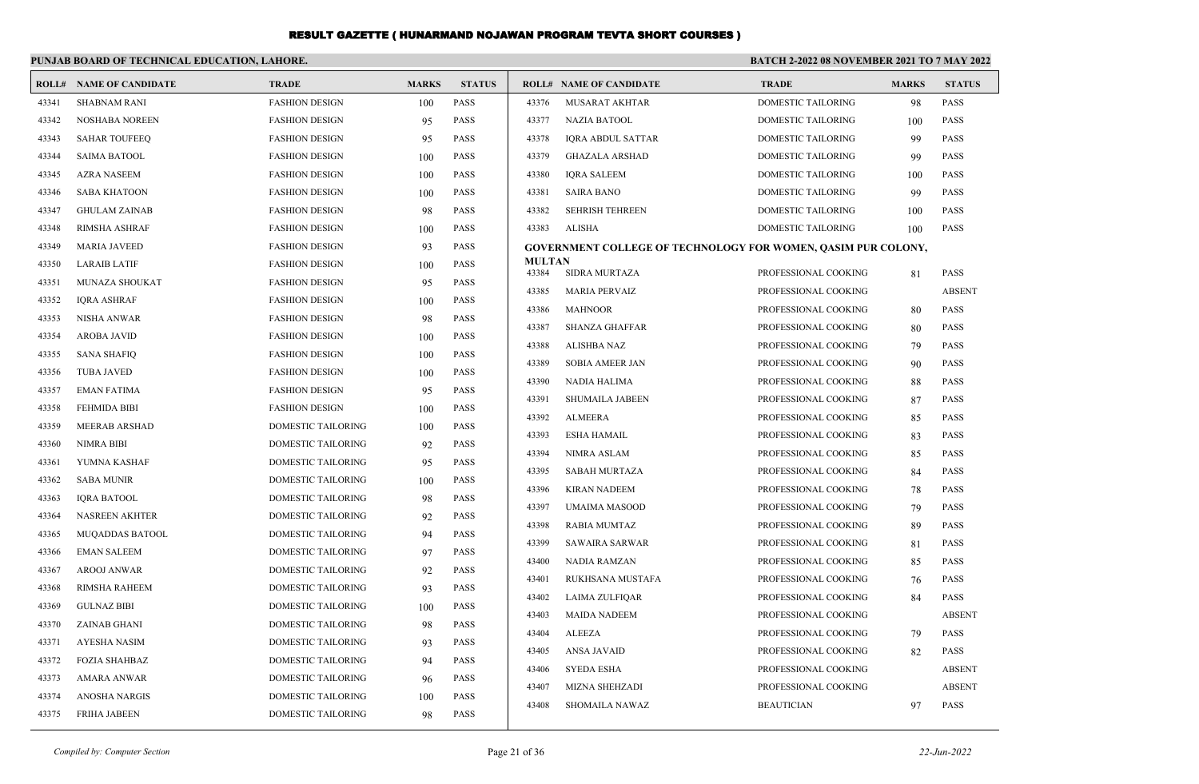|       | PUNJAB BOARD OF TECHNICAL EDUCATION, LAHORE. |                           |              |               | <b>BATCH 2-2022 08 NOVEMBER 2021 TO 7 MAY 2022</b> |                                                                      |                           |              |               |
|-------|----------------------------------------------|---------------------------|--------------|---------------|----------------------------------------------------|----------------------------------------------------------------------|---------------------------|--------------|---------------|
|       | <b>ROLL# NAME OF CANDIDATE</b>               | <b>TRADE</b>              | <b>MARKS</b> | <b>STATUS</b> |                                                    | <b>ROLL# NAME OF CANDIDATE</b>                                       | <b>TRADE</b>              | <b>MARKS</b> | <b>STATUS</b> |
| 43341 | <b>SHABNAM RANI</b>                          | <b>FASHION DESIGN</b>     | 100          | <b>PASS</b>   | 43376                                              | <b>MUSARAT AKHTAR</b>                                                | <b>DOMESTIC TAILORING</b> | 98           | <b>PASS</b>   |
| 43342 | <b>NOSHABA NOREEN</b>                        | <b>FASHION DESIGN</b>     | 95           | <b>PASS</b>   | 43377                                              | <b>NAZIA BATOOL</b>                                                  | <b>DOMESTIC TAILORING</b> | 100          | <b>PASS</b>   |
| 43343 | <b>SAHAR TOUFEEQ</b>                         | <b>FASHION DESIGN</b>     | 95           | <b>PASS</b>   | 43378                                              | IQRA ABDUL SATTAR                                                    | DOMESTIC TAILORING        | 99           | PASS          |
| 43344 | <b>SAIMA BATOOL</b>                          | <b>FASHION DESIGN</b>     | 100          | <b>PASS</b>   | 43379                                              | <b>GHAZALA ARSHAD</b>                                                | <b>DOMESTIC TAILORING</b> | 99           | <b>PASS</b>   |
| 43345 | <b>AZRA NASEEM</b>                           | <b>FASHION DESIGN</b>     | 100          | <b>PASS</b>   | 43380                                              | <b>IORA SALEEM</b>                                                   | DOMESTIC TAILORING        | 100          | <b>PASS</b>   |
| 43346 | <b>SABA KHATOON</b>                          | <b>FASHION DESIGN</b>     | 100          | <b>PASS</b>   | 43381                                              | <b>SAIRA BANO</b>                                                    | DOMESTIC TAILORING        | 99           | <b>PASS</b>   |
| 43347 | <b>GHULAM ZAINAB</b>                         | <b>FASHION DESIGN</b>     | 98           | <b>PASS</b>   | 43382                                              | <b>SEHRISH TEHREEN</b>                                               | DOMESTIC TAILORING        | 100          | <b>PASS</b>   |
| 43348 | <b>RIMSHA ASHRAF</b>                         | <b>FASHION DESIGN</b>     | 100          | <b>PASS</b>   | 43383                                              | ALISHA                                                               | DOMESTIC TAILORING        | 100          | <b>PASS</b>   |
| 43349 | <b>MARIA JAVEED</b>                          | <b>FASHION DESIGN</b>     | 93           | <b>PASS</b>   |                                                    | <b>GOVERNMENT COLLEGE OF TECHNOLOGY FOR WOMEN, OASIM PUR COLONY,</b> |                           |              |               |
| 43350 | <b>LARAIB LATIF</b>                          | <b>FASHION DESIGN</b>     | 100          | <b>PASS</b>   | <b>MULTAN</b><br>43384                             | <b>SIDRA MURTAZA</b>                                                 | PROFESSIONAL COOKING      | 81           | <b>PASS</b>   |
| 43351 | <b>MUNAZA SHOUKAT</b>                        | <b>FASHION DESIGN</b>     | 95           | <b>PASS</b>   | 43385                                              | <b>MARIA PERVAIZ</b>                                                 | PROFESSIONAL COOKING      |              | <b>ABSENT</b> |
| 43352 | <b>IQRA ASHRAF</b>                           | <b>FASHION DESIGN</b>     | 100          | <b>PASS</b>   | 43386                                              | <b>MAHNOOR</b>                                                       | PROFESSIONAL COOKING      | 80           | PASS          |
| 43353 | <b>NISHA ANWAR</b>                           | <b>FASHION DESIGN</b>     | 98           | <b>PASS</b>   | 43387                                              | <b>SHANZA GHAFFAR</b>                                                | PROFESSIONAL COOKING      | 80           | <b>PASS</b>   |
| 43354 | <b>AROBA JAVID</b>                           | <b>FASHION DESIGN</b>     | 100          | <b>PASS</b>   | 43388                                              | <b>ALISHBA NAZ</b>                                                   | PROFESSIONAL COOKING      | 79           | <b>PASS</b>   |
| 43355 | <b>SANA SHAFIQ</b>                           | <b>FASHION DESIGN</b>     | 100          | <b>PASS</b>   | 43389                                              | <b>SOBIA AMEER JAN</b>                                               | PROFESSIONAL COOKING      | 90           | PASS          |
| 43356 | <b>TUBA JAVED</b>                            | <b>FASHION DESIGN</b>     | 100          | <b>PASS</b>   | 43390                                              | NADIA HALIMA                                                         | PROFESSIONAL COOKING      | 88           | PASS          |
| 43357 | <b>EMAN FATIMA</b>                           | <b>FASHION DESIGN</b>     | 95           | <b>PASS</b>   | 43391                                              | <b>SHUMAILA JABEEN</b>                                               | PROFESSIONAL COOKING      | 87           | <b>PASS</b>   |
| 43358 | <b>FEHMIDA BIBI</b>                          | <b>FASHION DESIGN</b>     | 100          | <b>PASS</b>   | 43392                                              | <b>ALMEERA</b>                                                       | PROFESSIONAL COOKING      | 85           | PASS          |
| 43359 | <b>MEERAB ARSHAD</b>                         | <b>DOMESTIC TAILORING</b> | 100          | <b>PASS</b>   | 43393                                              | <b>ESHA HAMAIL</b>                                                   | PROFESSIONAL COOKING      | 83           | PASS          |
| 43360 | <b>NIMRA BIBI</b>                            | DOMESTIC TAILORING        | 92           | <b>PASS</b>   | 43394                                              | <b>NIMRA ASLAM</b>                                                   | PROFESSIONAL COOKING      | 85           | PASS          |
| 43361 | YUMNA KASHAF                                 | DOMESTIC TAILORING        | 95           | <b>PASS</b>   | 43395                                              | <b>SABAH MURTAZA</b>                                                 | PROFESSIONAL COOKING      | 84           | PASS          |
| 43362 | <b>SABA MUNIR</b>                            | <b>DOMESTIC TAILORING</b> | 100          | <b>PASS</b>   | 43396                                              | <b>KIRAN NADEEM</b>                                                  | PROFESSIONAL COOKING      | 78           | PASS          |
| 43363 | <b>IQRA BATOOL</b>                           | DOMESTIC TAILORING        | 98           | <b>PASS</b>   | 43397                                              | <b>UMAIMA MASOOD</b>                                                 | PROFESSIONAL COOKING      | 79           | <b>PASS</b>   |
| 43364 | NASREEN AKHTER                               | DOMESTIC TAILORING        | 92           | <b>PASS</b>   | 43398                                              | <b>RABIA MUMTAZ</b>                                                  | PROFESSIONAL COOKING      | 89           | PASS          |
| 43365 | <b>MUQADDAS BATOOL</b>                       | <b>DOMESTIC TAILORING</b> | 94           | <b>PASS</b>   | 43399                                              | <b>SAWAIRA SARWAR</b>                                                | PROFESSIONAL COOKING      | 81           | <b>PASS</b>   |
| 43366 | <b>EMAN SALEEM</b>                           | DOMESTIC TAILORING        | 97           | <b>PASS</b>   | 43400                                              | <b>NADIA RAMZAN</b>                                                  | PROFESSIONAL COOKING      | 85           | <b>PASS</b>   |
| 43367 | <b>AROOJ ANWAR</b>                           | DOMESTIC TAILORING        | 92           | <b>PASS</b>   | 43401                                              | RUKHSANA MUSTAFA                                                     | PROFESSIONAL COOKING      | 76           | PASS          |
| 43368 | <b>RIMSHA RAHEEM</b>                         | <b>DOMESTIC TAILORING</b> | 93           | <b>PASS</b>   | 43402                                              | LAIMA ZULFIQAR                                                       | PROFESSIONAL COOKING      | 84           | <b>PASS</b>   |
| 43369 | <b>GULNAZ BIBI</b>                           | DOMESTIC TAILORING        | 100          | <b>PASS</b>   | 43403                                              | <b>MAIDA NADEEM</b>                                                  | PROFESSIONAL COOKING      |              | <b>ABSENT</b> |
| 43370 | <b>ZAINAB GHANI</b>                          | DOMESTIC TAILORING        | 98           | <b>PASS</b>   | 43404                                              | ALEEZA                                                               | PROFESSIONAL COOKING      | 79           | PASS          |
| 43371 | <b>AYESHA NASIM</b>                          | DOMESTIC TAILORING        | 93           | <b>PASS</b>   | 43405                                              | <b>ANSA JAVAID</b>                                                   | PROFESSIONAL COOKING      | 82           | <b>PASS</b>   |
| 43372 | <b>FOZIA SHAHBAZ</b>                         | DOMESTIC TAILORING        | 94           | <b>PASS</b>   | 43406                                              | <b>SYEDA ESHA</b>                                                    | PROFESSIONAL COOKING      |              | <b>ABSENT</b> |
| 43373 | <b>AMARA ANWAR</b>                           | <b>DOMESTIC TAILORING</b> | 96           | <b>PASS</b>   | 43407                                              | MIZNA SHEHZADI                                                       | PROFESSIONAL COOKING      |              | <b>ABSENT</b> |
| 43374 | <b>ANOSHA NARGIS</b>                         | DOMESTIC TAILORING        | 100          | <b>PASS</b>   | 43408                                              | <b>SHOMAILA NAWAZ</b>                                                | <b>BEAUTICIAN</b>         | 97           | <b>PASS</b>   |
| 43375 | <b>FRIHA JABEEN</b>                          | <b>DOMESTIC TAILORING</b> | 98           | <b>PASS</b>   |                                                    |                                                                      |                           |              |               |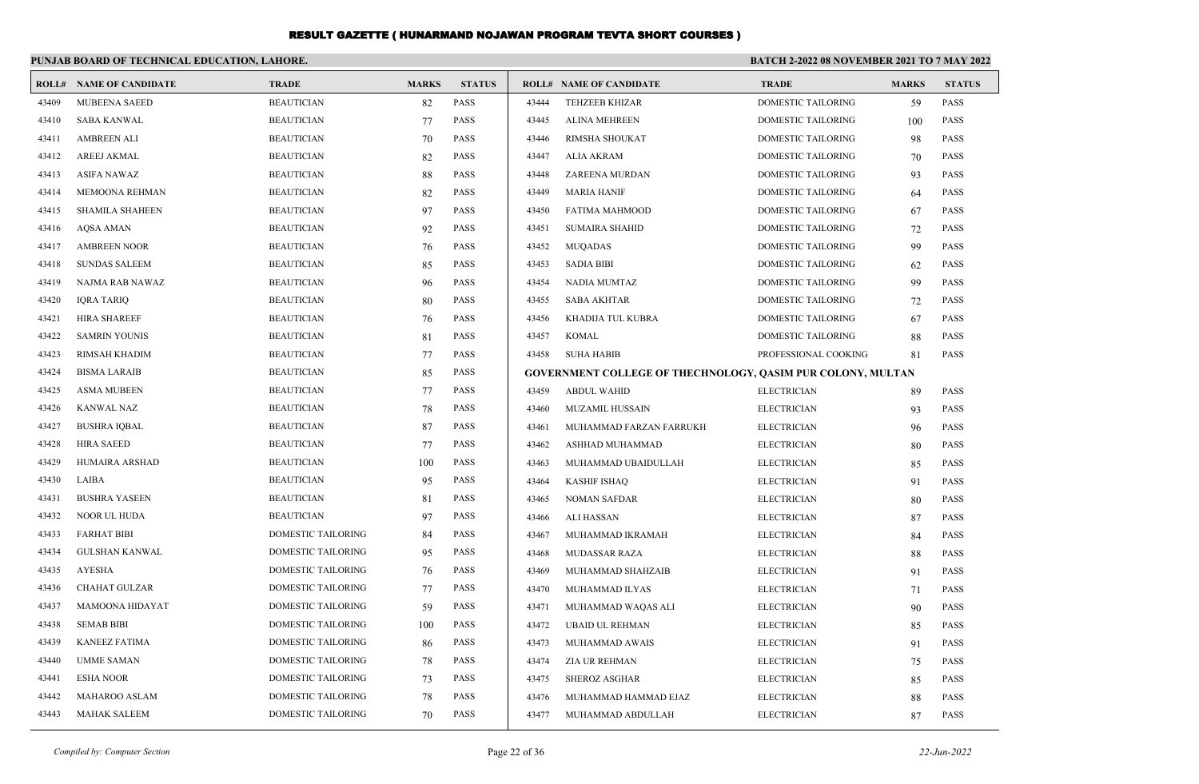|       | PUNJAB BOARD OF TECHNICAL EDUCATION, LAHORE. |                           |              |               | <b>BATCH 2-2022 08 NOVEMBER 2021 TO 7 MAY 2022</b> |                                                             |                           |              |               |  |
|-------|----------------------------------------------|---------------------------|--------------|---------------|----------------------------------------------------|-------------------------------------------------------------|---------------------------|--------------|---------------|--|
| ROLL# | <b>NAME OF CANDIDATE</b>                     | <b>TRADE</b>              | <b>MARKS</b> | <b>STATUS</b> |                                                    | <b>ROLL# NAME OF CANDIDATE</b>                              | <b>TRADE</b>              | <b>MARKS</b> | <b>STATUS</b> |  |
| 43409 | <b>MUBEENA SAEED</b>                         | <b>BEAUTICIAN</b>         | 82           | <b>PASS</b>   | 43444                                              | <b>TEHZEEB KHIZAR</b>                                       | <b>DOMESTIC TAILORING</b> | 59           | <b>PASS</b>   |  |
| 43410 | <b>SABA KANWAL</b>                           | <b>BEAUTICIAN</b>         | 77           | <b>PASS</b>   | 43445                                              | <b>ALINA MEHREEN</b>                                        | DOMESTIC TAILORING        | 100          | <b>PASS</b>   |  |
| 43411 | <b>AMBREEN ALI</b>                           | <b>BEAUTICIAN</b>         | 70           | <b>PASS</b>   | 43446                                              | RIMSHA SHOUKAT                                              | DOMESTIC TAILORING        | 98           | <b>PASS</b>   |  |
| 43412 | <b>AREEJ AKMAL</b>                           | <b>BEAUTICIAN</b>         | 82           | <b>PASS</b>   | 43447                                              | <b>ALIA AKRAM</b>                                           | <b>DOMESTIC TAILORING</b> | 70           | <b>PASS</b>   |  |
| 43413 | <b>ASIFA NAWAZ</b>                           | <b>BEAUTICIAN</b>         | 88           | <b>PASS</b>   | 43448                                              | ZAREENA MURDAN                                              | DOMESTIC TAILORING        | 93           | <b>PASS</b>   |  |
| 43414 | MEMOONA REHMAN                               | <b>BEAUTICIAN</b>         | 82           | <b>PASS</b>   | 43449                                              | <b>MARIA HANIF</b>                                          | DOMESTIC TAILORING        | 64           | <b>PASS</b>   |  |
| 43415 | <b>SHAMILA SHAHEEN</b>                       | <b>BEAUTICIAN</b>         | 97           | <b>PASS</b>   | 43450                                              | <b>FATIMA MAHMOOD</b>                                       | DOMESTIC TAILORING        | 67           | <b>PASS</b>   |  |
| 43416 | <b>AQSA AMAN</b>                             | <b>BEAUTICIAN</b>         | 92           | <b>PASS</b>   | 43451                                              | <b>SUMAIRA SHAHID</b>                                       | DOMESTIC TAILORING        | 72           | <b>PASS</b>   |  |
| 43417 | <b>AMBREEN NOOR</b>                          | <b>BEAUTICIAN</b>         | 76           | <b>PASS</b>   | 43452                                              | <b>MUQADAS</b>                                              | DOMESTIC TAILORING        | 99           | <b>PASS</b>   |  |
| 43418 | <b>SUNDAS SALEEM</b>                         | <b>BEAUTICIAN</b>         | 85           | <b>PASS</b>   | 43453                                              | <b>SADIA BIBI</b>                                           | DOMESTIC TAILORING        | 62           | <b>PASS</b>   |  |
| 43419 | NAJMA RAB NAWAZ                              | <b>BEAUTICIAN</b>         | 96           | <b>PASS</b>   | 43454                                              | <b>NADIA MUMTAZ</b>                                         | DOMESTIC TAILORING        | 99           | <b>PASS</b>   |  |
| 43420 | <b>IQRA TARIQ</b>                            | <b>BEAUTICIAN</b>         | 80           | <b>PASS</b>   | 43455                                              | <b>SABA AKHTAR</b>                                          | DOMESTIC TAILORING        | 72           | <b>PASS</b>   |  |
| 43421 | <b>HIRA SHAREEF</b>                          | <b>BEAUTICIAN</b>         | 76           | <b>PASS</b>   | 43456                                              | KHADIJA TUL KUBRA                                           | DOMESTIC TAILORING        | 67           | <b>PASS</b>   |  |
| 43422 | <b>SAMRIN YOUNIS</b>                         | <b>BEAUTICIAN</b>         | 81           | <b>PASS</b>   | 43457                                              | <b>KOMAL</b>                                                | DOMESTIC TAILORING        | 88           | <b>PASS</b>   |  |
| 43423 | RIMSAH KHADIM                                | <b>BEAUTICIAN</b>         | 77           | <b>PASS</b>   | 43458                                              | <b>SUHA HABIB</b>                                           | PROFESSIONAL COOKING      | 81           | <b>PASS</b>   |  |
| 43424 | <b>BISMA LARAIB</b>                          | <b>BEAUTICIAN</b>         | 85           | <b>PASS</b>   |                                                    | GOVERNMENT COLLEGE OF THECHNOLOGY, QASIM PUR COLONY, MULTAN |                           |              |               |  |
| 43425 | <b>ASMA MUBEEN</b>                           | <b>BEAUTICIAN</b>         | 77           | <b>PASS</b>   | 43459                                              | <b>ABDUL WAHID</b>                                          | <b>ELECTRICIAN</b>        | 89           | <b>PASS</b>   |  |
| 43426 | <b>KANWAL NAZ</b>                            | <b>BEAUTICIAN</b>         | 78           | <b>PASS</b>   | 43460                                              | <b>MUZAMIL HUSSAIN</b>                                      | <b>ELECTRICIAN</b>        | 93           | <b>PASS</b>   |  |
| 43427 | <b>BUSHRA IOBAL</b>                          | <b>BEAUTICIAN</b>         | 87           | <b>PASS</b>   | 43461                                              | MUHAMMAD FARZAN FARRUKH                                     | <b>ELECTRICIAN</b>        | 96           | <b>PASS</b>   |  |
| 43428 | <b>HIRA SAEED</b>                            | <b>BEAUTICIAN</b>         | 77           | <b>PASS</b>   | 43462                                              | ASHHAD MUHAMMAD                                             | <b>ELECTRICIAN</b>        | 80           | PASS          |  |
| 43429 | HUMAIRA ARSHAD                               | <b>BEAUTICIAN</b>         | 100          | <b>PASS</b>   | 43463                                              | MUHAMMAD UBAIDULLAH                                         | <b>ELECTRICIAN</b>        | 85           | <b>PASS</b>   |  |
| 43430 | LAIBA                                        | <b>BEAUTICIAN</b>         | 95           | <b>PASS</b>   | 43464                                              | <b>KASHIF ISHAQ</b>                                         | <b>ELECTRICIAN</b>        | 91           | <b>PASS</b>   |  |
| 43431 | <b>BUSHRA YASEEN</b>                         | <b>BEAUTICIAN</b>         | 81           | PASS          | 43465                                              | <b>NOMAN SAFDAR</b>                                         | <b>ELECTRICIAN</b>        | 80           | <b>PASS</b>   |  |
| 43432 | NOOR UL HUDA                                 | <b>BEAUTICIAN</b>         | 97           | <b>PASS</b>   | 43466                                              | <b>ALI HASSAN</b>                                           | <b>ELECTRICIAN</b>        | 87           | <b>PASS</b>   |  |
| 43433 | <b>FARHAT BIBI</b>                           | <b>DOMESTIC TAILORING</b> | 84           | <b>PASS</b>   | 43467                                              | MUHAMMAD IKRAMAH                                            | <b>ELECTRICIAN</b>        | 84           | <b>PASS</b>   |  |
| 43434 | <b>GULSHAN KANWAL</b>                        | DOMESTIC TAILORING        | 95           | <b>PASS</b>   | 43468                                              | <b>MUDASSAR RAZA</b>                                        | <b>ELECTRICIAN</b>        | 88           | <b>PASS</b>   |  |
| 43435 | AYESHA                                       | <b>DOMESTIC TAILORING</b> | 76           | <b>PASS</b>   | 43469                                              | MUHAMMAD SHAHZAIB                                           | <b>ELECTRICIAN</b>        | 91           | <b>PASS</b>   |  |
| 43436 | <b>CHAHAT GULZAR</b>                         | DOMESTIC TAILORING        | 77           | <b>PASS</b>   | 43470                                              | MUHAMMAD ILYAS                                              | <b>ELECTRICIAN</b>        | 71           | <b>PASS</b>   |  |
| 43437 | MAMOONA HIDAYAT                              | DOMESTIC TAILORING        | 59           | <b>PASS</b>   | 43471                                              | MUHAMMAD WAQAS ALI                                          | <b>ELECTRICIAN</b>        | 90           | <b>PASS</b>   |  |
| 43438 | <b>SEMAB BIBI</b>                            | DOMESTIC TAILORING        | 100          | <b>PASS</b>   | 43472                                              | <b>UBAID UL REHMAN</b>                                      | <b>ELECTRICIAN</b>        | 85           | <b>PASS</b>   |  |
| 43439 | <b>KANEEZ FATIMA</b>                         | DOMESTIC TAILORING        | 86           | <b>PASS</b>   | 43473                                              | MUHAMMAD AWAIS                                              | <b>ELECTRICIAN</b>        | 91           | <b>PASS</b>   |  |
| 43440 | <b>UMME SAMAN</b>                            | DOMESTIC TAILORING        | 78           | <b>PASS</b>   | 43474                                              | ZIA UR REHMAN                                               | <b>ELECTRICIAN</b>        | 75           | <b>PASS</b>   |  |
| 43441 | <b>ESHA NOOR</b>                             | DOMESTIC TAILORING        | 73           | <b>PASS</b>   | 43475                                              | <b>SHEROZ ASGHAR</b>                                        | <b>ELECTRICIAN</b>        | 85           | <b>PASS</b>   |  |
| 43442 | <b>MAHAROO ASLAM</b>                         | DOMESTIC TAILORING        | 78           | <b>PASS</b>   | 43476                                              | MUHAMMAD HAMMAD EJAZ                                        | <b>ELECTRICIAN</b>        | 88           | <b>PASS</b>   |  |
| 43443 | <b>MAHAK SALEEM</b>                          | DOMESTIC TAILORING        | 70           | <b>PASS</b>   | 43477                                              | MUHAMMAD ABDULLAH                                           | <b>ELECTRICIAN</b>        | 87           | <b>PASS</b>   |  |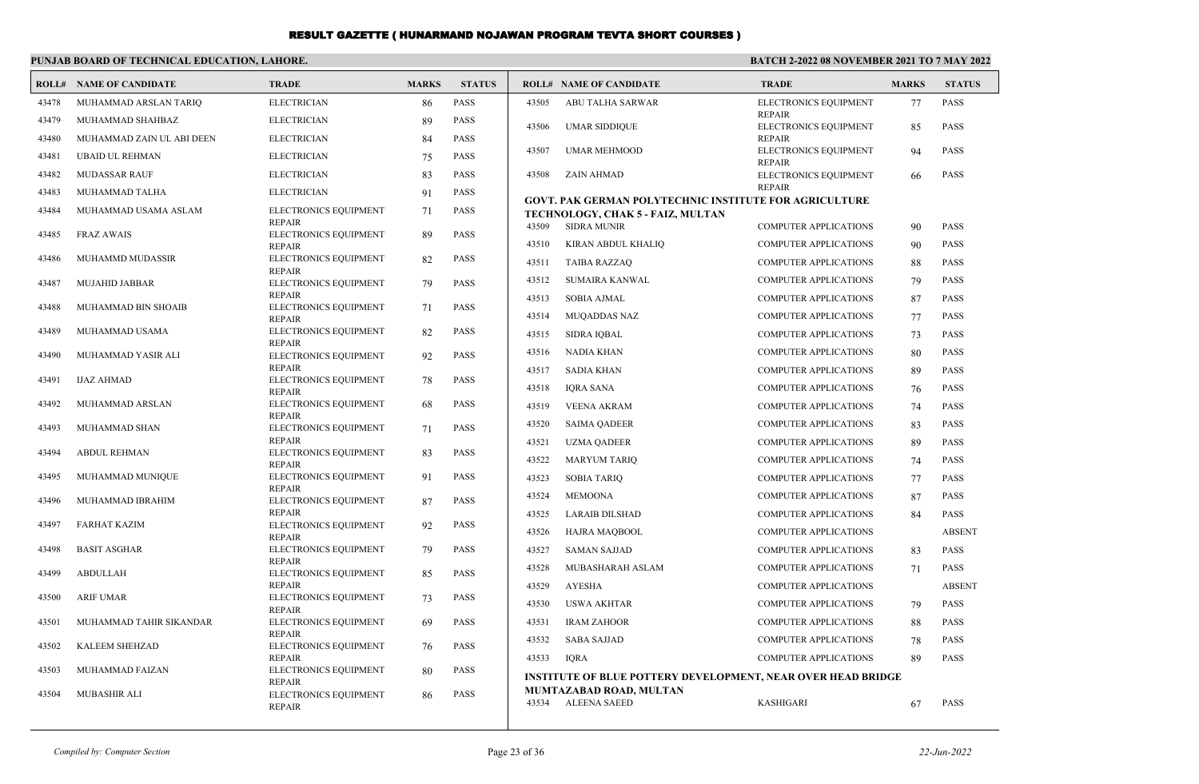#### **PUNJAB BOARD OF TECHNICAL EDUCATION, LAHORE.**

| ROLL# | <b>NAME OF CANDIDATE</b>  | <b>TRADE</b>                           | <b>MARKS</b> | <b>STATUS</b> |       | <b>ROLL# NAME OF CANDIDATE</b>                                      | <b>TRADE</b>                           | <b>MARKS</b> | <b>STATUS</b> |
|-------|---------------------------|----------------------------------------|--------------|---------------|-------|---------------------------------------------------------------------|----------------------------------------|--------------|---------------|
| 43478 | MUHAMMAD ARSLAN TARIQ     | <b>ELECTRICIAN</b>                     | 86           | PASS          | 43505 | ABU TALHA SARWAR                                                    | ELECTRONICS EQUIPMENT                  | 77           | <b>PASS</b>   |
| 43479 | MUHAMMAD SHAHBAZ          | <b>ELECTRICIAN</b>                     | 89           | <b>PASS</b>   | 43506 | <b>UMAR SIDDIQUE</b>                                                | <b>REPAIR</b><br>ELECTRONICS EQUIPMENT | 85           | <b>PASS</b>   |
| 43480 | MUHAMMAD ZAIN UL ABI DEEN | <b>ELECTRICIAN</b>                     | 84           | <b>PASS</b>   |       |                                                                     | <b>REPAIR</b>                          |              |               |
| 43481 | <b>UBAID UL REHMAN</b>    | <b>ELECTRICIAN</b>                     | 75           | <b>PASS</b>   | 43507 | <b>UMAR MEHMOOD</b>                                                 | ELECTRONICS EQUIPMENT<br><b>REPAIR</b> | 94           | <b>PASS</b>   |
| 43482 | <b>MUDASSAR RAUF</b>      | <b>ELECTRICIAN</b>                     | 83           | <b>PASS</b>   | 43508 | ZAIN AHMAD                                                          | ELECTRONICS EQUIPMENT                  | 66           | <b>PASS</b>   |
| 43483 | MUHAMMAD TALHA            | <b>ELECTRICIAN</b>                     | 91           | PASS          |       | <b>GOVT. PAK GERMAN POLYTECHNIC INSTITUTE FOR AGRICULTURE</b>       | <b>REPAIR</b>                          |              |               |
| 43484 | MUHAMMAD USAMA ASLAM      | ELECTRONICS EQUIPMENT                  | 71           | <b>PASS</b>   |       | TECHNOLOGY, CHAK 5 - FAIZ, MULTAN                                   |                                        |              |               |
| 43485 | <b>FRAZ AWAIS</b>         | <b>REPAIR</b><br>ELECTRONICS EQUIPMENT | 89           | <b>PASS</b>   | 43509 | <b>SIDRA MUNIR</b>                                                  | COMPUTER APPLICATIONS                  | 90           | <b>PASS</b>   |
|       |                           | <b>REPAIR</b>                          |              |               | 43510 | KIRAN ABDUL KHALIQ                                                  | COMPUTER APPLICATIONS                  | 90           | <b>PASS</b>   |
| 43486 | MUHAMMD MUDASSIR          | ELECTRONICS EQUIPMENT<br><b>REPAIR</b> | 82           | <b>PASS</b>   | 43511 | <b>TAIBA RAZZAO</b>                                                 | <b>COMPUTER APPLICATIONS</b>           | 88           | PASS          |
| 43487 | MUJAHID JABBAR            | ELECTRONICS EQUIPMENT                  | 79           | <b>PASS</b>   | 43512 | SUMAIRA KANWAL                                                      | <b>COMPUTER APPLICATIONS</b>           | 79           | PASS          |
|       |                           | <b>REPAIR</b>                          |              |               | 43513 | <b>SOBIA AJMAL</b>                                                  | COMPUTER APPLICATIONS                  | 87           | PASS          |
| 43488 | MUHAMMAD BIN SHOAIB       | ELECTRONICS EQUIPMENT<br><b>REPAIR</b> | 71           | PASS          | 43514 | <b>MUQADDAS NAZ</b>                                                 | <b>COMPUTER APPLICATIONS</b>           | 77           | <b>PASS</b>   |
| 43489 | MUHAMMAD USAMA            | ELECTRONICS EQUIPMENT                  | 82           | <b>PASS</b>   | 43515 | <b>SIDRA IQBAL</b>                                                  | <b>COMPUTER APPLICATIONS</b>           | 73           | <b>PASS</b>   |
| 43490 | MUHAMMAD YASIR ALI        | <b>REPAIR</b><br>ELECTRONICS EQUIPMENT | 92           | <b>PASS</b>   | 43516 | <b>NADIA KHAN</b>                                                   | <b>COMPUTER APPLICATIONS</b>           | 80           | PASS          |
|       |                           | <b>REPAIR</b>                          |              |               | 43517 | <b>SADIA KHAN</b>                                                   | COMPUTER APPLICATIONS                  | 89           | PASS          |
| 43491 | <b>IJAZ AHMAD</b>         | ELECTRONICS EQUIPMENT<br><b>REPAIR</b> | 78           | <b>PASS</b>   | 43518 | <b>IQRA SANA</b>                                                    | <b>COMPUTER APPLICATIONS</b>           | 76           | <b>PASS</b>   |
| 43492 | MUHAMMAD ARSLAN           | ELECTRONICS EQUIPMENT                  | 68           | PASS          | 43519 | <b>VEENA AKRAM</b>                                                  | <b>COMPUTER APPLICATIONS</b>           | 74           | <b>PASS</b>   |
| 43493 | MUHAMMAD SHAN             | <b>REPAIR</b><br>ELECTRONICS EQUIPMENT | 71           | <b>PASS</b>   | 43520 | <b>SAIMA OADEER</b>                                                 | <b>COMPUTER APPLICATIONS</b>           | 83           | PASS          |
|       |                           | <b>REPAIR</b>                          |              |               | 43521 | <b>UZMA QADEER</b>                                                  | <b>COMPUTER APPLICATIONS</b>           | 89           | <b>PASS</b>   |
| 43494 | <b>ABDUL REHMAN</b>       | ELECTRONICS EQUIPMENT<br><b>REPAIR</b> | 83           | <b>PASS</b>   | 43522 | <b>MARYUM TARIQ</b>                                                 | COMPUTER APPLICATIONS                  | 74           | <b>PASS</b>   |
| 43495 | MUHAMMAD MUNIQUE          | ELECTRONICS EQUIPMENT                  | 91           | <b>PASS</b>   | 43523 | <b>SOBIA TARIQ</b>                                                  | <b>COMPUTER APPLICATIONS</b>           | 77           | PASS          |
| 43496 | MUHAMMAD IBRAHIM          | <b>REPAIR</b><br>ELECTRONICS EQUIPMENT | 87           | <b>PASS</b>   | 43524 | <b>MEMOONA</b>                                                      | <b>COMPUTER APPLICATIONS</b>           | 87           | PASS          |
|       |                           | <b>REPAIR</b>                          |              |               | 43525 | <b>LARAIB DILSHAD</b>                                               | COMPUTER APPLICATIONS                  | 84           | <b>PASS</b>   |
| 43497 | <b>FARHAT KAZIM</b>       | ELECTRONICS EQUIPMENT<br><b>REPAIR</b> | 92           | <b>PASS</b>   | 43526 | HAJRA MAQBOOL                                                       | COMPUTER APPLICATIONS                  |              | <b>ABSENT</b> |
| 43498 | <b>BASIT ASGHAR</b>       | ELECTRONICS EQUIPMENT                  | 79           | <b>PASS</b>   | 43527 | <b>SAMAN SAJJAD</b>                                                 | <b>COMPUTER APPLICATIONS</b>           | 83           | <b>PASS</b>   |
| 43499 | <b>ABDULLAH</b>           | <b>REPAIR</b><br>ELECTRONICS EQUIPMENT | 85           | <b>PASS</b>   | 43528 | MUBASHARAH ASLAM                                                    | <b>COMPUTER APPLICATIONS</b>           | 71           | <b>PASS</b>   |
|       |                           | <b>REPAIR</b>                          |              |               | 43529 | <b>AYESHA</b>                                                       | COMPUTER APPLICATIONS                  |              | <b>ABSENT</b> |
| 43500 | <b>ARIF UMAR</b>          | ELECTRONICS EQUIPMENT<br><b>REPAIR</b> | 73           | <b>PASS</b>   | 43530 | <b>USWA AKHTAR</b>                                                  | COMPUTER APPLICATIONS                  | 79           | <b>PASS</b>   |
| 43501 | MUHAMMAD TAHIR SIKANDAR   | ELECTRONICS EQUIPMENT                  | 69           | <b>PASS</b>   | 43531 | <b>IRAM ZAHOOR</b>                                                  | <b>COMPUTER APPLICATIONS</b>           | 88           | <b>PASS</b>   |
|       |                           | <b>REPAIR</b>                          |              |               | 43532 | <b>SABA SAJJAD</b>                                                  | <b>COMPUTER APPLICATIONS</b>           | 78           | PASS          |
| 43502 | KALEEM SHEHZAD            | ELECTRONICS EQUIPMENT<br><b>REPAIR</b> | 76           | <b>PASS</b>   | 43533 | <b>IORA</b>                                                         | <b>COMPUTER APPLICATIONS</b>           | 89           | <b>PASS</b>   |
| 43503 | MUHAMMAD FAIZAN           | ELECTRONICS EQUIPMENT                  | 80           | <b>PASS</b>   |       | <b>INSTITUTE OF BLUE POTTERY DEVELOPMENT, NEAR OVER HEAD BRIDGE</b> |                                        |              |               |
| 43504 | MUBASHIR ALI              | <b>REPAIR</b><br>ELECTRONICS EQUIPMENT | 86           | <b>PASS</b>   |       | MUMTAZABAD ROAD, MULTAN                                             |                                        |              |               |
|       |                           | <b>REPAIR</b>                          |              |               | 43534 | <b>ALEENA SAEED</b>                                                 | <b>KASHIGARI</b>                       | 67           | <b>PASS</b>   |
|       |                           |                                        |              |               |       |                                                                     |                                        |              |               |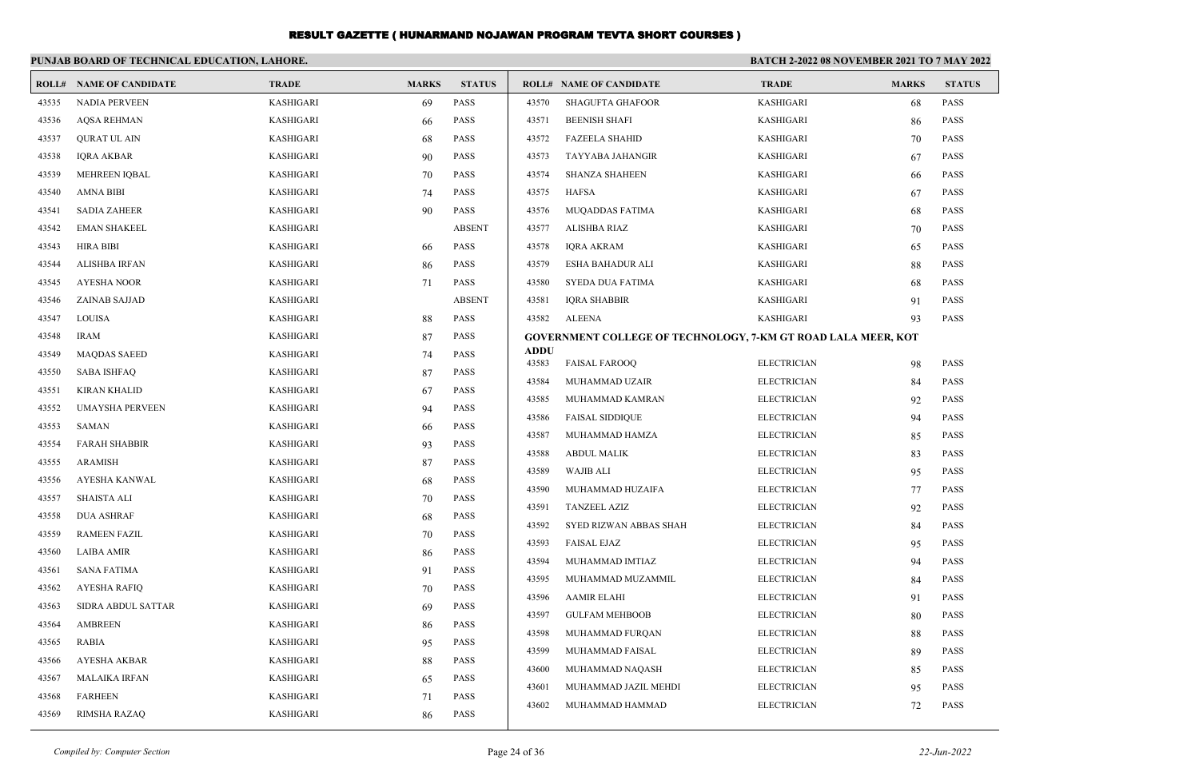|       | PUNJAB BOARD OF TECHNICAL EDUCATION, LAHORE. |                  |              |               | BATCH 2-2022 08 NOVEMBER 2021 TO 7 MAY 2022 |                                                                      |                    |              |               |
|-------|----------------------------------------------|------------------|--------------|---------------|---------------------------------------------|----------------------------------------------------------------------|--------------------|--------------|---------------|
|       | <b>ROLL# NAME OF CANDIDATE</b>               | <b>TRADE</b>     | <b>MARKS</b> | <b>STATUS</b> |                                             | <b>ROLL# NAME OF CANDIDATE</b>                                       | <b>TRADE</b>       | <b>MARKS</b> | <b>STATUS</b> |
| 43535 | <b>NADIA PERVEEN</b>                         | KASHIGARI        | 69           | PASS          | 43570                                       | <b>SHAGUFTA GHAFOOR</b>                                              | KASHIGARI          | 68           | <b>PASS</b>   |
| 43536 | <b>AQSA REHMAN</b>                           | KASHIGARI        | 66           | <b>PASS</b>   | 43571                                       | <b>BEENISH SHAFI</b>                                                 | <b>KASHIGARI</b>   | 86           | <b>PASS</b>   |
| 43537 | <b>QURAT UL AIN</b>                          | KASHIGARI        | 68           | <b>PASS</b>   | 43572                                       | <b>FAZEELA SHAHID</b>                                                | <b>KASHIGARI</b>   | 70           | <b>PASS</b>   |
| 43538 | <b>IQRA AKBAR</b>                            | KASHIGARI        | 90           | <b>PASS</b>   | 43573                                       | TAYYABA JAHANGIR                                                     | <b>KASHIGARI</b>   | 67           | PASS          |
| 43539 | <b>MEHREEN IQBAL</b>                         | KASHIGARI        | 70           | <b>PASS</b>   | 43574                                       | <b>SHANZA SHAHEEN</b>                                                | <b>KASHIGARI</b>   | 66           | <b>PASS</b>   |
| 43540 | <b>AMNA BIBI</b>                             | KASHIGARI        | 74           | <b>PASS</b>   | 43575                                       | <b>HAFSA</b>                                                         | <b>KASHIGARI</b>   | 67           | <b>PASS</b>   |
| 43541 | <b>SADIA ZAHEER</b>                          | KASHIGARI        | 90           | <b>PASS</b>   | 43576                                       | MUQADDAS FATIMA                                                      | <b>KASHIGARI</b>   | 68           | PASS          |
| 43542 | <b>EMAN SHAKEEL</b>                          | KASHIGARI        |              | <b>ABSENT</b> | 43577                                       | ALISHBA RIAZ                                                         | <b>KASHIGARI</b>   | 70           | PASS          |
| 43543 | <b>HIRA BIBI</b>                             | KASHIGARI        | 66           | <b>PASS</b>   | 43578                                       | <b>IQRA AKRAM</b>                                                    | <b>KASHIGARI</b>   | 65           | <b>PASS</b>   |
| 43544 | ALISHBA IRFAN                                | KASHIGARI        | 86           | <b>PASS</b>   | 43579                                       | ESHA BAHADUR ALI                                                     | <b>KASHIGARI</b>   | 88           | <b>PASS</b>   |
| 43545 | <b>AYESHA NOOR</b>                           | KASHIGARI        | 71           | <b>PASS</b>   | 43580                                       | SYEDA DUA FATIMA                                                     | <b>KASHIGARI</b>   | 68           | PASS          |
| 43546 | <b>ZAINAB SAJJAD</b>                         | KASHIGARI        |              | <b>ABSENT</b> | 43581                                       | <b>IQRA SHABBIR</b>                                                  | <b>KASHIGARI</b>   | 91           | <b>PASS</b>   |
| 43547 | LOUISA                                       | KASHIGARI        | 88           | <b>PASS</b>   | 43582                                       | ALEENA                                                               | <b>KASHIGARI</b>   | 93           | <b>PASS</b>   |
| 43548 | <b>IRAM</b>                                  | KASHIGARI        | 87           | <b>PASS</b>   |                                             | <b>GOVERNMENT COLLEGE OF TECHNOLOGY, 7-KM GT ROAD LALA MEER, KOT</b> |                    |              |               |
| 43549 | <b>MAQDAS SAEED</b>                          | KASHIGARI        | 74           | <b>PASS</b>   | <b>ADDU</b><br>43583                        | <b>FAISAL FAROOQ</b>                                                 | <b>ELECTRICIAN</b> | 98           | PASS          |
| 43550 | <b>SABA ISHFAQ</b>                           | KASHIGARI        | 87           | <b>PASS</b>   | 43584                                       | MUHAMMAD UZAIR                                                       | <b>ELECTRICIAN</b> |              | <b>PASS</b>   |
| 43551 | <b>KIRAN KHALID</b>                          | KASHIGARI        | 67           | PASS          | 43585                                       | MUHAMMAD KAMRAN                                                      | <b>ELECTRICIAN</b> | 84           | <b>PASS</b>   |
| 43552 | <b>UMAYSHA PERVEEN</b>                       | KASHIGARI        | 94           | <b>PASS</b>   | 43586                                       | <b>FAISAL SIDDIQUE</b>                                               | <b>ELECTRICIAN</b> | 92<br>94     | <b>PASS</b>   |
| 43553 | <b>SAMAN</b>                                 | KASHIGARI        | 66           | <b>PASS</b>   | 43587                                       | MUHAMMAD HAMZA                                                       | <b>ELECTRICIAN</b> | 85           | <b>PASS</b>   |
| 43554 | <b>FARAH SHABBIR</b>                         | KASHIGARI        | 93           | <b>PASS</b>   | 43588                                       | <b>ABDUL MALIK</b>                                                   | <b>ELECTRICIAN</b> | 83           | <b>PASS</b>   |
| 43555 | <b>ARAMISH</b>                               | KASHIGARI        | 87           | <b>PASS</b>   | 43589                                       | <b>WAJIB ALI</b>                                                     | <b>ELECTRICIAN</b> | 95           | <b>PASS</b>   |
| 43556 | AYESHA KANWAL                                | KASHIGARI        | 68           | <b>PASS</b>   | 43590                                       | MUHAMMAD HUZAIFA                                                     | <b>ELECTRICIAN</b> |              | <b>PASS</b>   |
| 43557 | <b>SHAISTA ALI</b>                           | KASHIGARI        | 70           | <b>PASS</b>   | 43591                                       | <b>TANZEEL AZIZ</b>                                                  | <b>ELECTRICIAN</b> | 77<br>92     | <b>PASS</b>   |
| 43558 | <b>DUA ASHRAF</b>                            | KASHIGARI        | 68           | <b>PASS</b>   | 43592                                       | SYED RIZWAN ABBAS SHAH                                               | <b>ELECTRICIAN</b> | 84           | PASS          |
| 43559 | <b>RAMEEN FAZIL</b>                          | KASHIGARI        | 70           | <b>PASS</b>   | 43593                                       | <b>FAISAL EJAZ</b>                                                   | <b>ELECTRICIAN</b> | 95           | PASS          |
| 43560 | <b>LAIBA AMIR</b>                            | KASHIGARI        | 86           | PASS          | 43594                                       | MUHAMMAD IMTIAZ                                                      | <b>ELECTRICIAN</b> | 94           | <b>PASS</b>   |
| 43561 | <b>SANA FATIMA</b>                           | KASHIGARI        | 91           | <b>PASS</b>   | 43595                                       | MUHAMMAD MUZAMMIL                                                    | <b>ELECTRICIAN</b> | 84           | PASS          |
| 43562 | <b>AYESHA RAFIQ</b>                          | KASHIGARI        | 70           | <b>PASS</b>   | 43596                                       | <b>AAMIR ELAHI</b>                                                   | <b>ELECTRICIAN</b> | 91           | PASS          |
| 43563 | SIDRA ABDUL SATTAR                           | KASHIGARI        | 69           | <b>PASS</b>   | 43597                                       | <b>GULFAM MEHBOOB</b>                                                | <b>ELECTRICIAN</b> | 80           | <b>PASS</b>   |
| 43564 | <b>AMBREEN</b>                               | KASHIGARI        | 86           | <b>PASS</b>   | 43598                                       | MUHAMMAD FURQAN                                                      | <b>ELECTRICIAN</b> | 88           | <b>PASS</b>   |
| 43565 | <b>RABIA</b>                                 | KASHIGARI        | 95           | <b>PASS</b>   | 43599                                       | MUHAMMAD FAISAL                                                      | <b>ELECTRICIAN</b> | 89           | PASS          |
| 43566 | <b>AYESHA AKBAR</b>                          | KASHIGARI        | 88           | <b>PASS</b>   | 43600                                       | MUHAMMAD NAQASH                                                      | <b>ELECTRICIAN</b> |              | <b>PASS</b>   |
| 43567 | <b>MALAIKA IRFAN</b>                         | KASHIGARI        | 65           | <b>PASS</b>   | 43601                                       | MUHAMMAD JAZIL MEHDI                                                 | <b>ELECTRICIAN</b> | 85<br>95     | <b>PASS</b>   |
| 43568 | <b>FARHEEN</b>                               | KASHIGARI        | 71           | <b>PASS</b>   | 43602                                       | MUHAMMAD HAMMAD                                                      | <b>ELECTRICIAN</b> | 72           | PASS          |
| 43569 | <b>RIMSHA RAZAQ</b>                          | <b>KASHIGARI</b> | 86           | <b>PASS</b>   |                                             |                                                                      |                    |              |               |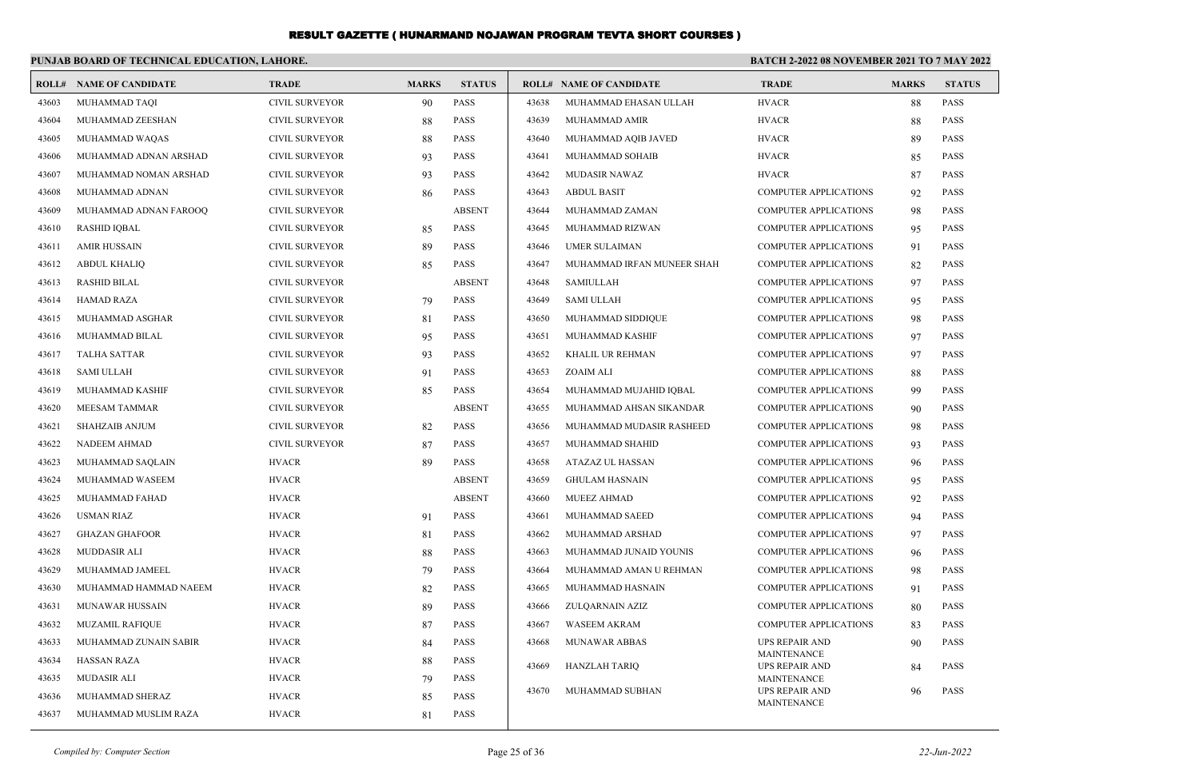|       | PUNJAB BOARD OF TECHNICAL EDUCATION, LAHORE. |                       |              |               |       | BATCH 2-2022 08 NOVEMBER 2021 TO 7 MAY 2022 |                                             |              |               |  |  |
|-------|----------------------------------------------|-----------------------|--------------|---------------|-------|---------------------------------------------|---------------------------------------------|--------------|---------------|--|--|
|       | <b>ROLL# NAME OF CANDIDATE</b>               | <b>TRADE</b>          | <b>MARKS</b> | <b>STATUS</b> |       | <b>ROLL# NAME OF CANDIDATE</b>              | <b>TRADE</b>                                | <b>MARKS</b> | <b>STATUS</b> |  |  |
| 43603 | MUHAMMAD TAQI                                | <b>CIVIL SURVEYOR</b> | 90           | <b>PASS</b>   | 43638 | MUHAMMAD EHASAN ULLAH                       | <b>HVACR</b>                                | 88           | PASS          |  |  |
| 43604 | MUHAMMAD ZEESHAN                             | <b>CIVIL SURVEYOR</b> | 88           | <b>PASS</b>   | 43639 | MUHAMMAD AMIR                               | <b>HVACR</b>                                | 88           | PASS          |  |  |
| 43605 | MUHAMMAD WAQAS                               | <b>CIVIL SURVEYOR</b> | 88           | PASS          | 43640 | MUHAMMAD AQIB JAVED                         | <b>HVACR</b>                                | 89           | <b>PASS</b>   |  |  |
| 43606 | MUHAMMAD ADNAN ARSHAD                        | <b>CIVIL SURVEYOR</b> | 93           | PASS          | 43641 | MUHAMMAD SOHAIB                             | <b>HVACR</b>                                | 85           | PASS          |  |  |
| 43607 | MUHAMMAD NOMAN ARSHAD                        | <b>CIVIL SURVEYOR</b> | 93           | PASS          | 43642 | MUDASIR NAWAZ                               | <b>HVACR</b>                                | 87           | PASS          |  |  |
| 43608 | MUHAMMAD ADNAN                               | <b>CIVIL SURVEYOR</b> | 86           | <b>PASS</b>   | 43643 | <b>ABDUL BASIT</b>                          | <b>COMPUTER APPLICATIONS</b>                | 92           | PASS          |  |  |
| 43609 | MUHAMMAD ADNAN FAROOQ                        | <b>CIVIL SURVEYOR</b> |              | <b>ABSENT</b> | 43644 | MUHAMMAD ZAMAN                              | <b>COMPUTER APPLICATIONS</b>                | 98           | <b>PASS</b>   |  |  |
| 43610 | <b>RASHID IQBAL</b>                          | <b>CIVIL SURVEYOR</b> | 85           | <b>PASS</b>   | 43645 | MUHAMMAD RIZWAN                             | <b>COMPUTER APPLICATIONS</b>                | 95           | <b>PASS</b>   |  |  |
| 43611 | <b>AMIR HUSSAIN</b>                          | <b>CIVIL SURVEYOR</b> | 89           | <b>PASS</b>   | 43646 | <b>UMER SULAIMAN</b>                        | COMPUTER APPLICATIONS                       | 91           | <b>PASS</b>   |  |  |
| 43612 | <b>ABDUL KHALIQ</b>                          | <b>CIVIL SURVEYOR</b> | 85           | <b>PASS</b>   | 43647 | MUHAMMAD IRFAN MUNEER SHAH                  | <b>COMPUTER APPLICATIONS</b>                | 82           | <b>PASS</b>   |  |  |
| 43613 | <b>RASHID BILAL</b>                          | <b>CIVIL SURVEYOR</b> |              | <b>ABSENT</b> | 43648 | <b>SAMIULLAH</b>                            | <b>COMPUTER APPLICATIONS</b>                | 97           | <b>PASS</b>   |  |  |
| 43614 | <b>HAMAD RAZA</b>                            | <b>CIVIL SURVEYOR</b> | 79           | <b>PASS</b>   | 43649 | <b>SAMI ULLAH</b>                           | <b>COMPUTER APPLICATIONS</b>                | 95           | PASS          |  |  |
| 43615 | MUHAMMAD ASGHAR                              | <b>CIVIL SURVEYOR</b> | 81           | <b>PASS</b>   | 43650 | MUHAMMAD SIDDIQUE                           | <b>COMPUTER APPLICATIONS</b>                | 98           | <b>PASS</b>   |  |  |
| 43616 | MUHAMMAD BILAL                               | <b>CIVIL SURVEYOR</b> | 95           | <b>PASS</b>   | 43651 | MUHAMMAD KASHIF                             | <b>COMPUTER APPLICATIONS</b>                | 97           | <b>PASS</b>   |  |  |
| 43617 | <b>TALHA SATTAR</b>                          | <b>CIVIL SURVEYOR</b> | 93           | <b>PASS</b>   | 43652 | KHALIL UR REHMAN                            | <b>COMPUTER APPLICATIONS</b>                | 97           | <b>PASS</b>   |  |  |
| 43618 | <b>SAMI ULLAH</b>                            | <b>CIVIL SURVEYOR</b> | 91           | PASS          | 43653 | ZOAIM ALI                                   | COMPUTER APPLICATIONS                       | 88           | PASS          |  |  |
| 43619 | MUHAMMAD KASHIF                              | <b>CIVIL SURVEYOR</b> | 85           | PASS          | 43654 | MUHAMMAD MUJAHID IQBAL                      | <b>COMPUTER APPLICATIONS</b>                | 99           | PASS          |  |  |
| 43620 | MEESAM TAMMAR                                | <b>CIVIL SURVEYOR</b> |              | <b>ABSENT</b> | 43655 | MUHAMMAD AHSAN SIKANDAR                     | <b>COMPUTER APPLICATIONS</b>                | 90           | PASS          |  |  |
| 43621 | SHAHZAIB ANJUM                               | <b>CIVIL SURVEYOR</b> | 82           | <b>PASS</b>   | 43656 | MUHAMMAD MUDASIR RASHEED                    | <b>COMPUTER APPLICATIONS</b>                | 98           | <b>PASS</b>   |  |  |
| 43622 | NADEEM AHMAD                                 | <b>CIVIL SURVEYOR</b> | 87           | <b>PASS</b>   | 43657 | MUHAMMAD SHAHID                             | <b>COMPUTER APPLICATIONS</b>                | 93           | PASS          |  |  |
| 43623 | MUHAMMAD SAQLAIN                             | <b>HVACR</b>          | 89           | <b>PASS</b>   | 43658 | ATAZAZ UL HASSAN                            | <b>COMPUTER APPLICATIONS</b>                | 96           | PASS          |  |  |
| 43624 | MUHAMMAD WASEEM                              | <b>HVACR</b>          |              | <b>ABSENT</b> | 43659 | <b>GHULAM HASNAIN</b>                       | <b>COMPUTER APPLICATIONS</b>                | 95           | <b>PASS</b>   |  |  |
| 43625 | MUHAMMAD FAHAD                               | <b>HVACR</b>          |              | <b>ABSENT</b> | 43660 | <b>MUEEZ AHMAD</b>                          | <b>COMPUTER APPLICATIONS</b>                | 92           | PASS          |  |  |
| 43626 | <b>USMAN RIAZ</b>                            | <b>HVACR</b>          | 91           | PASS          | 43661 | MUHAMMAD SAEED                              | <b>COMPUTER APPLICATIONS</b>                | 94           | <b>PASS</b>   |  |  |
| 43627 | <b>GHAZAN GHAFOOR</b>                        | <b>HVACR</b>          | 81           | PASS          | 43662 | MUHAMMAD ARSHAD                             | <b>COMPUTER APPLICATIONS</b>                | 97           | <b>PASS</b>   |  |  |
| 43628 | MUDDASIR ALI                                 | <b>HVACR</b>          | 88           | PASS          | 43663 | MUHAMMAD JUNAID YOUNIS                      | COMPUTER APPLICATIONS                       | 96           | <b>PASS</b>   |  |  |
| 43629 | MUHAMMAD JAMEEL                              | <b>HVACR</b>          | 79           | PASS          | 43664 | MUHAMMAD AMAN U REHMAN                      | <b>COMPUTER APPLICATIONS</b>                | 98           | <b>PASS</b>   |  |  |
| 43630 | MUHAMMAD HAMMAD NAEEM                        | <b>HVACR</b>          | 82           | <b>PASS</b>   | 43665 | MUHAMMAD HASNAIN                            | <b>COMPUTER APPLICATIONS</b>                | 91           | PASS          |  |  |
| 43631 | <b>MUNAWAR HUSSAIN</b>                       | <b>HVACR</b>          | 89           | <b>PASS</b>   | 43666 | ZULOARNAIN AZIZ                             | <b>COMPUTER APPLICATIONS</b>                | 80           | <b>PASS</b>   |  |  |
| 43632 | <b>MUZAMIL RAFIQUE</b>                       | <b>HVACR</b>          | 87           | <b>PASS</b>   | 43667 | <b>WASEEM AKRAM</b>                         | <b>COMPUTER APPLICATIONS</b>                | 83           | <b>PASS</b>   |  |  |
| 43633 | MUHAMMAD ZUNAIN SABIR                        | <b>HVACR</b>          | 84           | <b>PASS</b>   | 43668 | MUNAWAR ABBAS                               | <b>UPS REPAIR AND</b>                       | 90           | PASS          |  |  |
| 43634 | <b>HASSAN RAZA</b>                           | <b>HVACR</b>          | 88           | <b>PASS</b>   | 43669 | <b>HANZLAH TARIO</b>                        | <b>MAINTENANCE</b><br><b>UPS REPAIR AND</b> | 84           | PASS          |  |  |
| 43635 | <b>MUDASIR ALI</b>                           | <b>HVACR</b>          | 79           | <b>PASS</b>   |       |                                             | MAINTENANCE                                 |              |               |  |  |
| 43636 | MUHAMMAD SHERAZ                              | <b>HVACR</b>          | 85           | PASS          | 43670 | MUHAMMAD SUBHAN                             | <b>UPS REPAIR AND</b><br><b>MAINTENANCE</b> | 96           | <b>PASS</b>   |  |  |
| 43637 | MUHAMMAD MUSLIM RAZA                         | <b>HVACR</b>          | 81           | PASS          |       |                                             |                                             |              |               |  |  |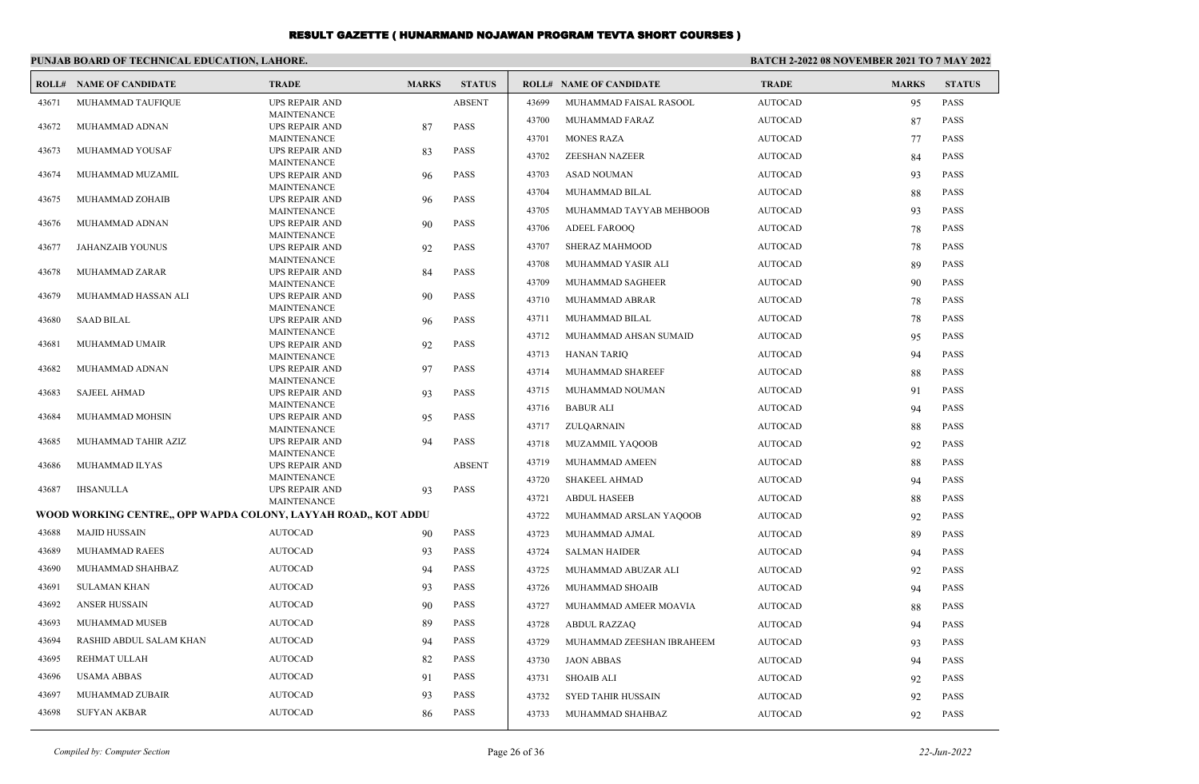|       | PUNJAB BOARD OF TECHNICAL EDUCATION, LAHORE.                   |                                             |              |               | <b>BATCH 2-2022 08 NOVEMBER 2021 TO 7 MAY 2022</b> |                                |                |              |               |
|-------|----------------------------------------------------------------|---------------------------------------------|--------------|---------------|----------------------------------------------------|--------------------------------|----------------|--------------|---------------|
|       | <b>ROLL# NAME OF CANDIDATE</b>                                 | <b>TRADE</b>                                | <b>MARKS</b> | <b>STATUS</b> |                                                    | <b>ROLL# NAME OF CANDIDATE</b> | <b>TRADE</b>   | <b>MARKS</b> | <b>STATUS</b> |
| 43671 | MUHAMMAD TAUFIQUE                                              | <b>UPS REPAIR AND</b>                       |              | <b>ABSENT</b> | 43699                                              | MUHAMMAD FAISAL RASOOL         | <b>AUTOCAD</b> | 95           | PASS          |
| 43672 | MUHAMMAD ADNAN                                                 | <b>MAINTENANCE</b><br><b>UPS REPAIR AND</b> | 87           | <b>PASS</b>   | 43700                                              | MUHAMMAD FARAZ                 | <b>AUTOCAD</b> | 87           | PASS          |
|       |                                                                | <b>MAINTENANCE</b>                          |              |               | 43701                                              | <b>MONES RAZA</b>              | <b>AUTOCAD</b> | 77           | <b>PASS</b>   |
| 43673 | MUHAMMAD YOUSAF                                                | <b>UPS REPAIR AND</b>                       | 83           | <b>PASS</b>   | 43702                                              | ZEESHAN NAZEER                 | <b>AUTOCAD</b> | 84           | PASS          |
| 43674 | MUHAMMAD MUZAMIL                                               | <b>MAINTENANCE</b><br><b>UPS REPAIR AND</b> | 96           | <b>PASS</b>   | 43703                                              | <b>ASAD NOUMAN</b>             | <b>AUTOCAD</b> | 93           | <b>PASS</b>   |
|       |                                                                | <b>MAINTENANCE</b>                          |              |               | 43704                                              | MUHAMMAD BILAL                 | <b>AUTOCAD</b> | 88           | <b>PASS</b>   |
| 43675 | MUHAMMAD ZOHAIB                                                | <b>UPS REPAIR AND</b>                       | 96           | <b>PASS</b>   |                                                    |                                |                |              |               |
| 43676 | MUHAMMAD ADNAN                                                 | <b>MAINTENANCE</b><br><b>UPS REPAIR AND</b> | 90           | <b>PASS</b>   | 43705                                              | MUHAMMAD TAYYAB MEHBOOB        | <b>AUTOCAD</b> | 93           | <b>PASS</b>   |
|       |                                                                | <b>MAINTENANCE</b>                          |              |               | 43706                                              | <b>ADEEL FAROOO</b>            | <b>AUTOCAD</b> | 78           | <b>PASS</b>   |
| 43677 | <b>JAHANZAIB YOUNUS</b>                                        | <b>UPS REPAIR AND</b>                       | 92           | <b>PASS</b>   | 43707                                              | <b>SHERAZ MAHMOOD</b>          | <b>AUTOCAD</b> | 78           | <b>PASS</b>   |
| 43678 | MUHAMMAD ZARAR                                                 | <b>MAINTENANCE</b><br><b>UPS REPAIR AND</b> | 84           | <b>PASS</b>   | 43708                                              | MUHAMMAD YASIR ALI             | <b>AUTOCAD</b> | 89           | <b>PASS</b>   |
|       |                                                                | <b>MAINTENANCE</b>                          |              |               | 43709                                              | MUHAMMAD SAGHEER               | <b>AUTOCAD</b> | 90           | <b>PASS</b>   |
| 43679 | MUHAMMAD HASSAN ALI                                            | <b>UPS REPAIR AND</b>                       | 90           | <b>PASS</b>   | 43710                                              | MUHAMMAD ABRAR                 | <b>AUTOCAD</b> | 78           | <b>PASS</b>   |
| 43680 | <b>SAAD BILAL</b>                                              | <b>MAINTENANCE</b><br><b>UPS REPAIR AND</b> | 96           | <b>PASS</b>   | 43711                                              | MUHAMMAD BILAL                 | <b>AUTOCAD</b> | 78           | <b>PASS</b>   |
|       |                                                                | <b>MAINTENANCE</b>                          |              |               | 43712                                              | MUHAMMAD AHSAN SUMAID          | <b>AUTOCAD</b> | 95           | <b>PASS</b>   |
| 43681 | MUHAMMAD UMAIR                                                 | <b>UPS REPAIR AND</b><br><b>MAINTENANCE</b> | 92           | <b>PASS</b>   | 43713                                              | <b>HANAN TARIQ</b>             | <b>AUTOCAD</b> | 94           | <b>PASS</b>   |
| 43682 | MUHAMMAD ADNAN                                                 | <b>UPS REPAIR AND</b>                       | 97           | PASS          | 43714                                              | MUHAMMAD SHAREEF               | <b>AUTOCAD</b> | 88           | PASS          |
|       |                                                                | <b>MAINTENANCE</b>                          |              |               | 43715                                              | MUHAMMAD NOUMAN                | <b>AUTOCAD</b> | 91           | PASS          |
| 43683 | <b>SAJEEL AHMAD</b>                                            | <b>UPS REPAIR AND</b><br><b>MAINTENANCE</b> | 93           | PASS          |                                                    |                                |                |              |               |
| 43684 | MUHAMMAD MOHSIN                                                | <b>UPS REPAIR AND</b>                       | 95           | <b>PASS</b>   | 43716                                              | <b>BABUR ALI</b>               | <b>AUTOCAD</b> | 94           | <b>PASS</b>   |
|       |                                                                | <b>MAINTENANCE</b>                          |              |               | 43717                                              | ZULQARNAIN                     | <b>AUTOCAD</b> | 88           | <b>PASS</b>   |
| 43685 | MUHAMMAD TAHIR AZIZ                                            | <b>UPS REPAIR AND</b><br><b>MAINTENANCE</b> | 94           | <b>PASS</b>   | 43718                                              | <b>MUZAMMIL YAQOOB</b>         | AUTOCAD        | 92           | <b>PASS</b>   |
| 43686 | MUHAMMAD ILYAS                                                 | <b>UPS REPAIR AND</b>                       |              | <b>ABSENT</b> | 43719                                              | MUHAMMAD AMEEN                 | AUTOCAD        | 88           | PASS          |
|       |                                                                | <b>MAINTENANCE</b>                          |              | <b>PASS</b>   | 43720                                              | <b>SHAKEEL AHMAD</b>           | <b>AUTOCAD</b> | 94           | <b>PASS</b>   |
| 43687 | IHSANULLA                                                      | UPS REPAIR AND<br><b>MAINTENANCE</b>        | 93           |               | 43721                                              | <b>ABDUL HASEEB</b>            | <b>AUTOCAD</b> | 88           | <b>PASS</b>   |
|       | WOOD WORKING CENTRE., OPP WAPDA COLONY, LAYYAH ROAD., KOT ADDU |                                             |              |               | 43722                                              | MUHAMMAD ARSLAN YAQOOB         | <b>AUTOCAD</b> | 92           | <b>PASS</b>   |
| 43688 | <b>MAJID HUSSAIN</b>                                           | <b>AUTOCAD</b>                              | 90           | <b>PASS</b>   | 43723                                              | MUHAMMAD AJMAL                 | <b>AUTOCAD</b> | 89           | <b>PASS</b>   |
| 43689 | MUHAMMAD RAEES                                                 | <b>AUTOCAD</b>                              | 93           | <b>PASS</b>   | 43724                                              | <b>SALMAN HAIDER</b>           | <b>AUTOCAD</b> | 94           | <b>PASS</b>   |
| 43690 | MUHAMMAD SHAHBAZ                                               | <b>AUTOCAD</b>                              | 94           | <b>PASS</b>   | 43725                                              | MUHAMMAD ABUZAR ALI            | <b>AUTOCAD</b> | 92           | <b>PASS</b>   |
| 43691 | <b>SULAMAN KHAN</b>                                            | <b>AUTOCAD</b>                              | 93           | <b>PASS</b>   | 43726                                              | MUHAMMAD SHOAIB                | <b>AUTOCAD</b> | 94           | <b>PASS</b>   |
| 43692 | <b>ANSER HUSSAIN</b>                                           | <b>AUTOCAD</b>                              | 90           | <b>PASS</b>   | 43727                                              | MUHAMMAD AMEER MOAVIA          | <b>AUTOCAD</b> | 88           | <b>PASS</b>   |
| 43693 | MUHAMMAD MUSEB                                                 | <b>AUTOCAD</b>                              | 89           | <b>PASS</b>   | 43728                                              | <b>ABDUL RAZZAO</b>            | <b>AUTOCAD</b> | 94           | <b>PASS</b>   |
| 43694 | RASHID ABDUL SALAM KHAN                                        | <b>AUTOCAD</b>                              | 94           | <b>PASS</b>   | 43729                                              | MUHAMMAD ZEESHAN IBRAHEEM      | <b>AUTOCAD</b> | 93           | <b>PASS</b>   |
| 43695 | REHMAT ULLAH                                                   | <b>AUTOCAD</b>                              | 82           | <b>PASS</b>   | 43730                                              | <b>JAON ABBAS</b>              | <b>AUTOCAD</b> | 94           | PASS          |
| 43696 | <b>USAMA ABBAS</b>                                             | <b>AUTOCAD</b>                              | 91           | <b>PASS</b>   | 43731                                              | <b>SHOAIB ALI</b>              | <b>AUTOCAD</b> | 92           | <b>PASS</b>   |
| 43697 | MUHAMMAD ZUBAIR                                                | <b>AUTOCAD</b>                              | 93           | <b>PASS</b>   | 43732                                              | <b>SYED TAHIR HUSSAIN</b>      | <b>AUTOCAD</b> | 92           | <b>PASS</b>   |
| 43698 | <b>SUFYAN AKBAR</b>                                            | <b>AUTOCAD</b>                              | 86           | <b>PASS</b>   | 43733                                              | MUHAMMAD SHAHBAZ               | <b>AUTOCAD</b> | 92           | PASS          |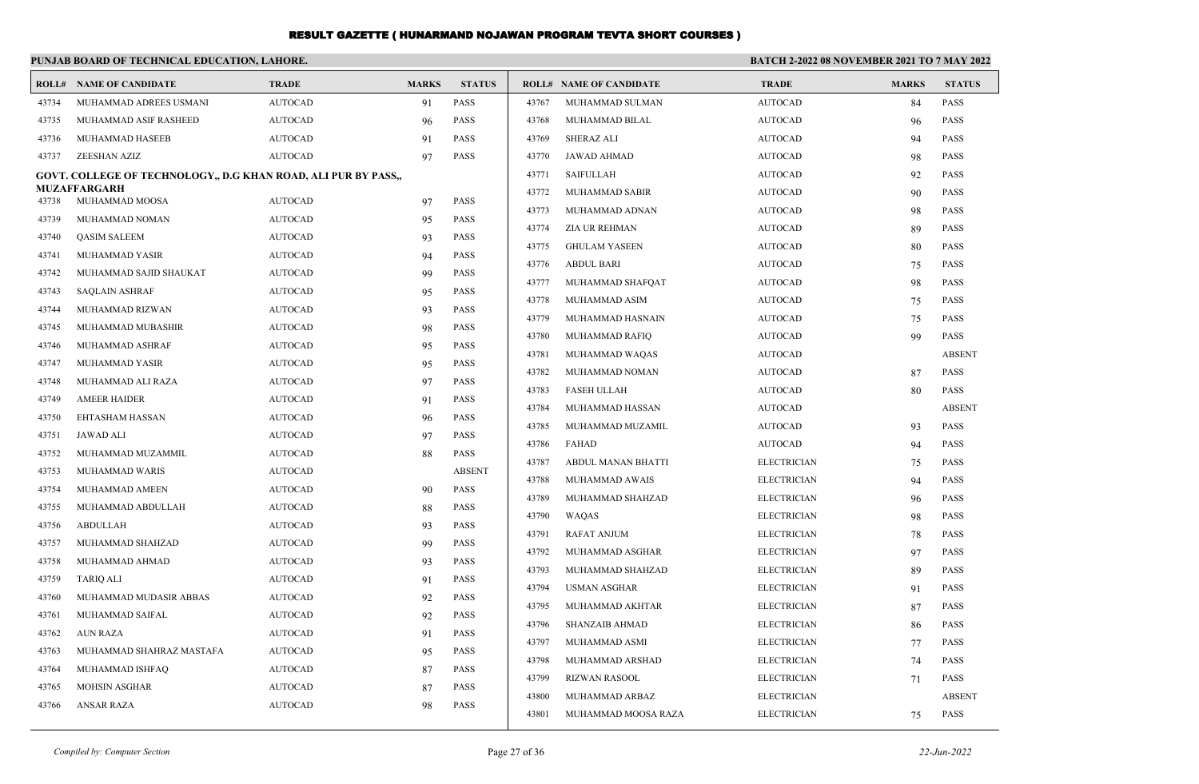|       | PUNJAB BOARD OF TECHNICAL EDUCATION, LAHORE.                   |                |              |               |       |                                | BATCH 2-2022 08 NOVEMBER 2021 TO 7 MAY 2022 |              |               |  |
|-------|----------------------------------------------------------------|----------------|--------------|---------------|-------|--------------------------------|---------------------------------------------|--------------|---------------|--|
|       | <b>ROLL# NAME OF CANDIDATE</b>                                 | <b>TRADE</b>   | <b>MARKS</b> | <b>STATUS</b> |       | <b>ROLL# NAME OF CANDIDATE</b> | <b>TRADE</b>                                | <b>MARKS</b> | <b>STATUS</b> |  |
| 43734 | MUHAMMAD ADREES USMANI                                         | <b>AUTOCAD</b> | 91           | <b>PASS</b>   | 43767 | MUHAMMAD SULMAN                | <b>AUTOCAD</b>                              | 84           | <b>PASS</b>   |  |
| 43735 | MUHAMMAD ASIF RASHEED                                          | <b>AUTOCAD</b> | 96           | <b>PASS</b>   | 43768 | MUHAMMAD BILAL                 | <b>AUTOCAD</b>                              | 96           | <b>PASS</b>   |  |
| 43736 | MUHAMMAD HASEEB                                                | <b>AUTOCAD</b> | 91           | <b>PASS</b>   | 43769 | <b>SHERAZ ALI</b>              | <b>AUTOCAD</b>                              | 94           | <b>PASS</b>   |  |
| 43737 | ZEESHAN AZIZ                                                   | <b>AUTOCAD</b> | 97           | <b>PASS</b>   | 43770 | JAWAD AHMAD                    | <b>AUTOCAD</b>                              | 98           | <b>PASS</b>   |  |
|       | GOVT. COLLEGE OF TECHNOLOGY,, D.G KHAN ROAD, ALI PUR BY PASS,, |                |              |               | 43771 | <b>SAIFULLAH</b>               | <b>AUTOCAD</b>                              | 92           | <b>PASS</b>   |  |
| 43738 | <b>MUZAFFARGARH</b><br>MUHAMMAD MOOSA                          | <b>AUTOCAD</b> | 97           | <b>PASS</b>   | 43772 | <b>MUHAMMAD SABIR</b>          | <b>AUTOCAD</b>                              | 90           | <b>PASS</b>   |  |
| 43739 | MUHAMMAD NOMAN                                                 | <b>AUTOCAD</b> | 95           | <b>PASS</b>   | 43773 | MUHAMMAD ADNAN                 | <b>AUTOCAD</b>                              | 98           | <b>PASS</b>   |  |
| 43740 | <b>QASIM SALEEM</b>                                            | <b>AUTOCAD</b> | 93           | PASS          | 43774 | <b>ZIA UR REHMAN</b>           | <b>AUTOCAD</b>                              | 89           | <b>PASS</b>   |  |
| 43741 | MUHAMMAD YASIR                                                 | <b>AUTOCAD</b> | 94           | <b>PASS</b>   | 43775 | <b>GHULAM YASEEN</b>           | <b>AUTOCAD</b>                              | 80           | <b>PASS</b>   |  |
| 43742 | MUHAMMAD SAJID SHAUKAT                                         | <b>AUTOCAD</b> | 99           | PASS          | 43776 | <b>ABDUL BARI</b>              | <b>AUTOCAD</b>                              | 75           | <b>PASS</b>   |  |
| 43743 | <b>SAQLAIN ASHRAF</b>                                          | <b>AUTOCAD</b> | 95           | <b>PASS</b>   | 43777 | MUHAMMAD SHAFQAT               | <b>AUTOCAD</b>                              | 98           | <b>PASS</b>   |  |
| 43744 | MUHAMMAD RIZWAN                                                | <b>AUTOCAD</b> | 93           | PASS          | 43778 | MUHAMMAD ASIM                  | <b>AUTOCAD</b>                              | 75           | <b>PASS</b>   |  |
| 43745 | MUHAMMAD MUBASHIR                                              | <b>AUTOCAD</b> | 98           | PASS          | 43779 | MUHAMMAD HASNAIN               | <b>AUTOCAD</b>                              | 75           | <b>PASS</b>   |  |
| 43746 | MUHAMMAD ASHRAF                                                | <b>AUTOCAD</b> | 95           | <b>PASS</b>   | 43780 | MUHAMMAD RAFIQ                 | <b>AUTOCAD</b>                              | 99           | <b>PASS</b>   |  |
| 43747 | MUHAMMAD YASIR                                                 | <b>AUTOCAD</b> | 95           | PASS          | 43781 | MUHAMMAD WAQAS                 | <b>AUTOCAD</b>                              |              | <b>ABSENT</b> |  |
| 43748 | MUHAMMAD ALI RAZA                                              | <b>AUTOCAD</b> | 97           | PASS          | 43782 | MUHAMMAD NOMAN                 | <b>AUTOCAD</b>                              | 87           | <b>PASS</b>   |  |
| 43749 | <b>AMEER HAIDER</b>                                            | <b>AUTOCAD</b> | 91           | <b>PASS</b>   | 43783 | <b>FASEH ULLAH</b>             | <b>AUTOCAD</b>                              | 80           | <b>PASS</b>   |  |
| 43750 | <b>EHTASHAM HASSAN</b>                                         | <b>AUTOCAD</b> | 96           | <b>PASS</b>   | 43784 | MUHAMMAD HASSAN                | <b>AUTOCAD</b>                              |              | <b>ABSENT</b> |  |
| 43751 | <b>JAWAD ALI</b>                                               | <b>AUTOCAD</b> | 97           | PASS          | 43785 | MUHAMMAD MUZAMIL               | <b>AUTOCAD</b>                              | 93           | <b>PASS</b>   |  |
| 43752 | MUHAMMAD MUZAMMIL                                              | <b>AUTOCAD</b> | 88           | PASS          | 43786 | FAHAD                          | <b>AUTOCAD</b>                              | 94           | <b>PASS</b>   |  |
| 43753 | MUHAMMAD WARIS                                                 | <b>AUTOCAD</b> |              | <b>ABSENT</b> | 43787 | ABDUL MANAN BHATTI             | <b>ELECTRICIAN</b>                          | 75           | <b>PASS</b>   |  |
| 43754 | MUHAMMAD AMEEN                                                 | <b>AUTOCAD</b> | 90           | <b>PASS</b>   | 43788 | MUHAMMAD AWAIS                 | <b>ELECTRICIAN</b>                          | 94           | <b>PASS</b>   |  |
| 43755 | MUHAMMAD ABDULLAH                                              | <b>AUTOCAD</b> | 88           | <b>PASS</b>   | 43789 | MUHAMMAD SHAHZAD               | <b>ELECTRICIAN</b>                          | 96           | <b>PASS</b>   |  |
| 43756 | <b>ABDULLAH</b>                                                | <b>AUTOCAD</b> | 93           | <b>PASS</b>   | 43790 | <b>WAOAS</b>                   | <b>ELECTRICIAN</b>                          | 98           | <b>PASS</b>   |  |
| 43757 | MUHAMMAD SHAHZAD                                               | <b>AUTOCAD</b> | 99           | <b>PASS</b>   | 43791 | <b>RAFAT ANJUM</b>             | <b>ELECTRICIAN</b>                          | 78           | <b>PASS</b>   |  |
| 43758 | MUHAMMAD AHMAD                                                 | <b>AUTOCAD</b> | 93           | PASS          | 43792 | MUHAMMAD ASGHAR                | <b>ELECTRICIAN</b>                          | 97           | <b>PASS</b>   |  |
| 43759 | <b>TARIO ALI</b>                                               | <b>AUTOCAD</b> | 91           | <b>PASS</b>   | 43793 | MUHAMMAD SHAHZAD               | <b>ELECTRICIAN</b>                          | 89           | <b>PASS</b>   |  |
| 43760 | MUHAMMAD MUDASIR ABBAS                                         | <b>AUTOCAD</b> | 92           | <b>PASS</b>   | 43794 | <b>USMAN ASGHAR</b>            | <b>ELECTRICIAN</b>                          | 91           | <b>PASS</b>   |  |
| 43761 | MUHAMMAD SAIFAL                                                | <b>AUTOCAD</b> | 92           | PASS          | 43795 | MUHAMMAD AKHTAR                | <b>ELECTRICIAN</b>                          | 87           | <b>PASS</b>   |  |
| 43762 | <b>AUN RAZA</b>                                                | <b>AUTOCAD</b> | 91           | <b>PASS</b>   | 43796 | <b>SHANZAIB AHMAD</b>          | <b>ELECTRICIAN</b>                          | 86           | <b>PASS</b>   |  |
| 43763 | MUHAMMAD SHAHRAZ MASTAFA                                       | <b>AUTOCAD</b> | 95           | <b>PASS</b>   | 43797 | MUHAMMAD ASMI                  | <b>ELECTRICIAN</b>                          | 77           | <b>PASS</b>   |  |
| 43764 | MUHAMMAD ISHFAQ                                                | <b>AUTOCAD</b> | 87           | <b>PASS</b>   | 43798 | MUHAMMAD ARSHAD                | <b>ELECTRICIAN</b>                          | 74           | <b>PASS</b>   |  |
| 43765 | <b>MOHSIN ASGHAR</b>                                           | <b>AUTOCAD</b> | 87           | <b>PASS</b>   | 43799 | <b>RIZWAN RASOOL</b>           | <b>ELECTRICIAN</b>                          | 71           | <b>PASS</b>   |  |
| 43766 | <b>ANSAR RAZA</b>                                              | <b>AUTOCAD</b> | 98           | <b>PASS</b>   | 43800 | MUHAMMAD ARBAZ                 | <b>ELECTRICIAN</b>                          |              | <b>ABSENT</b> |  |
|       |                                                                |                |              |               | 43801 | MUHAMMAD MOOSA RAZA            | <b>ELECTRICIAN</b>                          | 75           | <b>PASS</b>   |  |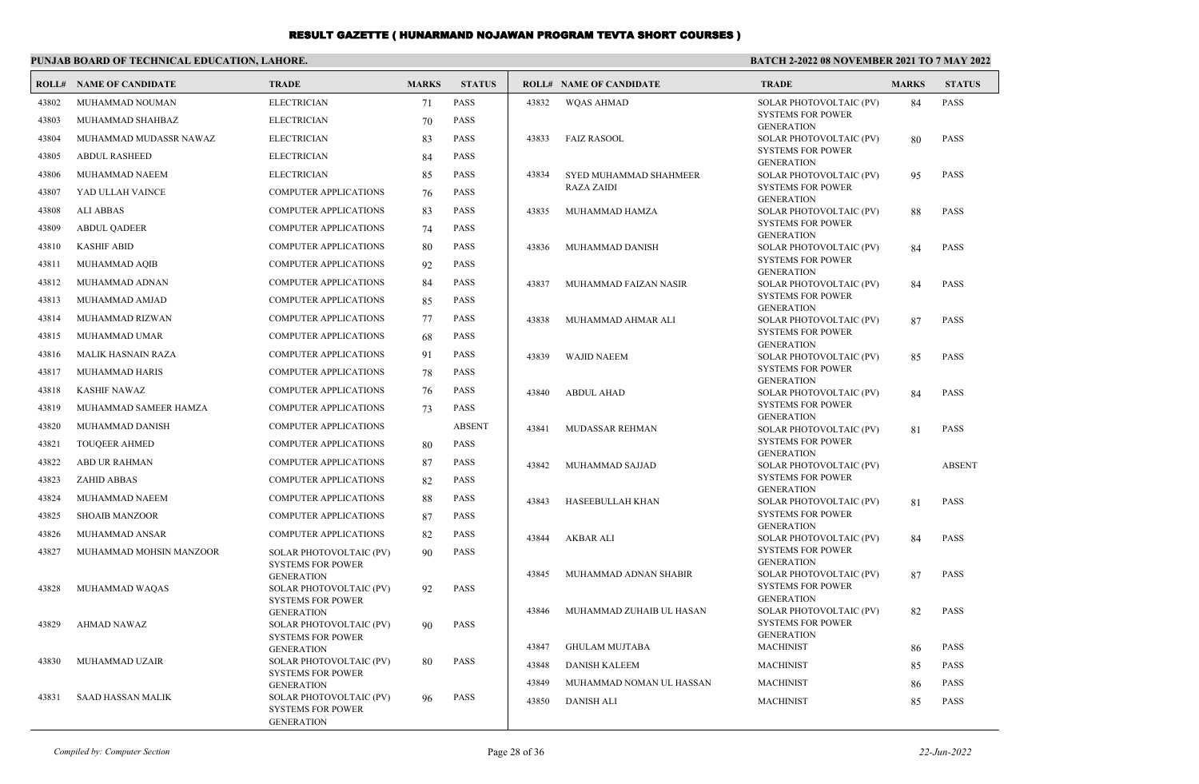#### **PUNJAB BOARD OF TECHNICAL EDUCATION, LAHORE.**

#### **BATCH 2-2022 08 NOVEMBER 2021 TO 7 MAY 2022**

| ROLL# | <b>NAME OF CANDIDATE</b>  | <b>TRADE</b>                                        | <b>MARKS</b> | <b>STATUS</b> |       | <b>ROLL# NAME OF CANDIDATE</b> | <b>TRADE</b>                                        | <b>MARKS</b> | <b>STATUS</b> |
|-------|---------------------------|-----------------------------------------------------|--------------|---------------|-------|--------------------------------|-----------------------------------------------------|--------------|---------------|
| 43802 | MUHAMMAD NOUMAN           | <b>ELECTRICIAN</b>                                  | 71           | PASS          | 43832 | <b>WQAS AHMAD</b>              | SOLAR PHOTOVOLTAIC (PV)                             | 84           | <b>PASS</b>   |
| 43803 | MUHAMMAD SHAHBAZ          | <b>ELECTRICIAN</b>                                  | 70           | <b>PASS</b>   |       |                                | <b>SYSTEMS FOR POWER</b><br><b>GENERATION</b>       |              |               |
| 43804 | MUHAMMAD MUDASSR NAWAZ    | <b>ELECTRICIAN</b>                                  | 83           | <b>PASS</b>   | 43833 | <b>FAIZ RASOOL</b>             | SOLAR PHOTOVOLTAIC (PV)                             | 80           | <b>PASS</b>   |
| 43805 | <b>ABDUL RASHEED</b>      | <b>ELECTRICIAN</b>                                  | 84           | <b>PASS</b>   |       |                                | <b>SYSTEMS FOR POWER</b>                            |              |               |
| 43806 | MUHAMMAD NAEEM            | <b>ELECTRICIAN</b>                                  | 85           | <b>PASS</b>   | 43834 | SYED MUHAMMAD SHAHMEER         | <b>GENERATION</b><br>SOLAR PHOTOVOLTAIC (PV)        | 95           | <b>PASS</b>   |
| 43807 | YAD ULLAH VAINCE          | <b>COMPUTER APPLICATIONS</b>                        | 76           | <b>PASS</b>   |       | <b>RAZA ZAIDI</b>              | <b>SYSTEMS FOR POWER</b>                            |              |               |
| 43808 | <b>ALI ABBAS</b>          | COMPUTER APPLICATIONS                               | 83           | <b>PASS</b>   | 43835 | MUHAMMAD HAMZA                 | <b>GENERATION</b><br>SOLAR PHOTOVOLTAIC (PV)        | 88           | <b>PASS</b>   |
| 43809 | <b>ABDUL OADEER</b>       | <b>COMPUTER APPLICATIONS</b>                        | 74           | <b>PASS</b>   |       |                                | <b>SYSTEMS FOR POWER</b>                            |              |               |
| 43810 | <b>KASHIF ABID</b>        | <b>COMPUTER APPLICATIONS</b>                        | 80           | <b>PASS</b>   |       |                                | <b>GENERATION</b>                                   |              |               |
|       |                           |                                                     |              |               | 43836 | MUHAMMAD DANISH                | SOLAR PHOTOVOLTAIC (PV)<br><b>SYSTEMS FOR POWER</b> | 84           | <b>PASS</b>   |
| 43811 | MUHAMMAD AQIB             | COMPUTER APPLICATIONS                               | 92           | <b>PASS</b>   |       |                                | <b>GENERATION</b>                                   |              |               |
| 43812 | MUHAMMAD ADNAN            | <b>COMPUTER APPLICATIONS</b>                        | 84           | PASS          | 43837 | MUHAMMAD FAIZAN NASIR          | SOLAR PHOTOVOLTAIC (PV)<br><b>SYSTEMS FOR POWER</b> | 84           | <b>PASS</b>   |
| 43813 | MUHAMMAD AMJAD            | <b>COMPUTER APPLICATIONS</b>                        | 85           | <b>PASS</b>   |       |                                | <b>GENERATION</b>                                   |              |               |
| 43814 | MUHAMMAD RIZWAN           | COMPUTER APPLICATIONS                               | 77           | <b>PASS</b>   | 43838 | MUHAMMAD AHMAR ALI             | SOLAR PHOTOVOLTAIC (PV)                             | 87           | <b>PASS</b>   |
| 43815 | MUHAMMAD UMAR             | <b>COMPUTER APPLICATIONS</b>                        | 68           | PASS          |       |                                | <b>SYSTEMS FOR POWER</b><br><b>GENERATION</b>       |              |               |
| 43816 | <b>MALIK HASNAIN RAZA</b> | <b>COMPUTER APPLICATIONS</b>                        | 91           | <b>PASS</b>   | 43839 | <b>WAJID NAEEM</b>             | SOLAR PHOTOVOLTAIC (PV)                             | 85           | <b>PASS</b>   |
| 43817 | MUHAMMAD HARIS            | COMPUTER APPLICATIONS                               | 78           | <b>PASS</b>   |       |                                | <b>SYSTEMS FOR POWER</b><br><b>GENERATION</b>       |              |               |
| 43818 | <b>KASHIF NAWAZ</b>       | <b>COMPUTER APPLICATIONS</b>                        | 76           | <b>PASS</b>   | 43840 | <b>ABDUL AHAD</b>              | SOLAR PHOTOVOLTAIC (PV)                             | 84           | <b>PASS</b>   |
| 43819 | MUHAMMAD SAMEER HAMZA     | <b>COMPUTER APPLICATIONS</b>                        | 73           | <b>PASS</b>   |       |                                | <b>SYSTEMS FOR POWER</b>                            |              |               |
| 43820 | MUHAMMAD DANISH           | <b>COMPUTER APPLICATIONS</b>                        |              | <b>ABSENT</b> | 43841 | <b>MUDASSAR REHMAN</b>         | <b>GENERATION</b><br>SOLAR PHOTOVOLTAIC (PV)        | 81           | <b>PASS</b>   |
| 43821 | <b>TOUQEER AHMED</b>      | COMPUTER APPLICATIONS                               | 80           | <b>PASS</b>   |       |                                | <b>SYSTEMS FOR POWER</b>                            |              |               |
| 43822 | <b>ABD UR RAHMAN</b>      | <b>COMPUTER APPLICATIONS</b>                        | 87           | <b>PASS</b>   | 43842 | MUHAMMAD SAJJAD                | <b>GENERATION</b><br>SOLAR PHOTOVOLTAIC (PV)        |              | <b>ABSENT</b> |
| 43823 | <b>ZAHID ABBAS</b>        | COMPUTER APPLICATIONS                               | 82           | PASS          |       |                                | <b>SYSTEMS FOR POWER</b>                            |              |               |
| 43824 | MUHAMMAD NAEEM            | COMPUTER APPLICATIONS                               | 88           | <b>PASS</b>   | 43843 | <b>HASEEBULLAH KHAN</b>        | <b>GENERATION</b><br>SOLAR PHOTOVOLTAIC (PV)        | 81           | <b>PASS</b>   |
| 43825 | <b>SHOAIB MANZOOR</b>     | <b>COMPUTER APPLICATIONS</b>                        | 87           | <b>PASS</b>   |       |                                | <b>SYSTEMS FOR POWER</b>                            |              |               |
| 43826 | MUHAMMAD ANSAR            | <b>COMPUTER APPLICATIONS</b>                        | 82           | <b>PASS</b>   |       |                                | <b>GENERATION</b>                                   |              |               |
| 43827 | MUHAMMAD MOHSIN MANZOOR   | SOLAR PHOTOVOLTAIC (PV)                             | 90           | <b>PASS</b>   | 43844 | AKBAR ALI                      | SOLAR PHOTOVOLTAIC (PV)<br><b>SYSTEMS FOR POWER</b> | -84          | <b>PASS</b>   |
|       |                           | <b>SYSTEMS FOR POWER</b>                            |              |               |       |                                | <b>GENERATION</b>                                   |              |               |
|       |                           | <b>GENERATION</b>                                   |              |               | 43845 | MUHAMMAD ADNAN SHABIR          | SOLAR PHOTOVOLTAIC (PV)<br><b>SYSTEMS FOR POWER</b> | 87           | <b>PASS</b>   |
| 43828 | MUHAMMAD WAQAS            | SOLAR PHOTOVOLTAIC (PV)<br><b>SYSTEMS FOR POWER</b> | 92           | <b>PASS</b>   |       |                                | <b>GENERATION</b>                                   |              |               |
|       |                           | <b>GENERATION</b>                                   |              |               | 43846 | MUHAMMAD ZUHAIB UL HASAN       | SOLAR PHOTOVOLTAIC (PV)                             | 82           | <b>PASS</b>   |
| 43829 | <b>AHMAD NAWAZ</b>        | SOLAR PHOTOVOLTAIC (PV)<br><b>SYSTEMS FOR POWER</b> | 90           | <b>PASS</b>   |       |                                | <b>SYSTEMS FOR POWER</b><br><b>GENERATION</b>       |              |               |
|       |                           | <b>GENERATION</b>                                   |              |               | 43847 | <b>GHULAM MUJTABA</b>          | <b>MACHINIST</b>                                    | 86           | <b>PASS</b>   |
| 43830 | MUHAMMAD UZAIR            | SOLAR PHOTOVOLTAIC (PV)<br><b>SYSTEMS FOR POWER</b> | 80           | <b>PASS</b>   | 43848 | DANISH KALEEM                  | <b>MACHINIST</b>                                    | 85           | <b>PASS</b>   |
|       |                           | <b>GENERATION</b>                                   |              |               | 43849 | MUHAMMAD NOMAN UL HASSAN       | <b>MACHINIST</b>                                    | 86           | <b>PASS</b>   |
| 43831 | <b>SAAD HASSAN MALIK</b>  | SOLAR PHOTOVOLTAIC (PV)<br><b>SYSTEMS FOR POWER</b> | 96           | <b>PASS</b>   | 43850 | <b>DANISH ALI</b>              | <b>MACHINIST</b>                                    | 85           | <b>PASS</b>   |
|       |                           | <b>GENERATION</b>                                   |              |               |       |                                |                                                     |              |               |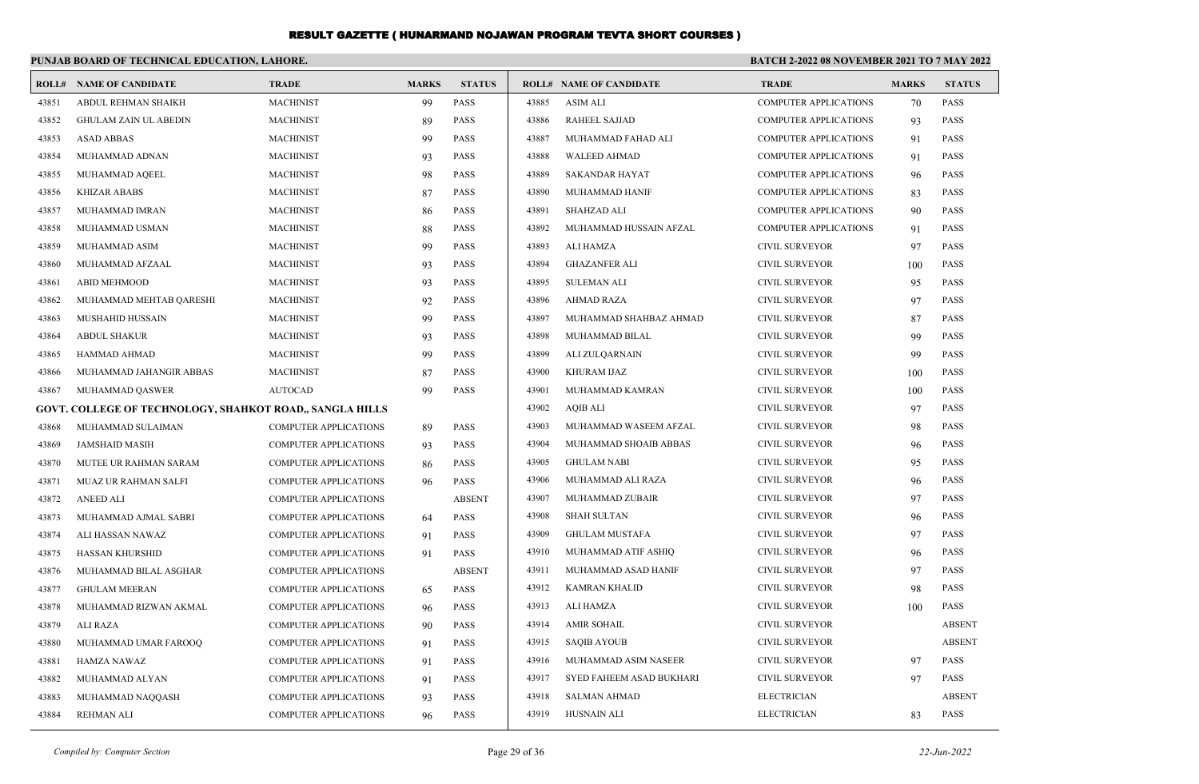|       | PUNJAB BOARD OF TECHNICAL EDUCATION, LAHORE.             |                              |              |               | <b>BATCH 2-2022 08 NOVEMBER 2021 TO 7 MAY 2022</b> |                                |                              |              |               |
|-------|----------------------------------------------------------|------------------------------|--------------|---------------|----------------------------------------------------|--------------------------------|------------------------------|--------------|---------------|
|       | <b>ROLL# NAME OF CANDIDATE</b>                           | <b>TRADE</b>                 | <b>MARKS</b> | <b>STATUS</b> |                                                    | <b>ROLL# NAME OF CANDIDATE</b> | <b>TRADE</b>                 | <b>MARKS</b> | <b>STATUS</b> |
| 43851 | ABDUL REHMAN SHAIKH                                      | <b>MACHINIST</b>             | 99           | <b>PASS</b>   | 43885                                              | <b>ASIM ALI</b>                | <b>COMPUTER APPLICATIONS</b> | 70           | <b>PASS</b>   |
| 43852 | <b>GHULAM ZAIN UL ABEDIN</b>                             | <b>MACHINIST</b>             | 89           | <b>PASS</b>   | 43886                                              | <b>RAHEEL SAJJAD</b>           | <b>COMPUTER APPLICATIONS</b> | 93           | <b>PASS</b>   |
| 43853 | <b>ASAD ABBAS</b>                                        | <b>MACHINIST</b>             | 99           | <b>PASS</b>   | 43887                                              | MUHAMMAD FAHAD ALI             | <b>COMPUTER APPLICATIONS</b> | 91           | <b>PASS</b>   |
| 43854 | MUHAMMAD ADNAN                                           | <b>MACHINIST</b>             | 93           | <b>PASS</b>   | 43888                                              | <b>WALEED AHMAD</b>            | <b>COMPUTER APPLICATIONS</b> | 91           | <b>PASS</b>   |
| 43855 | MUHAMMAD AQEEL                                           | <b>MACHINIST</b>             | 98           | <b>PASS</b>   | 43889                                              | <b>SAKANDAR HAYAT</b>          | <b>COMPUTER APPLICATIONS</b> | 96           | <b>PASS</b>   |
| 43856 | <b>KHIZAR ABABS</b>                                      | <b>MACHINIST</b>             | 87           | <b>PASS</b>   | 43890                                              | MUHAMMAD HANIF                 | <b>COMPUTER APPLICATIONS</b> | 83           | <b>PASS</b>   |
| 43857 | MUHAMMAD IMRAN                                           | <b>MACHINIST</b>             | 86           | <b>PASS</b>   | 43891                                              | <b>SHAHZAD ALI</b>             | <b>COMPUTER APPLICATIONS</b> | 90           | <b>PASS</b>   |
| 43858 | MUHAMMAD USMAN                                           | <b>MACHINIST</b>             | 88           | <b>PASS</b>   | 43892                                              | MUHAMMAD HUSSAIN AFZAL         | <b>COMPUTER APPLICATIONS</b> | 91           | <b>PASS</b>   |
| 43859 | MUHAMMAD ASIM                                            | <b>MACHINIST</b>             | 99           | <b>PASS</b>   | 43893                                              | ALI HAMZA                      | <b>CIVIL SURVEYOR</b>        | 97           | <b>PASS</b>   |
| 43860 | MUHAMMAD AFZAAL                                          | <b>MACHINIST</b>             | 93           | <b>PASS</b>   | 43894                                              | <b>GHAZANFER ALI</b>           | <b>CIVIL SURVEYOR</b>        | 100          | <b>PASS</b>   |
| 43861 | <b>ABID MEHMOOD</b>                                      | <b>MACHINIST</b>             | 93           | <b>PASS</b>   | 43895                                              | <b>SULEMAN ALI</b>             | <b>CIVIL SURVEYOR</b>        | 95           | <b>PASS</b>   |
| 43862 | MUHAMMAD MEHTAB QARESHI                                  | <b>MACHINIST</b>             | 92           | <b>PASS</b>   | 43896                                              | <b>AHMAD RAZA</b>              | <b>CIVIL SURVEYOR</b>        | 97           | PASS          |
| 43863 | MUSHAHID HUSSAIN                                         | <b>MACHINIST</b>             | 99           | <b>PASS</b>   | 43897                                              | MUHAMMAD SHAHBAZ AHMAD         | <b>CIVIL SURVEYOR</b>        | 87           | <b>PASS</b>   |
| 43864 | <b>ABDUL SHAKUR</b>                                      | <b>MACHINIST</b>             | 93           | <b>PASS</b>   | 43898                                              | MUHAMMAD BILAL                 | <b>CIVIL SURVEYOR</b>        | 99           | <b>PASS</b>   |
| 43865 | HAMMAD AHMAD                                             | <b>MACHINIST</b>             | 99           | <b>PASS</b>   | 43899                                              | ALI ZULQARNAIN                 | <b>CIVIL SURVEYOR</b>        | 99           | PASS          |
| 43866 | MUHAMMAD JAHANGIR ABBAS                                  | <b>MACHINIST</b>             | 87           | <b>PASS</b>   | 43900                                              | KHURAM IJAZ                    | <b>CIVIL SURVEYOR</b>        | 100          | <b>PASS</b>   |
| 43867 | MUHAMMAD QASWER                                          | <b>AUTOCAD</b>               | 99           | <b>PASS</b>   | 43901                                              | MUHAMMAD KAMRAN                | <b>CIVIL SURVEYOR</b>        | 100          | <b>PASS</b>   |
|       | GOVT. COLLEGE OF TECHNOLOGY, SHAHKOT ROAD., SANGLA HILLS |                              |              |               | 43902                                              | <b>AQIB ALI</b>                | <b>CIVIL SURVEYOR</b>        | 97           | PASS          |
| 43868 | MUHAMMAD SULAIMAN                                        | <b>COMPUTER APPLICATIONS</b> | 89           | <b>PASS</b>   | 43903                                              | MUHAMMAD WASEEM AFZAL          | <b>CIVIL SURVEYOR</b>        | 98           | PASS          |
| 43869 | <b>JAMSHAID MASIH</b>                                    | <b>COMPUTER APPLICATIONS</b> | 93           | <b>PASS</b>   | 43904                                              | MUHAMMAD SHOAIB ABBAS          | <b>CIVIL SURVEYOR</b>        | 96           | <b>PASS</b>   |
| 43870 | MUTEE UR RAHMAN SARAM                                    | <b>COMPUTER APPLICATIONS</b> | 86           | <b>PASS</b>   | 43905                                              | <b>GHULAM NABI</b>             | <b>CIVIL SURVEYOR</b>        | 95           | <b>PASS</b>   |
| 43871 | MUAZ UR RAHMAN SALFI                                     | <b>COMPUTER APPLICATIONS</b> | 96           | <b>PASS</b>   | 43906                                              | MUHAMMAD ALI RAZA              | <b>CIVIL SURVEYOR</b>        | 96           | <b>PASS</b>   |
| 43872 | <b>ANEED ALI</b>                                         | <b>COMPUTER APPLICATIONS</b> |              | <b>ABSENT</b> | 43907                                              | MUHAMMAD ZUBAIR                | <b>CIVIL SURVEYOR</b>        | 97           | <b>PASS</b>   |
| 43873 | MUHAMMAD AJMAL SABRI                                     | <b>COMPUTER APPLICATIONS</b> | 64           | <b>PASS</b>   | 43908                                              | <b>SHAH SULTAN</b>             | <b>CIVIL SURVEYOR</b>        | 96           | <b>PASS</b>   |
| 43874 | ALI HASSAN NAWAZ                                         | <b>COMPUTER APPLICATIONS</b> | 91           | <b>PASS</b>   | 43909                                              | <b>GHULAM MUSTAFA</b>          | <b>CIVIL SURVEYOR</b>        | 97           | <b>PASS</b>   |
| 43875 | HASSAN KHURSHID                                          | <b>COMPUTER APPLICATIONS</b> | 91           | <b>PASS</b>   | 43910                                              | MUHAMMAD ATIF ASHIQ            | <b>CIVIL SURVEYOR</b>        | 96           | <b>PASS</b>   |
| 43876 | MUHAMMAD BILAL ASGHAR                                    | <b>COMPUTER APPLICATIONS</b> |              | <b>ABSENT</b> | 43911                                              | MUHAMMAD ASAD HANIF            | <b>CIVIL SURVEYOR</b>        | 97           | <b>PASS</b>   |
| 43877 | <b>GHULAM MEERAN</b>                                     | <b>COMPUTER APPLICATIONS</b> | 65           | <b>PASS</b>   | 43912                                              | <b>KAMRAN KHALID</b>           | <b>CIVIL SURVEYOR</b>        | 98           | <b>PASS</b>   |
| 43878 | MUHAMMAD RIZWAN AKMAL                                    | <b>COMPUTER APPLICATIONS</b> | 96           | <b>PASS</b>   | 43913                                              | ALI HAMZA                      | <b>CIVIL SURVEYOR</b>        | 100          | <b>PASS</b>   |
| 43879 | <b>ALI RAZA</b>                                          | <b>COMPUTER APPLICATIONS</b> | 90           | <b>PASS</b>   | 43914                                              | <b>AMIR SOHAIL</b>             | <b>CIVIL SURVEYOR</b>        |              | <b>ABSENT</b> |
| 43880 | MUHAMMAD UMAR FAROOQ                                     | <b>COMPUTER APPLICATIONS</b> | 91           | <b>PASS</b>   | 43915                                              | <b>SAQIB AYOUB</b>             | <b>CIVIL SURVEYOR</b>        |              | <b>ABSENT</b> |
| 43881 | <b>HAMZA NAWAZ</b>                                       | <b>COMPUTER APPLICATIONS</b> | 91           | <b>PASS</b>   | 43916                                              | MUHAMMAD ASIM NASEER           | <b>CIVIL SURVEYOR</b>        | 97           | <b>PASS</b>   |
| 43882 | MUHAMMAD ALYAN                                           | <b>COMPUTER APPLICATIONS</b> | 91           | <b>PASS</b>   | 43917                                              | SYED FAHEEM ASAD BUKHARI       | <b>CIVIL SURVEYOR</b>        | 97           | <b>PASS</b>   |
| 43883 | MUHAMMAD NAQQASH                                         | <b>COMPUTER APPLICATIONS</b> | 93           | <b>PASS</b>   | 43918                                              | <b>SALMAN AHMAD</b>            | <b>ELECTRICIAN</b>           |              | <b>ABSENT</b> |
| 43884 | <b>REHMAN ALI</b>                                        | <b>COMPUTER APPLICATIONS</b> | 96           | <b>PASS</b>   | 43919                                              | <b>HUSNAIN ALI</b>             | <b>ELECTRICIAN</b>           | 83           | <b>PASS</b>   |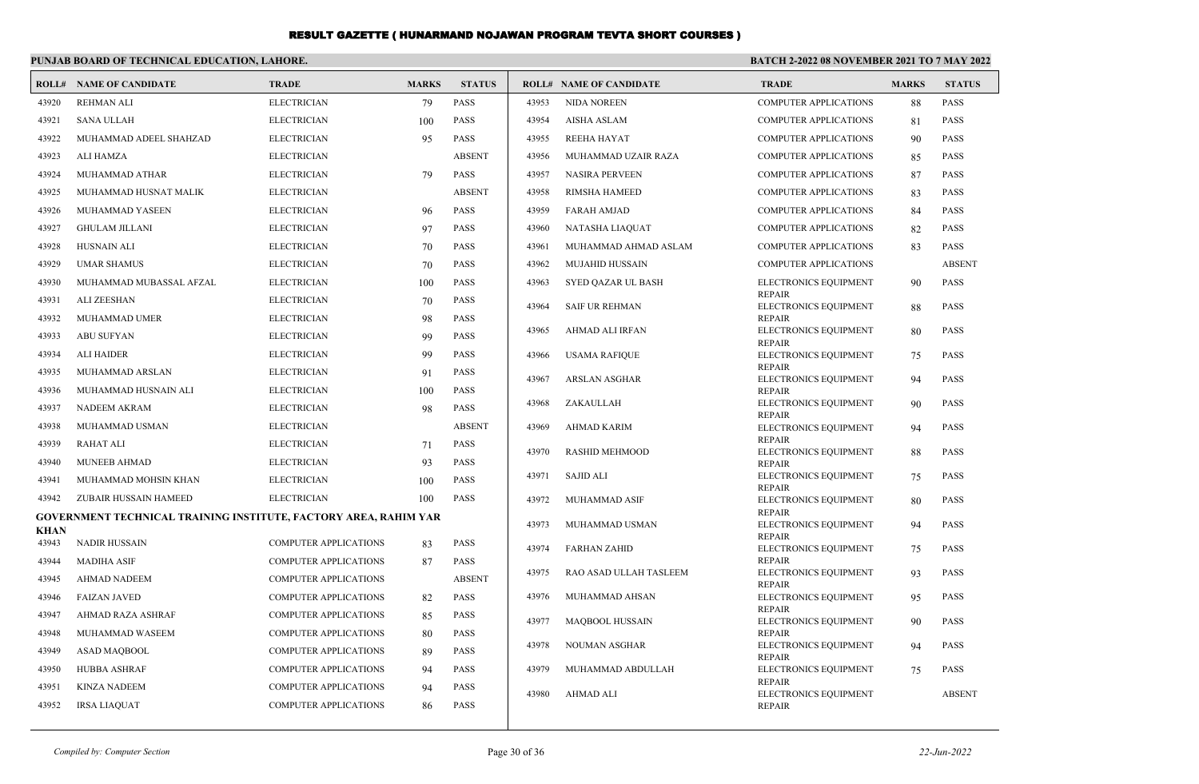|                      | PUNJAB BOARD OF TECHNICAL EDUCATION, LAHORE.                     |                              |              |               | BATCH 2-2022 08 NOVEMBER 2021 TO 7 MAY 2022 |                                |                                        |              |               |
|----------------------|------------------------------------------------------------------|------------------------------|--------------|---------------|---------------------------------------------|--------------------------------|----------------------------------------|--------------|---------------|
|                      | <b>ROLL# NAME OF CANDIDATE</b>                                   | <b>TRADE</b>                 | <b>MARKS</b> | <b>STATUS</b> |                                             | <b>ROLL# NAME OF CANDIDATE</b> | <b>TRADE</b>                           | <b>MARKS</b> | <b>STATUS</b> |
| 43920                | <b>REHMAN ALI</b>                                                | <b>ELECTRICIAN</b>           | 79           | <b>PASS</b>   | 43953                                       | <b>NIDA NOREEN</b>             | <b>COMPUTER APPLICATIONS</b>           | 88           | PASS          |
| 43921                | <b>SANA ULLAH</b>                                                | <b>ELECTRICIAN</b>           | 100          | <b>PASS</b>   | 43954                                       | <b>AISHA ASLAM</b>             | <b>COMPUTER APPLICATIONS</b>           | 81           | <b>PASS</b>   |
| 43922                | MUHAMMAD ADEEL SHAHZAD                                           | <b>ELECTRICIAN</b>           | 95           | <b>PASS</b>   | 43955                                       | <b>REEHA HAYAT</b>             | <b>COMPUTER APPLICATIONS</b>           | 90           | <b>PASS</b>   |
| 43923                | <b>ALI HAMZA</b>                                                 | <b>ELECTRICIAN</b>           |              | <b>ABSENT</b> | 43956                                       | MUHAMMAD UZAIR RAZA            | <b>COMPUTER APPLICATIONS</b>           | 85           | PASS          |
| 43924                | MUHAMMAD ATHAR                                                   | <b>ELECTRICIAN</b>           | 79           | <b>PASS</b>   | 43957                                       | <b>NASIRA PERVEEN</b>          | <b>COMPUTER APPLICATIONS</b>           | 87           | <b>PASS</b>   |
| 43925                | MUHAMMAD HUSNAT MALIK                                            | <b>ELECTRICIAN</b>           |              | <b>ABSENT</b> | 43958                                       | RIMSHA HAMEED                  | <b>COMPUTER APPLICATIONS</b>           | 83           | <b>PASS</b>   |
| 43926                | MUHAMMAD YASEEN                                                  | <b>ELECTRICIAN</b>           | 96           | <b>PASS</b>   | 43959                                       | <b>FARAH AMJAD</b>             | <b>COMPUTER APPLICATIONS</b>           | 84           | PASS          |
| 43927                | <b>GHULAM JILLANI</b>                                            | <b>ELECTRICIAN</b>           | 97           | <b>PASS</b>   | 43960                                       | NATASHA LIAQUAT                | <b>COMPUTER APPLICATIONS</b>           | 82           | <b>PASS</b>   |
| 43928                | <b>HUSNAIN ALI</b>                                               | <b>ELECTRICIAN</b>           | 70           | <b>PASS</b>   | 43961                                       | MUHAMMAD AHMAD ASLAM           | <b>COMPUTER APPLICATIONS</b>           | 83           | PASS          |
| 43929                | <b>UMAR SHAMUS</b>                                               | <b>ELECTRICIAN</b>           | 70           | <b>PASS</b>   | 43962                                       | <b>MUJAHID HUSSAIN</b>         | <b>COMPUTER APPLICATIONS</b>           |              | <b>ABSENT</b> |
| 43930                | MUHAMMAD MUBASSAL AFZAL                                          | <b>ELECTRICIAN</b>           | 100          | <b>PASS</b>   | 43963                                       | SYED QAZAR UL BASH             | ELECTRONICS EQUIPMENT                  | 90           | PASS          |
| 43931                | <b>ALI ZEESHAN</b>                                               | <b>ELECTRICIAN</b>           | 70           | <b>PASS</b>   | 43964                                       | <b>SAIF UR REHMAN</b>          | <b>REPAIR</b><br>ELECTRONICS EQUIPMENT | 88           | <b>PASS</b>   |
| 43932                | MUHAMMAD UMER                                                    | <b>ELECTRICIAN</b>           | 98           | <b>PASS</b>   |                                             |                                | <b>REPAIR</b>                          |              |               |
| 43933                | <b>ABU SUFYAN</b>                                                | <b>ELECTRICIAN</b>           | 99           | <b>PASS</b>   | 43965                                       | AHMAD ALI IRFAN                | ELECTRONICS EQUIPMENT<br><b>REPAIR</b> | 80           | PASS          |
| 43934                | <b>ALI HAIDER</b>                                                | <b>ELECTRICIAN</b>           | 99           | <b>PASS</b>   | 43966                                       | <b>USAMA RAFIQUE</b>           | ELECTRONICS EQUIPMENT                  | 75           | <b>PASS</b>   |
| 43935                | MUHAMMAD ARSLAN                                                  | <b>ELECTRICIAN</b>           | 91           | <b>PASS</b>   | 43967                                       | <b>ARSLAN ASGHAR</b>           | <b>REPAIR</b><br>ELECTRONICS EQUIPMENT | 94           | PASS          |
| 43936                | MUHAMMAD HUSNAIN ALI                                             | <b>ELECTRICIAN</b>           | 100          | <b>PASS</b>   |                                             |                                | <b>REPAIR</b>                          |              |               |
| 43937                | NADEEM AKRAM                                                     | <b>ELECTRICIAN</b>           | 98           | <b>PASS</b>   | 43968                                       | ZAKAULLAH                      | ELECTRONICS EQUIPMENT<br><b>REPAIR</b> | 90           | <b>PASS</b>   |
| 43938                | MUHAMMAD USMAN                                                   | <b>ELECTRICIAN</b>           |              | <b>ABSENT</b> | 43969                                       | <b>AHMAD KARIM</b>             | ELECTRONICS EQUIPMENT                  | 94           | PASS          |
| 43939                | <b>RAHAT ALI</b>                                                 | <b>ELECTRICIAN</b>           | 71           | <b>PASS</b>   | 43970                                       | <b>RASHID MEHMOOD</b>          | <b>REPAIR</b><br>ELECTRONICS EQUIPMENT | 88           | <b>PASS</b>   |
| 43940                | <b>MUNEEB AHMAD</b>                                              | <b>ELECTRICIAN</b>           | 93           | <b>PASS</b>   |                                             |                                | <b>REPAIR</b>                          |              |               |
| 43941                | MUHAMMAD MOHSIN KHAN                                             | <b>ELECTRICIAN</b>           | 100          | <b>PASS</b>   | 43971                                       | <b>SAJID ALI</b>               | ELECTRONICS EQUIPMENT<br><b>REPAIR</b> | 75           | PASS          |
| 43942                | ZUBAIR HUSSAIN HAMEED                                            | <b>ELECTRICIAN</b>           | 100          | <b>PASS</b>   | 43972                                       | MUHAMMAD ASIF                  | ELECTRONICS EQUIPMENT                  | 80           | PASS          |
|                      | GOVERNMENT TECHNICAL TRAINING INSTITUTE, FACTORY AREA, RAHIM YAR |                              |              |               | 43973                                       | MUHAMMAD USMAN                 | <b>REPAIR</b><br>ELECTRONICS EQUIPMENT | 94           | <b>PASS</b>   |
| <b>KHAN</b><br>43943 | <b>NADIR HUSSAIN</b>                                             | COMPUTER APPLICATIONS        | 83           | <b>PASS</b>   |                                             |                                | <b>REPAIR</b>                          |              |               |
| 43944                | <b>MADIHA ASIF</b>                                               | <b>COMPUTER APPLICATIONS</b> | 87           | <b>PASS</b>   | 43974                                       | <b>FARHAN ZAHID</b>            | ELECTRONICS EQUIPMENT<br><b>REPAIR</b> | 75           | <b>PASS</b>   |
| 43945                | <b>AHMAD NADEEM</b>                                              | COMPUTER APPLICATIONS        |              | <b>ABSENT</b> | 43975                                       | RAO ASAD ULLAH TASLEEM         | ELECTRONICS EQUIPMENT                  | 93           | <b>PASS</b>   |
| 43946                | <b>FAIZAN JAVED</b>                                              | COMPUTER APPLICATIONS        | 82           | <b>PASS</b>   | 43976                                       | MUHAMMAD AHSAN                 | <b>REPAIR</b><br>ELECTRONICS EQUIPMENT | 95           | <b>PASS</b>   |
| 43947                | AHMAD RAZA ASHRAF                                                | COMPUTER APPLICATIONS        | 85           | <b>PASS</b>   |                                             |                                | <b>REPAIR</b>                          |              |               |
| 43948                | MUHAMMAD WASEEM                                                  | <b>COMPUTER APPLICATIONS</b> | 80           | <b>PASS</b>   | 43977                                       | <b>MAOBOOL HUSSAIN</b>         | ELECTRONICS EQUIPMENT<br><b>REPAIR</b> | 90           | <b>PASS</b>   |
| 43949                | ASAD MAQBOOL                                                     | COMPUTER APPLICATIONS        | 89           | <b>PASS</b>   | 43978                                       | <b>NOUMAN ASGHAR</b>           | ELECTRONICS EQUIPMENT                  | 94           | PASS          |
| 43950                | <b>HUBBA ASHRAF</b>                                              | COMPUTER APPLICATIONS        | 94           | <b>PASS</b>   | 43979                                       | MUHAMMAD ABDULLAH              | <b>REPAIR</b><br>ELECTRONICS EQUIPMENT | 75           | <b>PASS</b>   |
| 43951                | <b>KINZA NADEEM</b>                                              | COMPUTER APPLICATIONS        | 94           | <b>PASS</b>   |                                             |                                | <b>REPAIR</b>                          |              |               |
| 43952                | <b>IRSA LIAQUAT</b>                                              | <b>COMPUTER APPLICATIONS</b> | 86           | <b>PASS</b>   | 43980                                       | AHMAD ALI                      | ELECTRONICS EQUIPMENT<br><b>REPAIR</b> |              | <b>ABSENT</b> |
|                      |                                                                  |                              |              |               |                                             |                                |                                        |              |               |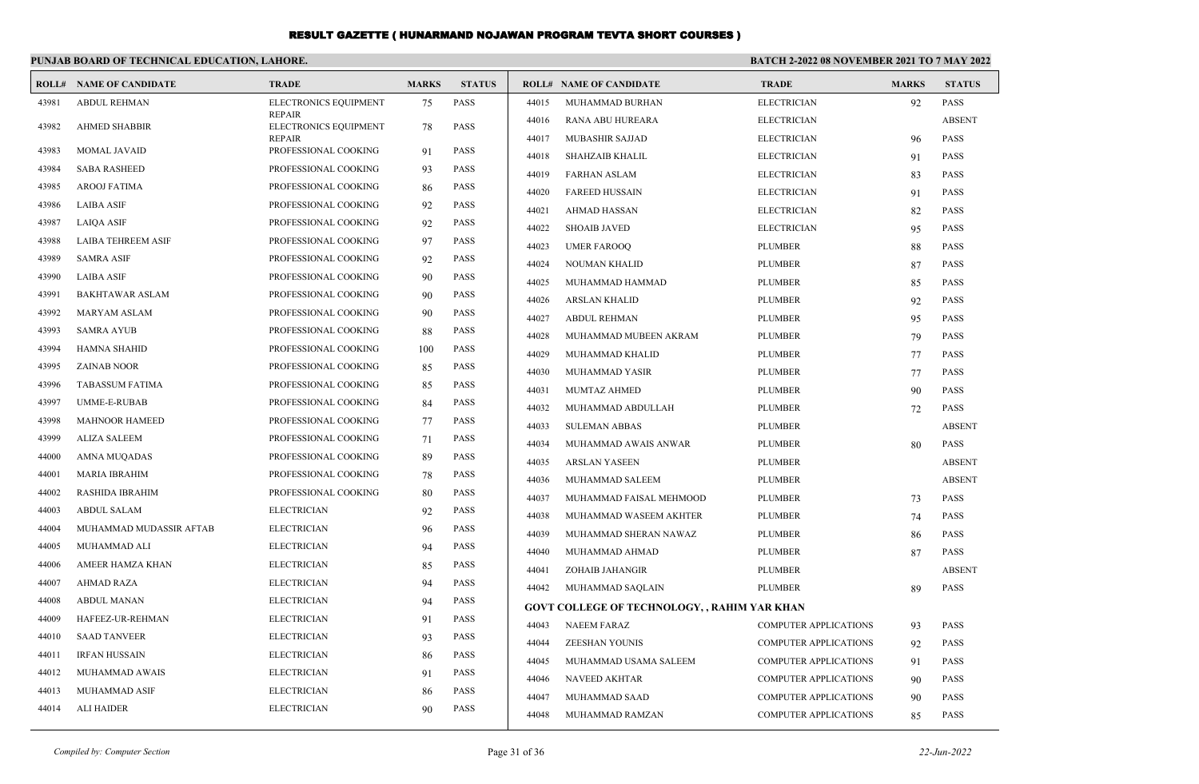|       | PUNJAB BOARD OF TECHNICAL EDUCATION, LAHORE. |                                        |              |               | BATCH 2-2022 08 NOVEMBER 2021 TO 7 MAY 2022 |                                                     |                              |              |               |
|-------|----------------------------------------------|----------------------------------------|--------------|---------------|---------------------------------------------|-----------------------------------------------------|------------------------------|--------------|---------------|
|       | <b>ROLL# NAME OF CANDIDATE</b>               | <b>TRADE</b>                           | <b>MARKS</b> | <b>STATUS</b> |                                             | <b>ROLL# NAME OF CANDIDATE</b>                      | <b>TRADE</b>                 | <b>MARKS</b> | <b>STATUS</b> |
| 43981 | <b>ABDUL REHMAN</b>                          | ELECTRONICS EQUIPMENT                  | 75           | PASS          | 44015                                       | MUHAMMAD BURHAN                                     | <b>ELECTRICIAN</b>           | 92           | <b>PASS</b>   |
| 43982 | <b>AHMED SHABBIR</b>                         | <b>REPAIR</b><br>ELECTRONICS EQUIPMENT | 78           | <b>PASS</b>   | 44016                                       | RANA ABU HUREARA                                    | <b>ELECTRICIAN</b>           |              | <b>ABSENT</b> |
|       |                                              | <b>REPAIR</b>                          |              |               | 44017                                       | <b>MUBASHIR SAJJAD</b>                              | <b>ELECTRICIAN</b>           | 96           | <b>PASS</b>   |
| 43983 | MOMAL JAVAID                                 | PROFESSIONAL COOKING                   | 91           | PASS          | 44018                                       | <b>SHAHZAIB KHALIL</b>                              | <b>ELECTRICIAN</b>           | 91           | <b>PASS</b>   |
| 43984 | <b>SABA RASHEED</b>                          | PROFESSIONAL COOKING                   | 93           | PASS          | 44019                                       | <b>FARHAN ASLAM</b>                                 | <b>ELECTRICIAN</b>           | 83           | <b>PASS</b>   |
| 43985 | AROOJ FATIMA                                 | PROFESSIONAL COOKING                   | 86           | PASS          | 44020                                       | <b>FAREED HUSSAIN</b>                               | <b>ELECTRICIAN</b>           | 91           | <b>PASS</b>   |
| 43986 | <b>LAIBA ASIF</b>                            | PROFESSIONAL COOKING                   | 92           | <b>PASS</b>   | 44021                                       | <b>AHMAD HASSAN</b>                                 | <b>ELECTRICIAN</b>           | 82           | <b>PASS</b>   |
| 43987 | <b>LAIOA ASIF</b>                            | PROFESSIONAL COOKING                   | 92           | <b>PASS</b>   | 44022                                       | <b>SHOAIB JAVED</b>                                 | <b>ELECTRICIAN</b>           | 95           | <b>PASS</b>   |
| 43988 | <b>LAIBA TEHREEM ASIF</b>                    | PROFESSIONAL COOKING                   | 97           | <b>PASS</b>   | 44023                                       | <b>UMER FAROOQ</b>                                  | <b>PLUMBER</b>               | 88           | <b>PASS</b>   |
| 43989 | <b>SAMRA ASIF</b>                            | PROFESSIONAL COOKING                   | 92           | <b>PASS</b>   | 44024                                       | <b>NOUMAN KHALID</b>                                | <b>PLUMBER</b>               | 87           | <b>PASS</b>   |
| 43990 | <b>LAIBA ASIF</b>                            | PROFESSIONAL COOKING                   | 90           | PASS          | 44025                                       | MUHAMMAD HAMMAD                                     | <b>PLUMBER</b>               | 85           | <b>PASS</b>   |
| 43991 | <b>BAKHTAWAR ASLAM</b>                       | PROFESSIONAL COOKING                   | 90           | PASS          | 44026                                       | ARSLAN KHALID                                       | <b>PLUMBER</b>               | 92           | <b>PASS</b>   |
| 43992 | MARYAM ASLAM                                 | PROFESSIONAL COOKING                   | 90           | <b>PASS</b>   | 44027                                       | <b>ABDUL REHMAN</b>                                 | <b>PLUMBER</b>               | 95           | <b>PASS</b>   |
| 43993 | <b>SAMRA AYUB</b>                            | PROFESSIONAL COOKING                   | 88           | <b>PASS</b>   | 44028                                       | MUHAMMAD MUBEEN AKRAM                               | <b>PLUMBER</b>               | 79           | <b>PASS</b>   |
| 43994 | <b>HAMNA SHAHID</b>                          | PROFESSIONAL COOKING                   | 100          | <b>PASS</b>   | 44029                                       | MUHAMMAD KHALID                                     | <b>PLUMBER</b>               | 77           | <b>PASS</b>   |
| 43995 | <b>ZAINAB NOOR</b>                           | PROFESSIONAL COOKING                   | 85           | <b>PASS</b>   | 44030                                       | MUHAMMAD YASIR                                      | <b>PLUMBER</b>               | 77           | <b>PASS</b>   |
| 43996 | <b>TABASSUM FATIMA</b>                       | PROFESSIONAL COOKING                   | 85           | <b>PASS</b>   | 44031                                       | MUMTAZ AHMED                                        | <b>PLUMBER</b>               | 90           | <b>PASS</b>   |
| 43997 | UMME-E-RUBAB                                 | PROFESSIONAL COOKING                   | 84           | <b>PASS</b>   | 44032                                       | MUHAMMAD ABDULLAH                                   | <b>PLUMBER</b>               | 72           | <b>PASS</b>   |
| 43998 | <b>MAHNOOR HAMEED</b>                        | PROFESSIONAL COOKING                   | 77           | PASS          | 44033                                       | <b>SULEMAN ABBAS</b>                                | <b>PLUMBER</b>               |              | <b>ABSENT</b> |
| 43999 | <b>ALIZA SALEEM</b>                          | PROFESSIONAL COOKING                   | 71           | PASS          | 44034                                       | MUHAMMAD AWAIS ANWAR                                | <b>PLUMBER</b>               | 80           | <b>PASS</b>   |
| 44000 | <b>AMNA MUQADAS</b>                          | PROFESSIONAL COOKING                   | 89           | <b>PASS</b>   | 44035                                       | <b>ARSLAN YASEEN</b>                                | <b>PLUMBER</b>               |              | <b>ABSENT</b> |
| 44001 | <b>MARIA IBRAHIM</b>                         | PROFESSIONAL COOKING                   | 78           | <b>PASS</b>   | 44036                                       | MUHAMMAD SALEEM                                     | <b>PLUMBER</b>               |              | <b>ABSENT</b> |
| 44002 | RASHIDA IBRAHIM                              | PROFESSIONAL COOKING                   | 80           | PASS          | 44037                                       | MUHAMMAD FAISAL MEHMOOD                             | <b>PLUMBER</b>               | 73           | <b>PASS</b>   |
| 44003 | <b>ABDUL SALAM</b>                           | <b>ELECTRICIAN</b>                     | 92           | <b>PASS</b>   | 44038                                       | MUHAMMAD WASEEM AKHTER                              | <b>PLUMBER</b>               | 74           | <b>PASS</b>   |
| 44004 | MUHAMMAD MUDASSIR AFTAB                      | <b>ELECTRICIAN</b>                     | 96           | PASS          | 44039                                       | MUHAMMAD SHERAN NAWAZ                               | <b>PLUMBER</b>               | 86           | <b>PASS</b>   |
| 44005 | MUHAMMAD ALI                                 | <b>ELECTRICIAN</b>                     | 94           | <b>PASS</b>   | 44040                                       | MUHAMMAD AHMAD                                      | <b>PLUMBER</b>               | 87           | <b>PASS</b>   |
| 44006 | AMEER HAMZA KHAN                             | <b>ELECTRICIAN</b>                     | 85           | <b>PASS</b>   | 44041                                       | ZOHAIB JAHANGIR                                     | <b>PLUMBER</b>               |              | <b>ABSENT</b> |
| 44007 | <b>AHMAD RAZA</b>                            | <b>ELECTRICIAN</b>                     | 94           | <b>PASS</b>   | 44042                                       | MUHAMMAD SAQLAIN                                    | <b>PLUMBER</b>               | 89           | <b>PASS</b>   |
| 44008 | <b>ABDUL MANAN</b>                           | <b>ELECTRICIAN</b>                     | 94           | PASS          |                                             | <b>GOVT COLLEGE OF TECHNOLOGY, , RAHIM YAR KHAN</b> |                              |              |               |
| 44009 | HAFEEZ-UR-REHMAN                             | <b>ELECTRICIAN</b>                     | 91           | PASS          | 44043                                       | <b>NAEEM FARAZ</b>                                  | COMPUTER APPLICATIONS        | 93           | <b>PASS</b>   |
| 44010 | <b>SAAD TANVEER</b>                          | <b>ELECTRICIAN</b>                     | 93           | PASS          | 44044                                       | <b>ZEESHAN YOUNIS</b>                               | COMPUTER APPLICATIONS        | 92           | <b>PASS</b>   |
| 44011 | <b>IRFAN HUSSAIN</b>                         | <b>ELECTRICIAN</b>                     | 86           | <b>PASS</b>   | 44045                                       | MUHAMMAD USAMA SALEEM                               | COMPUTER APPLICATIONS        | 91           | <b>PASS</b>   |
| 44012 | MUHAMMAD AWAIS                               | <b>ELECTRICIAN</b>                     | 91           | PASS          | 44046                                       | <b>NAVEED AKHTAR</b>                                | <b>COMPUTER APPLICATIONS</b> | 90           | <b>PASS</b>   |
| 44013 | MUHAMMAD ASIF                                | <b>ELECTRICIAN</b>                     | 86           | PASS          | 44047                                       | MUHAMMAD SAAD                                       | <b>COMPUTER APPLICATIONS</b> | 90           | <b>PASS</b>   |
| 44014 | <b>ALI HAIDER</b>                            | <b>ELECTRICIAN</b>                     | 90           | PASS          | 44048                                       | MUHAMMAD RAMZAN                                     | <b>COMPUTER APPLICATIONS</b> | 85           | PASS          |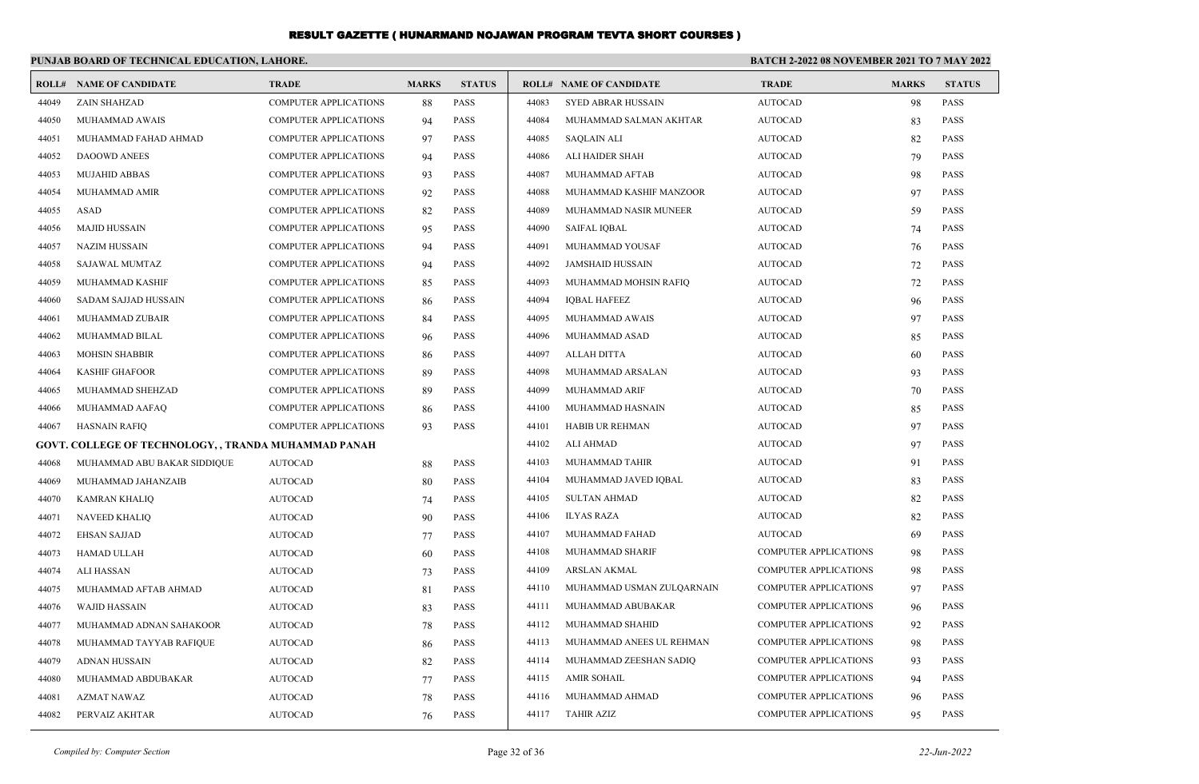|       | PUNJAB BOARD OF TECHNICAL EDUCATION, LAHORE.                |                              |              |               |       | <b>BATCH 2-2022 08 NOVEMBER 2021 TO 7 MAY 2022</b> |                              |              |               |  |
|-------|-------------------------------------------------------------|------------------------------|--------------|---------------|-------|----------------------------------------------------|------------------------------|--------------|---------------|--|
|       | <b>ROLL# NAME OF CANDIDATE</b>                              | <b>TRADE</b>                 | <b>MARKS</b> | <b>STATUS</b> |       | <b>ROLL# NAME OF CANDIDATE</b>                     | <b>TRADE</b>                 | <b>MARKS</b> | <b>STATUS</b> |  |
| 44049 | <b>ZAIN SHAHZAD</b>                                         | <b>COMPUTER APPLICATIONS</b> | 88           | PASS          | 44083 | <b>SYED ABRAR HUSSAIN</b>                          | <b>AUTOCAD</b>               | 98           | <b>PASS</b>   |  |
| 44050 | MUHAMMAD AWAIS                                              | <b>COMPUTER APPLICATIONS</b> | 94           | <b>PASS</b>   | 44084 | MUHAMMAD SALMAN AKHTAR                             | <b>AUTOCAD</b>               | 83           | <b>PASS</b>   |  |
| 44051 | MUHAMMAD FAHAD AHMAD                                        | COMPUTER APPLICATIONS        | 97           | PASS          | 44085 | <b>SAQLAIN ALI</b>                                 | <b>AUTOCAD</b>               | 82           | <b>PASS</b>   |  |
| 44052 | <b>DAOOWD ANEES</b>                                         | <b>COMPUTER APPLICATIONS</b> | 94           | PASS          | 44086 | ALI HAIDER SHAH                                    | <b>AUTOCAD</b>               | 79           | <b>PASS</b>   |  |
| 44053 | <b>MUJAHID ABBAS</b>                                        | <b>COMPUTER APPLICATIONS</b> | 93           | PASS          | 44087 | MUHAMMAD AFTAB                                     | <b>AUTOCAD</b>               | 98           | <b>PASS</b>   |  |
| 44054 | MUHAMMAD AMIR                                               | <b>COMPUTER APPLICATIONS</b> | 92           | PASS          | 44088 | MUHAMMAD KASHIF MANZOOR                            | <b>AUTOCAD</b>               | 97           | <b>PASS</b>   |  |
| 44055 | ASAD                                                        | <b>COMPUTER APPLICATIONS</b> | 82           | <b>PASS</b>   | 44089 | MUHAMMAD NASIR MUNEER                              | <b>AUTOCAD</b>               | 59           | <b>PASS</b>   |  |
| 44056 | <b>MAJID HUSSAIN</b>                                        | <b>COMPUTER APPLICATIONS</b> | 95           | PASS          | 44090 | <b>SAIFAL IQBAL</b>                                | <b>AUTOCAD</b>               | 74           | <b>PASS</b>   |  |
| 44057 | <b>NAZIM HUSSAIN</b>                                        | <b>COMPUTER APPLICATIONS</b> | 94           | <b>PASS</b>   | 44091 | MUHAMMAD YOUSAF                                    | <b>AUTOCAD</b>               | 76           | <b>PASS</b>   |  |
| 44058 | SAJAWAL MUMTAZ                                              | <b>COMPUTER APPLICATIONS</b> | 94           | PASS          | 44092 | <b>JAMSHAID HUSSAIN</b>                            | <b>AUTOCAD</b>               | 72           | <b>PASS</b>   |  |
| 44059 | MUHAMMAD KASHIF                                             | <b>COMPUTER APPLICATIONS</b> | 85           | PASS          | 44093 | MUHAMMAD MOHSIN RAFIQ                              | <b>AUTOCAD</b>               | 72           | <b>PASS</b>   |  |
| 44060 | SADAM SAJJAD HUSSAIN                                        | <b>COMPUTER APPLICATIONS</b> | 86           | PASS          | 44094 | <b>IQBAL HAFEEZ</b>                                | <b>AUTOCAD</b>               | 96           | <b>PASS</b>   |  |
| 44061 | MUHAMMAD ZUBAIR                                             | <b>COMPUTER APPLICATIONS</b> | 84           | PASS          | 44095 | MUHAMMAD AWAIS                                     | <b>AUTOCAD</b>               | 97           | <b>PASS</b>   |  |
| 44062 | MUHAMMAD BILAL                                              | <b>COMPUTER APPLICATIONS</b> | 96           | <b>PASS</b>   | 44096 | MUHAMMAD ASAD                                      | <b>AUTOCAD</b>               | 85           | <b>PASS</b>   |  |
| 44063 | <b>MOHSIN SHABBIR</b>                                       | <b>COMPUTER APPLICATIONS</b> | 86           | PASS          | 44097 | <b>ALLAH DITTA</b>                                 | <b>AUTOCAD</b>               | 60           | <b>PASS</b>   |  |
| 44064 | <b>KASHIF GHAFOOR</b>                                       | <b>COMPUTER APPLICATIONS</b> | 89           | PASS          | 44098 | MUHAMMAD ARSALAN                                   | <b>AUTOCAD</b>               | 93           | <b>PASS</b>   |  |
| 44065 | MUHAMMAD SHEHZAD                                            | <b>COMPUTER APPLICATIONS</b> | 89           | <b>PASS</b>   | 44099 | MUHAMMAD ARIF                                      | <b>AUTOCAD</b>               | 70           | <b>PASS</b>   |  |
| 44066 | MUHAMMAD AAFAQ                                              | <b>COMPUTER APPLICATIONS</b> | 86           | PASS          | 44100 | MUHAMMAD HASNAIN                                   | <b>AUTOCAD</b>               | 85           | <b>PASS</b>   |  |
| 44067 | <b>HASNAIN RAFIQ</b>                                        | <b>COMPUTER APPLICATIONS</b> | 93           | PASS          | 44101 | HABIB UR REHMAN                                    | <b>AUTOCAD</b>               | 97           | <b>PASS</b>   |  |
|       | <b>GOVT. COLLEGE OF TECHNOLOGY, , TRANDA MUHAMMAD PANAH</b> |                              |              |               | 44102 | ALI AHMAD                                          | <b>AUTOCAD</b>               | 97           | <b>PASS</b>   |  |
| 44068 | MUHAMMAD ABU BAKAR SIDDIQUE                                 | <b>AUTOCAD</b>               | 88           | <b>PASS</b>   | 44103 | MUHAMMAD TAHIR                                     | <b>AUTOCAD</b>               | 91           | <b>PASS</b>   |  |
| 44069 | MUHAMMAD JAHANZAIB                                          | <b>AUTOCAD</b>               | 80           | <b>PASS</b>   | 44104 | MUHAMMAD JAVED IQBAL                               | <b>AUTOCAD</b>               | 83           | <b>PASS</b>   |  |
| 44070 | KAMRAN KHALIQ                                               | <b>AUTOCAD</b>               | 74           | <b>PASS</b>   | 44105 | <b>SULTAN AHMAD</b>                                | <b>AUTOCAD</b>               | 82           | <b>PASS</b>   |  |
| 44071 | <b>NAVEED KHALIQ</b>                                        | <b>AUTOCAD</b>               | 90           | PASS          | 44106 | <b>ILYAS RAZA</b>                                  | <b>AUTOCAD</b>               | 82           | <b>PASS</b>   |  |
| 44072 | EHSAN SAJJAD                                                | <b>AUTOCAD</b>               | 77           | <b>PASS</b>   | 44107 | MUHAMMAD FAHAD                                     | <b>AUTOCAD</b>               | 69           | <b>PASS</b>   |  |
| 44073 | HAMAD ULLAH                                                 | <b>AUTOCAD</b>               | 60           | <b>PASS</b>   | 44108 | MUHAMMAD SHARIF                                    | <b>COMPUTER APPLICATIONS</b> | 98           | <b>PASS</b>   |  |
| 44074 | <b>ALI HASSAN</b>                                           | <b>AUTOCAD</b>               | 73           | <b>PASS</b>   | 44109 | ARSLAN AKMAL                                       | <b>COMPUTER APPLICATIONS</b> | 98           | <b>PASS</b>   |  |
| 44075 | MUHAMMAD AFTAB AHMAD                                        | <b>AUTOCAD</b>               | 81           | <b>PASS</b>   | 44110 | MUHAMMAD USMAN ZULQARNAIN                          | <b>COMPUTER APPLICATIONS</b> | 97           | <b>PASS</b>   |  |
| 44076 | <b>WAJID HASSAIN</b>                                        | <b>AUTOCAD</b>               | 83           | <b>PASS</b>   | 44111 | MUHAMMAD ABUBAKAR                                  | <b>COMPUTER APPLICATIONS</b> | 96           | <b>PASS</b>   |  |
| 44077 | MUHAMMAD ADNAN SAHAKOOR                                     | <b>AUTOCAD</b>               | 78           | PASS          | 44112 | MUHAMMAD SHAHID                                    | <b>COMPUTER APPLICATIONS</b> | 92           | <b>PASS</b>   |  |
| 44078 | MUHAMMAD TAYYAB RAFIQUE                                     | <b>AUTOCAD</b>               | 86           | PASS          | 44113 | MUHAMMAD ANEES UL REHMAN                           | <b>COMPUTER APPLICATIONS</b> | 98           | <b>PASS</b>   |  |
| 44079 | ADNAN HUSSAIN                                               | <b>AUTOCAD</b>               | 82           | <b>PASS</b>   | 44114 | MUHAMMAD ZEESHAN SADIQ                             | <b>COMPUTER APPLICATIONS</b> | 93           | <b>PASS</b>   |  |
| 44080 | MUHAMMAD ABDUBAKAR                                          | <b>AUTOCAD</b>               | 77           | PASS          | 44115 | AMIR SOHAIL                                        | <b>COMPUTER APPLICATIONS</b> | 94           | <b>PASS</b>   |  |
| 44081 | AZMAT NAWAZ                                                 | <b>AUTOCAD</b>               | 78           | PASS          | 44116 | MUHAMMAD AHMAD                                     | <b>COMPUTER APPLICATIONS</b> | 96           | <b>PASS</b>   |  |
| 44082 | PERVAIZ AKHTAR                                              | <b>AUTOCAD</b>               | 76           | PASS          | 44117 | <b>TAHIR AZIZ</b>                                  | COMPUTER APPLICATIONS        | 95           | PASS          |  |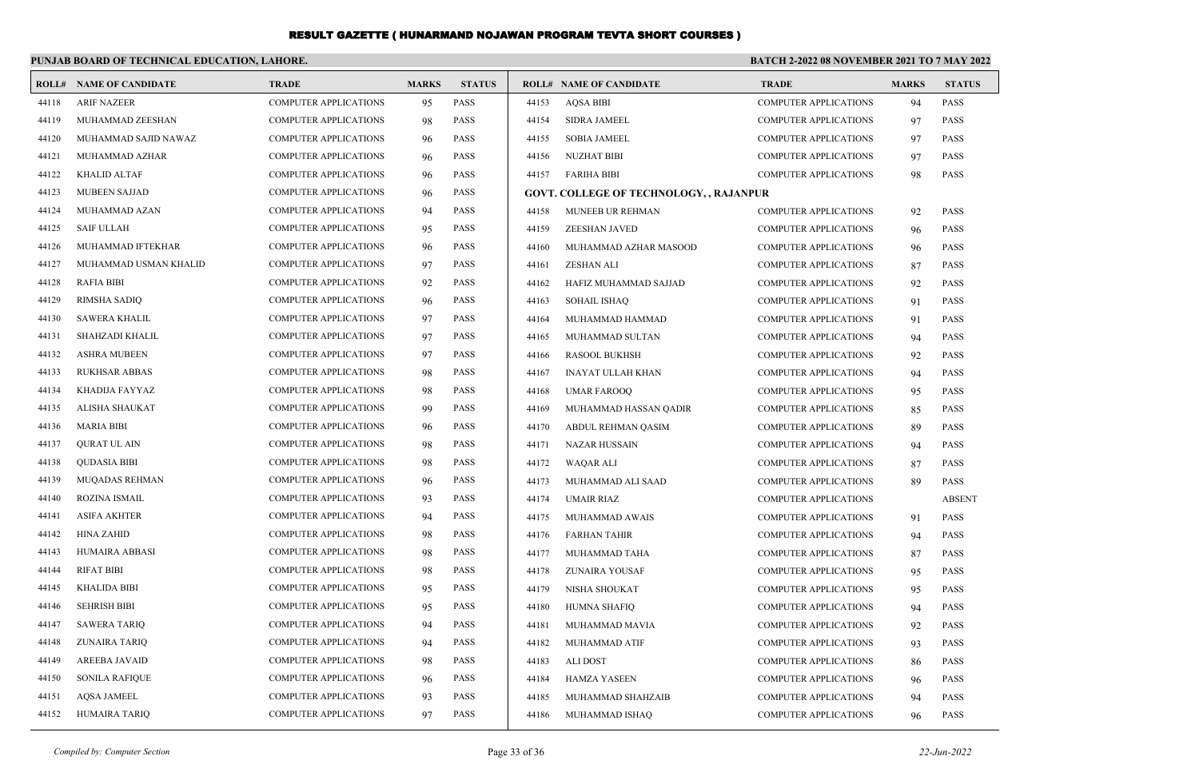#### **PUNJAB BOARD OF TECHNICAL EDUCATION, LAHORE. BATCH 2-2022 08 NOVEMBER 2021 TO 7 MAY 2022 ROLL# NAME OF CANDIDATE TRADE MARKS STATUS ROLL# NAME OF CANDIDATE TRADE MARKS STATUS** 44118 ARIF NAZEER COMPUTER APPLICATIONS 95 PASS 44119 MUHAMMAD ZEESHAN COMPUTER APPLICATIONS 98 PASS 44120 MUHAMMAD SAJID NAWAZ COMPUTER APPLICATIONS 96 PASS 44121 MUHAMMAD AZHAR COMPUTER APPLICATIONS 96 PASS 44122 KHALID ALTAF COMPUTER APPLICATIONS 96 PASS 44123 MUBEEN SAJJAD COMPUTER APPLICATIONS 96 PASS 44124 MUHAMMAD AZAN COMPUTER APPLICATIONS 94 PASS 44125 SAIF ULLAH COMPUTER APPLICATIONS 95 PASS 44126 MUHAMMAD IFTEKHAR COMPUTER APPLICATIONS 96 PASS 44127 MUHAMMAD USMAN KHALID COMPUTER APPLICATIONS 97 PASS 44128 RAFIA BIBI COMPUTER APPLICATIONS 92 PASS 44129 RIMSHA SADIQ COMPUTER APPLICATIONS 96 PASS 44130 SAWERA KHALIL COMPUTER APPLICATIONS 97 PASS 44131 SHAHZADI KHALIL COMPUTER APPLICATIONS 97 PASS 44132 ASHRA MUBEEN COMPUTER APPLICATIONS 97 PASS 44133 RUKHSAR ABBAS COMPUTER APPLICATIONS 98 PASS 44134 KHADIJA FAYYAZ COMPUTER APPLICATIONS 98 PASS 44135 ALISHA SHAUKAT COMPUTER APPLICATIONS 99 PASS 44136 MARIA BIBI COMPUTER APPLICATIONS 96 PASS 44137 QURAT UL AIN COMPUTER APPLICATIONS 98 PASS 44138 QUDASIA BIBI COMPUTER APPLICATIONS 98 PASS 44139 MUQADAS REHMAN COMPUTER APPLICATIONS 96 PASS 44140 ROZINA ISMAIL COMPUTER APPLICATIONS 93 PASS 44141 ASIFA AKHTER COMPUTER APPLICATIONS 94 PASS 44142 HINA ZAHID COMPUTER APPLICATIONS 98 PASS 44143 HUMAIRA ABBASI COMPUTER APPLICATIONS 98 PASS 44144 RIFAT BIBI COMPUTER APPLICATIONS 98 PASS 44145 KHALIDA BIBI COMPUTER APPLICATIONS 95 PASS 44146 SEHRISH BIBI COMPUTER APPLICATIONS 95 PASS 44147 SAWERA TARIQ COMPUTER APPLICATIONS 94 PASS 44148 ZUNAIRA TARIQ COMPUTER APPLICATIONS 94 PASS 44149 AREEBA JAVAID COMPUTER APPLICATIONS 98 PASS 44150 SONILA RAFIQUE COMPUTER APPLICATIONS 96 PASS 44151 AQSA JAMEEL COMPUTER APPLICATIONS 93 PASS 44152 HUMAIRA TARIQ COMPUTER APPLICATIONS 97 PASS 44153 AQSA BIBI COMPUTER APPLICATIONS 94 PASS 44154 SIDRA JAMEEL COMPUTER APPLICATIONS 97 PASS 44155 SOBIA JAMEEL COMPUTER APPLICATIONS 97 PASS 44156 NUZHAT BIBI COMPUTER APPLICATIONS 97 PASS 44157 FARIHA BIBI COMPUTER APPLICATIONS 98 PASS **GOVT. COLLEGE OF TECHNOLOGY, , RAJANPUR** 44158 MUNEEB UR REHMAN COMPUTER APPLICATIONS 92 PASS 44159 ZEESHAN JAVED COMPUTER APPLICATIONS 96 PASS 44160 MUHAMMAD AZHAR MASOOD COMPUTER APPLICATIONS 96 PASS 44161 ZESHAN ALI COMPUTER APPLICATIONS 87 PASS 44162 HAFIZ MUHAMMAD SAJJAD COMPUTER APPLICATIONS 92 PASS 44163 SOHAIL ISHAQ COMPUTER APPLICATIONS 91 PASS 44164 MUHAMMAD HAMMAD COMPUTER APPLICATIONS 91 PASS 44165 MUHAMMAD SULTAN COMPUTER APPLICATIONS 94 PASS 44166 RASOOL BUKHSH COMPUTER APPLICATIONS 92 PASS 44167 INAYAT ULLAH KHAN COMPUTER APPLICATIONS 94 PASS 44168 UMAR FAROOQ COMPUTER APPLICATIONS 95 PASS 44169 MUHAMMAD HASSAN QADIR COMPUTER APPLICATIONS 85 PASS 44170 ABDUL REHMAN QASIM COMPUTER APPLICATIONS 89 PASS 44171 NAZAR HUSSAIN COMPUTER APPLICATIONS 94 PASS 44172 WAQAR ALI COMPUTER APPLICATIONS 87 PASS 44173 MUHAMMAD ALI SAAD COMPUTER APPLICATIONS 89 PASS 44174 UMAIR RIAZ COMPUTER APPLICATIONS ABSENT 44175 MUHAMMAD AWAIS COMPUTER APPLICATIONS 91 PASS 44176 FARHAN TAHIR COMPUTER APPLICATIONS 94 PASS 44177 MUHAMMAD TAHA COMPUTER APPLICATIONS 87 PASS 44178 ZUNAIRA YOUSAF COMPUTER APPLICATIONS 95 PASS 44179 NISHA SHOUKAT COMPUTER APPLICATIONS 95 PASS 44180 HUMNA SHAFIQ COMPUTER APPLICATIONS 94 PASS 44181 MUHAMMAD MAVIA COMPUTER APPLICATIONS 92 PASS 44182 MUHAMMAD ATIF COMPUTER APPLICATIONS 93 PASS 44183 ALI DOST COMPUTER APPLICATIONS 86 PASS 44184 HAMZA YASEEN COMPUTER APPLICATIONS 96 PASS 44185 MUHAMMAD SHAHZAIB COMPUTER APPLICATIONS 94 PASS 44186 MUHAMMAD ISHAQ COMPUTER APPLICATIONS 96 PASS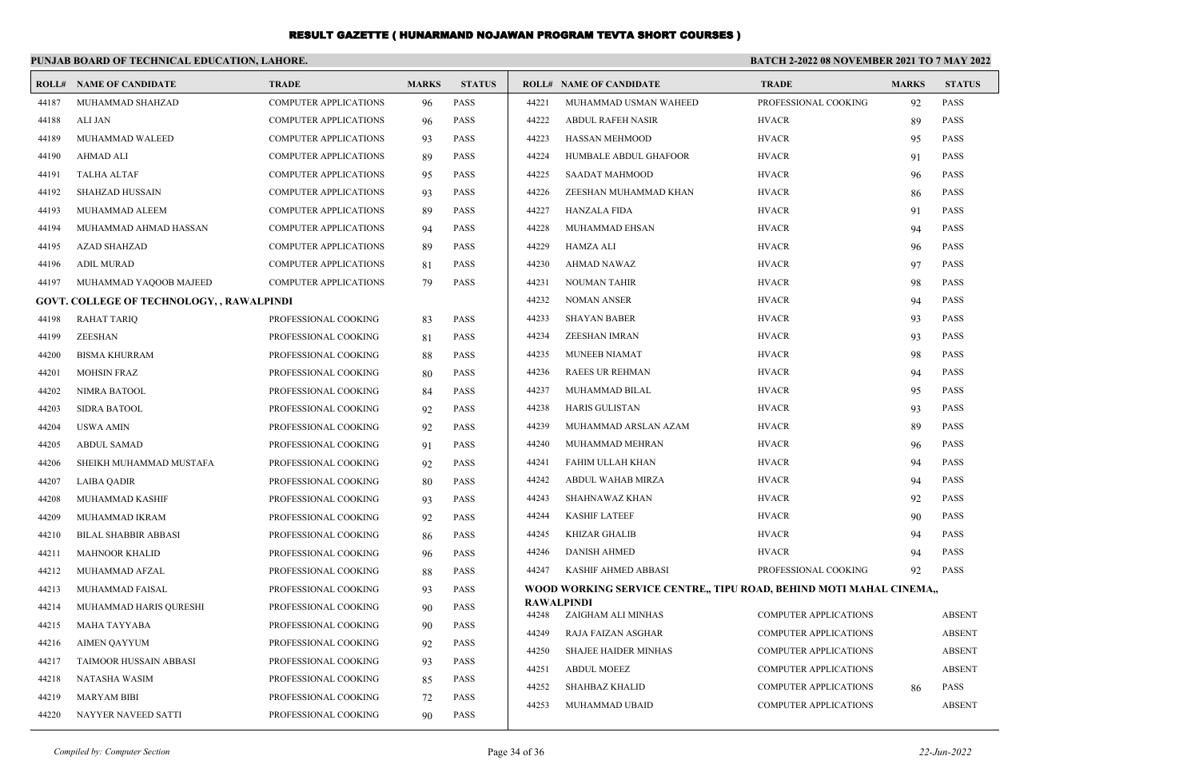|       | PUNJAB BOARD OF TECHNICAL EDUCATION, LAHORE.     |                              |              |               | <b>BATCH 2-2022 08 NOVEMBER 2021 TO 7 MAY 2022</b> |                                                                    |                              |              |               |
|-------|--------------------------------------------------|------------------------------|--------------|---------------|----------------------------------------------------|--------------------------------------------------------------------|------------------------------|--------------|---------------|
|       | <b>ROLL# NAME OF CANDIDATE</b>                   | <b>TRADE</b>                 | <b>MARKS</b> | <b>STATUS</b> |                                                    | <b>ROLL# NAME OF CANDIDATE</b>                                     | <b>TRADE</b>                 | <b>MARKS</b> | <b>STATUS</b> |
| 44187 | MUHAMMAD SHAHZAD                                 | <b>COMPUTER APPLICATIONS</b> | 96           | PASS          | 44221                                              | MUHAMMAD USMAN WAHEED                                              | PROFESSIONAL COOKING         | 92           | <b>PASS</b>   |
| 44188 | ALI JAN                                          | <b>COMPUTER APPLICATIONS</b> | 96           | <b>PASS</b>   | 44222                                              | <b>ABDUL RAFEH NASIR</b>                                           | <b>HVACR</b>                 | 89           | <b>PASS</b>   |
| 44189 | MUHAMMAD WALEED                                  | <b>COMPUTER APPLICATIONS</b> | 93           | <b>PASS</b>   | 44223                                              | <b>HASSAN MEHMOOD</b>                                              | <b>HVACR</b>                 | 95           | <b>PASS</b>   |
| 44190 | AHMAD ALI                                        | COMPUTER APPLICATIONS        | 89           | <b>PASS</b>   | 44224                                              | HUMBALE ABDUL GHAFOOR                                              | <b>HVACR</b>                 | 91           | <b>PASS</b>   |
| 44191 | TALHA ALTAF                                      | <b>COMPUTER APPLICATIONS</b> | 95           | <b>PASS</b>   | 44225                                              | <b>SAADAT MAHMOOD</b>                                              | <b>HVACR</b>                 | 96           | <b>PASS</b>   |
| 44192 | <b>SHAHZAD HUSSAIN</b>                           | <b>COMPUTER APPLICATIONS</b> | 93           | <b>PASS</b>   | 44226                                              | ZEESHAN MUHAMMAD KHAN                                              | <b>HVACR</b>                 | 86           | <b>PASS</b>   |
| 44193 | MUHAMMAD ALEEM                                   | <b>COMPUTER APPLICATIONS</b> | -89          | <b>PASS</b>   | 44227                                              | <b>HANZALA FIDA</b>                                                | <b>HVACR</b>                 | 91           | <b>PASS</b>   |
| 44194 | MUHAMMAD AHMAD HASSAN                            | <b>COMPUTER APPLICATIONS</b> | 94           | <b>PASS</b>   | 44228                                              | MUHAMMAD EHSAN                                                     | <b>HVACR</b>                 | 94           | <b>PASS</b>   |
| 44195 | AZAD SHAHZAD                                     | COMPUTER APPLICATIONS        | -89          | <b>PASS</b>   | 44229                                              | HAMZA ALI                                                          | <b>HVACR</b>                 | 96           | <b>PASS</b>   |
| 44196 | <b>ADIL MURAD</b>                                | COMPUTER APPLICATIONS        | 81           | <b>PASS</b>   | 44230                                              | AHMAD NAWAZ                                                        | <b>HVACR</b>                 | 97           | <b>PASS</b>   |
| 44197 | MUHAMMAD YAQOOB MAJEED                           | <b>COMPUTER APPLICATIONS</b> | 79           | <b>PASS</b>   | 44231                                              | <b>NOUMAN TAHIR</b>                                                | <b>HVACR</b>                 | 98           | <b>PASS</b>   |
|       | <b>GOVT. COLLEGE OF TECHNOLOGY, , RAWALPINDI</b> |                              |              |               | 44232                                              | <b>NOMAN ANSER</b>                                                 | <b>HVACR</b>                 | 94           | PASS          |
| 44198 | RAHAT TARIQ                                      | PROFESSIONAL COOKING         | 83           | <b>PASS</b>   | 44233                                              | <b>SHAYAN BABER</b>                                                | <b>HVACR</b>                 | 93           | <b>PASS</b>   |
| 44199 | ZEESHAN                                          | PROFESSIONAL COOKING         | 81           | <b>PASS</b>   | 44234                                              | ZEESHAN IMRAN                                                      | <b>HVACR</b>                 | 93           | <b>PASS</b>   |
| 44200 | <b>BISMA KHURRAM</b>                             | PROFESSIONAL COOKING         | 88           | <b>PASS</b>   | 44235                                              | <b>MUNEEB NIAMAT</b>                                               | <b>HVACR</b>                 | 98           | <b>PASS</b>   |
| 44201 | <b>MOHSIN FRAZ</b>                               | PROFESSIONAL COOKING         | 80           | <b>PASS</b>   | 44236                                              | <b>RAEES UR REHMAN</b>                                             | <b>HVACR</b>                 | 94           | <b>PASS</b>   |
| 44202 | NIMRA BATOOL                                     | PROFESSIONAL COOKING         | 84           | <b>PASS</b>   | 44237                                              | MUHAMMAD BILAL                                                     | <b>HVACR</b>                 | 95           | <b>PASS</b>   |
| 44203 | <b>SIDRA BATOOL</b>                              | PROFESSIONAL COOKING         | 92           | <b>PASS</b>   | 44238                                              | <b>HARIS GULISTAN</b>                                              | <b>HVACR</b>                 | 93           | <b>PASS</b>   |
| 44204 | USWA AMIN                                        | PROFESSIONAL COOKING         | 92           | <b>PASS</b>   | 44239                                              | MUHAMMAD ARSLAN AZAM                                               | <b>HVACR</b>                 | 89           | <b>PASS</b>   |
| 44205 | <b>ABDUL SAMAD</b>                               | PROFESSIONAL COOKING         | 91           | PASS          | 44240                                              | MUHAMMAD MEHRAN                                                    | <b>HVACR</b>                 | 96           | <b>PASS</b>   |
| 44206 | SHEIKH MUHAMMAD MUSTAFA                          | PROFESSIONAL COOKING         | 92           | <b>PASS</b>   | 44241                                              | FAHIM ULLAH KHAN                                                   | <b>HVACR</b>                 | 94           | <b>PASS</b>   |
| 44207 | LAIBA QADIR                                      | PROFESSIONAL COOKING         | 80           | <b>PASS</b>   | 44242                                              | ABDUL WAHAB MIRZA                                                  | <b>HVACR</b>                 | 94           | <b>PASS</b>   |
| 44208 | MUHAMMAD KASHIF                                  | PROFESSIONAL COOKING         | 93           | <b>PASS</b>   | 44243                                              | SHAHNAWAZ KHAN                                                     | <b>HVACR</b>                 | 92           | <b>PASS</b>   |
| 44209 | MUHAMMAD IKRAM                                   | PROFESSIONAL COOKING         | 92           | <b>PASS</b>   | 44244                                              | <b>KASHIF LATEEF</b>                                               | <b>HVACR</b>                 | 90           | <b>PASS</b>   |
| 44210 | <b>BILAL SHABBIR ABBASI</b>                      | PROFESSIONAL COOKING         | 86           | <b>PASS</b>   | 44245                                              | KHIZAR GHALIB                                                      | <b>HVACR</b>                 | 94           | <b>PASS</b>   |
| 44211 | <b>MAHNOOR KHALID</b>                            | PROFESSIONAL COOKING         | 96           | <b>PASS</b>   | 44246                                              | <b>DANISH AHMED</b>                                                | <b>HVACR</b>                 | 94           | <b>PASS</b>   |
| 44212 | MUHAMMAD AFZAL                                   | PROFESSIONAL COOKING         | 88           | <b>PASS</b>   | 44247                                              | KASHIF AHMED ABBASI                                                | PROFESSIONAL COOKING         | 92           | <b>PASS</b>   |
| 44213 | MUHAMMAD FAISAL                                  | PROFESSIONAL COOKING         | 93           | PASS          |                                                    | WOOD WORKING SERVICE CENTRE,, TIPU ROAD, BEHIND MOTI MAHAL CINEMA, |                              |              |               |
| 44214 | MUHAMMAD HARIS QURESHI                           | PROFESSIONAL COOKING         | 90           | <b>PASS</b>   | 44248                                              | RAWALPINDI<br>ZAIGHAM ALI MINHAS                                   | <b>COMPUTER APPLICATIONS</b> |              | <b>ABSENT</b> |
| 44215 | MAHA TAYYABA                                     | PROFESSIONAL COOKING         | 90           | <b>PASS</b>   | 44249                                              | <b>RAJA FAIZAN ASGHAR</b>                                          | <b>COMPUTER APPLICATIONS</b> |              | <b>ABSENT</b> |
| 44216 | AIMEN QAYYUM                                     | PROFESSIONAL COOKING         | 92           | PASS          | 44250                                              | <b>SHAJEE HAIDER MINHAS</b>                                        | <b>COMPUTER APPLICATIONS</b> |              | <b>ABSENT</b> |
| 44217 | <b>TAIMOOR HUSSAIN ABBASI</b>                    | PROFESSIONAL COOKING         | 93           | PASS          | 44251                                              | <b>ABDUL MOEEZ</b>                                                 | <b>COMPUTER APPLICATIONS</b> |              | <b>ABSENT</b> |
| 44218 | NATASHA WASIM                                    | PROFESSIONAL COOKING         | 85           | PASS          | 44252                                              | <b>SHAHBAZ KHALID</b>                                              | <b>COMPUTER APPLICATIONS</b> | 86           | <b>PASS</b>   |
| 44219 | <b>MARYAM BIBI</b>                               | PROFESSIONAL COOKING         | 72           | PASS          | 44253                                              | MUHAMMAD UBAID                                                     | <b>COMPUTER APPLICATIONS</b> |              | <b>ABSENT</b> |
| 44220 | NAYYER NAVEED SATTI                              | PROFESSIONAL COOKING         | 90           | PASS          |                                                    |                                                                    |                              |              |               |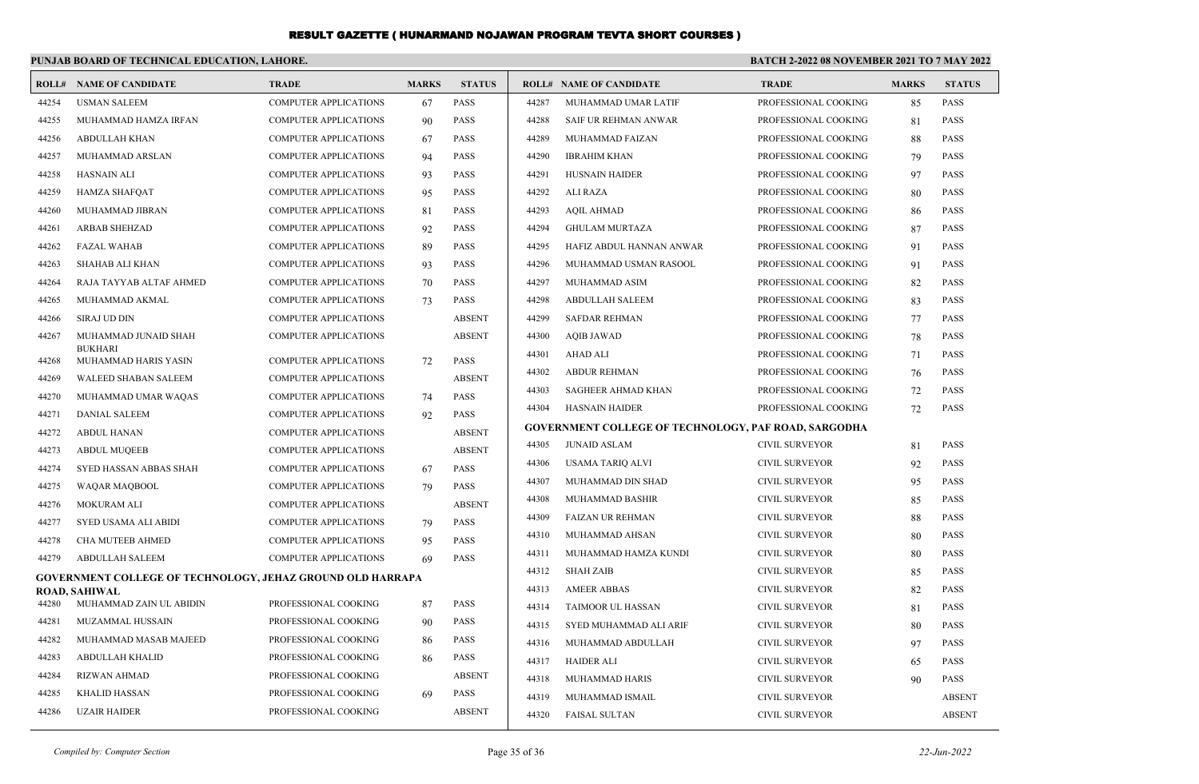#### **PUNJAB BOARD OF TECHNICAL EDUCATION, LAHORE. BATCH 2-2022 08 NOVEMBER 2021 TO 7 MAY 2022 ROLL# NAME OF CANDIDATE TRADE MARKS STATUS ROLL# NAME OF CANDIDATE TRADE MARKS STATUS** 44254 USMAN SALEEM COMPUTER APPLICATIONS 67 PASS 44255 MUHAMMAD HAMZA IRFAN COMPUTER APPLICATIONS 90 PASS 44256 ABDULLAH KHAN COMPUTER APPLICATIONS 67 PASS 44257 MUHAMMAD ARSLAN COMPUTER APPLICATIONS 94 PASS 44258 HASNAIN ALI COMPUTER APPLICATIONS 93 PASS 44259 HAMZA SHAFQAT COMPUTER APPLICATIONS 95 PASS 44260 MUHAMMAD JIBRAN COMPUTER APPLICATIONS 81 PASS 44261 ARBAB SHEHZAD COMPUTER APPLICATIONS 92 PASS 44262 FAZAL WAHAB COMPUTER APPLICATIONS 89 PASS 44263 SHAHAB ALI KHAN COMPUTER APPLICATIONS 93 PASS 44264 RAJA TAYYAB ALTAF AHMED COMPUTER APPLICATIONS 70 PASS 44265 MUHAMMAD AKMAL COMPUTER APPLICATIONS 73 PASS 44266 SIRAJ UD DIN COMPUTER APPLICATIONS ABSENT MUHAMMAD JUNAID SHAH COMPUTER APPLICATIONS ABSENT BUKHARI 44267 44268 MUHAMMAD HARIS YASIN COMPUTER APPLICATIONS 72 PASS 44269 WALEED SHABAN SALEEM COMPUTER APPLICATIONS ABSENT 44270 MUHAMMAD UMAR WAQAS COMPUTER APPLICATIONS 74 PASS 44271 DANIAL SALEEM COMPUTER APPLICATIONS 92 PASS 44272 ABDUL HANAN COMPUTER APPLICATIONS ABSENT 44273 ABDUL MUQEEB COMPUTER APPLICATIONS ABSENT 44274 SYED HASSAN ABBAS SHAH COMPUTER APPLICATIONS 67 PASS 44275 WAQAR MAQBOOL COMPUTER APPLICATIONS 79 PASS 44276 MOKURAM ALI COMPUTER APPLICATIONS ABSENT 44277 SYED USAMA ALI ABIDI COMPUTER APPLICATIONS 79 PASS 44278 CHA MUTEEB AHMED COMPUTER APPLICATIONS 95 PASS 44279 ABDULLAH SALEEM COMPUTER APPLICATIONS 69 PASS **GOVERNMENT COLLEGE OF TECHNOLOGY, JEHAZ GROUND OLD HARRAPA ROAD, SAHIWAL** 44280 MUHAMMAD ZAIN UL ABIDIN PROFESSIONAL COOKING 87 PASS 44281 MUZAMMAL HUSSAIN PROFESSIONAL COOKING 90 PASS 44282 MUHAMMAD MASAB MAJEED PROFESSIONAL COOKING 86 PASS 44283 ABDULLAH KHALID PROFESSIONAL COOKING 86 PASS 44284 RIZWAN AHMAD PROFESSIONAL COOKING ABSENT 44285 KHALID HASSAN PROFESSIONAL COOKING 69 PASS 44286 UZAIR HAIDER PROFESSIONAL COOKING ABSENT 44287 MUHAMMAD UMAR LATIF PROFESSIONAL COOKING 85 PASS 44288 SAIF UR REHMAN ANWAR PROFESSIONAL COOKING 81 PASS 44289 MUHAMMAD FAIZAN PROFESSIONAL COOKING 88 PASS 44290 IBRAHIM KHAN PROFESSIONAL COOKING 79 PASS 44291 HUSNAIN HAIDER PROFESSIONAL COOKING 97 PASS 44292 ALI RAZA PROFESSIONAL COOKING 80 PASS 44293 AQIL AHMAD PROFESSIONAL COOKING 86 PASS 44294 GHULAM MURTAZA PROFESSIONAL COOKING 87 PASS 44295 HAFIZ ABDUL HANNAN ANWAR PROFESSIONAL COOKING 91 PASS 44296 MUHAMMAD USMAN RASOOL PROFESSIONAL COOKING 91 PASS 44297 MUHAMMAD ASIM PROFESSIONAL COOKING 82 PASS 44298 ABDULLAH SALEEM PROFESSIONAL COOKING 83 PASS 44299 SAFDAR REHMAN PROFESSIONAL COOKING 77 PASS 44300 AQIB JAWAD PROFESSIONAL COOKING 78 PASS 44301 AHAD ALI PROFESSIONAL COOKING 71 PASS 44302 ABDUR REHMAN PROFESSIONAL COOKING 76 PASS 44303 SAGHEER AHMAD KHAN PROFESSIONAL COOKING 72 PASS 44304 HASNAIN HAIDER PROFESSIONAL COOKING 72 PASS **GOVERNMENT COLLEGE OF TECHNOLOGY, PAF ROAD, SARGODHA** 44305 JUNAID ASLAM CIVIL SURVEYOR 81 PASS 44306 USAMA TARIQ ALVI CIVIL SURVEYOR 92 PASS 44307 MUHAMMAD DIN SHAD CIVIL SURVEYOR 95 PASS 44308 MUHAMMAD BASHIR CIVIL SURVEYOR 85 PASS 44309 FAIZAN UR REHMAN CIVIL SURVEYOR 88 PASS 44310 MUHAMMAD AHSAN CIVIL SURVEYOR 80 PASS 44311 MUHAMMAD HAMZA KUNDI CIVIL SURVEYOR 80 PASS 44312 SHAH ZAIB CIVIL SURVEYOR 85 PASS 44313 AMEER ABBAS CIVIL SURVEYOR 82 PASS 44314 TAIMOOR UL HASSAN CIVIL SURVEYOR 81 PASS 44315 SYED MUHAMMAD ALI ARIF CIVIL SURVEYOR 80 PASS 44316 MUHAMMAD ABDULLAH CIVIL SURVEYOR 97 PASS 44317 HAIDER ALI CIVIL SURVEYOR 65 PASS 44318 MUHAMMAD HARIS CIVIL SURVEYOR 90 PASS 44319 MUHAMMAD ISMAIL CIVIL SURVEYOR ABSENT 44320 FAISAL SULTAN CIVIL SURVEYOR ABSENT